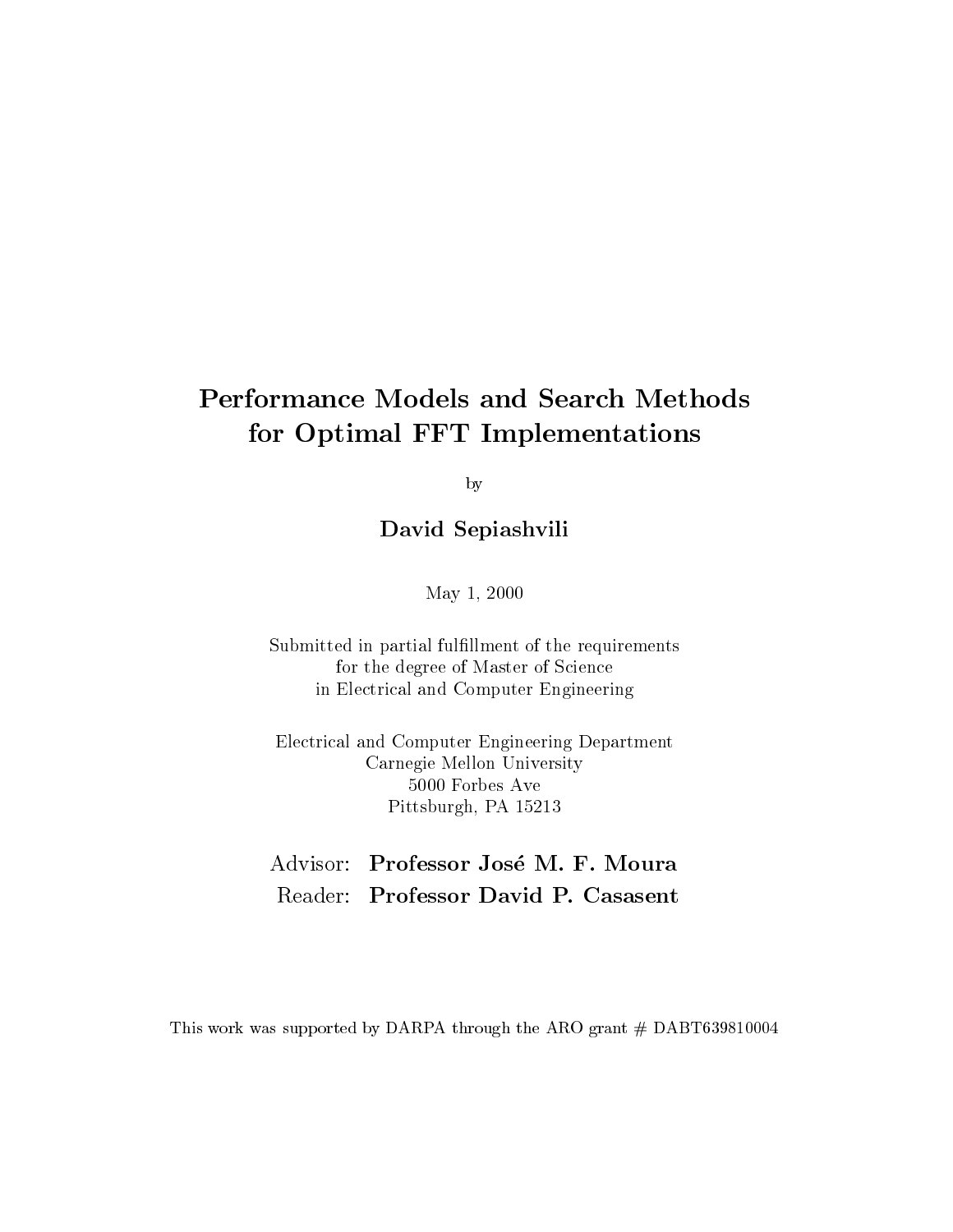# **Performance Models and Search Methods** for Optimal FFT Implementations

by

David Sepiashvili

May 1, 2000

Submitted in partial fulfillment of the requirements for the degree of Master of Science in Electrical and Computer Engineering

Electrical and Computer Engineering Department Carnegie Mellon University 5000 Forbes Ave Pittsburgh, PA 15213

# Advisor: Professor José M. F. Moura Reader: Professor David P. Casasent

This work was supported by DARPA through the ARO grant # DABT639810004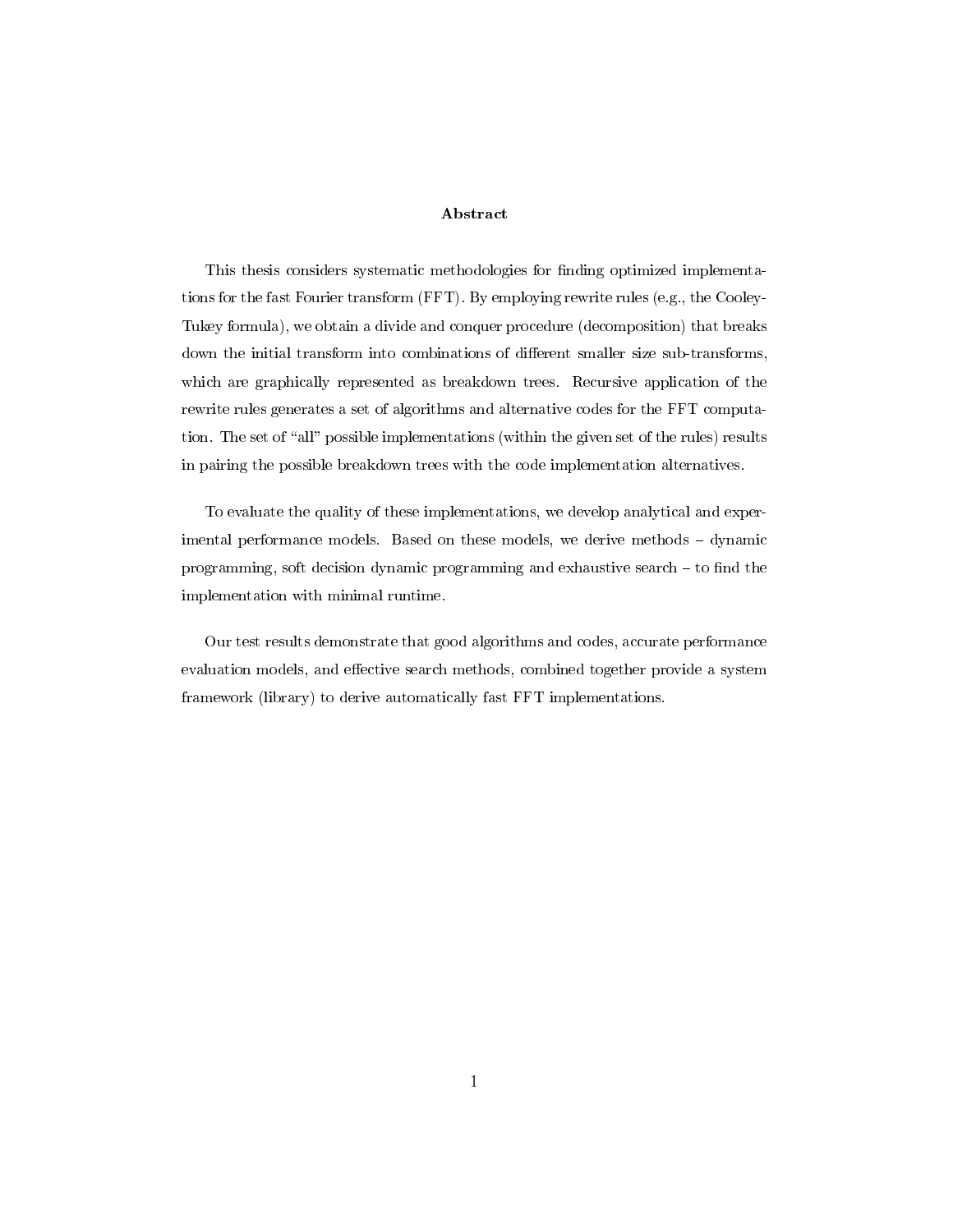## Abstract

This thesis considers systematic methodologies for finding optimized implementations for the fast Fourier transform (FFT). By employing rewrite rules (e.g., the Cooley-Tukey formula), we obtain a divide and conquer procedure (decomposition) that breaks down the initial transform into combinations of different smaller size sub-transforms, which are graphically represented as breakdown trees. Recursive application of the rewrite rules generates a set of algorithms and alternative codes for the FFT computation. The set of "all" possible implementations (within the given set of the rules) results in pairing the possible breakdown trees with the code implementation alternatives.

To evaluate the quality of these implementations, we develop analytical and experimental performance models. Based on these models, we derive methods - dynamic programming, soft decision dynamic programming and exhaustive search  $-$  to find the implementation with minimal runtime.

Our test results demonstrate that good algorithms and codes, accurate performance evaluation models, and effective search methods, combined together provide a system framework (library) to derive automatically fast FFT implementations.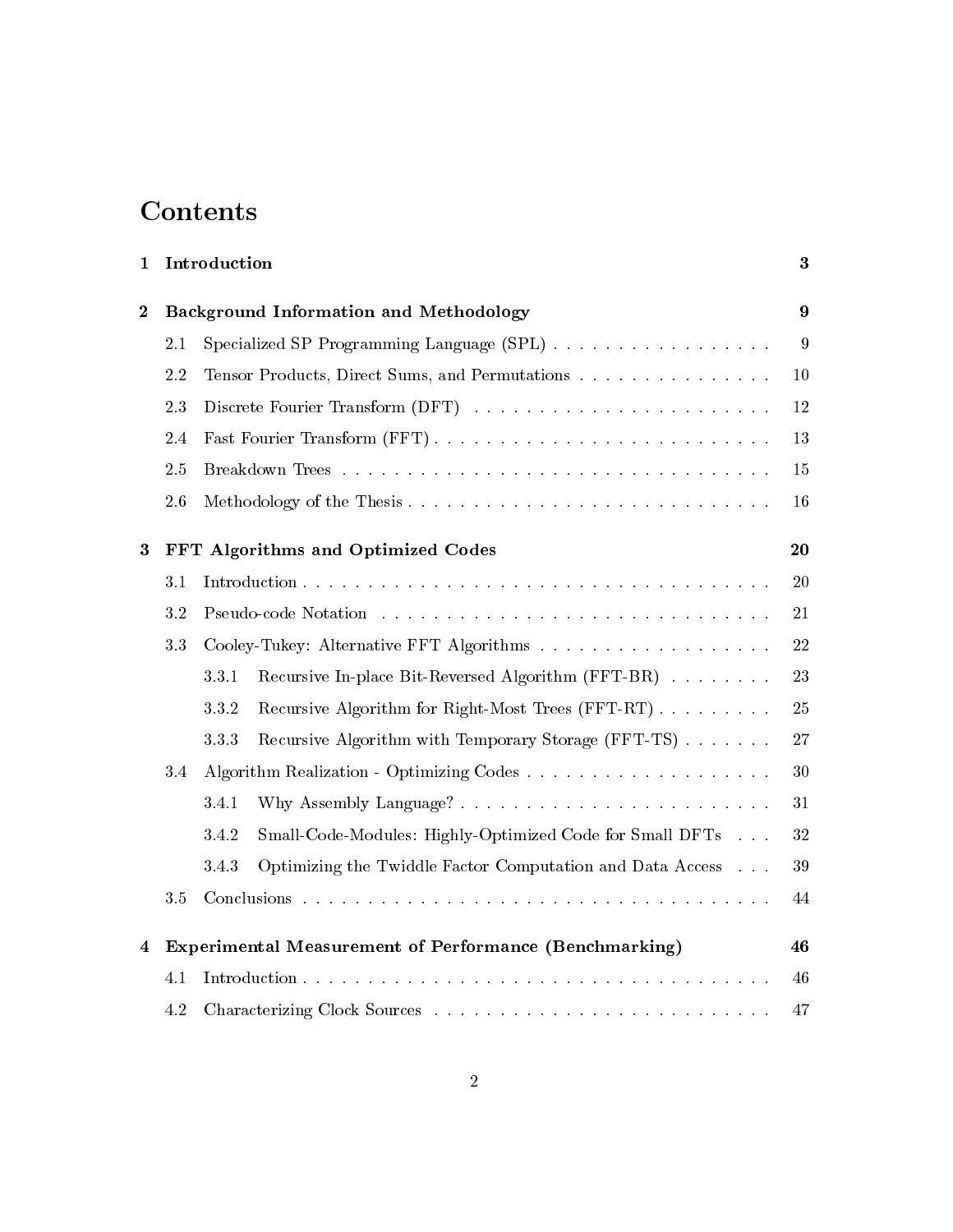# Contents

| 1                                                      | Introduction<br>$\bf{3}$ |                                                                    |    |  |  |
|--------------------------------------------------------|--------------------------|--------------------------------------------------------------------|----|--|--|
| $\boldsymbol{2}$                                       |                          | <b>Background Information and Methodology</b><br>9                 |    |  |  |
|                                                        | 2.1                      | Specialized SP Programming Language (SPL)                          | 9  |  |  |
| 2.2<br>Tensor Products, Direct Sums, and Permutations  |                          |                                                                    |    |  |  |
|                                                        | 2.3                      |                                                                    |    |  |  |
|                                                        | 2.4                      |                                                                    |    |  |  |
|                                                        | 2.5                      |                                                                    | 15 |  |  |
|                                                        |                          | 16                                                                 |    |  |  |
| FFT Algorithms and Optimized Codes<br>$\boldsymbol{3}$ |                          |                                                                    |    |  |  |
|                                                        | 3.1                      |                                                                    | 20 |  |  |
|                                                        | 3.2                      |                                                                    | 21 |  |  |
| 3.3                                                    |                          |                                                                    | 22 |  |  |
|                                                        |                          | Recursive In-place Bit-Reversed Algorithm (FFT-BR)<br>3.3.1        | 23 |  |  |
|                                                        |                          | Recursive Algorithm for Right-Most Trees (FFT-RT)<br>3.3.2         | 25 |  |  |
|                                                        |                          | Recursive Algorithm with Temporary Storage (FFT-TS)<br>3.3.3       | 27 |  |  |
| 3.4                                                    |                          |                                                                    | 30 |  |  |
|                                                        |                          | 3.4.1                                                              | 31 |  |  |
|                                                        |                          | 3.4.2<br>Small-Code-Modules: Highly-Optimized Code for Small DFTs  | 32 |  |  |
|                                                        |                          | 3.4.3<br>Optimizing the Twiddle Factor Computation and Data Access | 39 |  |  |
|                                                        | $3.5\,$                  |                                                                    |    |  |  |
| 4                                                      |                          | Experimental Measurement of Performance (Benchmarking)             |    |  |  |
|                                                        |                          | 46                                                                 |    |  |  |
|                                                        |                          | 47                                                                 |    |  |  |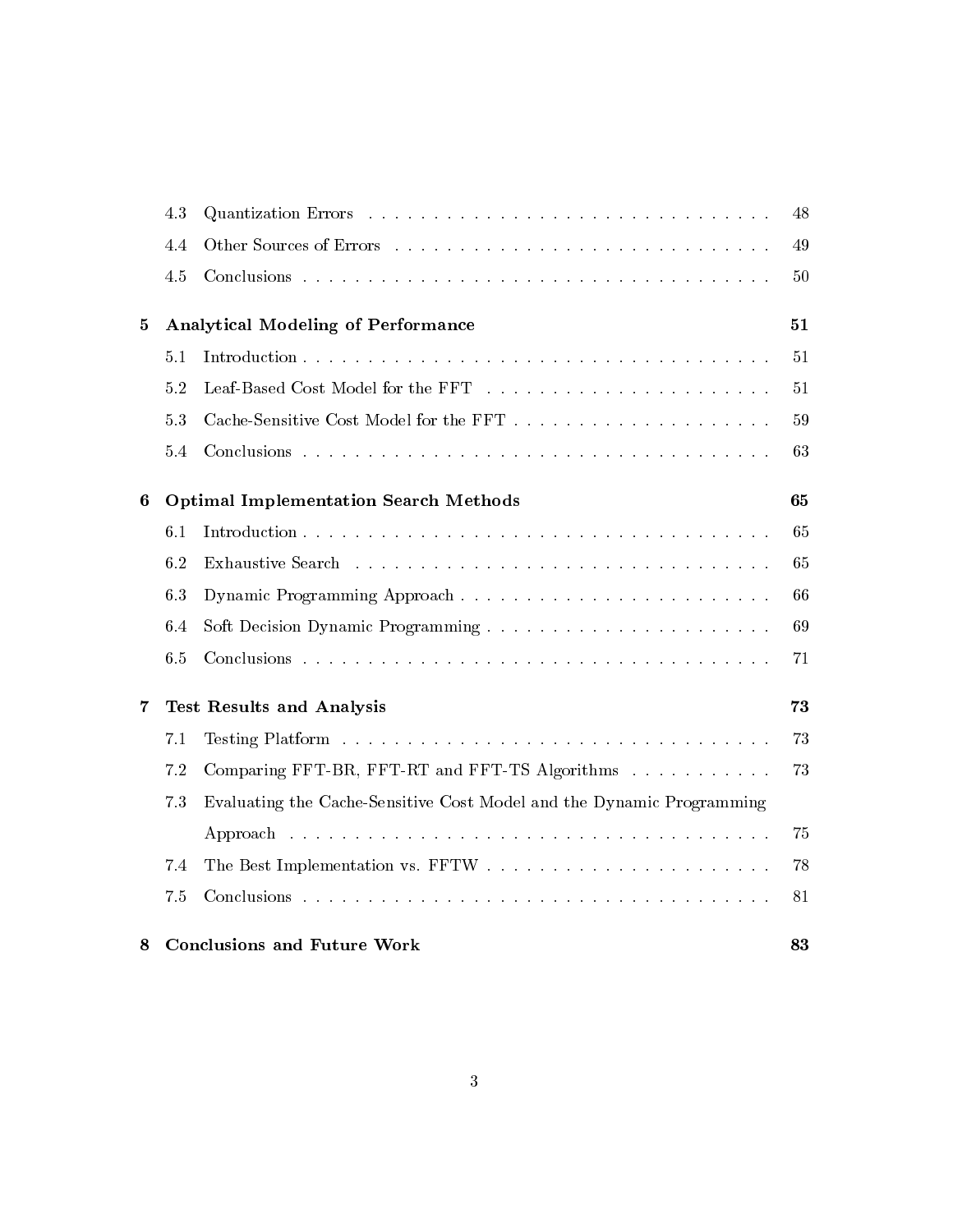|                                                                                                                                       | 4.3                                          |                                          | 48 |  |  |
|---------------------------------------------------------------------------------------------------------------------------------------|----------------------------------------------|------------------------------------------|----|--|--|
|                                                                                                                                       | 4.4                                          |                                          | 49 |  |  |
|                                                                                                                                       | 4.5                                          |                                          | 50 |  |  |
| 5                                                                                                                                     | <b>Analytical Modeling of Performance</b>    | 51                                       |    |  |  |
|                                                                                                                                       | 5.1                                          |                                          | 51 |  |  |
|                                                                                                                                       | 5.2                                          |                                          | 51 |  |  |
|                                                                                                                                       | 5.3                                          |                                          | 59 |  |  |
|                                                                                                                                       | 5.4                                          |                                          | 63 |  |  |
| $\boldsymbol{6}$                                                                                                                      | <b>Optimal Implementation Search Methods</b> |                                          |    |  |  |
|                                                                                                                                       | 6.1                                          |                                          | 65 |  |  |
|                                                                                                                                       | 6.2                                          |                                          | 65 |  |  |
|                                                                                                                                       | 6.3                                          |                                          | 66 |  |  |
|                                                                                                                                       | 6.4                                          |                                          | 69 |  |  |
|                                                                                                                                       | 6.5                                          |                                          | 71 |  |  |
| 7                                                                                                                                     | <b>Test Results and Analysis</b>             |                                          |    |  |  |
|                                                                                                                                       | 7.1                                          |                                          | 73 |  |  |
| 7.2<br>Comparing FFT-BR, FFT-RT and FFT-TS Algorithms<br>Evaluating the Cache-Sensitive Cost Model and the Dynamic Programming<br>7.3 |                                              |                                          |    |  |  |
|                                                                                                                                       |                                              |                                          |    |  |  |
|                                                                                                                                       | 7.4                                          |                                          | 78 |  |  |
|                                                                                                                                       | 7.5                                          |                                          | 81 |  |  |
| 8                                                                                                                                     |                                              | <b>Conclusions and Future Work</b><br>83 |    |  |  |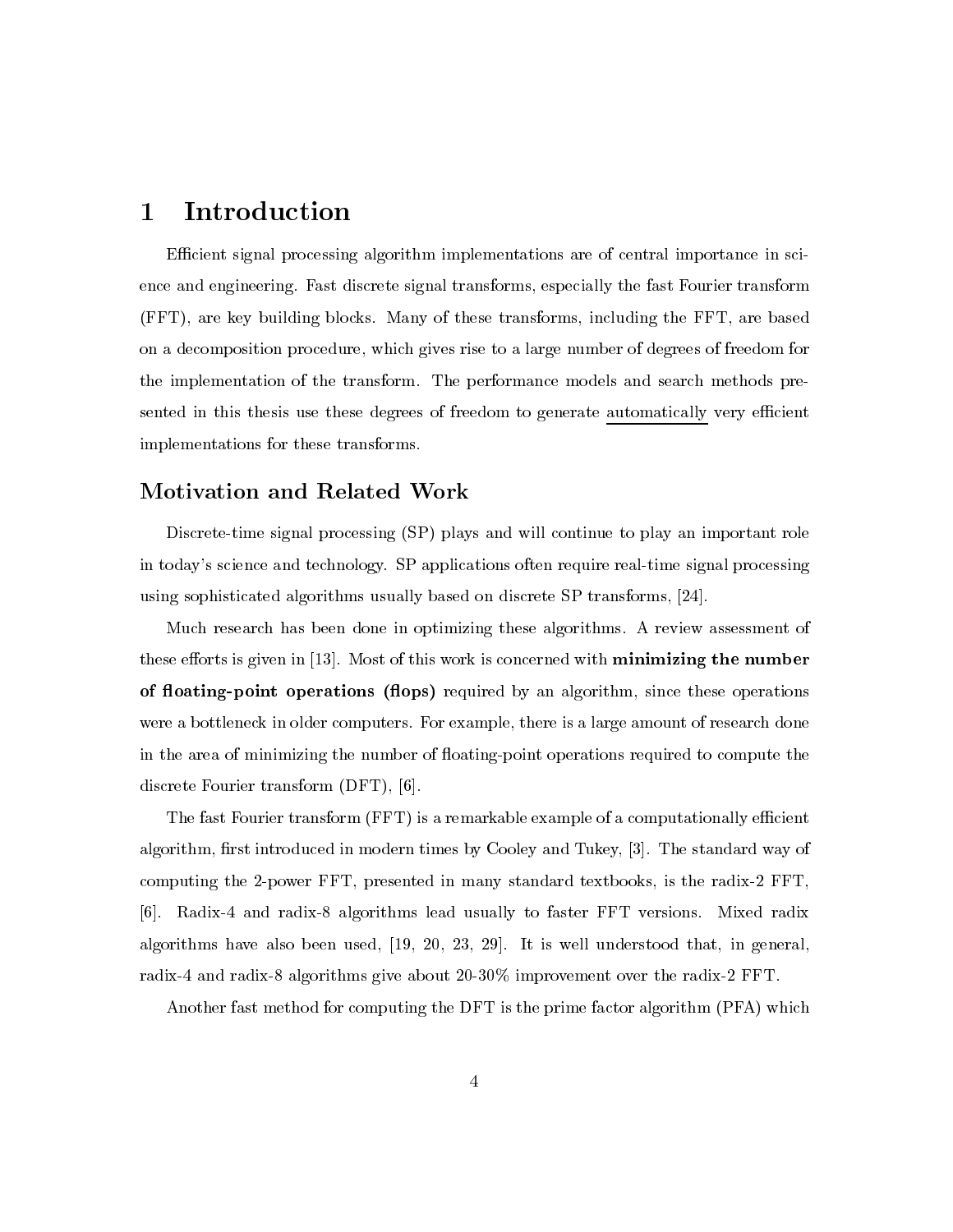## Introduction  $\mathbf 1$

Efficient signal processing algorithm implementations are of central importance in science and engineering. Fast discrete signal transforms, especially the fast Fourier transform (FFT), are key building blocks. Many of these transforms, including the FFT, are based on a decomposition procedure, which gives rise to a large number of degrees of freedom for the implementation of the transform. The performance models and search methods presented in this thesis use these degrees of freedom to generate automatically very efficient implementations for these transforms.

# Motivation and Related Work

Discrete-time signal processing (SP) plays and will continue to play an important role in today's science and technology. SP applications often require real-time signal processing using sophisticated algorithms usually based on discrete SP transforms, [24].

Much research has been done in optimizing these algorithms. A review assessment of these efforts is given in  $[13]$ . Most of this work is concerned with **minimizing the number** of floating-point operations (flops) required by an algorithm, since these operations were a bottleneck in older computers. For example, there is a large amount of research done in the area of minimizing the number of floating-point operations required to compute the discrete Fourier transform (DFT), [6].

The fast Fourier transform (FFT) is a remarkable example of a computationally efficient algorithm, first introduced in modern times by Cooley and Tukey, [3]. The standard way of computing the 2-power FFT, presented in many standard textbooks, is the radix-2 FFT, [6]. Radix-4 and radix-8 algorithms lead usually to faster FFT versions. Mixed radix algorithms have also been used,  $[19, 20, 23, 29]$ . It is well understood that, in general, radix-4 and radix-8 algorithms give about 20-30% improvement over the radix-2 FFT.

Another fast method for computing the DFT is the prime factor algorithm (PFA) which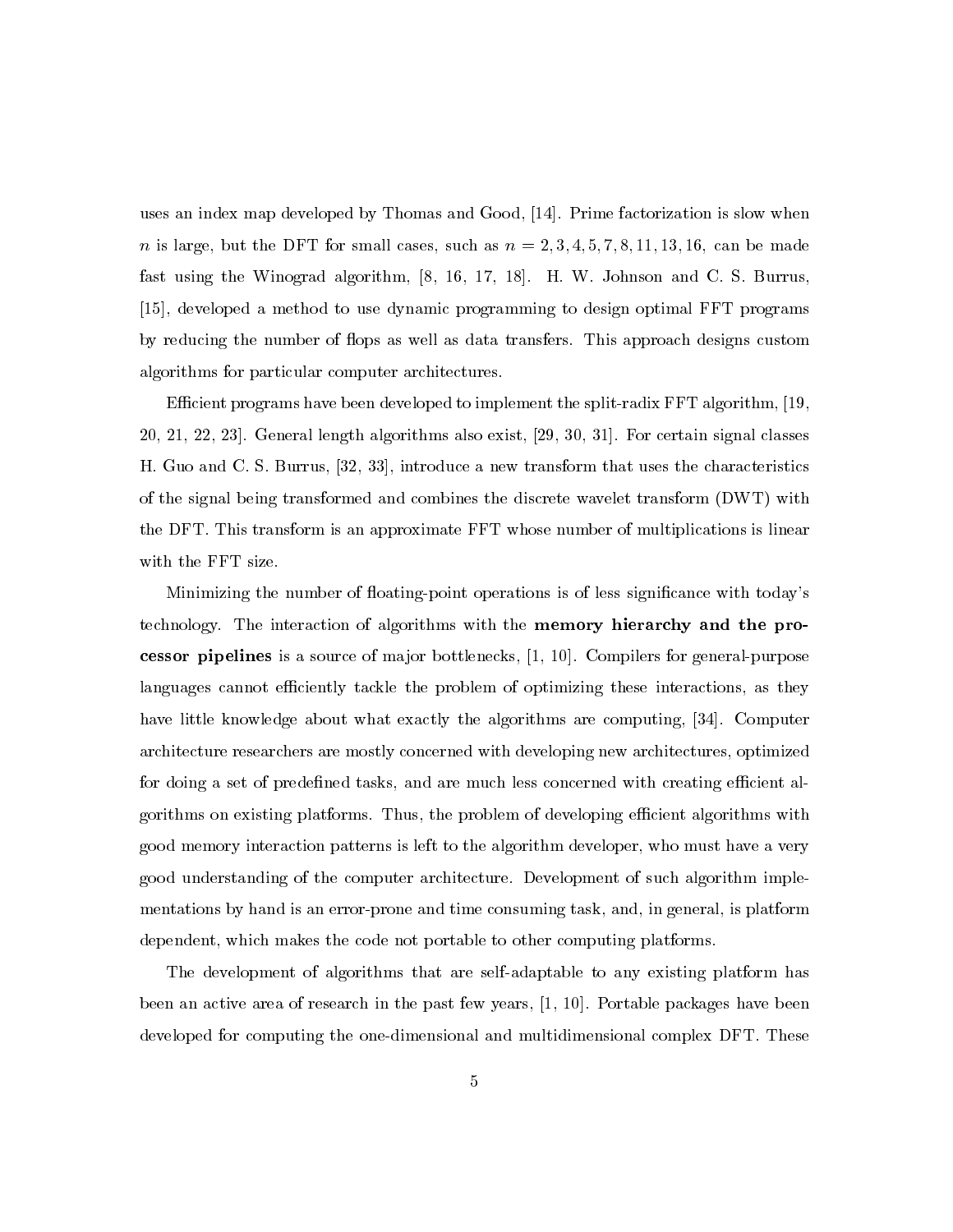uses an index map developed by Thomas and Good, [14]. Prime factorization is slow when  $n$  is large, but the DFT for small cases, such as  $n = 2, 3, 4, 5, 7, 8, 11, 13, 16$ , can be made fast using the Winograd algorithm, [8, 16, 17, 18]. H. W. Johnson and C. S. Burrus, [15], developed a method to use dynamic programming to design optimal FFT programs by reducing the number of flops as well as data transfers. This approach designs custom algorithms for particular computer architectures.

Efficient programs have been developed to implement the split-radix FFT algorithm, [19, 20, 21, 22, 23. General length algorithms also exist, [29, 30, 31]. For certain signal classes H. Guo and C. S. Burrus, [32, 33], introduce a new transform that uses the characteristics of the signal being transformed and combines the discrete wavelet transform (DWT) with the DFT. This transform is an approximate FFT whose number of multiplications is linear with the FFT size.

Minimizing the number of floating-point operations is of less significance with today's technology. The interaction of algorithms with the memory hierarchy and the processor pipelines is a source of major bottlenecks,  $[1, 10]$ . Compilers for general-purpose languages cannot efficiently tackle the problem of optimizing these interactions, as they have little knowledge about what exactly the algorithms are computing, [34]. Computer architecture researchers are mostly concerned with developing new architectures, optimized for doing a set of predefined tasks, and are much less concerned with creating efficient algorithms on existing platforms. Thus, the problem of developing efficient algorithms with good memory interaction patterns is left to the algorithm developer, who must have a very good understanding of the computer architecture. Development of such algorithm implementations by hand is an error-prone and time consuming task, and, in general, is platform dependent, which makes the code not portable to other computing platforms.

The development of algorithms that are self-adaptable to any existing platform has been an active area of research in the past few years, [1, 10]. Portable packages have been developed for computing the one-dimensional and multidimensional complex DFT. These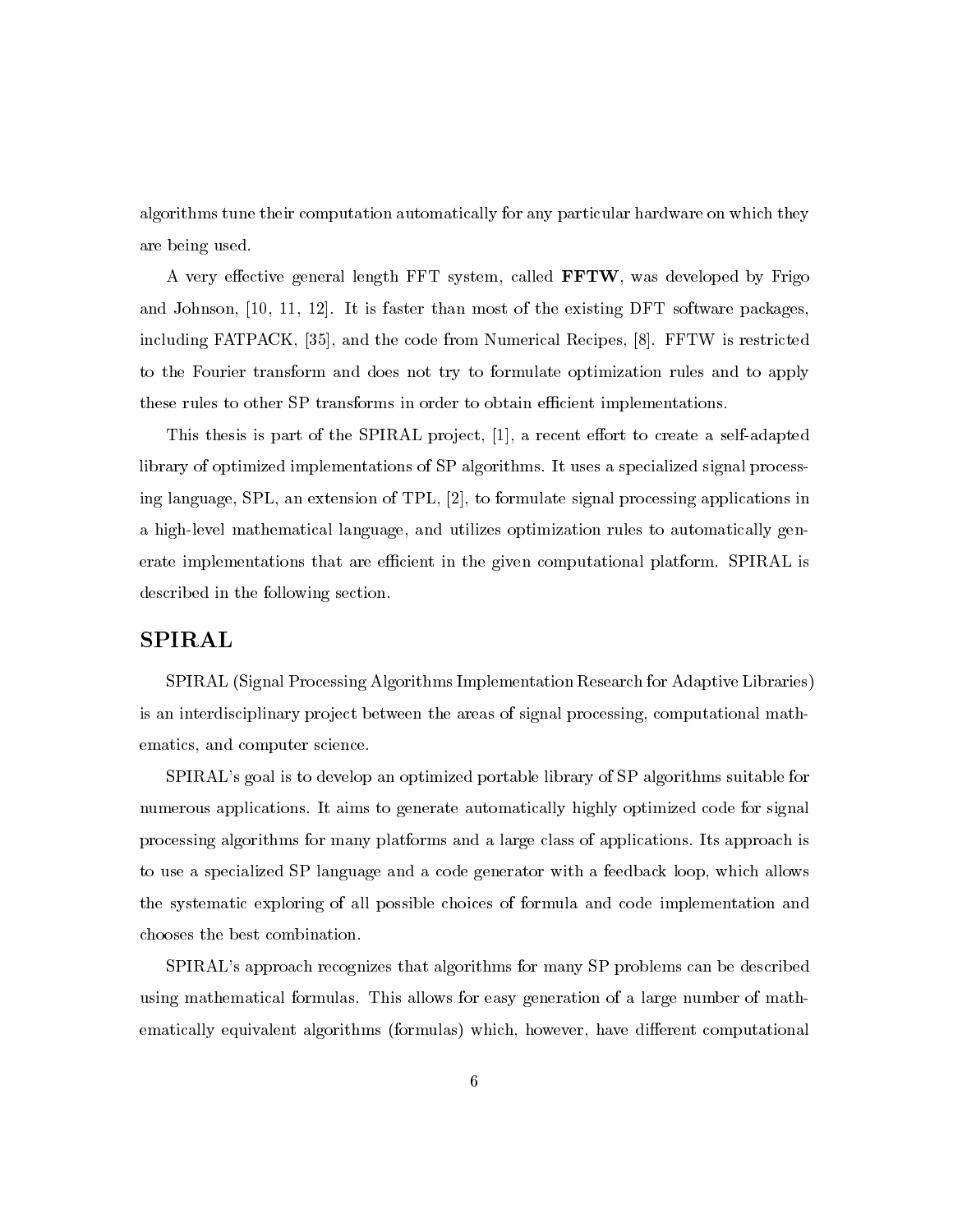algorithms tune their computation automatically for any particular hardware on which they are being used.

A very effective general length FFT system, called FFTW, was developed by Frigo and Johnson,  $[10, 11, 12]$ . It is faster than most of the existing DFT software packages, including FATPACK, [35], and the code from Numerical Recipes, [8]. FFTW is restricted to the Fourier transform and does not try to formulate optimization rules and to apply these rules to other SP transforms in order to obtain efficient implementations.

This thesis is part of the SPIRAL project, [1], a recent effort to create a self-adapted library of optimized implementations of SP algorithms. It uses a specialized signal processing language, SPL, an extension of TPL, [2], to formulate signal processing applications in a high-level mathematical language, and utilizes optimization rules to automatically generate implementations that are efficient in the given computational platform. SPIRAL is described in the following section.

# **SPIRAL**

SPIRAL (Signal Processing Algorithms Implementation Research for Adaptive Libraries) is an interdisciplinary project between the areas of signal processing, computational mathematics, and computer science.

SPIRAL's goal is to develop an optimized portable library of SP algorithms suitable for numerous applications. It aims to generate automatically highly optimized code for signal processing algorithms for many platforms and a large class of applications. Its approach is to use a specialized SP language and a code generator with a feedback loop, which allows the systematic exploring of all possible choices of formula and code implementation and chooses the best combination.

SPIRAL's approach recognizes that algorithms for many SP problems can be described using mathematical formulas. This allows for easy generation of a large number of mathematically equivalent algorithms (formulas) which, however, have different computational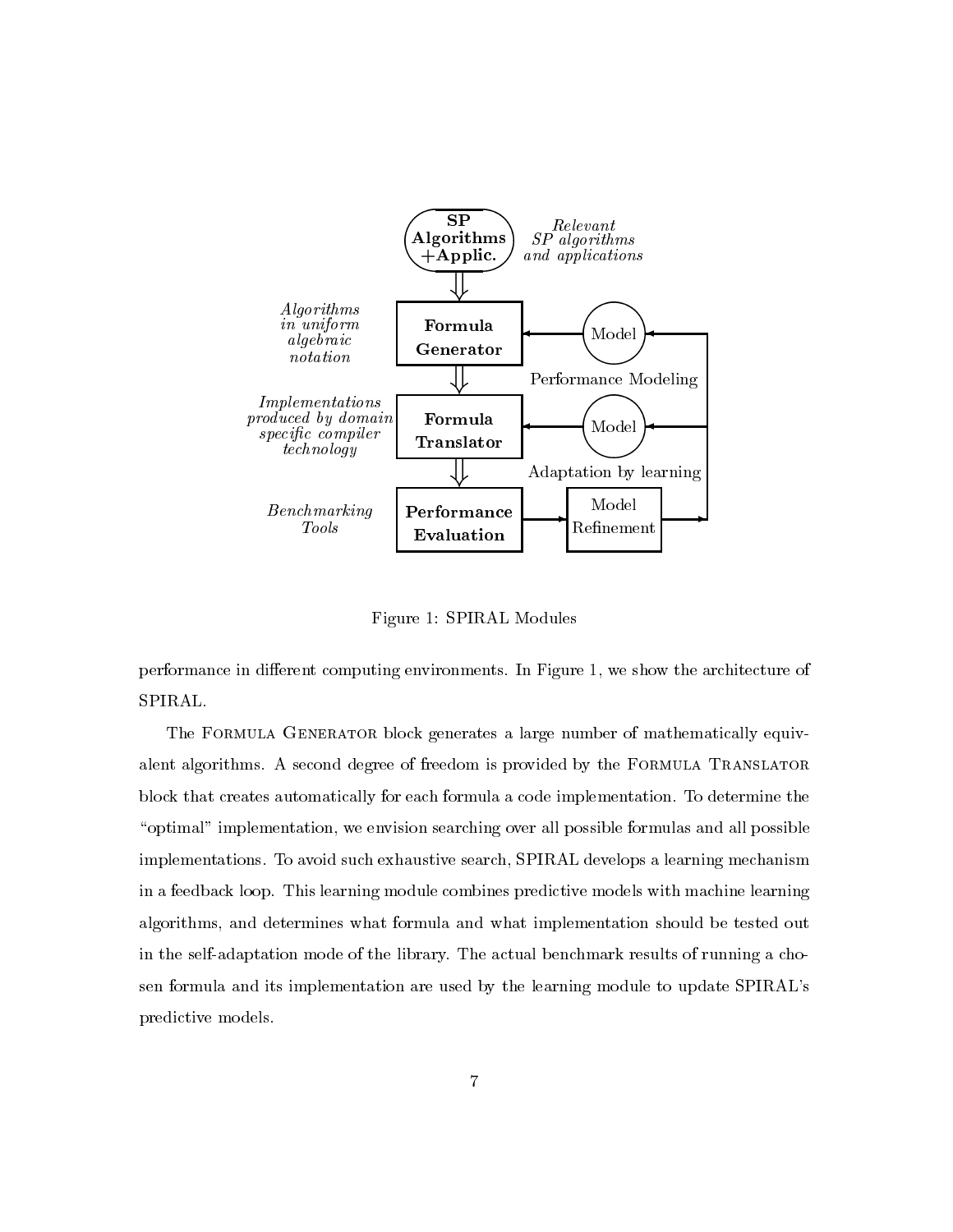

Figure 1: SPIRAL Modules

performance in different computing environments. In Figure 1, we show the architecture of SPIRAL.

The FORMULA GENERATOR block generates a large number of mathematically equivalent algorithms. A second degree of freedom is provided by the FORMULA TRANSLATOR block that creates automatically for each formula a code implementation. To determine the "optimal" implementation, we envision searching over all possible formulas and all possible implementations. To avoid such exhaustive search, SPIRAL develops a learning mechanism in a feedback loop. This learning module combines predictive models with machine learning algorithms, and determines what formula and what implementation should be tested out in the self-adaptation mode of the library. The actual benchmark results of running a chosen formula and its implementation are used by the learning module to update SPIRAL's predictive models.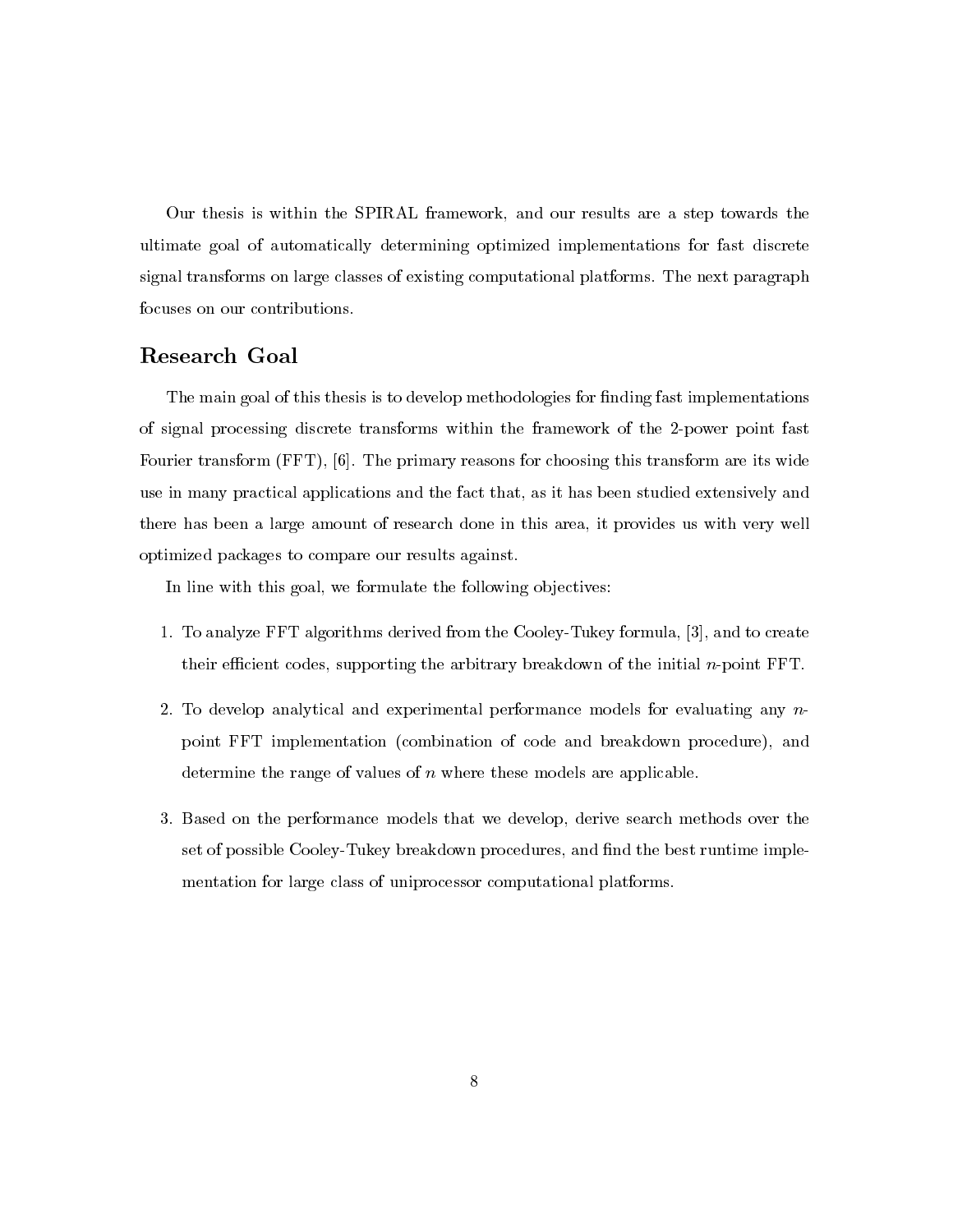Our thesis is within the SPIRAL framework, and our results are a step towards the ultimate goal of automatically determining optimized implementations for fast discrete signal transforms on large classes of existing computational platforms. The next paragraph focuses on our contributions.

# Research Goal

The main goal of this thesis is to develop methodologies for finding fast implementations of signal processing discrete transforms within the framework of the 2-power point fast Fourier transform (FFT), [6]. The primary reasons for choosing this transform are its wide use in many practical applications and the fact that, as it has been studied extensively and there has been a large amount of research done in this area, it provides us with very well optimized packages to compare our results against.

In line with this goal, we formulate the following objectives:

- 1. To analyze FFT algorithms derived from the Cooley-Tukey formula, [3], and to create their efficient codes, supporting the arbitrary breakdown of the initial  $n$ -point  $\text{FFT}$ .
- 2. To develop analytical and experimental performance models for evaluating any  $n$ point FFT implementation (combination of code and breakdown procedure), and determine the range of values of  $n$  where these models are applicable.
- 3. Based on the performance models that we develop, derive search methods over the set of possible Cooley-Tukey breakdown procedures, and find the best runtime implementation for large class of uniprocessor computational platforms.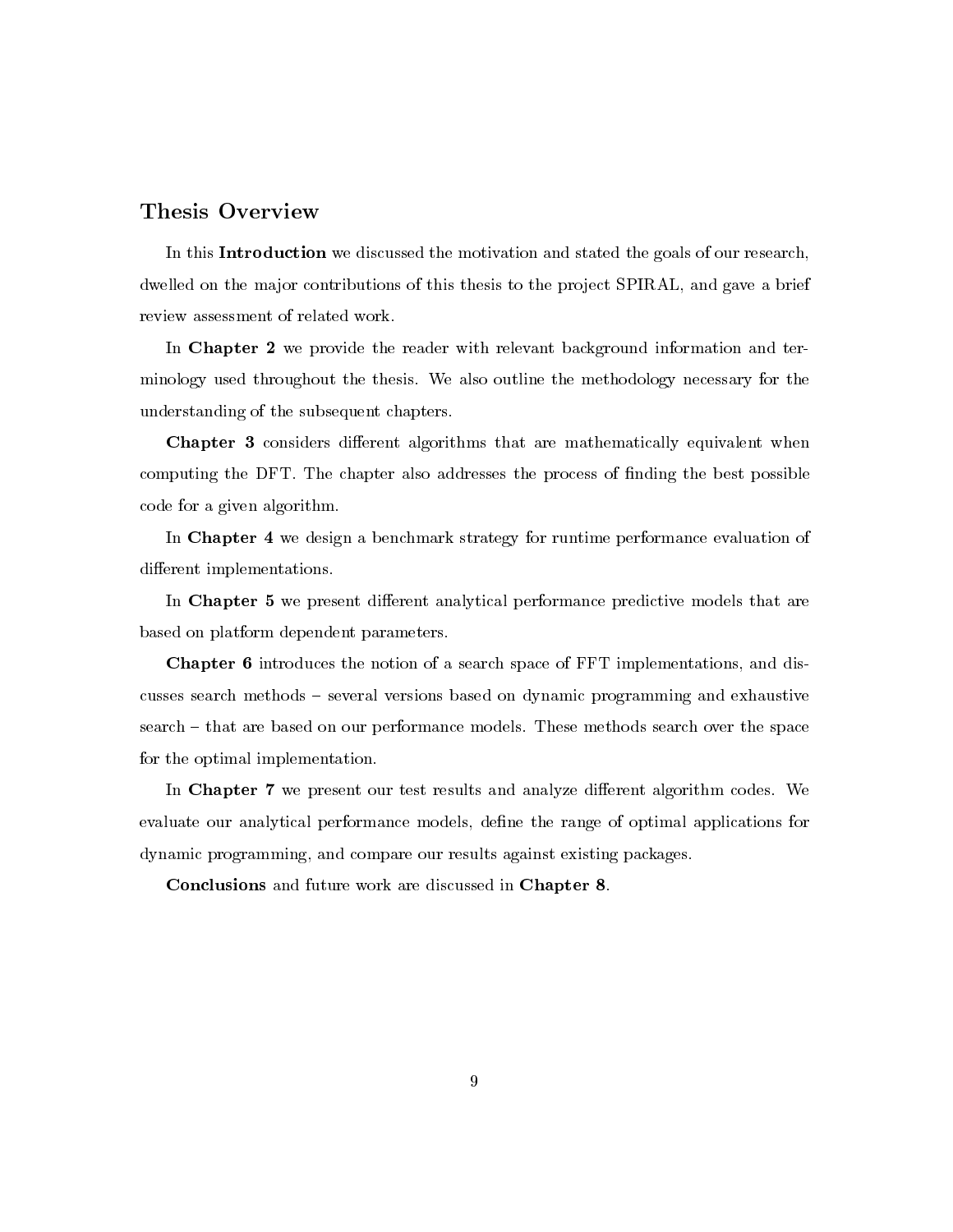# Thesis Overview

In this **Introduction** we discussed the motivation and stated the goals of our research, dwelled on the major contributions of this thesis to the project SPIRAL, and gave a brief review assessment of related work.

In Chapter 2 we provide the reader with relevant background information and terminology used throughout the thesis. We also outline the methodology necessary for the understanding of the subsequent chapters.

**Chapter 3** considers different algorithms that are mathematically equivalent when computing the DFT. The chapter also addresses the process of finding the best possible code for a given algorithm.

In Chapter 4 we design a benchmark strategy for runtime performance evaluation of different implementations.

In Chapter 5 we present different analytical performance predictive models that are based on platform dependent parameters.

**Chapter 6** introduces the notion of a search space of FFT implementations, and discusses search methods – several versions based on dynamic programming and exhaustive search – that are based on our performance models. These methods search over the space for the optimal implementation.

In Chapter 7 we present our test results and analyze different algorithm codes. We evaluate our analytical performance models, define the range of optimal applications for dynamic programming, and compare our results against existing packages.

Conclusions and future work are discussed in Chapter 8.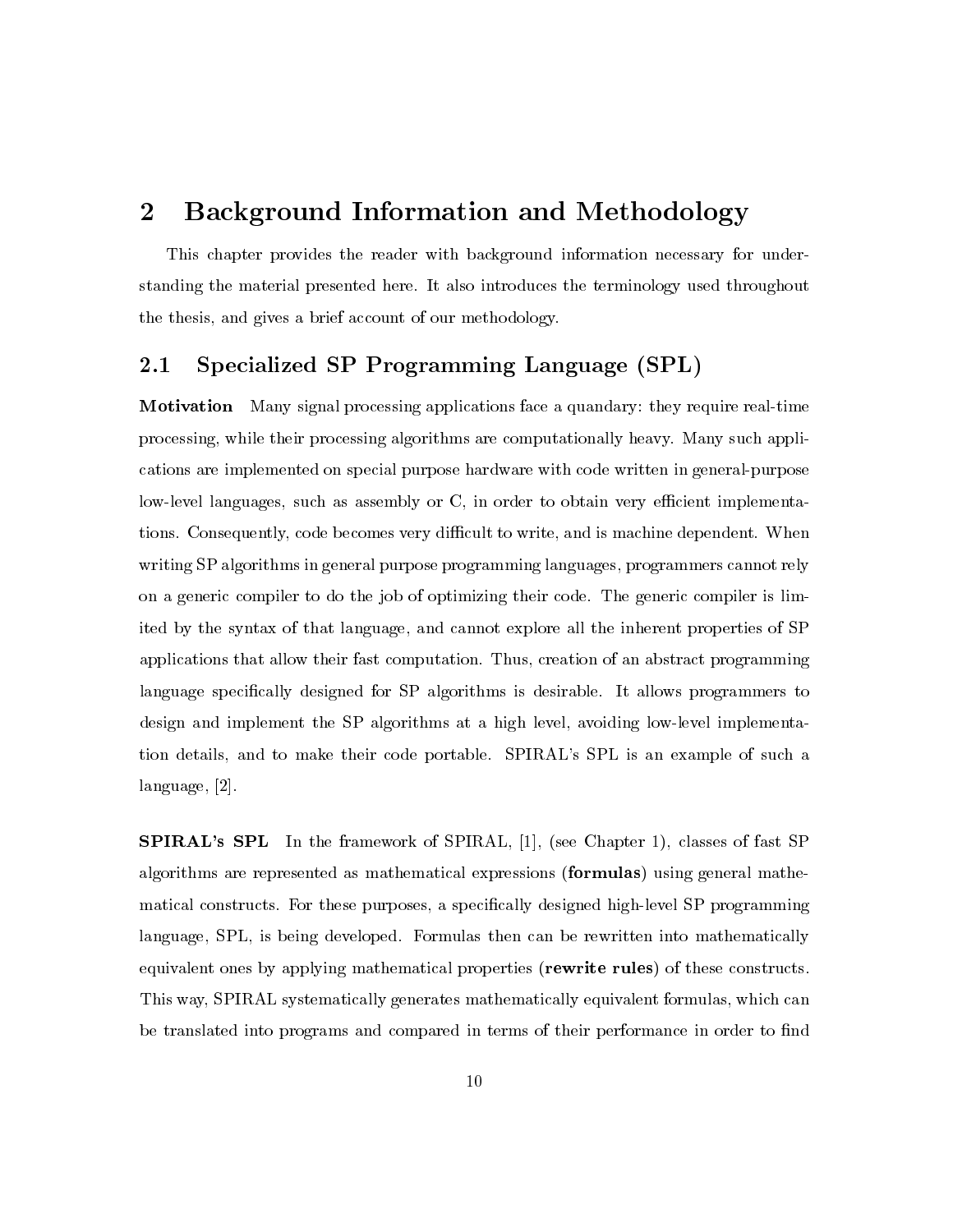## $\overline{2}$ **Background Information and Methodology**

This chapter provides the reader with background information necessary for understanding the material presented here. It also introduces the terminology used throughout the thesis, and gives a brief account of our methodology.

## Specialized SP Programming Language (SPL)  $2.1\,$

**Motivation** Many signal processing applications face a quandary: they require real-time processing, while their processing algorithms are computationally heavy. Many such applications are implemented on special purpose hardware with code written in general-purpose low-level languages, such as assembly or C, in order to obtain very efficient implementations. Consequently, code becomes very difficult to write, and is machine dependent. When writing SP algorithms in general purpose programming languages, programmers cannot rely on a generic compiler to do the job of optimizing their code. The generic compiler is limited by the syntax of that language, and cannot explore all the inherent properties of SP applications that allow their fast computation. Thus, creation of an abstract programming language specifically designed for SP algorithms is desirable. It allows programmers to design and implement the SP algorithms at a high level, avoiding low-level implementation details, and to make their code portable. SPIRAL's SPL is an example of such a language, [2].

**SPIRAL's SPL** In the framework of SPIRAL, [1], (see Chapter 1), classes of fast SP algorithms are represented as mathematical expressions (formulas) using general mathematical constructs. For these purposes, a specifically designed high-level SP programming language, SPL, is being developed. Formulas then can be rewritten into mathematically equivalent ones by applying mathematical properties (rewrite rules) of these constructs. This way, SPIRAL systematically generates mathematically equivalent formulas, which can be translated into programs and compared in terms of their performance in order to find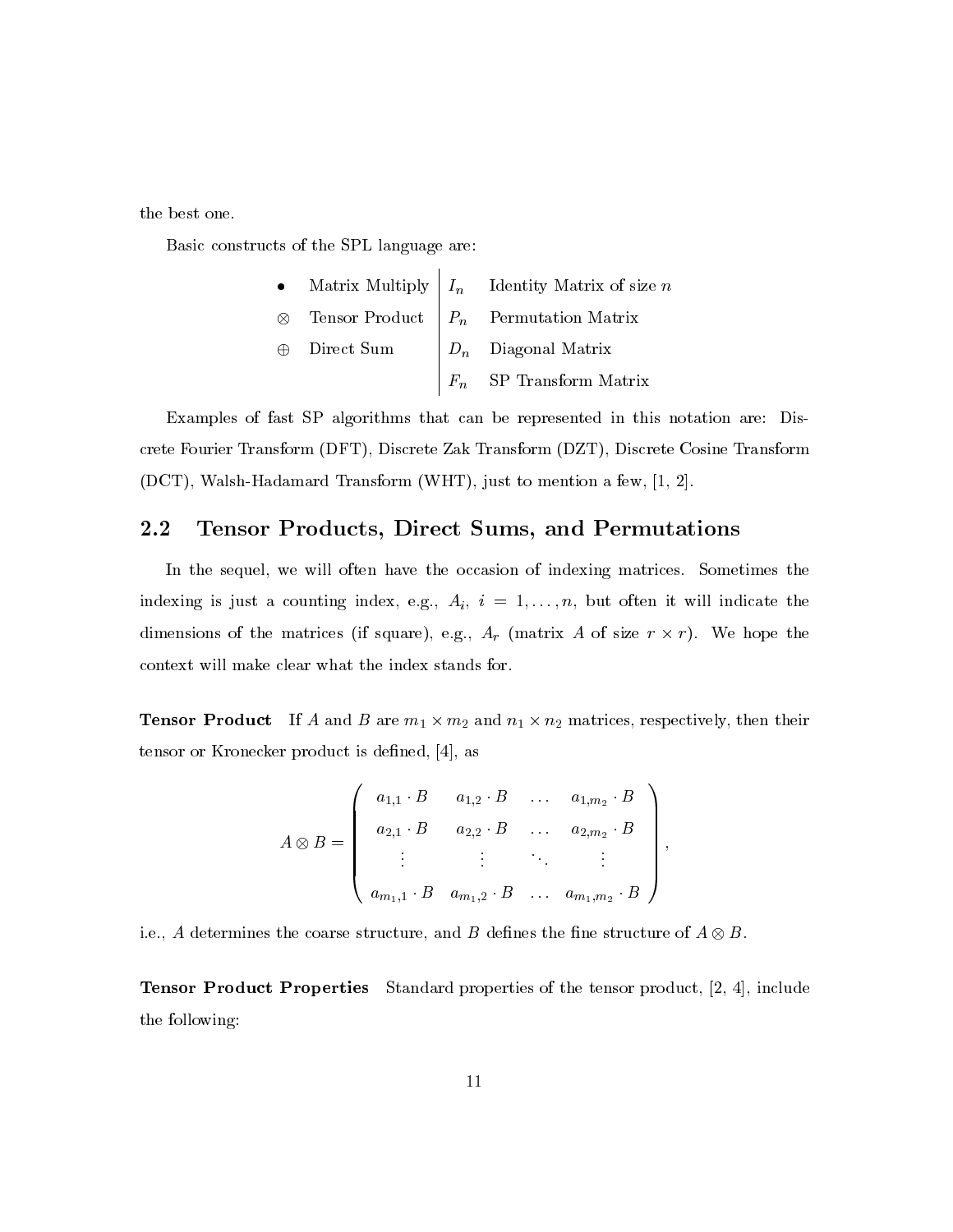the best one.

Basic constructs of the SPL language are:

\n- Matrix Multiply 
$$
I_n
$$
 Identity Matrix of size  $n$
\n- Tensor Product  $P_n$  Permutation Matrix
\n- Direct Sum  $D_n$  Diagonal Matrix  $F_n$  SP Transform Matrix
\n

 $\mathbf{I}$ 

Examples of fast SP algorithms that can be represented in this notation are: Discrete Fourier Transform (DFT), Discrete Zak Transform (DZT), Discrete Cosine Transform (DCT), Walsh-Hadamard Transform (WHT), just to mention a few, [1, 2].

### $\bf 2.2$ Tensor Products, Direct Sums, and Permutations

In the sequel, we will often have the occasion of indexing matrices. Sometimes the indexing is just a counting index, e.g.,  $A_i$ ,  $i = 1, ..., n$ , but often it will indicate the dimensions of the matrices (if square), e.g.,  $A_r$  (matrix A of size  $r \times r$ ). We hope the context will make clear what the index stands for.

**Tensor Product** If A and B are  $m_1 \times m_2$  and  $n_1 \times n_2$  matrices, respectively, then their tensor or Kronecker product is defined, [4], as

$$
A \otimes B = \begin{pmatrix} a_{1,1} \cdot B & a_{1,2} \cdot B & \dots & a_{1,m_2} \cdot B \\ a_{2,1} \cdot B & a_{2,2} \cdot B & \dots & a_{2,m_2} \cdot B \\ \vdots & \vdots & \ddots & \vdots \\ a_{m_1,1} \cdot B & a_{m_1,2} \cdot B & \dots & a_{m_1,m_2} \cdot B \end{pmatrix},
$$

i.e., A determines the coarse structure, and B defines the fine structure of  $A \otimes B$ .

**Tensor Product Properties** Standard properties of the tensor product, [2, 4], include the following: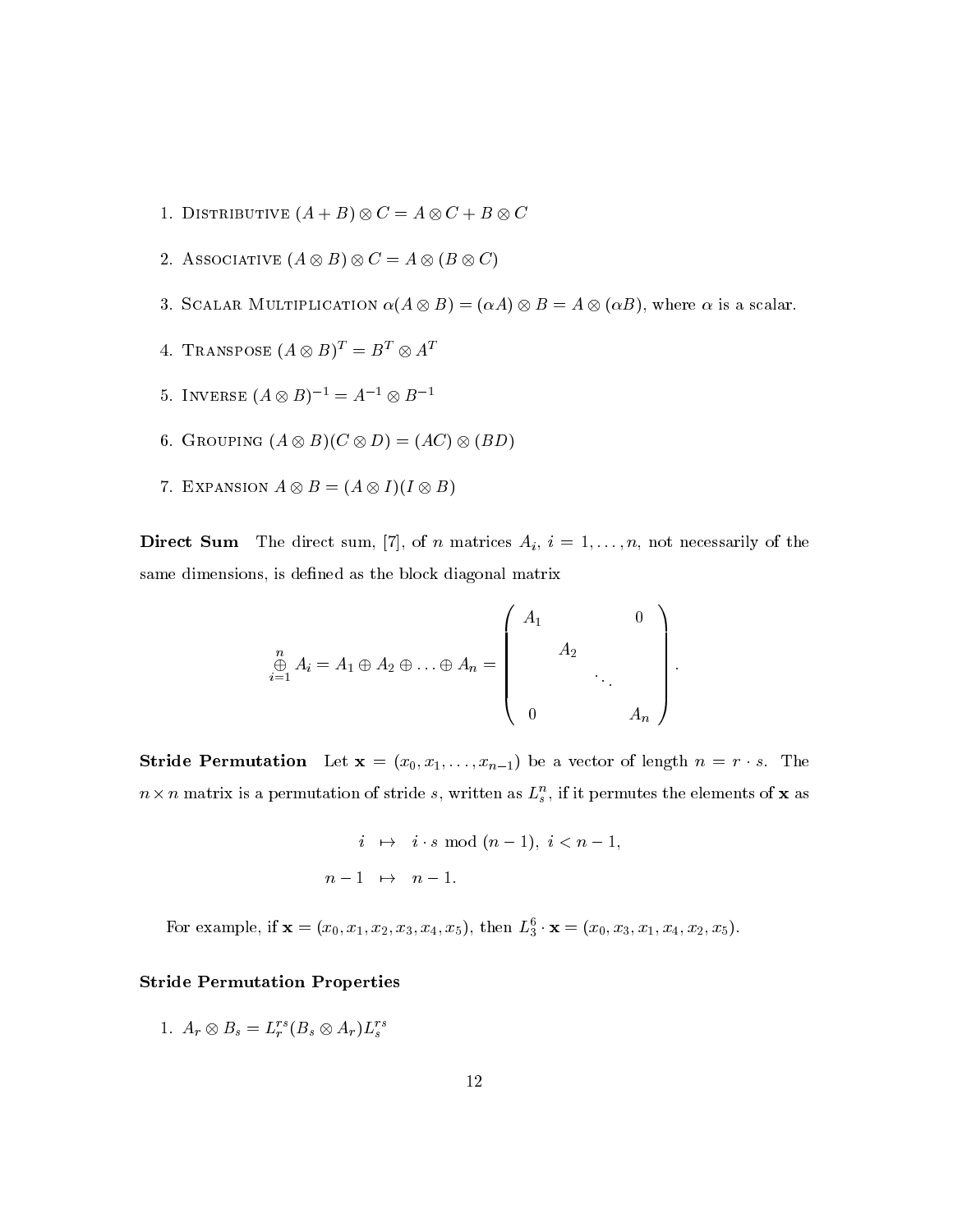- 1. DISTRIBUTIVE  $(A + B) \otimes C = A \otimes C + B \otimes C$
- 2. ASSOCIATIVE  $(A \otimes B) \otimes C = A \otimes (B \otimes C)$
- 3. SCALAR MULTIPLICATION  $\alpha(A \otimes B) = (\alpha A) \otimes B = A \otimes (\alpha B)$ , where  $\alpha$  is a scalar.
- 4. TRANSPOSE  $(A \otimes B)^T = B^T \otimes A^T$
- 5. INVERSE  $(A \otimes B)^{-1} = A^{-1} \otimes B^{-1}$
- 6. GROUPING  $(A \otimes B)(C \otimes D) = (AC) \otimes (BD)$
- 7. EXPANSION  $A \otimes B = (A \otimes I)(I \otimes B)$

**Direct Sum** The direct sum, [7], of *n* matrices  $A_i$ ,  $i = 1, ..., n$ , not necessarily of the same dimensions, is defined as the block diagonal matrix

$$
\bigoplus_{i=1}^{n} A_i = A_1 \oplus A_2 \oplus \ldots \oplus A_n = \left( \begin{array}{cccc} A_1 & & & 0 \\ & A_2 & & \\ & & \ddots & \\ & & & A_n \end{array} \right)
$$

**Stride Permutation** Let  $\mathbf{x} = (x_0, x_1, \dots, x_{n-1})$  be a vector of length  $n = r \cdot s$ . The  $n \times n$  matrix is a permutation of stride s, written as  $L_s^n$ , if it permutes the elements of **x** as

$$
i \mapsto i \cdot s \mod (n-1), \ i < n-1,
$$
\n
$$
n-1 \mapsto n-1.
$$

For example, if  $\mathbf{x} = (x_0, x_1, x_2, x_3, x_4, x_5)$ , then  $L_3^6 \cdot \mathbf{x} = (x_0, x_3, x_1, x_4, x_2, x_5)$ .

# **Stride Permutation Properties**

1.  $A_r \otimes B_s = L_r^{rs}(B_s \otimes A_r)L_s^{rs}$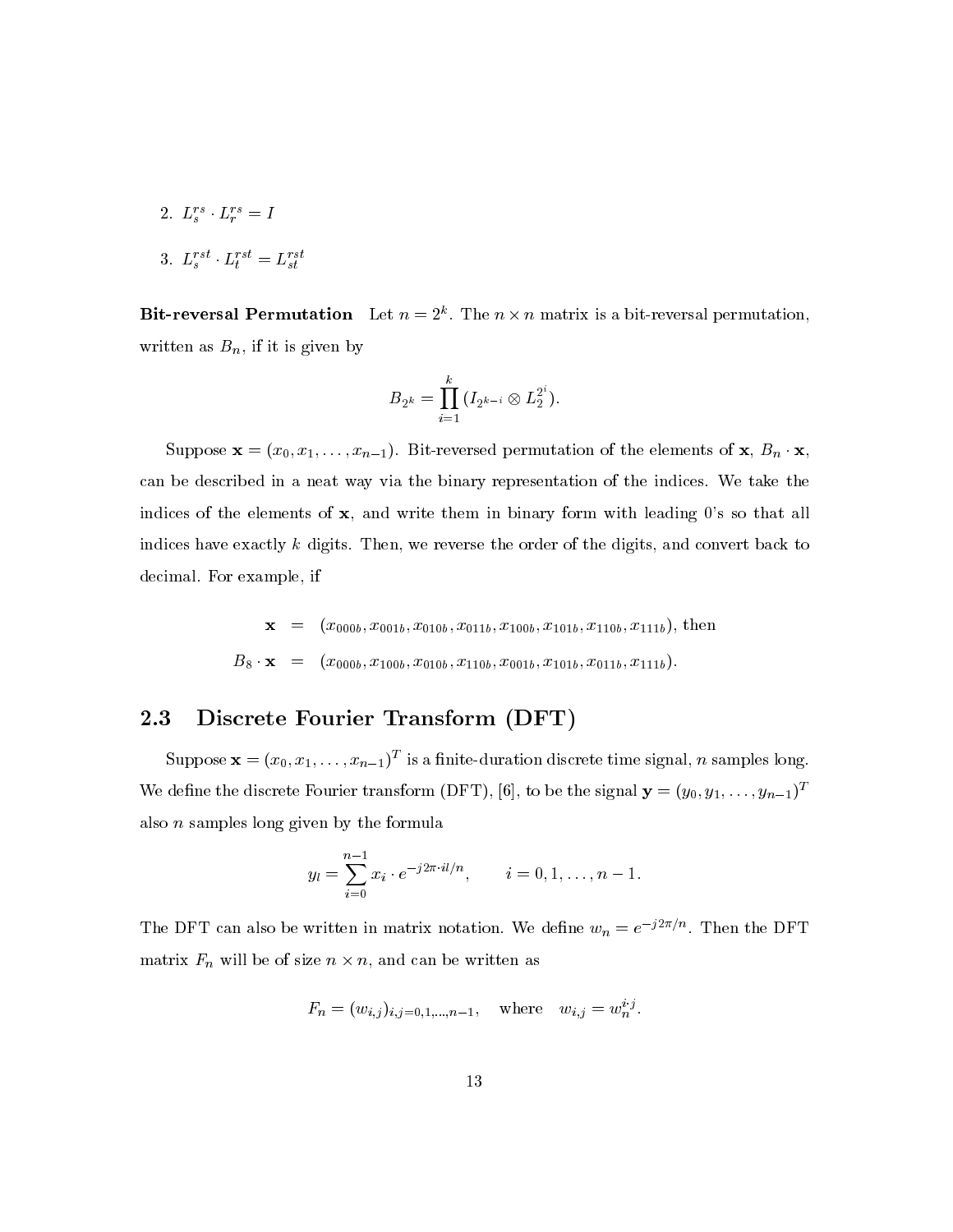2.  $L_s^{rs} \cdot L_r^{rs} = I$ 

3. 
$$
L_s^{rst} \cdot L_t^{rst} = L_{st}^{rst}
$$

**Bit-reversal Permutation** Let  $n = 2^k$ . The  $n \times n$  matrix is a bit-reversal permutation, written as  $B_n$ , if it is given by

$$
B_{2^k} = \prod_{i=1}^k (I_{2^{k-i}} \otimes L_2^{2^i}).
$$

Suppose  $\mathbf{x} = (x_0, x_1, \dots, x_{n-1})$ . Bit-reversed permutation of the elements of  $\mathbf{x}, B_n \cdot \mathbf{x}$ , can be described in a neat way via the binary representation of the indices. We take the indices of the elements of  $x$ , and write them in binary form with leading 0's so that all indices have exactly  $k$  digits. Then, we reverse the order of the digits, and convert back to decimal. For example, if

$$
\mathbf{x} = (x_{000b}, x_{001b}, x_{010b}, x_{011b}, x_{100b}, x_{101b}, x_{110b}, x_{111b}), \text{ then}
$$
  

$$
B_8 \cdot \mathbf{x} = (x_{000b}, x_{100b}, x_{010b}, x_{110b}, x_{001b}, x_{101b}, x_{011b}, x_{111b}).
$$

## $2.3\,$ Discrete Fourier Transform (DFT)

Suppose  $\mathbf{x} = (x_0, x_1, \dots, x_{n-1})^T$  is a finite-duration discrete time signal, n samples long. We define the discrete Fourier transform (DFT), [6], to be the signal  $\mathbf{y} = (y_0, y_1, \dots, y_{n-1})^T$ also  $n$  samples long given by the formula

$$
y_l = \sum_{i=0}^{n-1} x_i \cdot e^{-j2\pi \cdot il/n}, \qquad i = 0, 1, \dots, n-1.
$$

The DFT can also be written in matrix notation. We define  $w_n = e^{-j2\pi/n}$ . Then the DFT matrix  $F_n$  will be of size  $n \times n$ , and can be written as

$$
F_n = (w_{i,j})_{i,j=0,1,...,n-1}
$$
, where  $w_{i,j} = w_n^{i \cdot j}$ .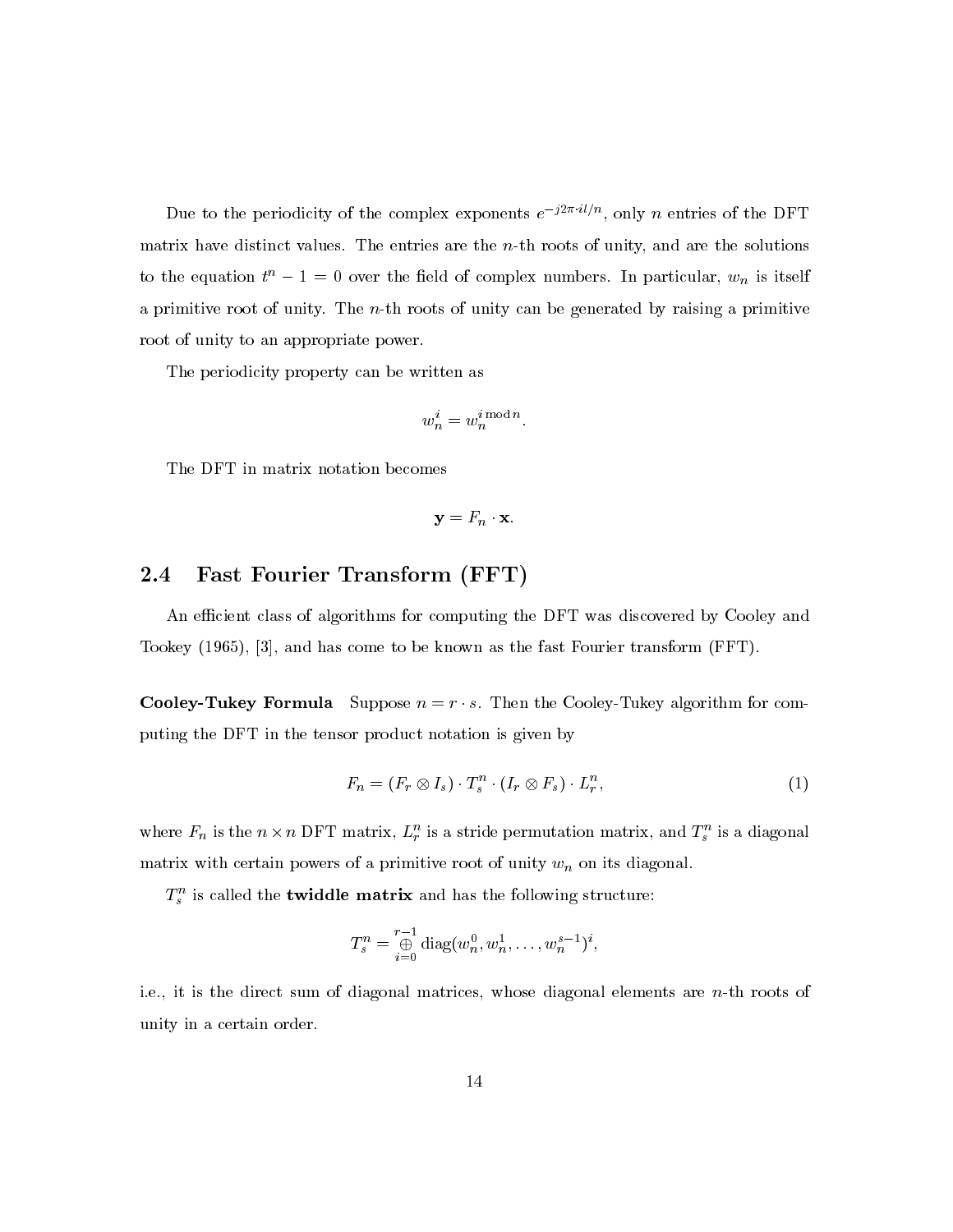Due to the periodicity of the complex exponents  $e^{-j2\pi i l/n}$ , only *n* entries of the DFT matrix have distinct values. The entries are the  $n$ -th roots of unity, and are the solutions to the equation  $t^n - 1 = 0$  over the field of complex numbers. In particular,  $w_n$  is itself a primitive root of unity. The  $n$ -th roots of unity can be generated by raising a primitive root of unity to an appropriate power.

The periodicity property can be written as

$$
w_n^i = w_n^{i \bmod n}.
$$

The DFT in matrix notation becomes

 $y = F_n \cdot x$ .

## Fast Fourier Transform (FFT)  $2.4$

An efficient class of algorithms for computing the DFT was discovered by Cooley and Tookey  $(1965)$ ,  $|3|$ , and has come to be known as the fast Fourier transform (FFT).

**Cooley-Tukey Formula** Suppose  $n = r \cdot s$ . Then the Cooley-Tukey algorithm for computing the DFT in the tensor product notation is given by

$$
F_n = (F_r \otimes I_s) \cdot T_s^n \cdot (I_r \otimes F_s) \cdot L_r^n,\tag{1}
$$

where  $F_n$  is the  $n \times n$  DFT matrix,  $L_r^n$  is a stride permutation matrix, and  $T_s^n$  is a diagonal matrix with certain powers of a primitive root of unity  $w_n$  on its diagonal.

 $T_s^n$  is called the **twiddle matrix** and has the following structure:

$$
T_s^n = \bigoplus_{i=0}^{r-1} \text{diag}(w_n^0, w_n^1, \dots, w_n^{s-1})^i,
$$

i.e., it is the direct sum of diagonal matrices, whose diagonal elements are  $n$ -th roots of unity in a certain order.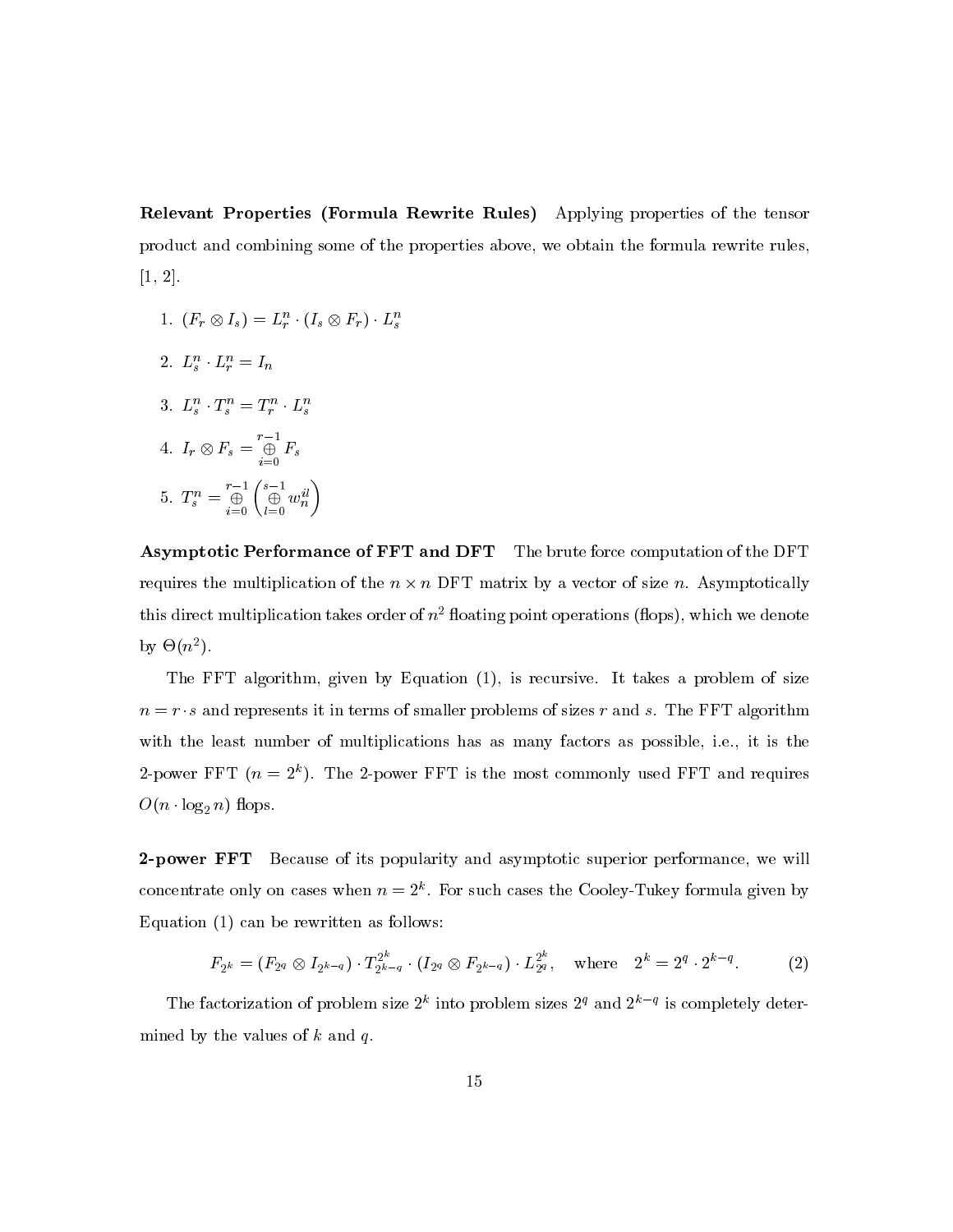Relevant Properties (Formula Rewrite Rules) Applying properties of the tensor product and combining some of the properties above, we obtain the formula rewrite rules,  $[1, 2].$ 

- 1.  $(F_r \otimes I_s) = L_r^n \cdot (I_s \otimes F_r) \cdot L_s^n$
- 2.  $L_s^n \cdot L_r^n = I_n$
- 3.  $L_s^n \cdot T_s^n = T_r^n \cdot L_s^n$
- 4.  $I_r \otimes F_s = \bigoplus_{i=0}^{r-1} F_s$
- 5.  $T_s^n = \bigoplus_{i=0}^{r-1} \begin{pmatrix} s-1 \\ \bigoplus_{i=0}^{r} w_n^{i} \end{pmatrix}$

**Asymptotic Performance of FFT and DFT** The brute force computation of the DFT requires the multiplication of the  $n \times n$  DFT matrix by a vector of size n. Asymptotically this direct multiplication takes order of  $n^2$  floating point operations (flops), which we denote by  $\Theta(n^2)$ .

The FFT algorithm, given by Equation (1), is recursive. It takes a problem of size  $n = r \cdot s$  and represents it in terms of smaller problems of sizes r and s. The FFT algorithm with the least number of multiplications has as many factors as possible, i.e., it is the 2-power FFT  $(n = 2<sup>k</sup>)$ . The 2-power FFT is the most commonly used FFT and requires  $O(n \cdot \log_2 n)$  flops.

2-power FFT Because of its popularity and asymptotic superior performance, we will concentrate only on cases when  $n=2^k$ . For such cases the Cooley-Tukey formula given by Equation  $(1)$  can be rewritten as follows:

$$
F_{2^k} = (F_{2^q} \otimes I_{2^{k-q}}) \cdot T_{2^{k-q}}^{2^k} \cdot (I_{2^q} \otimes F_{2^{k-q}}) \cdot L_{2^q}^{2^k}, \text{ where } 2^k = 2^q \cdot 2^{k-q}.
$$
 (2)

The factorization of problem size  $2^k$  into problem sizes  $2^q$  and  $2^{k-q}$  is completely determined by the values of  $k$  and  $q$ .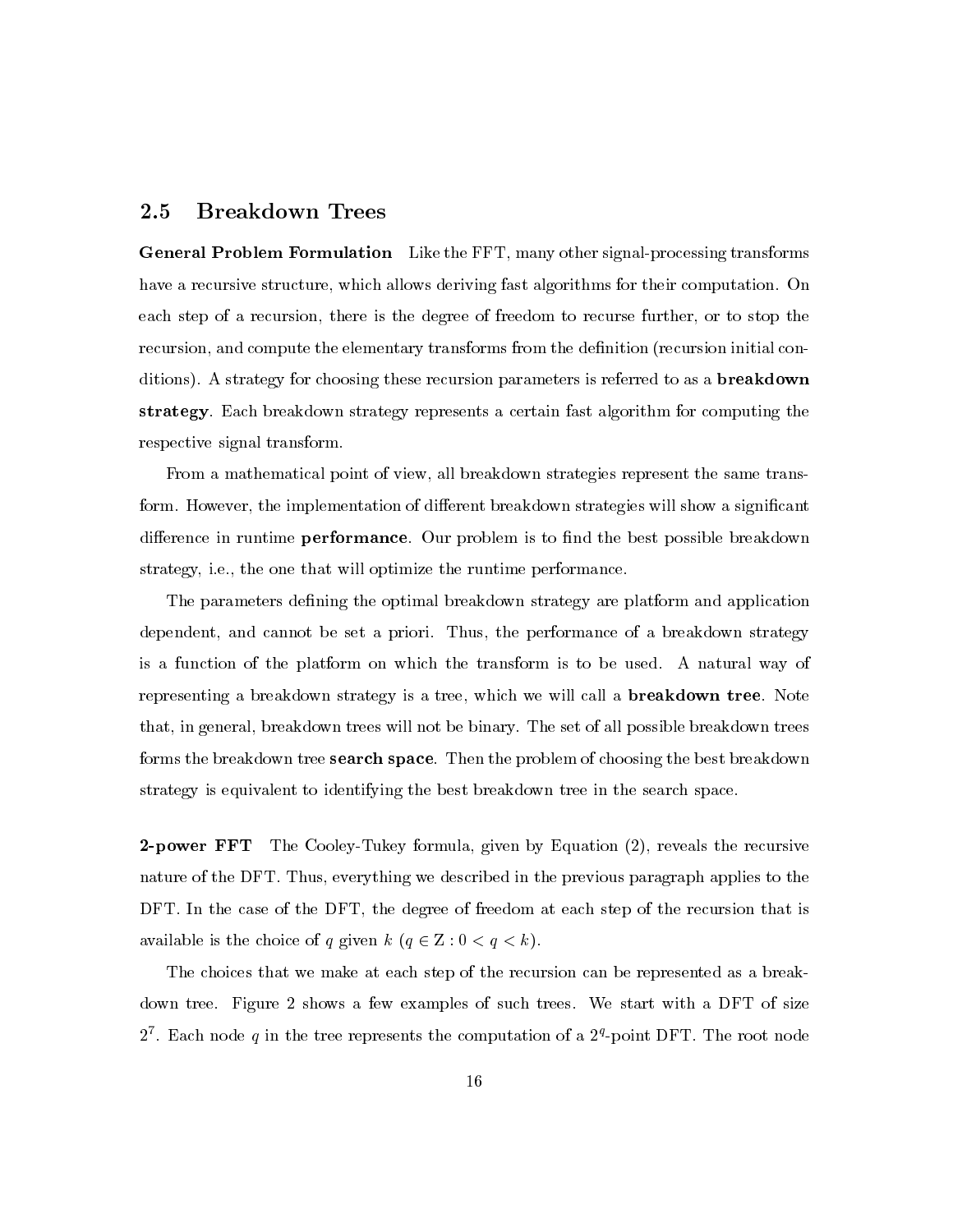## $2.5\,$ **Breakdown Trees**

**General Problem Formulation** Like the FFT, many other signal-processing transforms have a recursive structure, which allows deriving fast algorithms for their computation. On each step of a recursion, there is the degree of freedom to recurse further, or to stop the recursion, and compute the elementary transforms from the definition (recursion initial conditions). A strategy for choosing these recursion parameters is referred to as a **breakdown** strategy. Each breakdown strategy represents a certain fast algorithm for computing the respective signal transform.

From a mathematical point of view, all breakdown strategies represent the same transform. However, the implementation of different breakdown strategies will show a significant difference in runtime **performance**. Our problem is to find the best possible breakdown strategy, i.e., the one that will optimize the runtime performance.

The parameters defining the optimal breakdown strategy are platform and application dependent, and cannot be set a priori. Thus, the performance of a breakdown strategy is a function of the platform on which the transform is to be used. A natural way of representing a breakdown strategy is a tree, which we will call a **breakdown tree**. Note that, in general, breakdown trees will not be binary. The set of all possible breakdown trees forms the breakdown tree **search space**. Then the problem of choosing the best breakdown strategy is equivalent to identifying the best breakdown tree in the search space.

**2-power FFT** The Cooley-Tukey formula, given by Equation (2), reveals the recursive nature of the DFT. Thus, everything we described in the previous paragraph applies to the DFT. In the case of the DFT, the degree of freedom at each step of the recursion that is available is the choice of q given  $k$   $(q \in \mathbb{Z}: 0 < q < k)$ .

The choices that we make at each step of the recursion can be represented as a breakdown tree. Figure 2 shows a few examples of such trees. We start with a DFT of size  $2^7$ . Each node q in the tree represents the computation of a  $2^q$ -point DFT. The root node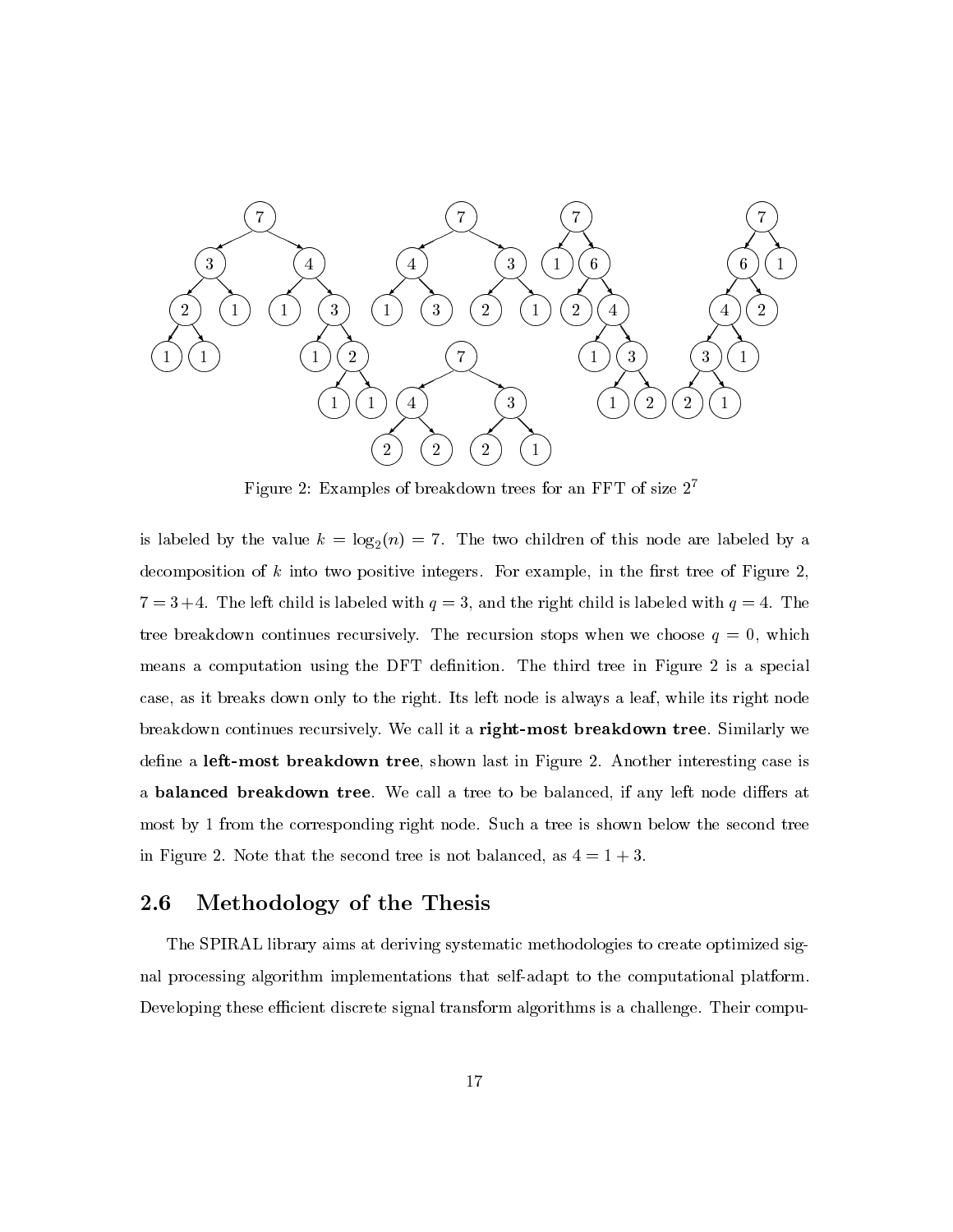

Figure 2: Examples of breakdown trees for an FFT of size  $2^7$ 

is labeled by the value  $k = \log_2(n) = 7$ . The two children of this node are labeled by a decomposition of  $k$  into two positive integers. For example, in the first tree of Figure 2,  $7 = 3 + 4$ . The left child is labeled with  $q = 3$ , and the right child is labeled with  $q = 4$ . The tree breakdown continues recursively. The recursion stops when we choose  $q = 0$ , which means a computation using the DFT definition. The third tree in Figure 2 is a special case, as it breaks down only to the right. Its left node is always a leaf, while its right node breakdown continues recursively. We call it a right-most breakdown tree. Similarly we define a left-most breakdown tree, shown last in Figure 2. Another interesting case is a **balanced breakdown tree**. We call a tree to be balanced, if any left node differs at most by 1 from the corresponding right node. Such a tree is shown below the second tree in Figure 2. Note that the second tree is not balanced, as  $4 = 1 + 3$ .

## Methodology of the Thesis  $\bf 2.6$

The SPIRAL library aims at deriving systematic methodologies to create optimized signal processing algorithm implementations that self-adapt to the computational platform. Developing these efficient discrete signal transform algorithms is a challenge. Their compu-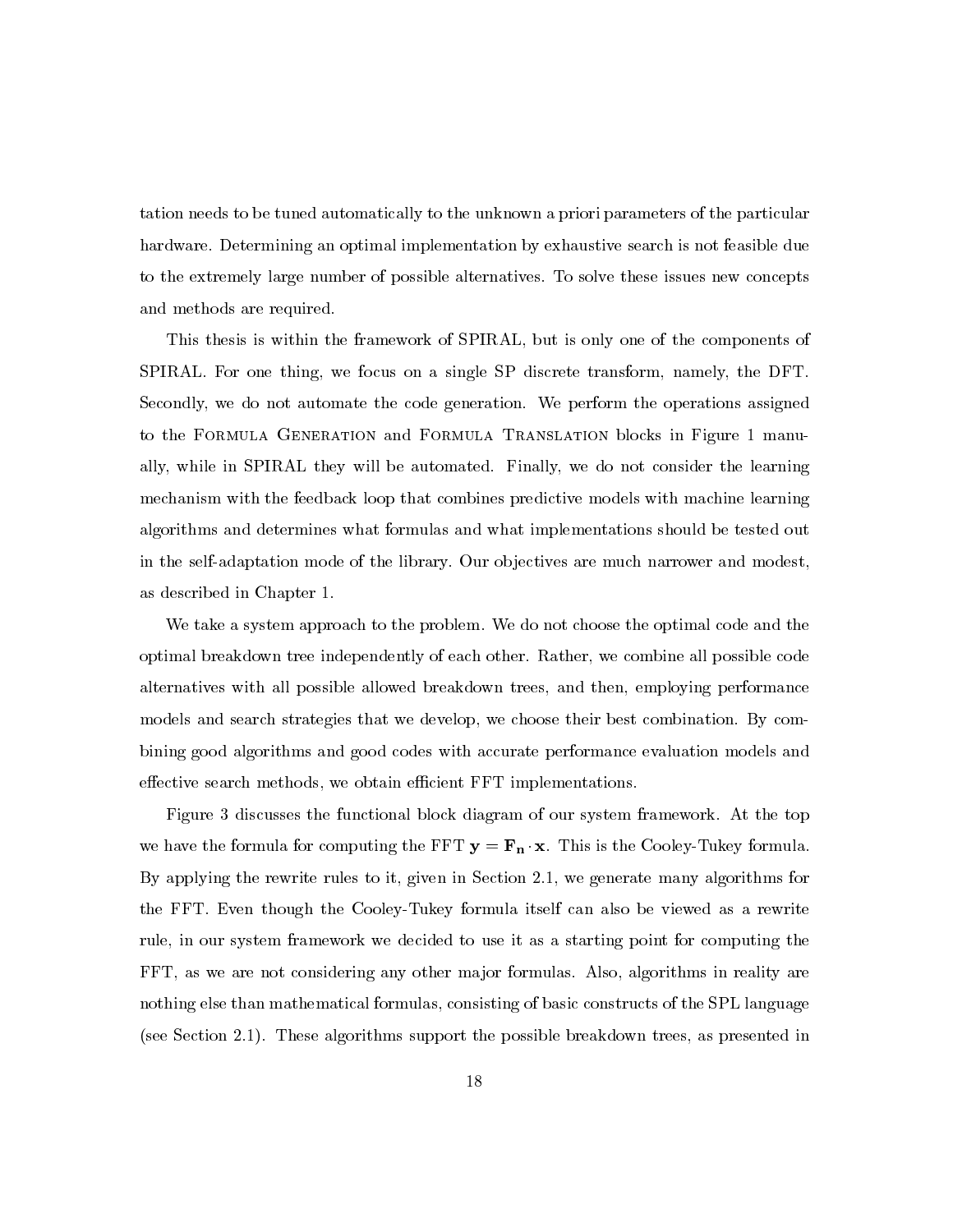tation needs to be tuned automatically to the unknown a priori parameters of the particular hardware. Determining an optimal implementation by exhaustive search is not feasible due to the extremely large number of possible alternatives. To solve these issues new concepts and methods are required.

This thesis is within the framework of SPIRAL, but is only one of the components of SPIRAL. For one thing, we focus on a single SP discrete transform, namely, the DFT. Secondly, we do not automate the code generation. We perform the operations assigned to the FORMULA GENERATION and FORMULA TRANSLATION blocks in Figure 1 manually, while in SPIRAL they will be automated. Finally, we do not consider the learning mechanism with the feedback loop that combines predictive models with machine learning algorithms and determines what formulas and what implementations should be tested out in the self-adaptation mode of the library. Our objectives are much narrower and modest, as described in Chapter 1.

We take a system approach to the problem. We do not choose the optimal code and the optimal breakdown tree independently of each other. Rather, we combine all possible code alternatives with all possible allowed breakdown trees, and then, employing performance models and search strategies that we develop, we choose their best combination. By combining good algorithms and good codes with accurate performance evaluation models and effective search methods, we obtain efficient FFT implementations.

Figure 3 discusses the functional block diagram of our system framework. At the top we have the formula for computing the FFT  $y = F_n \cdot x$ . This is the Cooley-Tukey formula. By applying the rewrite rules to it, given in Section 2.1, we generate many algorithms for the FFT. Even though the Cooley-Tukey formula itself can also be viewed as a rewrite rule, in our system framework we decided to use it as a starting point for computing the FFT, as we are not considering any other major formulas. Also, algorithms in reality are nothing else than mathematical formulas, consisting of basic constructs of the SPL language (see Section 2.1). These algorithms support the possible breakdown trees, as presented in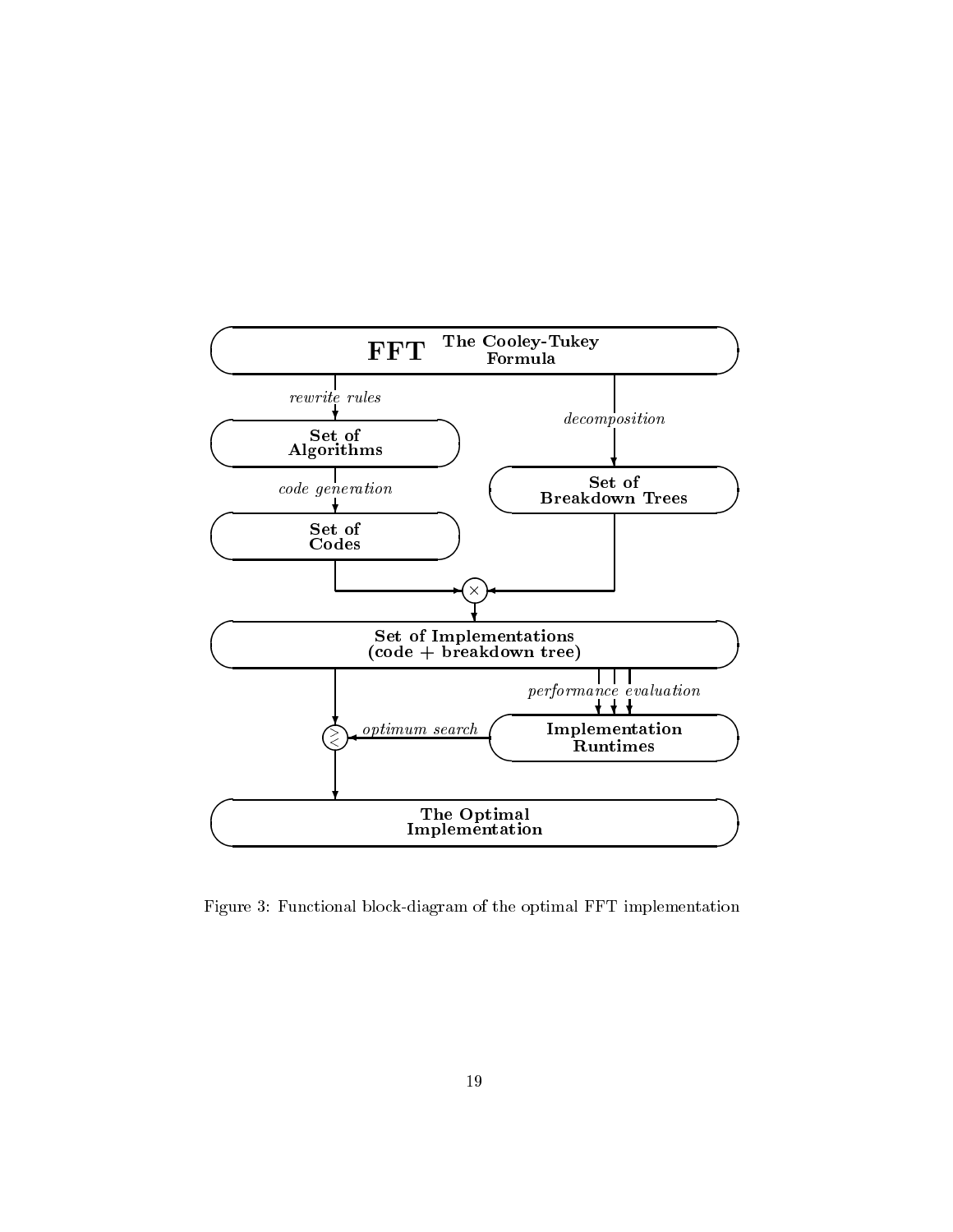

Figure 3: Functional block-diagram of the optimal FFT implementation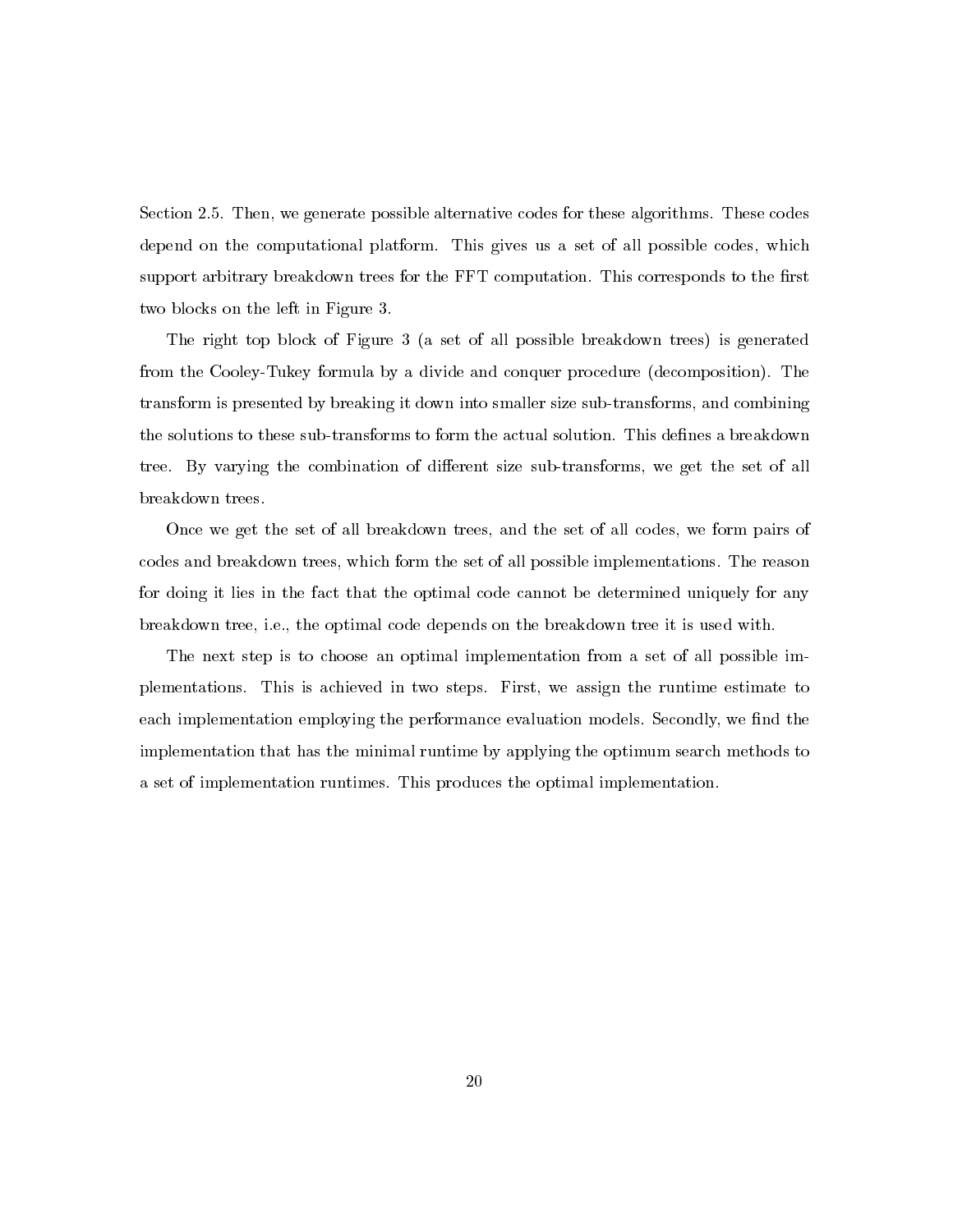Section 2.5. Then, we generate possible alternative codes for these algorithms. These codes depend on the computational platform. This gives us a set of all possible codes, which support arbitrary breakdown trees for the FFT computation. This corresponds to the first two blocks on the left in Figure 3.

The right top block of Figure 3 (a set of all possible breakdown trees) is generated from the Cooley-Tukey formula by a divide and conquer procedure (decomposition). The transform is presented by breaking it down into smaller size sub-transforms, and combining the solutions to these sub-transforms to form the actual solution. This defines a breakdown tree. By varying the combination of different size sub-transforms, we get the set of all breakdown trees.

Once we get the set of all breakdown trees, and the set of all codes, we form pairs of codes and breakdown trees, which form the set of all possible implementations. The reason for doing it lies in the fact that the optimal code cannot be determined uniquely for any breakdown tree, i.e., the optimal code depends on the breakdown tree it is used with.

The next step is to choose an optimal implementation from a set of all possible implementations. This is achieved in two steps. First, we assign the runtime estimate to each implementation employing the performance evaluation models. Secondly, we find the implementation that has the minimal runtime by applying the optimum search methods to a set of implementation runtimes. This produces the optimal implementation.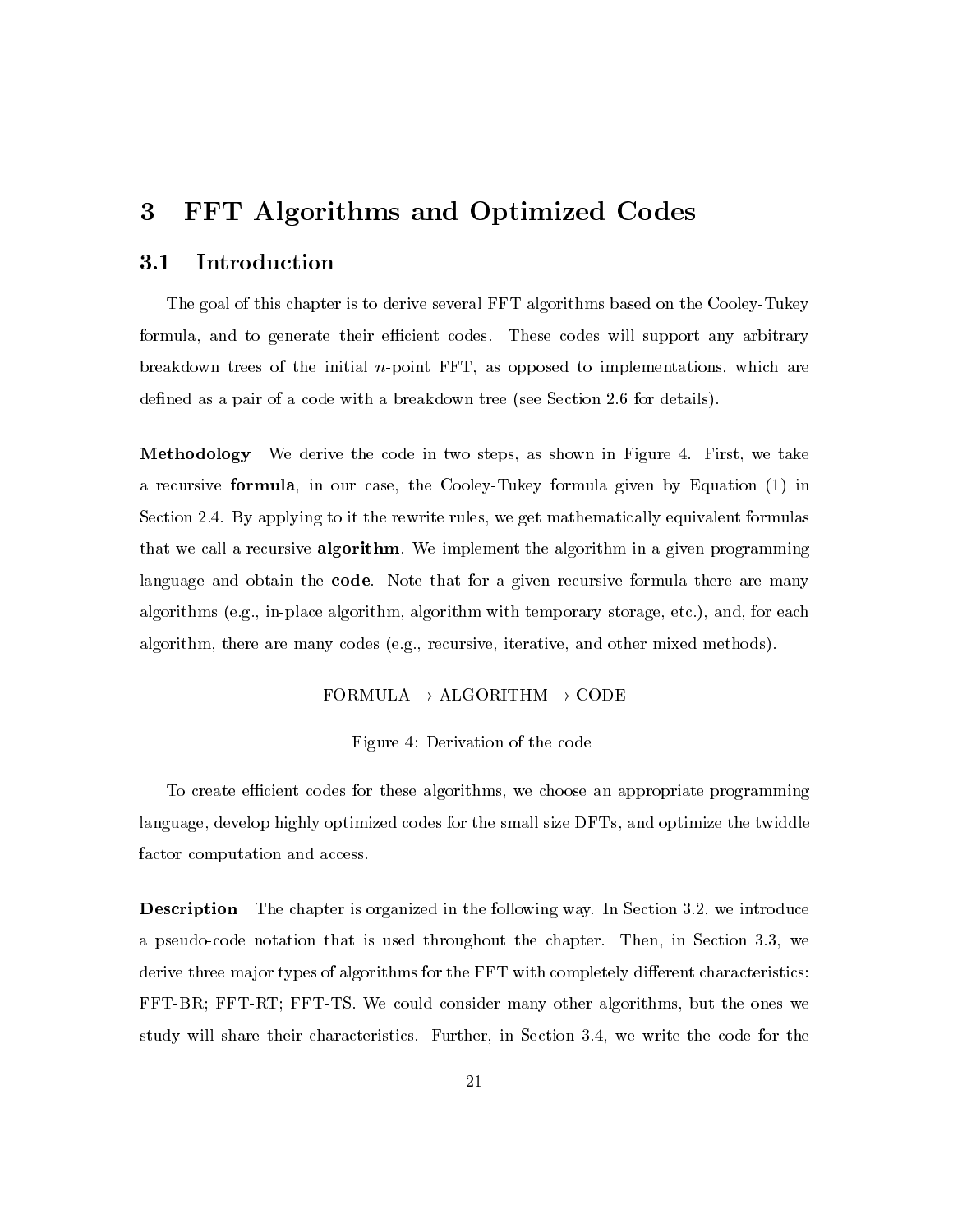## 3 **FFT Algorithms and Optimized Codes**

## Introduction  $3.1\,$

The goal of this chapter is to derive several FFT algorithms based on the Cooley-Tukey formula, and to generate their efficient codes. These codes will support any arbitrary breakdown trees of the initial  $n$ -point FFT, as opposed to implementations, which are defined as a pair of a code with a breakdown tree (see Section 2.6 for details).

Methodology We derive the code in two steps, as shown in Figure 4. First, we take a recursive formula, in our case, the Cooley-Tukey formula given by Equation (1) in Section 2.4. By applying to it the rewrite rules, we get mathematically equivalent formulas that we call a recursive **algorithm**. We implement the algorithm in a given programming language and obtain the code. Note that for a given recursive formula there are many algorithms (e.g., in-place algorithm, algorithm with temporary storage, etc.), and, for each algorithm, there are many codes (e.g., recursive, iterative, and other mixed methods).

# FORMULA  $\rightarrow$  ALGORITHM  $\rightarrow$  CODE

## Figure 4: Derivation of the code

To create efficient codes for these algorithms, we choose an appropriate programming language, develop highly optimized codes for the small size DFTs, and optimize the twiddle factor computation and access.

**Description** The chapter is organized in the following way. In Section 3.2, we introduce a pseudo-code notation that is used throughout the chapter. Then, in Section 3.3, we derive three major types of algorithms for the FFT with completely different characteristics: FFT-BR; FFT-RT; FFT-TS. We could consider many other algorithms, but the ones we study will share their characteristics. Further, in Section 3.4, we write the code for the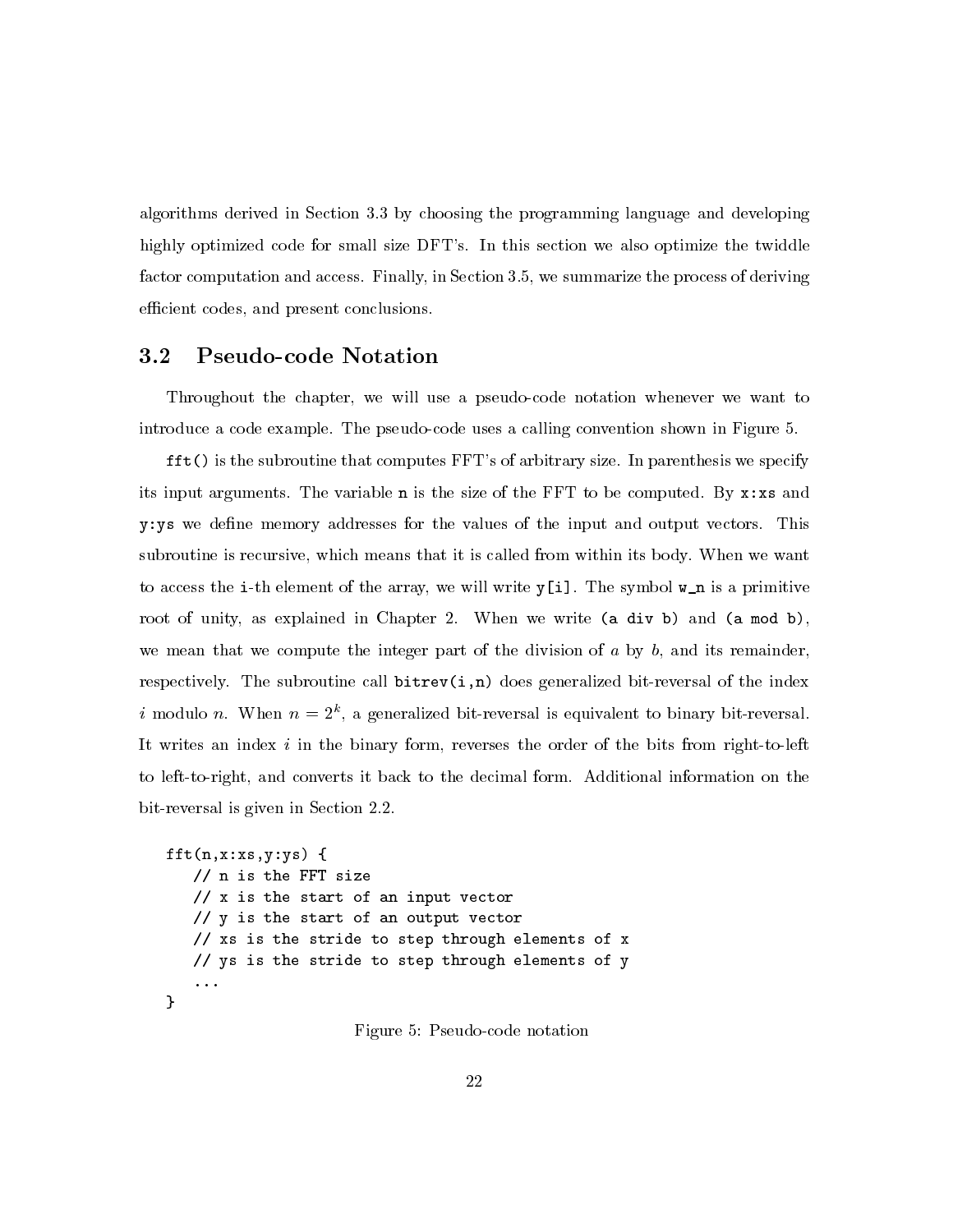algorithms derived in Section 3.3 by choosing the programming language and developing highly optimized code for small size DFT's. In this section we also optimize the twiddle factor computation and access. Finally, in Section 3.5, we summarize the process of deriving efficient codes, and present conclusions.

## **Pseudo-code Notation**  $\rm 3.2$

Throughout the chapter, we will use a pseudo-code notation whenever we want to introduce a code example. The pseudo-code uses a calling convention shown in Figure 5.

fft() is the subroutine that computes FFT's of arbitrary size. In parenthesis we specify its input arguments. The variable **n** is the size of the FFT to be computed. By  $\mathbf{x}$ : xs and y: ys we define memory addresses for the values of the input and output vectors. This subroutine is recursive, which means that it is called from within its body. When we want to access the i-th element of the array, we will write  $y[i]$ . The symbol  $w_n$  is a primitive root of unity, as explained in Chapter 2. When we write (a div b) and (a mod b), we mean that we compute the integer part of the division of  $a$  by  $b$ , and its remainder, respectively. The subroutine call  $\text{bitrev}(i,n)$  does generalized bit-reversal of the index i modulo n. When  $n = 2<sup>k</sup>$ , a generalized bit-reversal is equivalent to binary bit-reversal. It writes an index  $i$  in the binary form, reverses the order of the bits from right-to-left to left-to-right, and converts it back to the decimal form. Additional information on the bit-reversal is given in Section 2.2.

```
fft(n, x:xs, y:ys) {
   // n is the FFT size
   // x is the start of an input vector
   // y is the start of an output vector
   // xs is the stride to step through elements of x
   // ys is the stride to step through elements of y
   \ddotsc\mathbf{r}
```
Figure 5: Pseudo-code notation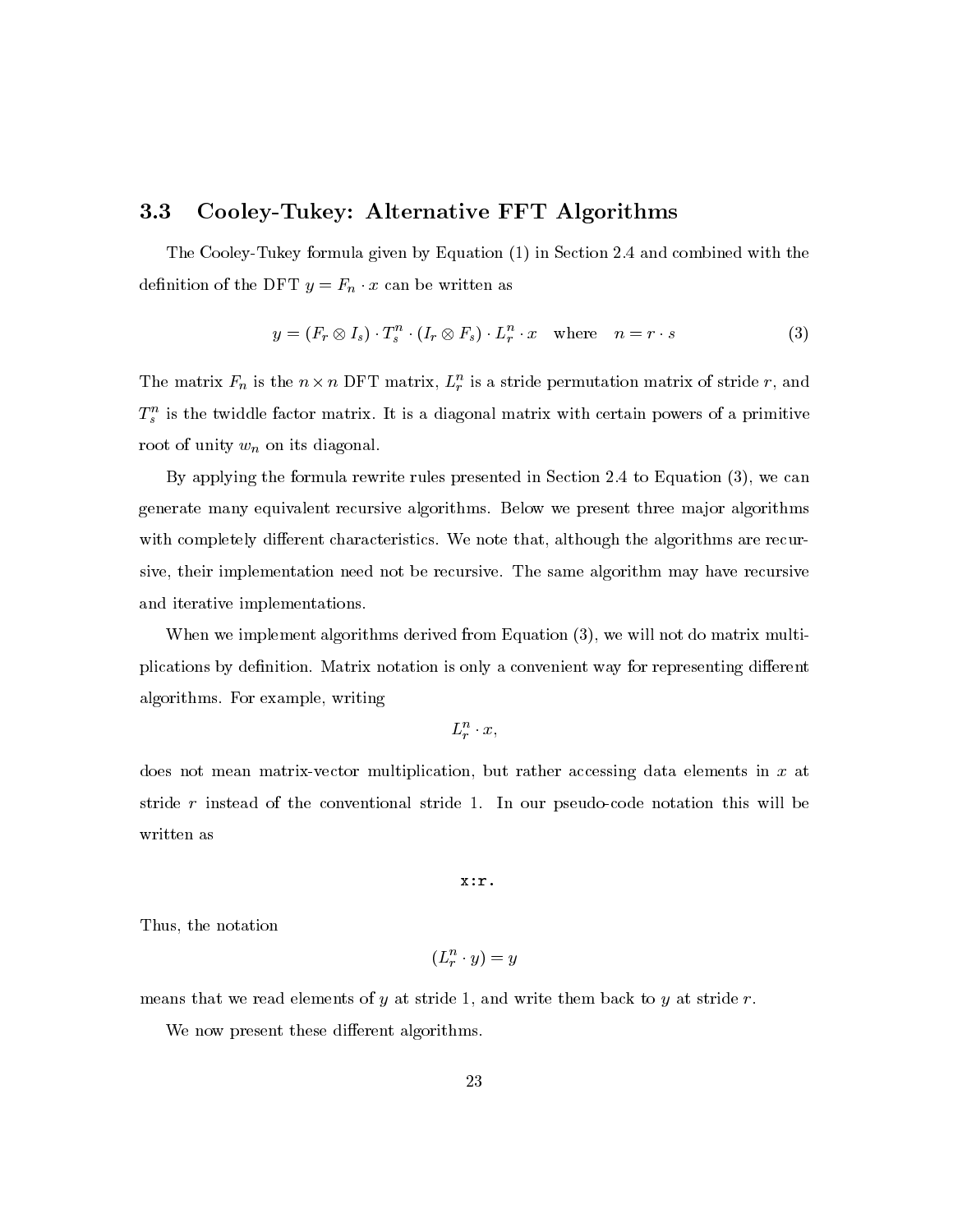## Cooley-Tukey: Alternative FFT Algorithms  $3.3\,$

The Cooley-Tukey formula given by Equation (1) in Section 2.4 and combined with the definition of the DFT  $y = F_n \cdot x$  can be written as

$$
y = (F_r \otimes I_s) \cdot T_s^n \cdot (I_r \otimes F_s) \cdot L_r^n \cdot x \quad \text{where} \quad n = r \cdot s \tag{3}
$$

The matrix  $F_n$  is the  $n \times n$  DFT matrix,  $L_r^n$  is a stride permutation matrix of stride r, and  $T_s^n$  is the twiddle factor matrix. It is a diagonal matrix with certain powers of a primitive root of unity  $w_n$  on its diagonal.

By applying the formula rewrite rules presented in Section 2.4 to Equation  $(3)$ , we can generate many equivalent recursive algorithms. Below we present three major algorithms with completely different characteristics. We note that, although the algorithms are recursive, their implementation need not be recursive. The same algorithm may have recursive and iterative implementations.

When we implement algorithms derived from Equation (3), we will not do matrix multiplications by definition. Matrix notation is only a convenient way for representing different algorithms. For example, writing

 $L_r^n \cdot x$ ,

does not mean matrix-vector multiplication, but rather accessing data elements in x at stride  $r$  instead of the conventional stride 1. In our pseudo-code notation this will be written as

 $x : r$ .

Thus, the notation

$$
(L^n_r \cdot y) = y
$$

means that we read elements of  $y$  at stride 1, and write them back to  $y$  at stride  $r$ .

We now present these different algorithms.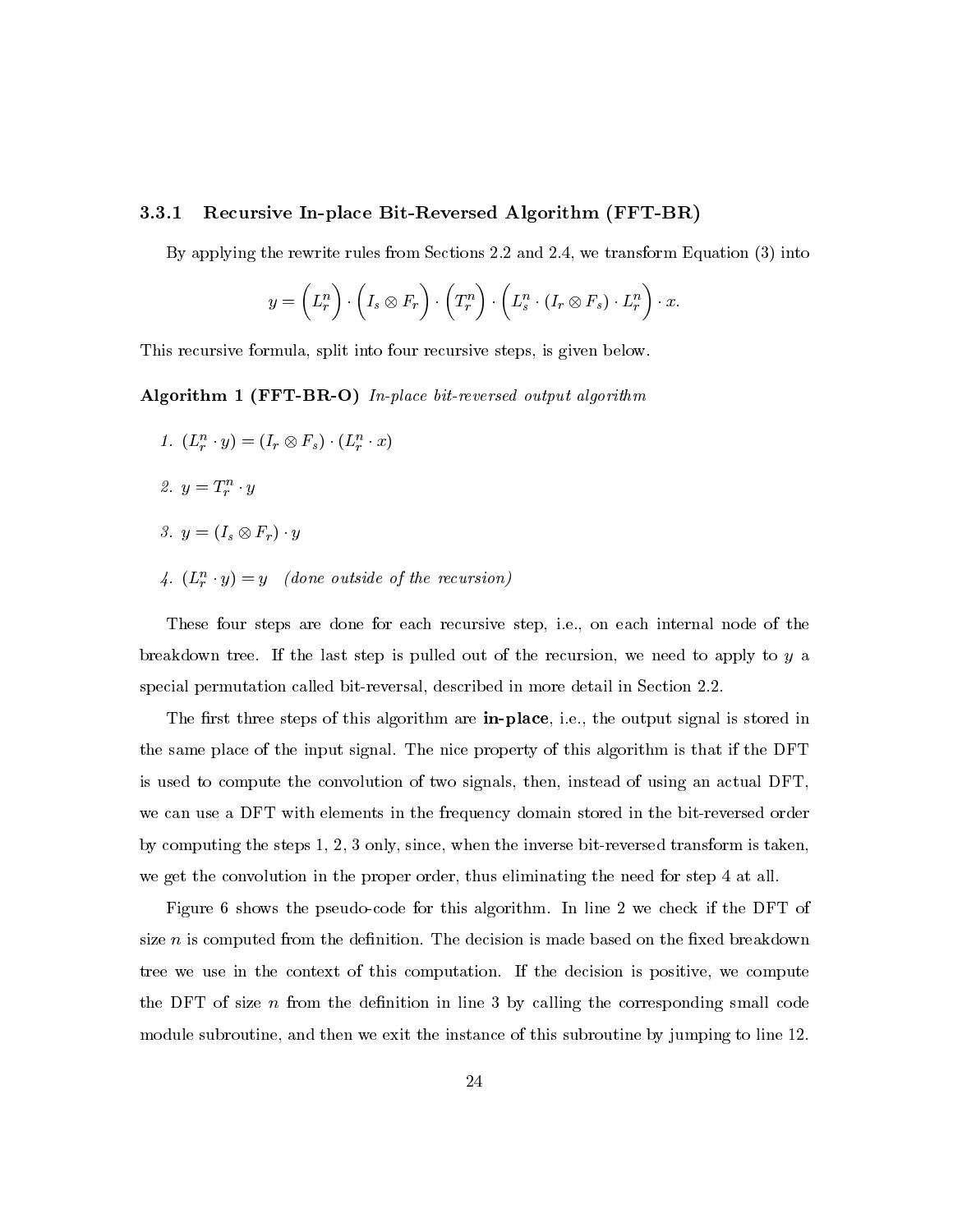#### $3.3.1$ Recursive In-place Bit-Reversed Algorithm (FFT-BR)

By applying the rewrite rules from Sections 2.2 and 2.4, we transform Equation (3) into

$$
y = \left(L_r^n\right) \cdot \left(I_s \otimes F_r\right) \cdot \left(T_r^n\right) \cdot \left(L_s^n \cdot \left(I_r \otimes F_s\right) \cdot L_r^n\right) \cdot x.
$$

This recursive formula, split into four recursive steps, is given below.

Algorithm 1 (FFT-BR-O) In-place bit-reversed output algorithm

- 1.  $(L_r^n \cdot y) = (I_r \otimes F_s) \cdot (L_r^n \cdot x)$
- 2.  $y = T_r^n \cdot y$
- 3.  $y = (I_s \otimes F_r) \cdot y$
- 4.  $(L_r^n \cdot y) = y$  (done outside of the recursion)

These four steps are done for each recursive step, i.e., on each internal node of the breakdown tree. If the last step is pulled out of the recursion, we need to apply to y a special permutation called bit-reversal, described in more detail in Section 2.2.

The first three steps of this algorithm are in-place, i.e., the output signal is stored in the same place of the input signal. The nice property of this algorithm is that if the DFT is used to compute the convolution of two signals, then, instead of using an actual DFT. we can use a DFT with elements in the frequency domain stored in the bit-reversed order by computing the steps 1, 2, 3 only, since, when the inverse bit-reversed transform is taken, we get the convolution in the proper order, thus eliminating the need for step 4 at all.

Figure 6 shows the pseudo-code for this algorithm. In line 2 we check if the DFT of size  $n$  is computed from the definition. The decision is made based on the fixed breakdown tree we use in the context of this computation. If the decision is positive, we compute the DFT of size n from the definition in line 3 by calling the corresponding small code module subroutine, and then we exit the instance of this subroutine by jumping to line 12.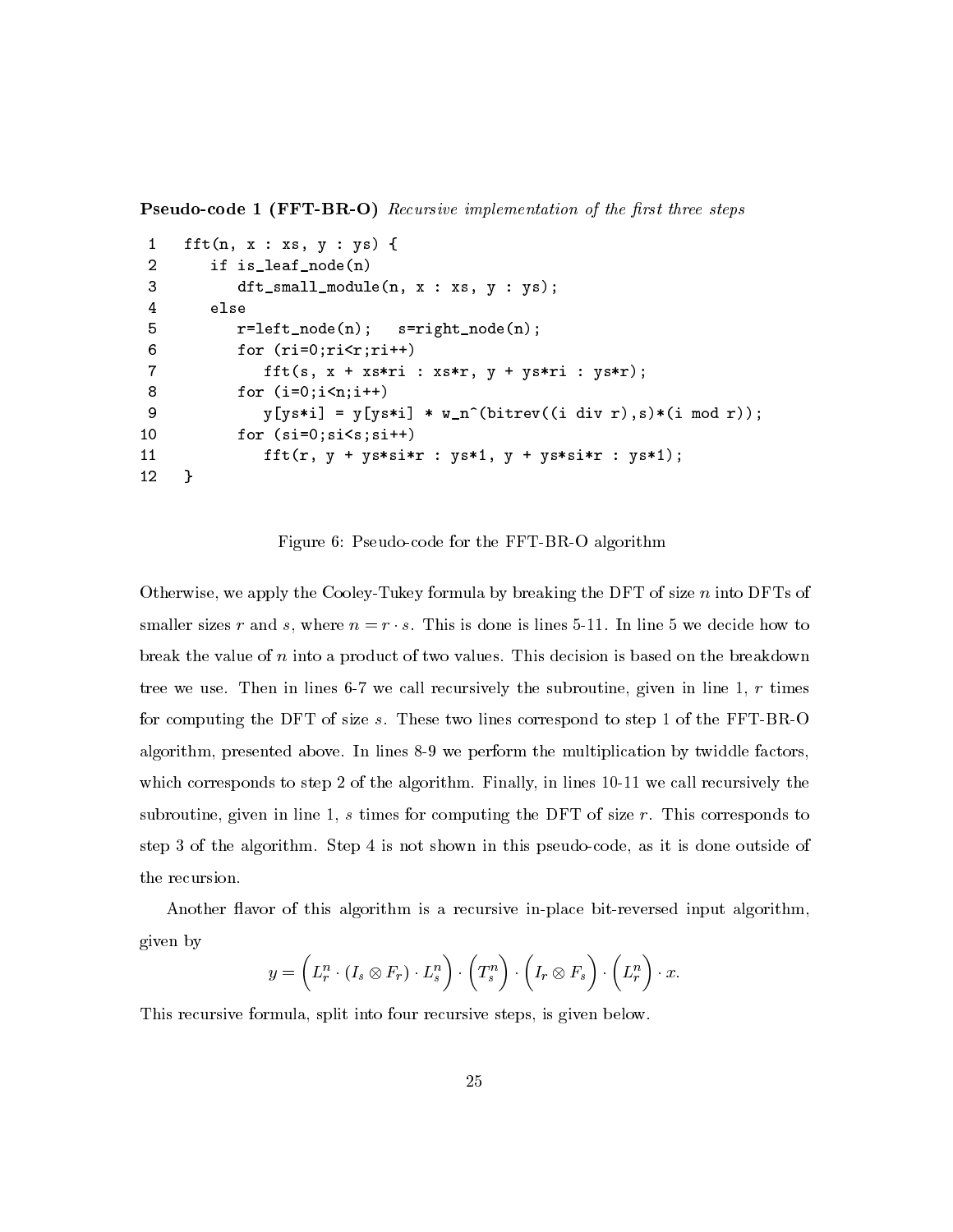**Pseudo-code 1 (FFT-BR-O)** Recursive implementation of the first three steps

```
\mathbf{1}fft(n, x : xs, y : ys) {
\overline{2}if is_leaf_node(n)
 3
            dt_small_module(n, x : xs, y : ys);
\overline{4}else
5
            r = left \mod (n);s = rightnode(n);6
            for (ri=0;ri\le r;ri++)\overline{7}fft(s, x + xs*ri : xs*r, y + ys*ri : ys*r);8
            for (i=0; i \le n; i++)9
                y[ys*i] = y[ys*i] * w_n^{(bitrev((i div r), s)*(i mod r));for (si=0;si<s;si++)10
                fft(r, y + ys*sin : ys*1, y + ys*sin : ys*1);1112}
```
Figure 6: Pseudo-code for the FFT-BR-O algorithm

Otherwise, we apply the Cooley-Tukey formula by breaking the DFT of size  $n$  into DFTs of smaller sizes r and s, where  $n = r \cdot s$ . This is done is lines 5-11. In line 5 we decide how to break the value of  $n$  into a product of two values. This decision is based on the breakdown tree we use. Then in lines 6-7 we call recursively the subroutine, given in line 1,  $r$  times for computing the DFT of size s. These two lines correspond to step 1 of the FFT-BR-O algorithm, presented above. In lines 8-9 we perform the multiplication by twiddle factors, which corresponds to step 2 of the algorithm. Finally, in lines 10-11 we call recursively the subroutine, given in line 1,  $s$  times for computing the DFT of size  $r$ . This corresponds to step 3 of the algorithm. Step 4 is not shown in this pseudo-code, as it is done outside of the recursion.

Another flavor of this algorithm is a recursive in-place bit-reversed input algorithm, given by

$$
y = \left(L_r^n \cdot (I_s \otimes F_r) \cdot L_s^n\right) \cdot \left(T_s^n\right) \cdot \left(I_r \otimes F_s\right) \cdot \left(L_r^n\right) \cdot x.
$$

This recursive formula, split into four recursive steps, is given below.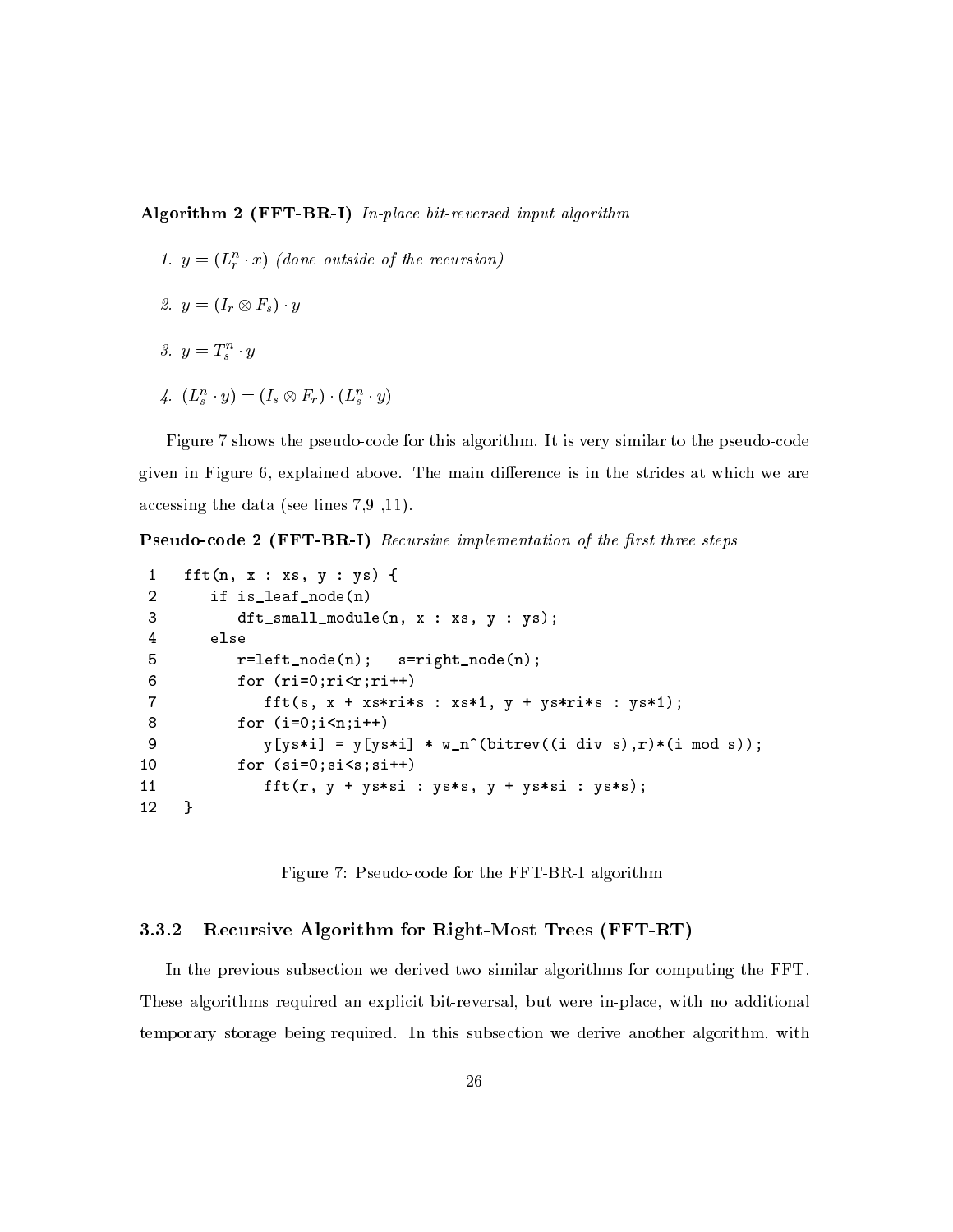# Algorithm  $2$  (FFT-BR-I) In-place bit-reversed input algorithm

- 1.  $y = (L_r^n \cdot x)$  (done outside of the recursion)
- 2.  $y = (I_r \otimes F_s) \cdot y$
- 3.  $y = T_s^n \cdot y$
- 4.  $(L_s^n \cdot y) = (I_s \otimes F_r) \cdot (L_s^n \cdot y)$

Figure 7 shows the pseudo-code for this algorithm. It is very similar to the pseudo-code given in Figure 6, explained above. The main difference is in the strides at which we are accessing the data (see lines  $7.9$ , 11).

**Pseudo-code 2 (FFT-BR-I)** Recursive implementation of the first three steps

```
\mathbf{1}fft(n, x : xs, y : ys) {
         if is_leaf_node(n)
 \overline{2}3
             dt_small_module(n, x : xs, y : ys);
 \overline{4}else
 5
             r = left \mod (n);s = rightnode(n);6
             for (ri=0;ri\leq r;ri++)\overline{7}fft(s, x + xs*ri*s : xs*1, y + ys*ri*s : ys*1);
 8
             for (i=0; i \le n; i++)9
                 y[ys* i] = y[ys* i] * w_n^*(bitrev((i div s), r)*(i mod s));10
             for (si=0;si<s;si++)fft(r, y + ys*sin : ys*s, y + ys*sin : ys*s);1112\mathbf{r}
```
Figure 7: Pseudo-code for the FFT-BR-I algorithm

#### 3.3.2 Recursive Algorithm for Right-Most Trees (FFT-RT)

In the previous subsection we derived two similar algorithms for computing the FFT. These algorithms required an explicit bit-reversal, but were in-place, with no additional temporary storage being required. In this subsection we derive another algorithm, with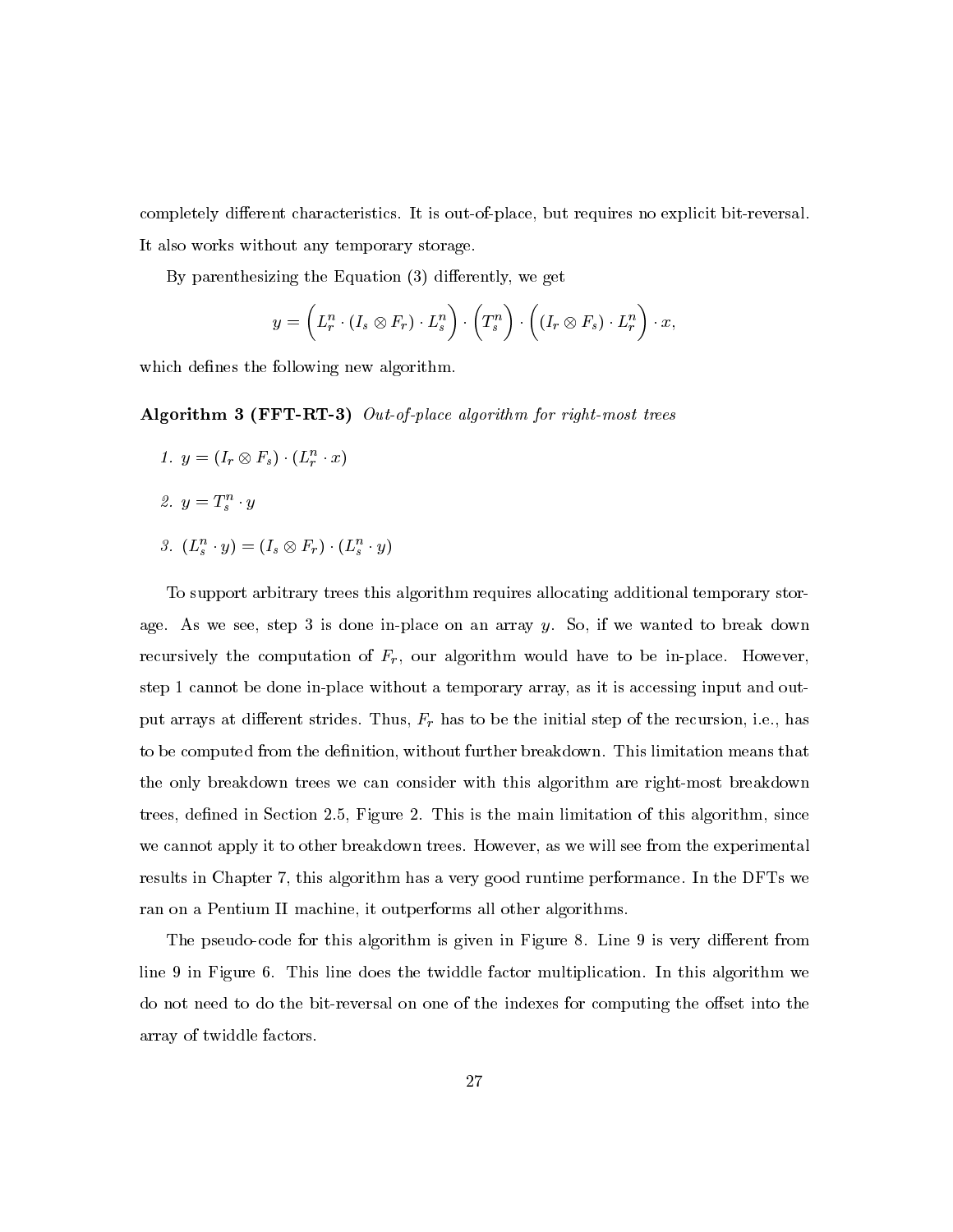completely different characteristics. It is out-of-place, but requires no explicit bit-reversal. It also works without any temporary storage.

By parenthesizing the Equation  $(3)$  differently, we get

$$
y = \left(L_r^n \cdot (I_s \otimes F_r) \cdot L_s^n\right) \cdot \left(T_s^n\right) \cdot \left((I_r \otimes F_s) \cdot L_r^n\right) \cdot x,
$$

which defines the following new algorithm.

Algorithm 3 (FFT-RT-3) Out-of-place algorithm for right-most trees

1.  $y = (I_r \otimes F_s) \cdot (L_r^n \cdot x)$ 2.  $y = T_s^n \cdot y$ 3.  $(L_s^n \cdot y) = (I_s \otimes F_r) \cdot (L_s^n \cdot y)$ 

To support arbitrary trees this algorithm requires allocating additional temporary storage. As we see, step 3 is done in-place on an array  $y$ . So, if we wanted to break down recursively the computation of  $F_r$ , our algorithm would have to be in-place. However, step 1 cannot be done in-place without a temporary array, as it is accessing input and output arrays at different strides. Thus,  $F_r$  has to be the initial step of the recursion, i.e., has to be computed from the definition, without further breakdown. This limitation means that the only breakdown trees we can consider with this algorithm are right-most breakdown trees, defined in Section 2.5, Figure 2. This is the main limitation of this algorithm, since we cannot apply it to other breakdown trees. However, as we will see from the experimental results in Chapter 7, this algorithm has a very good runtime performance. In the DFTs we ran on a Pentium II machine, it outperforms all other algorithms.

The pseudo-code for this algorithm is given in Figure 8. Line 9 is very different from line 9 in Figure 6. This line does the twiddle factor multiplication. In this algorithm we do not need to do the bit-reversal on one of the indexes for computing the offset into the array of twiddle factors.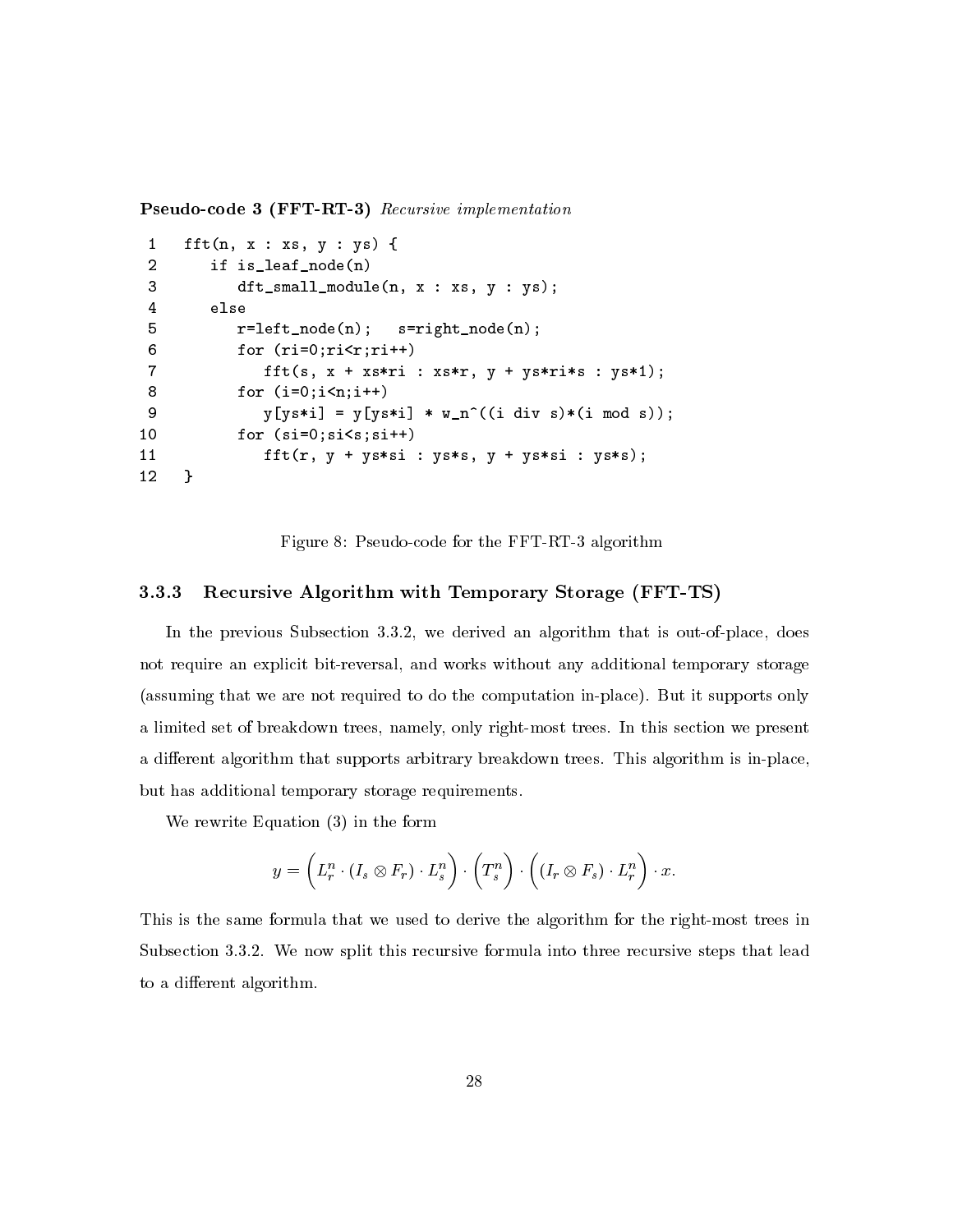**Pseudo-code 3 (FFT-RT-3)** Recursive implementation

```
\mathbf{1}fft(n, x : xs, y : ys) {
 \overline{2}if is_leaf_node(n)
 3
              dt_small_module(n, x : xs, y : ys);
 \overline{4}else
 \overline{5}r = left \mod (n);s = rightnode(n);6
              for (ri=0;ri\le r;ri++)\overline{7}fft(s, x + xs*ri : xs*r, y + ys*ri*s : ys*1);8
              for (i=0; i \le n; i++)9
                  y[ys*i] = y[ys*i] * w_n^((i \text{ div } s)*(i \text{ mod } s));10
              for (si=0;si<s;si++)fft(r, y + ys * si : ys * s, y + ys * si : ys * s);1112\mathcal{F}
```
Figure 8: Pseudo-code for the FFT-RT-3 algorithm

#### 3.3.3 Recursive Algorithm with Temporary Storage (FFT-TS)

In the previous Subsection 3.3.2, we derived an algorithm that is out-of-place, does not require an explicit bit-reversal, and works without any additional temporary storage (assuming that we are not required to do the computation in-place). But it supports only a limited set of breakdown trees, namely, only right-most trees. In this section we present a different algorithm that supports arbitrary breakdown trees. This algorithm is in-place, but has additional temporary storage requirements.

We rewrite Equation  $(3)$  in the form

$$
y = \left(L_r^n \cdot (I_s \otimes F_r) \cdot L_s^n\right) \cdot \left(T_s^n\right) \cdot \left((I_r \otimes F_s) \cdot L_r^n\right) \cdot x
$$

This is the same formula that we used to derive the algorithm for the right-most trees in Subsection 3.3.2. We now split this recursive formula into three recursive steps that lead to a different algorithm.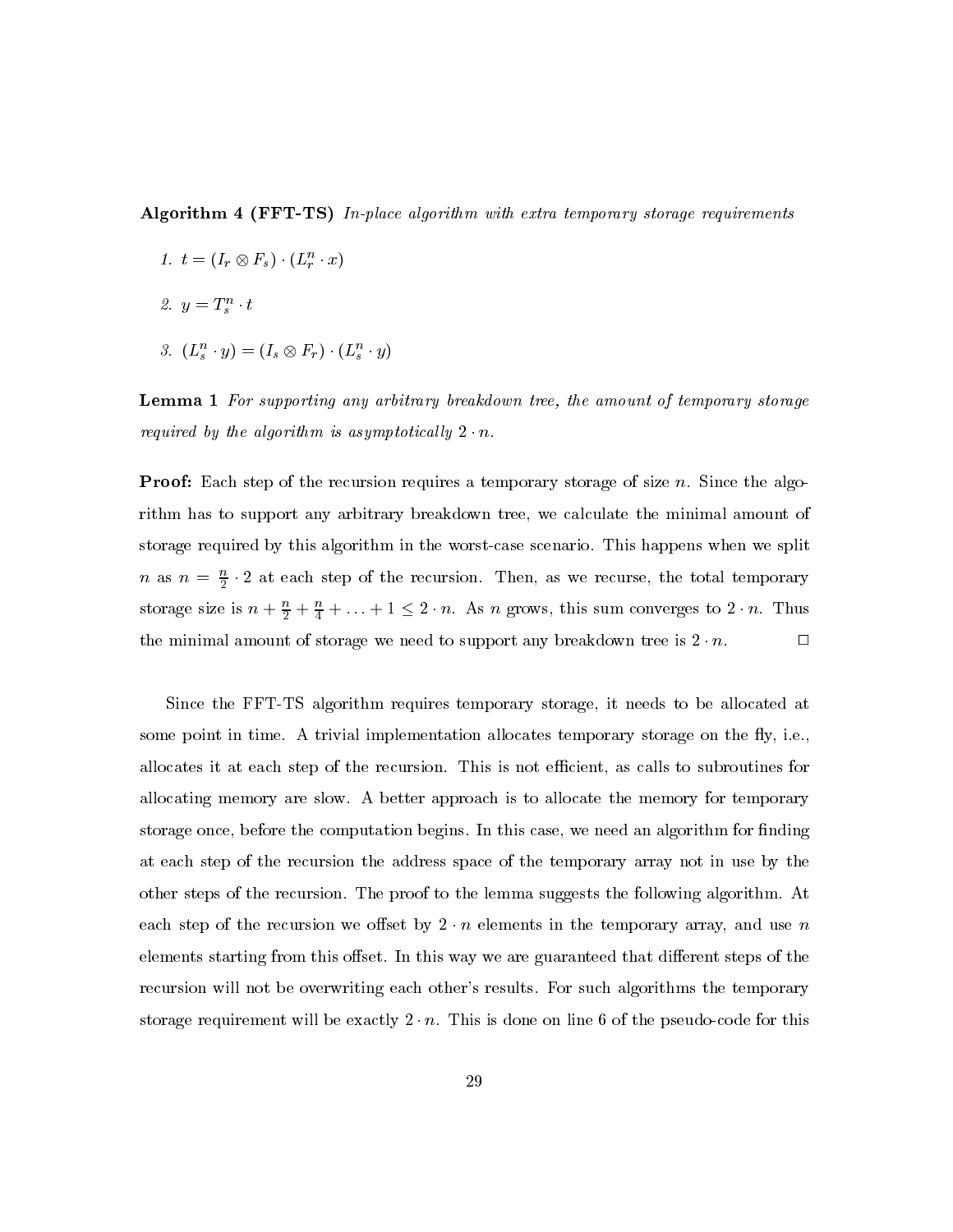**Algorithm 4 (FFT-TS)** In-place algorithm with extra temporary storage requirements

- 1.  $t=(I_r\otimes F_s)\cdot (L_r^n\cdot x)$
- 2.  $y = T_s^n \cdot t$
- 3.  $(L_s^n \cdot y) = (I_s \otimes F_r) \cdot (L_s^n \cdot y)$

**Lemma 1** For supporting any arbitrary breakdown tree, the amount of temporary storage required by the algorithm is asymptotically  $2 \cdot n$ .

**Proof:** Each step of the recursion requires a temporary storage of size n. Since the algorithm has to support any arbitrary breakdown tree, we calculate the minimal amount of storage required by this algorithm in the worst-case scenario. This happens when we split *n* as  $n = \frac{n}{2} \cdot 2$  at each step of the recursion. Then, as we recurse, the total temporary storage size is  $n + \frac{n}{2} + \frac{n}{4} + \ldots + 1 \leq 2 \cdot n$ . As *n* grows, this sum converges to  $2 \cdot n$ . Thus the minimal amount of storage we need to support any breakdown tree is  $2 \cdot n$ .  $\Box$ 

Since the FFT-TS algorithm requires temporary storage, it needs to be allocated at some point in time. A trivial implementation allocates temporary storage on the fly, i.e., allocates it at each step of the recursion. This is not efficient, as calls to subroutines for allocating memory are slow. A better approach is to allocate the memory for temporary storage once, before the computation begins. In this case, we need an algorithm for finding at each step of the recursion the address space of the temporary array not in use by the other steps of the recursion. The proof to the lemma suggests the following algorithm. At each step of the recursion we offset by  $2 \cdot n$  elements in the temporary array, and use n elements starting from this offset. In this way we are guaranteed that different steps of the recursion will not be overwriting each other's results. For such algorithms the temporary storage requirement will be exactly  $2 \cdot n$ . This is done on line 6 of the pseudo-code for this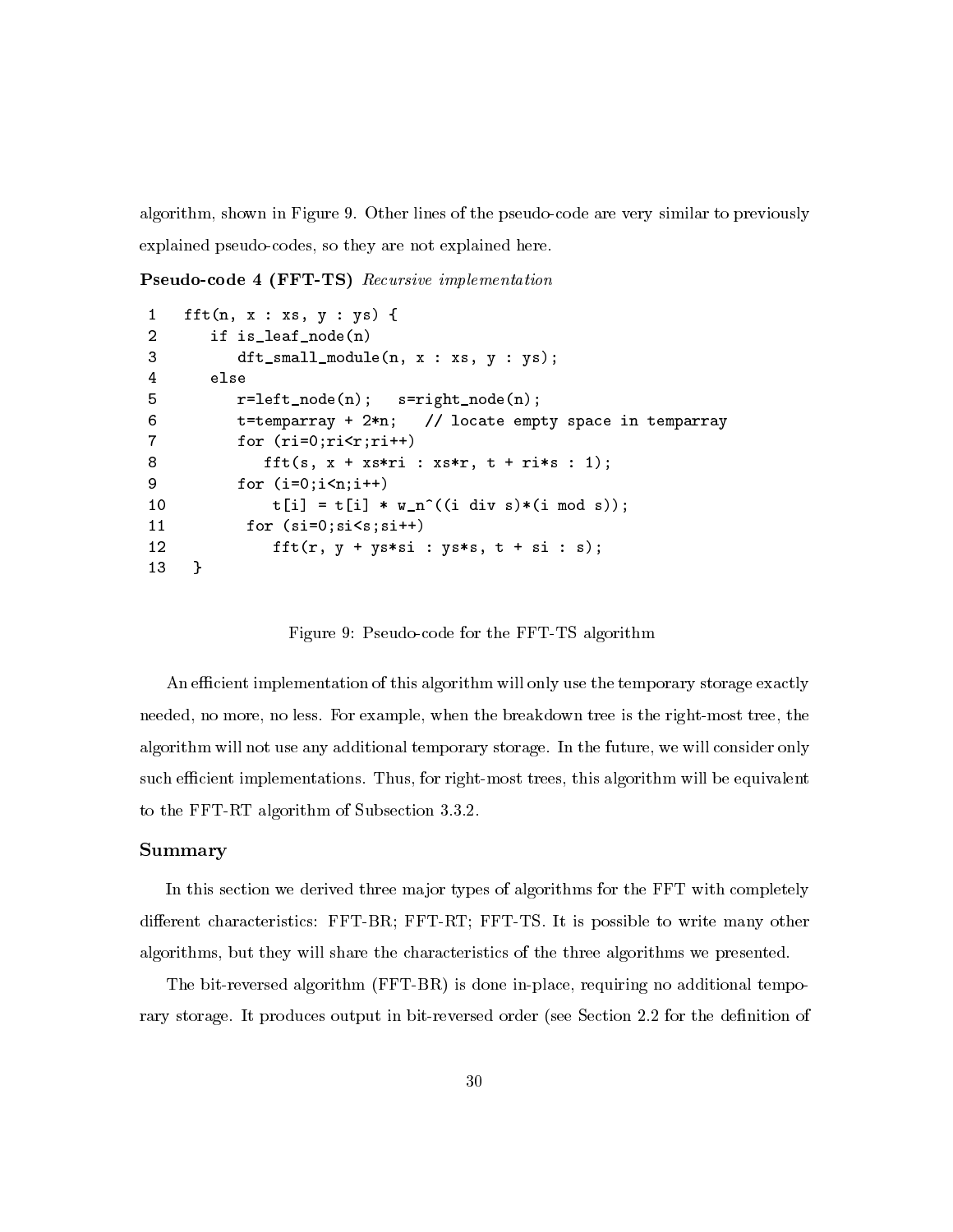algorithm, shown in Figure 9. Other lines of the pseudo-code are very similar to previously explained pseudo-codes, so they are not explained here.

**Pseudo-code 4 (FFT-TS)** Recursive implementation

```
\mathbf{1}fft(n, x : xs, y : ys) {
\overline{2}if is_leaf_node(n)
3
           dt_small_module(n, x : xs, y : ys);
\bf 4else
5
           r = left \mod (n);s = rightnode(n);6
                                    // locate empty space in temparray
           t = temparray + 2*n;\overline{7}for (ri=0;ri\le r;ri++)8
               fft(s, x + xs*ri : xs*r, t + ri*s : 1);9
           for (i=0; i \le n; i++)t[i] = t[i] * w_n^((i \div s)*(i \mod s));10
11
            for (si=0;si\leq s;si++)12
                fft(r, y + ys*sin : ys*s, t + si : s);13
     \mathcal{F}
```
Figure 9: Pseudo-code for the FFT-TS algorithm

An efficient implementation of this algorithm will only use the temporary storage exactly needed, no more, no less. For example, when the breakdown tree is the right-most tree, the algorithm will not use any additional temporary storage. In the future, we will consider only such efficient implementations. Thus, for right-most trees, this algorithm will be equivalent to the FFT-RT algorithm of Subsection 3.3.2.

## Summary

In this section we derived three major types of algorithms for the FFT with completely different characteristics: FFT-BR; FFT-RT; FFT-TS. It is possible to write many other algorithms, but they will share the characteristics of the three algorithms we presented.

The bit-reversed algorithm (FFT-BR) is done in-place, requiring no additional temporary storage. It produces output in bit-reversed order (see Section 2.2 for the definition of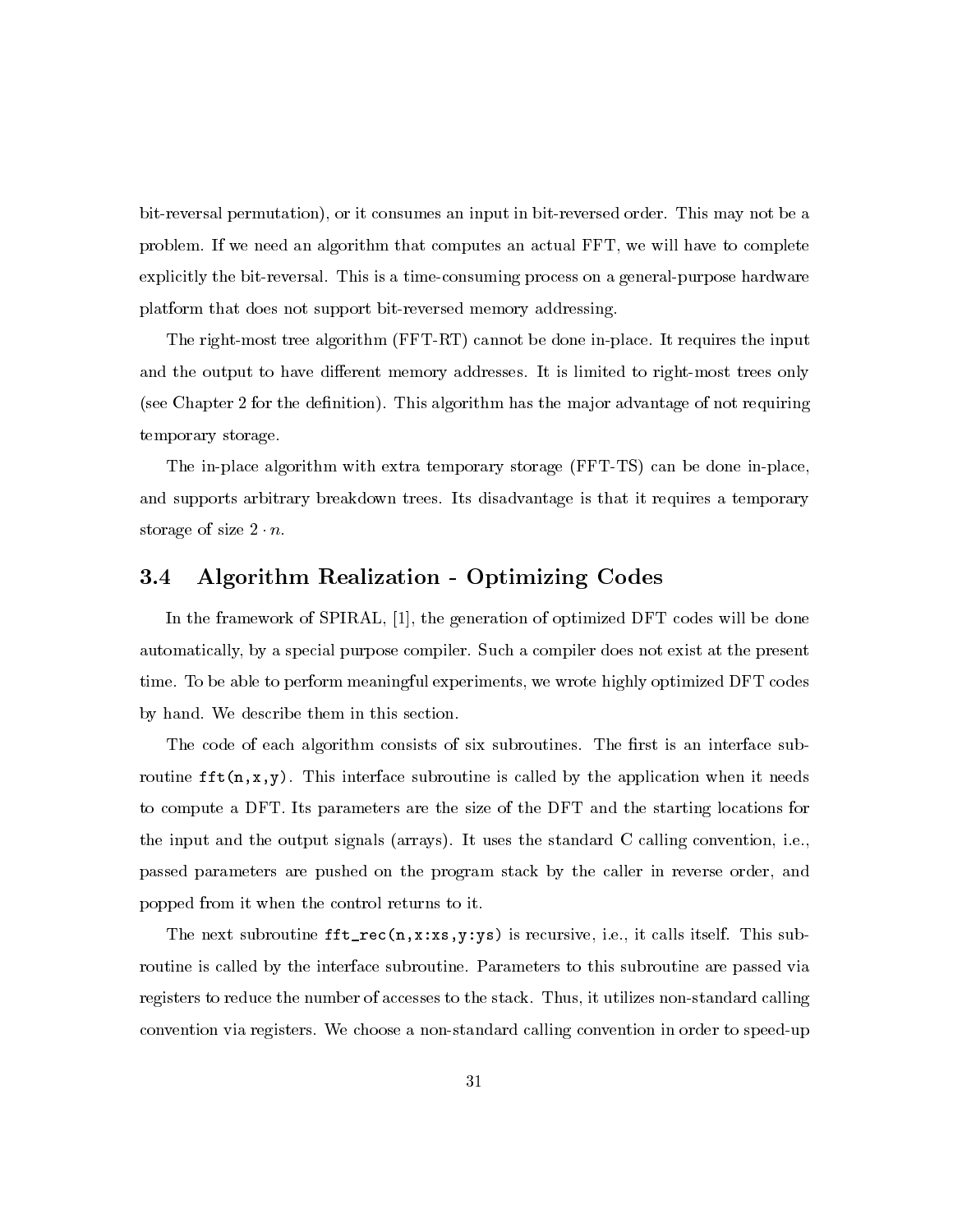bit-reversal permutation), or it consumes an input in bit-reversed order. This may not be a problem. If we need an algorithm that computes an actual FFT, we will have to complete explicitly the bit-reversal. This is a time-consuming process on a general-purpose hardware platform that does not support bit-reversed memory addressing.

The right-most tree algorithm (FFT-RT) cannot be done in-place. It requires the input and the output to have different memory addresses. It is limited to right-most trees only (see Chapter 2 for the definition). This algorithm has the major advantage of not requiring temporary storage.

The in-place algorithm with extra temporary storage (FFT-TS) can be done in-place, and supports arbitrary breakdown trees. Its disadvantage is that it requires a temporary storage of size  $2 \cdot n$ .

## **Algorithm Realization - Optimizing Codes**  $3.4\,$

In the framework of SPIRAL, [1], the generation of optimized DFT codes will be done automatically, by a special purpose compiler. Such a compiler does not exist at the present time. To be able to perform meaningful experiments, we wrote highly optimized DFT codes by hand. We describe them in this section.

The code of each algorithm consists of six subroutines. The first is an interface subroutine  $\texttt{fft}(n, x, y)$ . This interface subroutine is called by the application when it needs to compute a DFT. Its parameters are the size of the DFT and the starting locations for the input and the output signals (arrays). It uses the standard C calling convention, i.e., passed parameters are pushed on the program stack by the caller in reverse order, and popped from it when the control returns to it.

The next subroutine  $\texttt{fft\_rec}(n, x:xs, y:ys)$  is recursive, i.e., it calls itself. This subroutine is called by the interface subroutine. Parameters to this subroutine are passed via registers to reduce the number of accesses to the stack. Thus, it utilizes non-standard calling convention via registers. We choose a non-standard calling convention in order to speed-up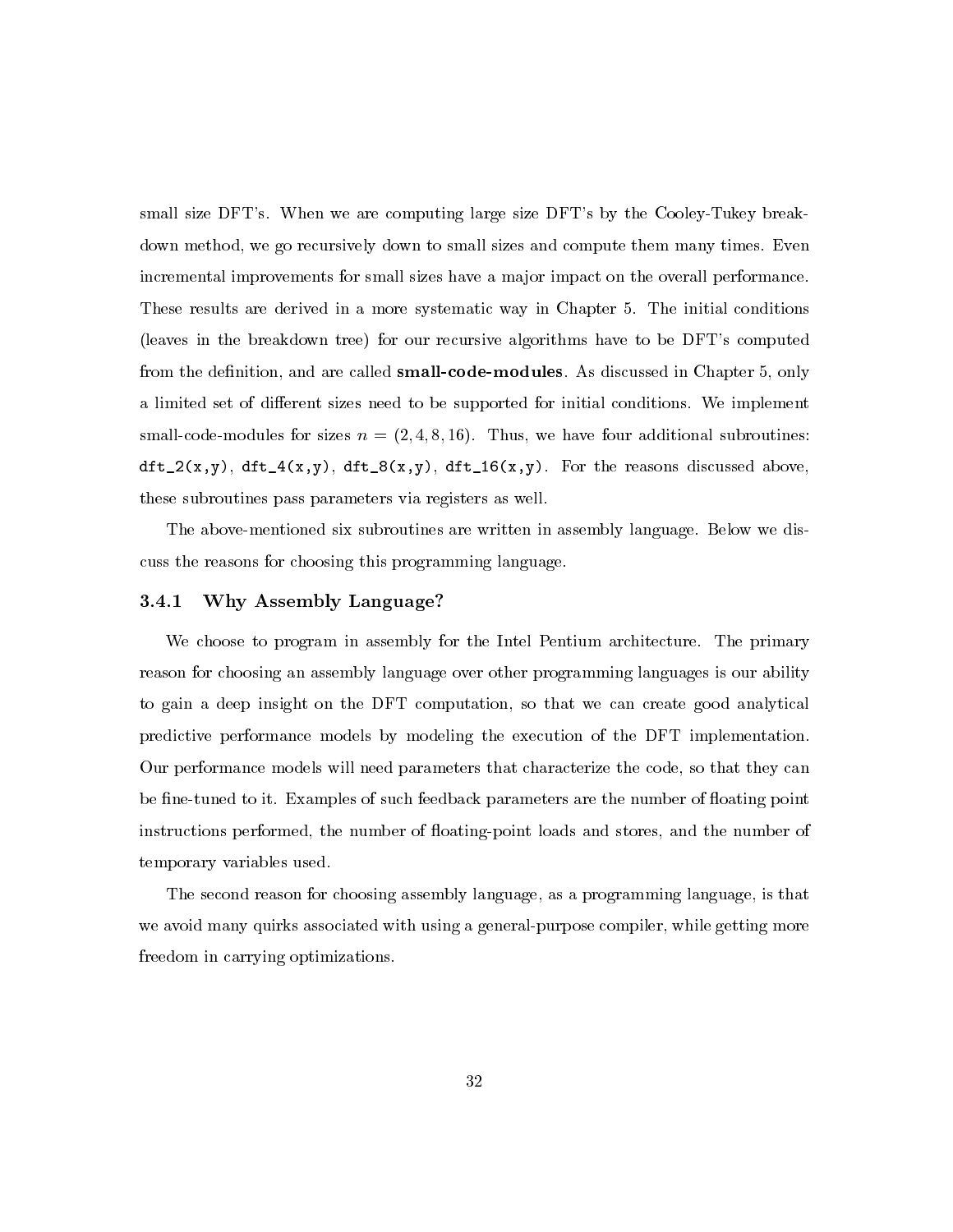small size DFT's. When we are computing large size DFT's by the Cooley-Tukey breakdown method, we go recursively down to small sizes and compute them many times. Even incremental improvements for small sizes have a major impact on the overall performance. These results are derived in a more systematic way in Chapter 5. The initial conditions (leaves in the breakdown tree) for our recursive algorithms have to be DFT's computed from the definition, and are called **small-code-modules**. As discussed in Chapter 5, only a limited set of different sizes need to be supported for initial conditions. We implement small-code-modules for sizes  $n = (2, 4, 8, 16)$ . Thus, we have four additional subroutines:  $dtt_2(x,y), dtt_4(x,y), dtt_8(x,y), dtt_16(x,y).$  For the reasons discussed above, these subroutines pass parameters via registers as well.

The above-mentioned six subroutines are written in assembly language. Below we discuss the reasons for choosing this programming language.

#### 3.4.1 Why Assembly Language?

We choose to program in assembly for the Intel Pentium architecture. The primary reason for choosing an assembly language over other programming languages is our ability to gain a deep insight on the DFT computation, so that we can create good analytical predictive performance models by modeling the execution of the DFT implementation. Our performance models will need parameters that characterize the code, so that they can be fine-tuned to it. Examples of such feedback parameters are the number of floating point instructions performed, the number of floating-point loads and stores, and the number of temporary variables used.

The second reason for choosing assembly language, as a programming language, is that we avoid many quirks associated with using a general-purpose compiler, while getting more freedom in carrying optimizations.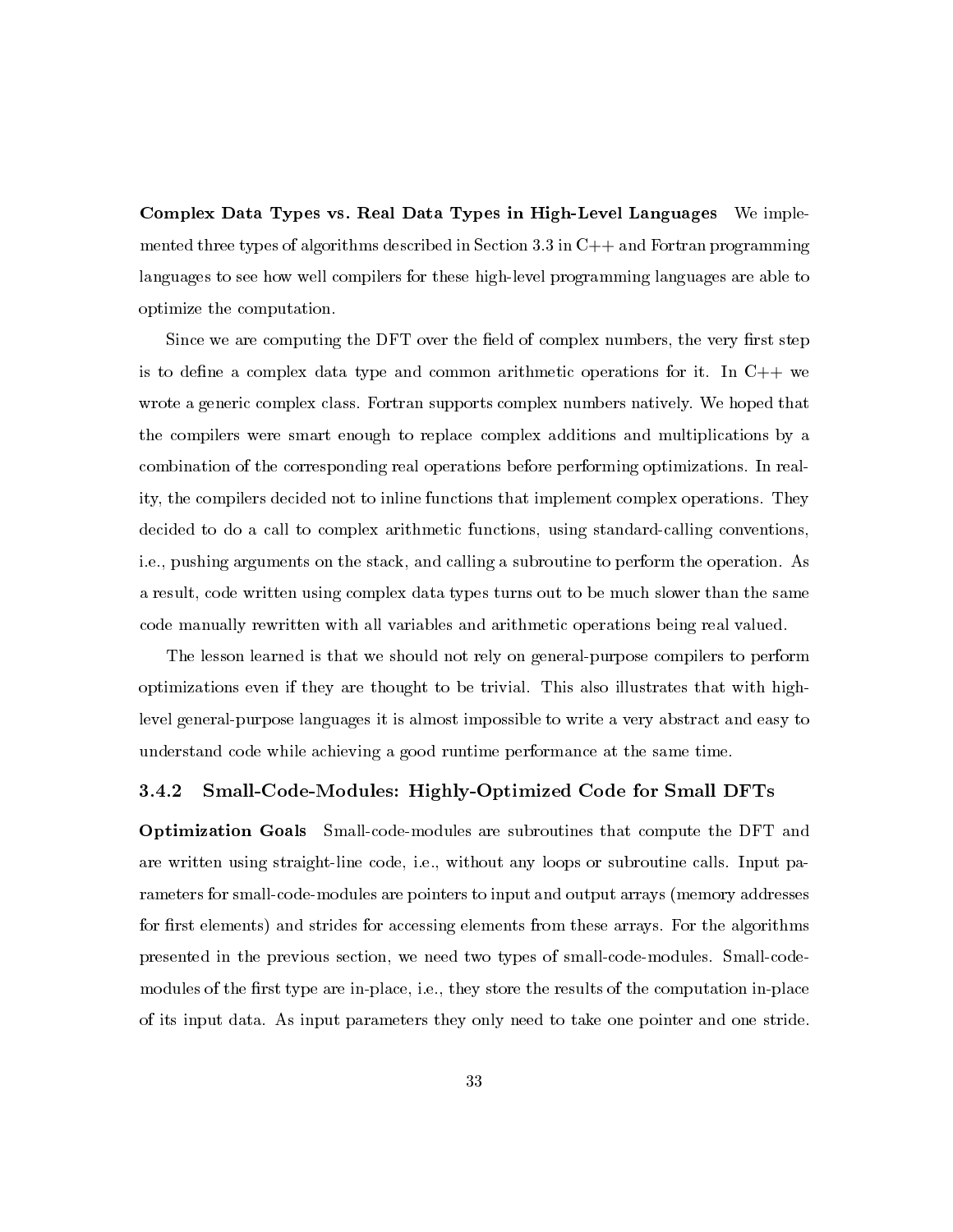Complex Data Types vs. Real Data Types in High-Level Languages We implemented three types of algorithms described in Section 3.3 in  $C++$  and Fortran programming languages to see how well compilers for these high-level programming languages are able to optimize the computation.

Since we are computing the DFT over the field of complex numbers, the very first step is to define a complex data type and common arithmetic operations for it. In  $C++$  we wrote a generic complex class. Fortran supports complex numbers natively. We hoped that the compilers were smart enough to replace complex additions and multiplications by a combination of the corresponding real operations before performing optimizations. In reality, the compilers decided not to inline functions that implement complex operations. They decided to do a call to complex arithmetic functions, using standard-calling conventions, i.e., pushing arguments on the stack, and calling a subroutine to perform the operation. As a result, code written using complex data types turns out to be much slower than the same code manually rewritten with all variables and arithmetic operations being real valued.

The lesson learned is that we should not rely on general-purpose compilers to perform optimizations even if they are thought to be trivial. This also illustrates that with highlevel general-purpose languages it is almost impossible to write a very abstract and easy to understand code while achieving a good runtime performance at the same time.

### Small-Code-Modules: Highly-Optimized Code for Small DFTs  $3.4.2$

**Optimization Goals** Small-code-modules are subroutines that compute the DFT and are written using straight-line code, i.e., without any loops or subroutine calls. Input parameters for small-code-modules are pointers to input and output arrays (memory addresses for first elements) and strides for accessing elements from these arrays. For the algorithms presented in the previous section, we need two types of small-code-modules. Small-codemodules of the first type are in-place, i.e., they store the results of the computation in-place of its input data. As input parameters they only need to take one pointer and one stride.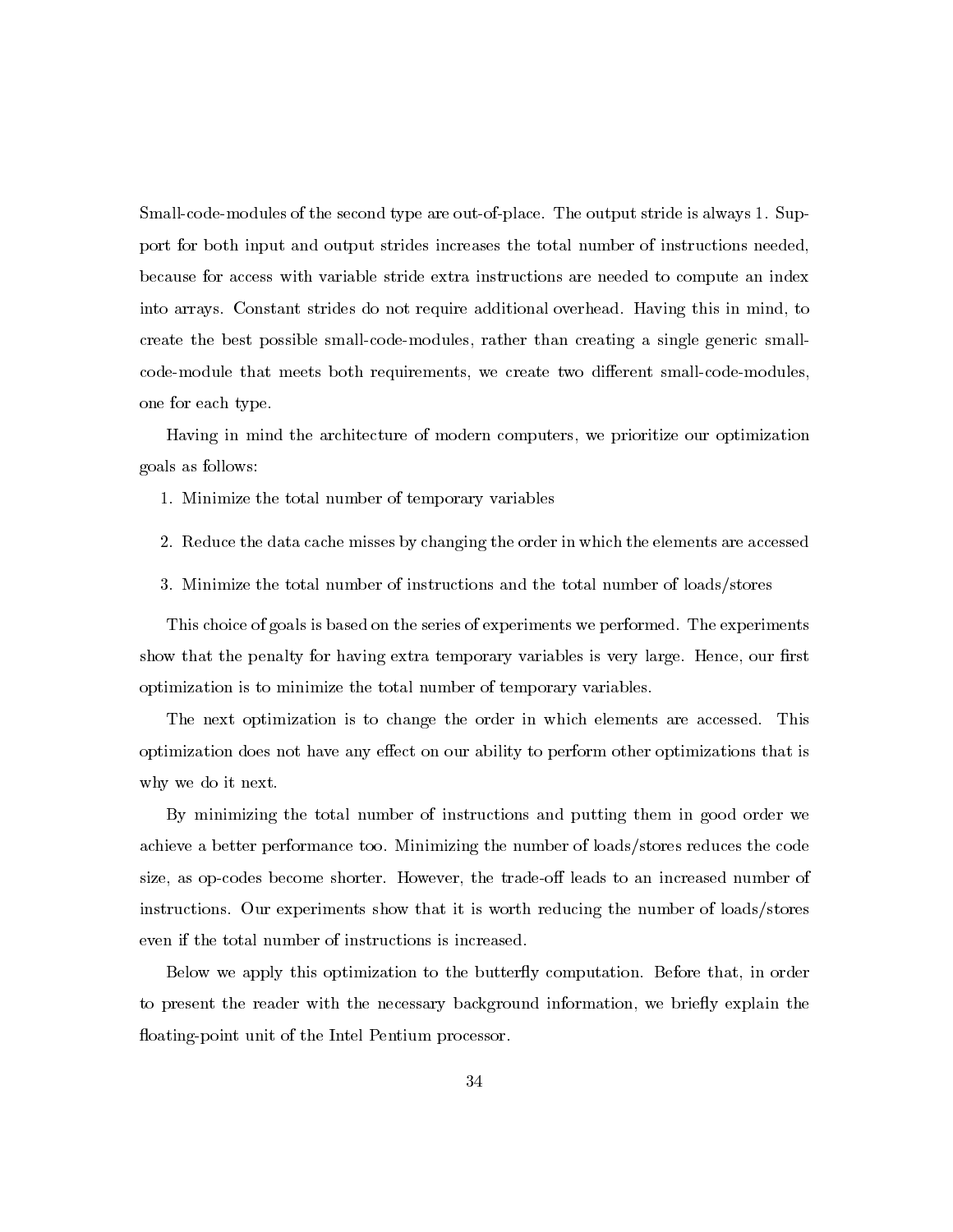Small-code-modules of the second type are out-of-place. The output stride is always 1. Support for both input and output strides increases the total number of instructions needed, because for access with variable stride extra instructions are needed to compute an index into arrays. Constant strides do not require additional overhead. Having this in mind, to create the best possible small-code-modules, rather than creating a single generic smallcode-module that meets both requirements, we create two different small-code-modules, one for each type.

Having in mind the architecture of modern computers, we prioritize our optimization goals as follows:

- 1. Minimize the total number of temporary variables
- 2. Reduce the data cache misses by changing the order in which the elements are accessed
- 3. Minimize the total number of instructions and the total number of loads/stores

This choice of goals is based on the series of experiments we performed. The experiments show that the penalty for having extra temporary variables is very large. Hence, our first optimization is to minimize the total number of temporary variables.

The next optimization is to change the order in which elements are accessed. This optimization does not have any effect on our ability to perform other optimizations that is why we do it next.

By minimizing the total number of instructions and putting them in good order we achieve a better performance too. Minimizing the number of loads/stores reduces the code size, as op-codes become shorter. However, the trade-off leads to an increased number of instructions. Our experiments show that it is worth reducing the number of loads/stores even if the total number of instructions is increased.

Below we apply this optimization to the butterfly computation. Before that, in order to present the reader with the necessary background information, we briefly explain the floating-point unit of the Intel Pentium processor.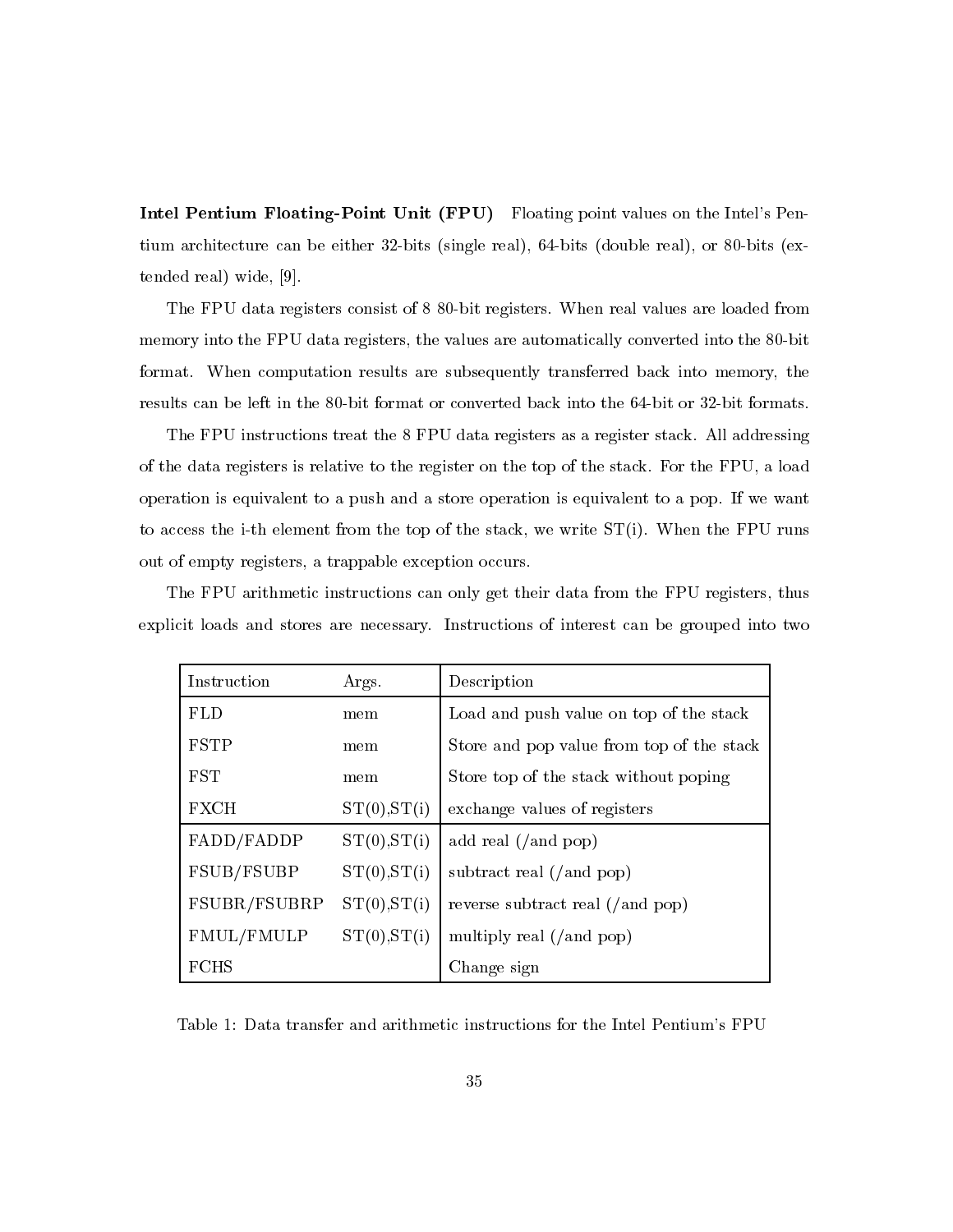Intel Pentium Floating-Point Unit (FPU) Floating point values on the Intel's Pentium architecture can be either 32-bits (single real), 64-bits (double real), or 80-bits (extended real) wide, [9].

The FPU data registers consist of 8 80-bit registers. When real values are loaded from memory into the FPU data registers, the values are automatically converted into the 80-bit format. When computation results are subsequently transferred back into memory, the results can be left in the 80-bit format or converted back into the 64-bit or 32-bit formats.

The FPU instructions treat the 8 FPU data registers as a register stack. All addressing of the data registers is relative to the register on the top of the stack. For the FPU, a load operation is equivalent to a push and a store operation is equivalent to a pop. If we want to access the i-th element from the top of the stack, we write  $ST(i)$ . When the FPU runs out of empty registers, a trappable exception occurs.

The FPU arithmetic instructions can only get their data from the FPU registers, thus explicit loads and stores are necessary. Instructions of interest can be grouped into two

| Instruction  | Args.        | Description                               |
|--------------|--------------|-------------------------------------------|
| <b>FLD</b>   | mem          | Load and push value on top of the stack   |
| <b>FSTP</b>  | mem          | Store and pop value from top of the stack |
| <b>FST</b>   | mem          | Store top of the stack without poping     |
| <b>FXCH</b>  | ST(0), ST(i) | exchange values of registers              |
| FADD/FADDP   | ST(0), ST(i) | add real $($ and pop $)$                  |
| FSUB/FSUBP   | ST(0), ST(i) | subtract real $($ / and pop)              |
| FSUBR/FSUBRP | ST(0), ST(i) | reverse subtract real $($ and pop $)$     |
| FMUL/FMULP   | ST(0), ST(i) | multiply real $($ and pop $)$             |
| <b>FCHS</b>  |              | Change sign                               |

Table 1: Data transfer and arithmetic instructions for the Intel Pentium's FPU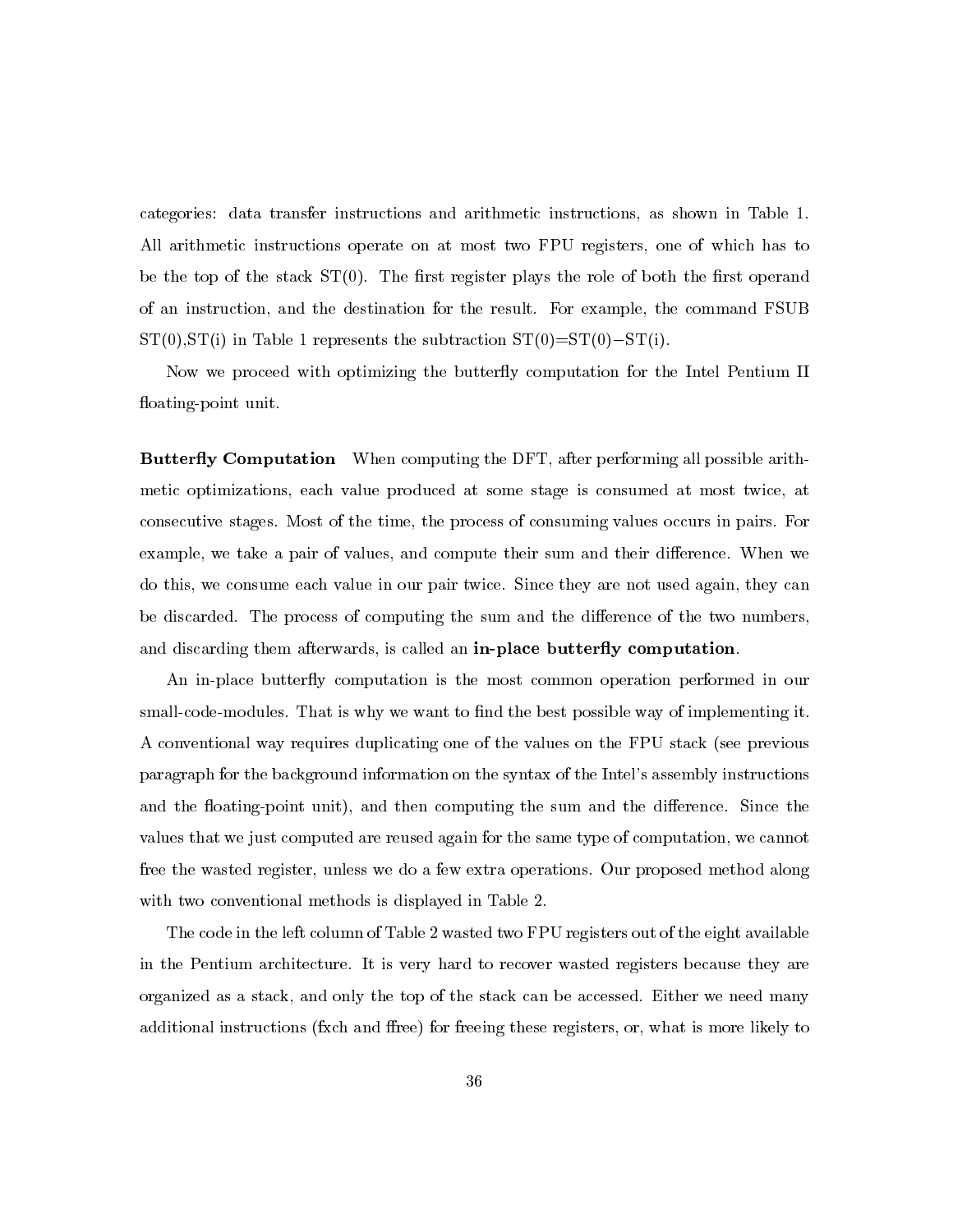categories: data transfer instructions and arithmetic instructions, as shown in Table 1. All arithmetic instructions operate on at most two FPU registers, one of which has to be the top of the stack  $ST(0)$ . The first register plays the role of both the first operand of an instruction, and the destination for the result. For example, the command FSUB  $ST(0), ST(i)$  in Table 1 represents the subtraction  $ST(0)=ST(0)-ST(i)$ .

Now we proceed with optimizing the butterfly computation for the Intel Pentium II floating-point unit.

**Butterfly Computation** When computing the DFT, after performing all possible arithmetic optimizations, each value produced at some stage is consumed at most twice, at consecutive stages. Most of the time, the process of consuming values occurs in pairs. For example, we take a pair of values, and compute their sum and their difference. When we do this, we consume each value in our pair twice. Since they are not used again, they can be discarded. The process of computing the sum and the difference of the two numbers, and discarding them afterwards, is called an in-place butterfly computation.

An in-place butterfly computation is the most common operation performed in our small-code-modules. That is why we want to find the best possible way of implementing it. A conventional way requires duplicating one of the values on the FPU stack (see previous paragraph for the background information on the syntax of the Intel's assembly instructions and the floating-point unit), and then computing the sum and the difference. Since the values that we just computed are reused again for the same type of computation, we cannot free the wasted register, unless we do a few extra operations. Our proposed method along with two conventional methods is displayed in Table 2.

The code in the left column of Table 2 wasted two FPU registers out of the eight available in the Pentium architecture. It is very hard to recover wasted registers because they are organized as a stack, and only the top of the stack can be accessed. Either we need many additional instructions (fxch and ffree) for freeing these registers, or, what is more likely to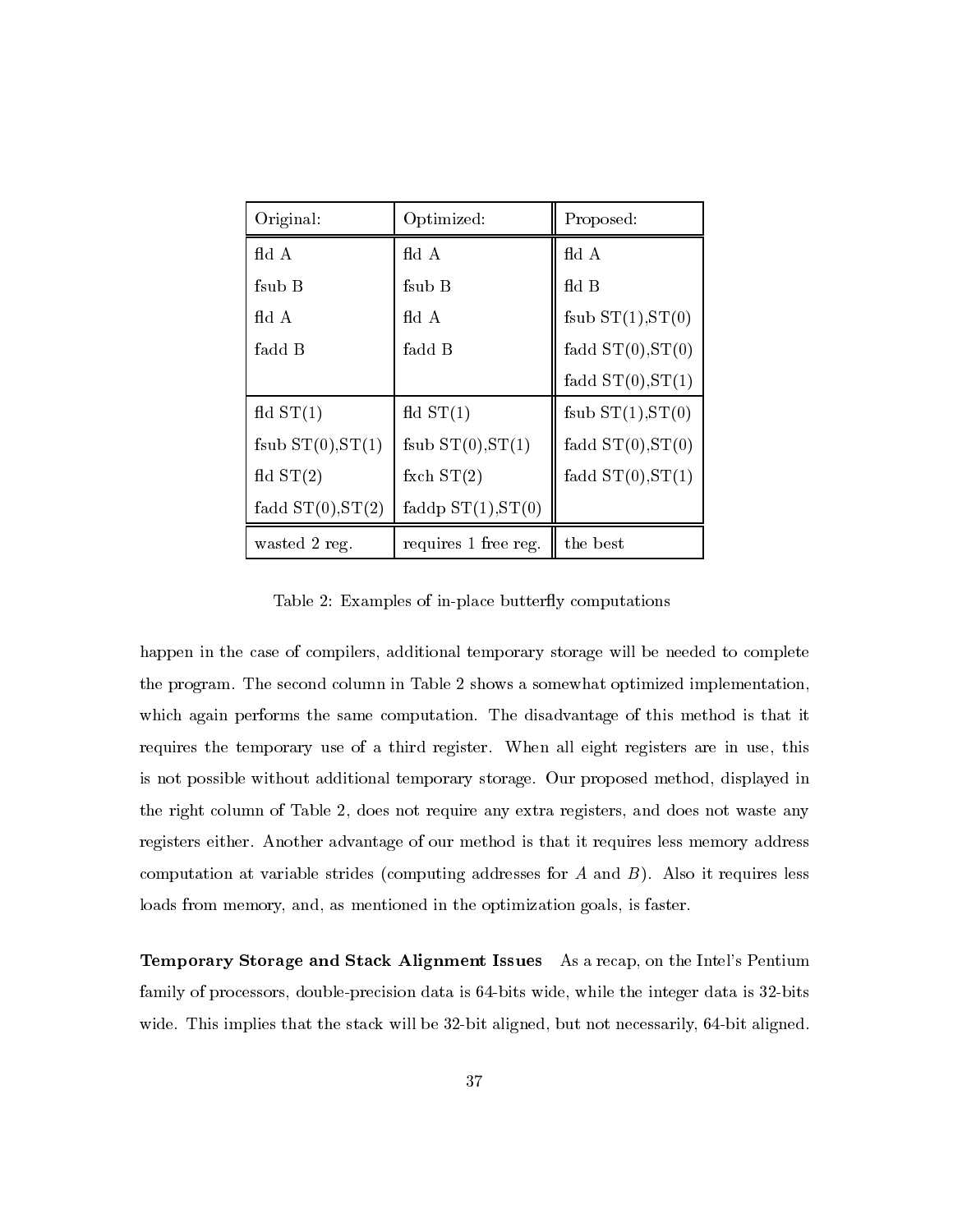| Original:            | Optimized:           | Proposed:           |
|----------------------|----------------------|---------------------|
| $\rm{fd}$ A          | $\rm{fd}$ A          | fid A               |
| fsub B               | fsub B               | $f{d}$ B            |
| $\rm{fd}$ A          | $\rm{fd}$ A          | fsub $ST(1), ST(0)$ |
| fadd B               | fadd B               | fadd $ST(0), ST(0)$ |
|                      |                      | fadd $ST(0), ST(1)$ |
| $f{dd} ST(1)$        | $\text{fd}$ ST $(1)$ | fsub $ST(1), ST(0)$ |
| fsub $ST(0), ST(1)$  | fsub $ST(0), ST(1)$  | fadd $ST(0), ST(0)$ |
| $\text{fd}$ ST $(2)$ | fxch $ST(2)$         | fadd $ST(0), ST(1)$ |
| fadd $ST(0), ST(2)$  | faddp $ST(1), ST(0)$ |                     |
| wasted 2 reg.        | requires 1 free reg. | the best            |

Table 2: Examples of in-place butterfly computations

happen in the case of compilers, additional temporary storage will be needed to complete the program. The second column in Table 2 shows a somewhat optimized implementation, which again performs the same computation. The disadvantage of this method is that it requires the temporary use of a third register. When all eight registers are in use, this is not possible without additional temporary storage. Our proposed method, displayed in the right column of Table 2, does not require any extra registers, and does not waste any registers either. Another advantage of our method is that it requires less memory address computation at variable strides (computing addresses for A and  $B$ ). Also it requires less loads from memory, and, as mentioned in the optimization goals, is faster.

**Temporary Storage and Stack Alignment Issues** As a recap, on the Intel's Pentium family of processors, double-precision data is 64-bits wide, while the integer data is 32-bits wide. This implies that the stack will be 32-bit aligned, but not necessarily, 64-bit aligned.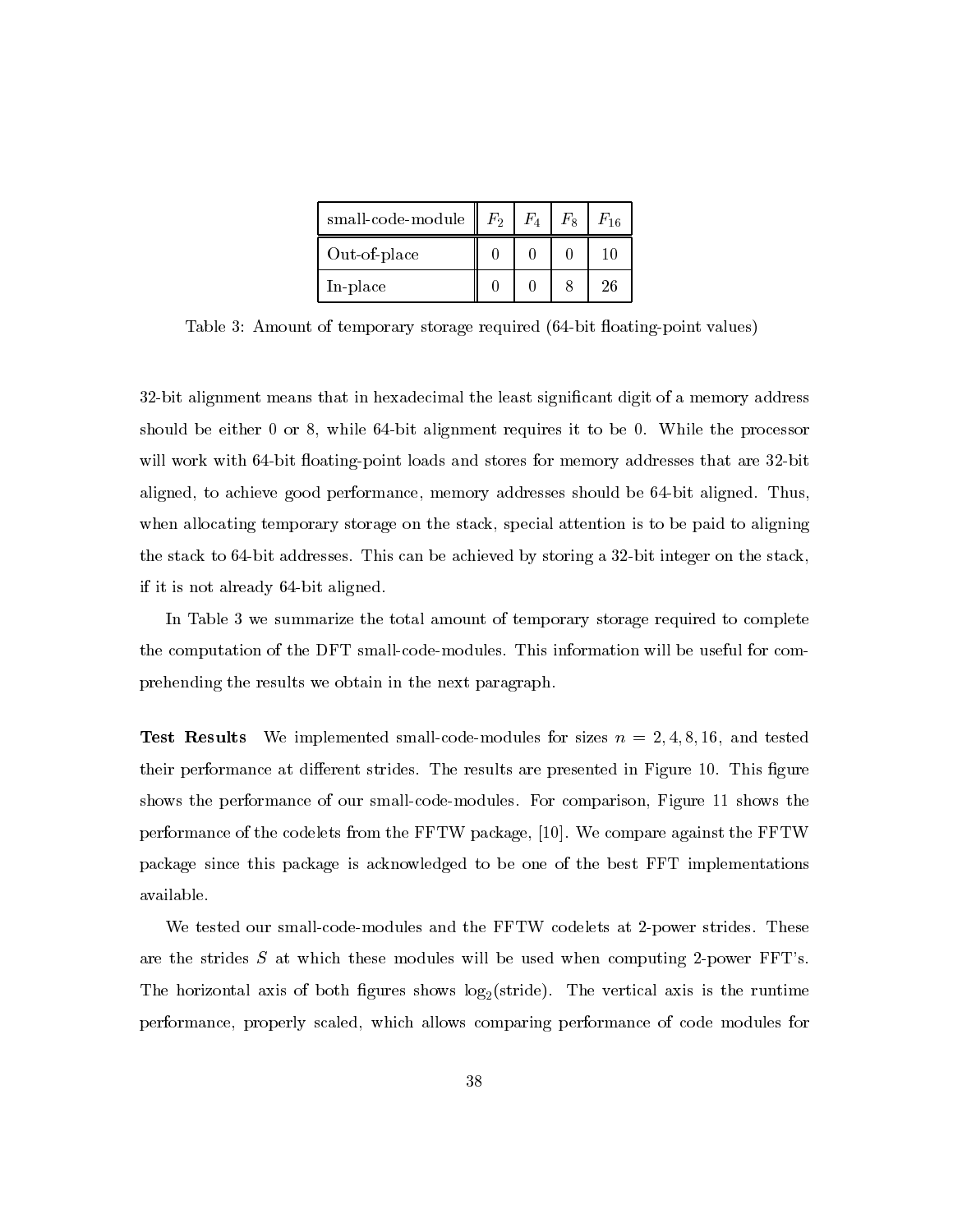| $small-code-module$ | F <sub>2</sub> | $F_{\rm 4}$ | $F_{\rm e}$ | $F_{16}$ |
|---------------------|----------------|-------------|-------------|----------|
| Out-of-place        |                |             |             | 10       |
| In-place            |                |             |             | 26       |

Table 3: Amount of temporary storage required (64-bit floating-point values)

32-bit alignment means that in hexadecimal the least significant digit of a memory address should be either 0 or 8, while 64-bit alignment requires it to be 0. While the processor will work with 64-bit floating-point loads and stores for memory addresses that are 32-bit aligned, to achieve good performance, memory addresses should be 64-bit aligned. Thus, when allocating temporary storage on the stack, special attention is to be paid to aligning the stack to 64-bit addresses. This can be achieved by storing a 32-bit integer on the stack, if it is not already 64-bit aligned.

In Table 3 we summarize the total amount of temporary storage required to complete the computation of the DFT small-code-modules. This information will be useful for comprehending the results we obtain in the next paragraph.

Test Results We implemented small-code-modules for sizes  $n = 2, 4, 8, 16$ , and tested their performance at different strides. The results are presented in Figure 10. This figure shows the performance of our small-code-modules. For comparison, Figure 11 shows the performance of the codelets from the FFTW package, [10]. We compare against the FFTW package since this package is acknowledged to be one of the best FFT implementations available.

We tested our small-code-modules and the FFTW codelets at 2-power strides. These are the strides  $S$  at which these modules will be used when computing 2-power FFT's. The horizontal axis of both figures shows  $log_2(\text{stride})$ . The vertical axis is the runtime performance, properly scaled, which allows comparing performance of code modules for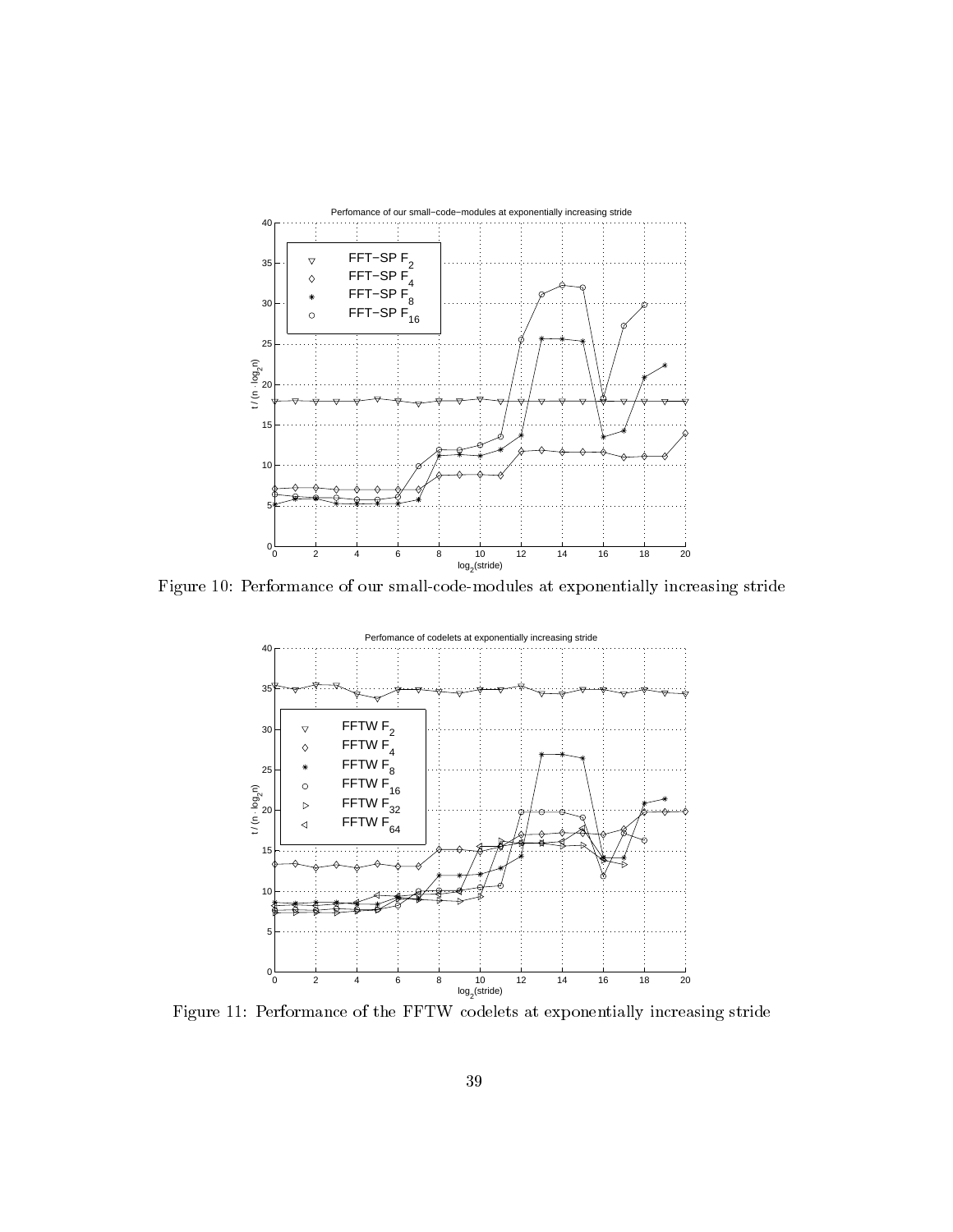

Figure Iv: Performance of our small-code-modules at exponentially increasing stride



Figure II: Performance of the FFI W codelets at exponentially increasing stride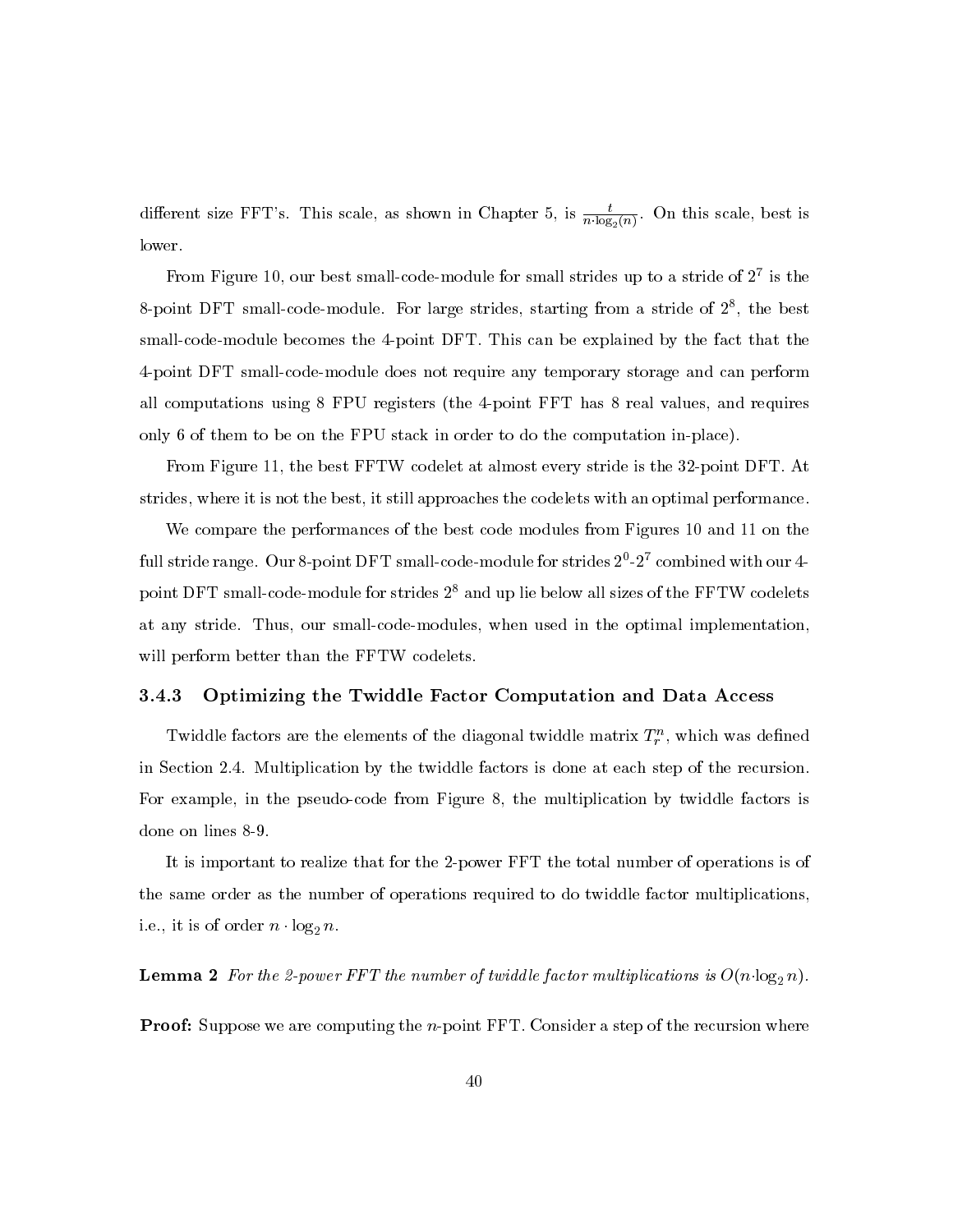different size FFT's. This scale, as shown in Chapter 5, is  $\frac{t}{n \cdot \log_2(n)}$ . On this scale, best is lower.

From Figure 10, our best small-code-module for small strides up to a stride of  $2^7$  is the 8-point DFT small-code-module. For large strides, starting from a stride of  $2^8$ , the best small-code-module becomes the 4-point DFT. This can be explained by the fact that the 4-point DFT small-code-module does not require any temporary storage and can perform all computations using 8 FPU registers (the 4-point FFT has 8 real values, and requires only 6 of them to be on the FPU stack in order to do the computation in-place).

From Figure 11, the best FFTW codelet at almost every stride is the 32-point DFT. At strides, where it is not the best, it still approaches the codelets with an optimal performance.

We compare the performances of the best code modules from Figures 10 and 11 on the full stride range. Our 8-point DFT small-code-module for strides  $2^0$ - $2^7$  combined with our 4point DFT small-code-module for strides  $2^8$  and up lie below all sizes of the FFTW codelets at any stride. Thus, our small-code-modules, when used in the optimal implementation, will perform better than the FFTW codelets.

#### $\bf3.4.3$ Optimizing the Twiddle Factor Computation and Data Access

Twiddle factors are the elements of the diagonal twiddle matrix  $T_r^n$ , which was defined in Section 2.4. Multiplication by the twiddle factors is done at each step of the recursion. For example, in the pseudo-code from Figure 8, the multiplication by twiddle factors is done on lines 8-9.

It is important to realize that for the 2-power FFT the total number of operations is of the same order as the number of operations required to do twiddle factor multiplications, i.e., it is of order  $n \cdot \log_2 n$ .

**Lemma 2** For the 2-power FFT the number of twiddle factor multiplications is  $O(n \cdot \log_2 n)$ .

**Proof:** Suppose we are computing the  $n$ -point FFT. Consider a step of the recursion where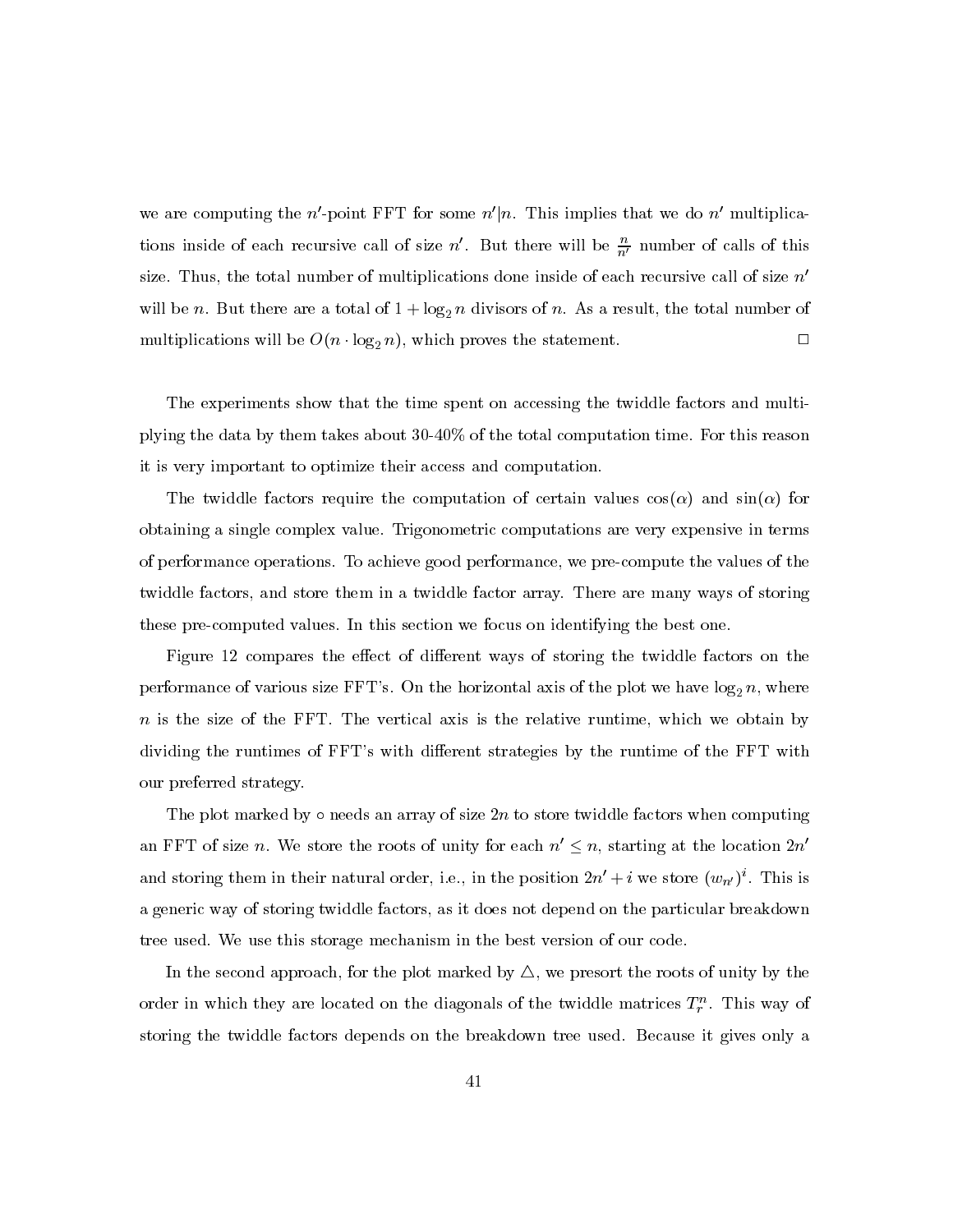we are computing the  $n'$ -point FFT for some  $n'|n$ . This implies that we do  $n'$  multiplications inside of each recursive call of size n'. But there will be  $\frac{n}{n'}$  number of calls of this size. Thus, the total number of multiplications done inside of each recursive call of size  $n'$ will be *n*. But there are a total of  $1 + \log_2 n$  divisors of *n*. As a result, the total number of multiplications will be  $O(n \cdot \log_2 n)$ , which proves the statement.  $\Box$ 

The experiments show that the time spent on accessing the twiddle factors and multiplying the data by them takes about 30-40% of the total computation time. For this reason it is very important to optimize their access and computation.

The twiddle factors require the computation of certain values  $cos(\alpha)$  and  $sin(\alpha)$  for obtaining a single complex value. Trigonometric computations are very expensive in terms of performance operations. To achieve good performance, we pre-compute the values of the twiddle factors, and store them in a twiddle factor array. There are many ways of storing these pre-computed values. In this section we focus on identifying the best one.

Figure 12 compares the effect of different ways of storing the twiddle factors on the performance of various size FFT's. On the horizontal axis of the plot we have  $\log_2 n$ , where  $n$  is the size of the FFT. The vertical axis is the relative runtime, which we obtain by dividing the runtimes of FFT's with different strategies by the runtime of the FFT with our preferred strategy.

The plot marked by  $\circ$  needs an array of size  $2n$  to store twiddle factors when computing an FFT of size *n*. We store the roots of unity for each  $n' \leq n$ , starting at the location  $2n'$ and storing them in their natural order, i.e., in the position  $2n' + i$  we store  $(w_{n'})^i$ . This is a generic way of storing twiddle factors, as it does not depend on the particular breakdown tree used. We use this storage mechanism in the best version of our code.

In the second approach, for the plot marked by  $\Delta$ , we present the roots of unity by the order in which they are located on the diagonals of the twiddle matrices  $T_r^n$ . This way of storing the twiddle factors depends on the breakdown tree used. Because it gives only a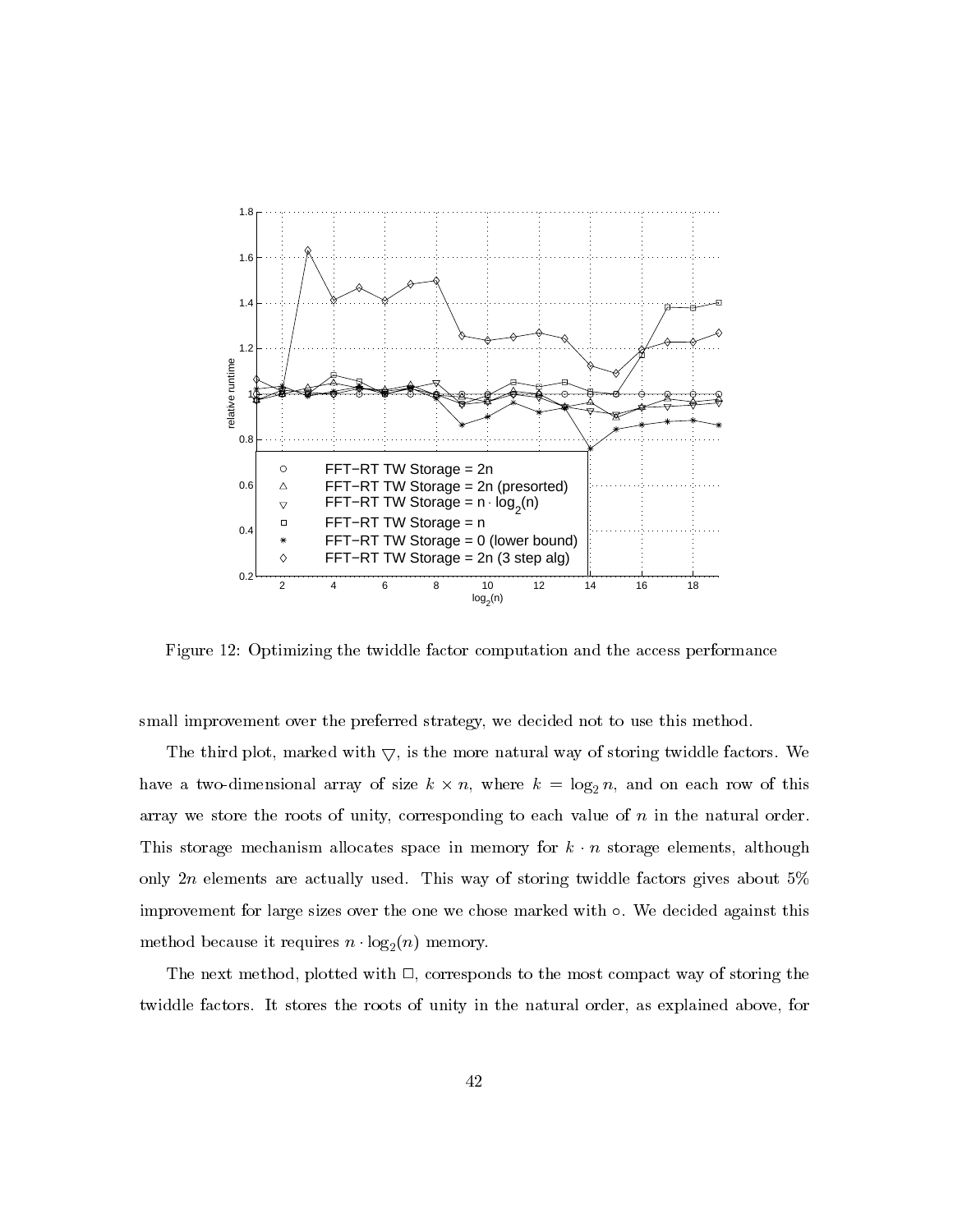

Figure 12: Optimizing the twiddle factor computation and the access performance

small improvement over the preferred strategy, we decided not to use this method.

The third plot, marked with  $\bigtriangledown$ , is the more natural way of storing twiddle factors. We have a two-dimensional array of size  $k \times n$ , where  $k = \log_2 n$ , and on each row of this array we store the roots of unity, corresponding to each value of  $n$  in the natural order. This storage mechanism allocates space in memory for  $k \cdot n$  storage elements, although only  $2n$  elements are actually used. This way of storing twiddle factors gives about 5% improvement for large sizes over the one we chose marked with  $\circ$ . We decided against this method because it requires  $n \cdot \log_2(n)$  memory.

The next method, plotted with  $\Box$ , corresponds to the most compact way of storing the twiddle factors. It stores the roots of unity in the natural order, as explained above, for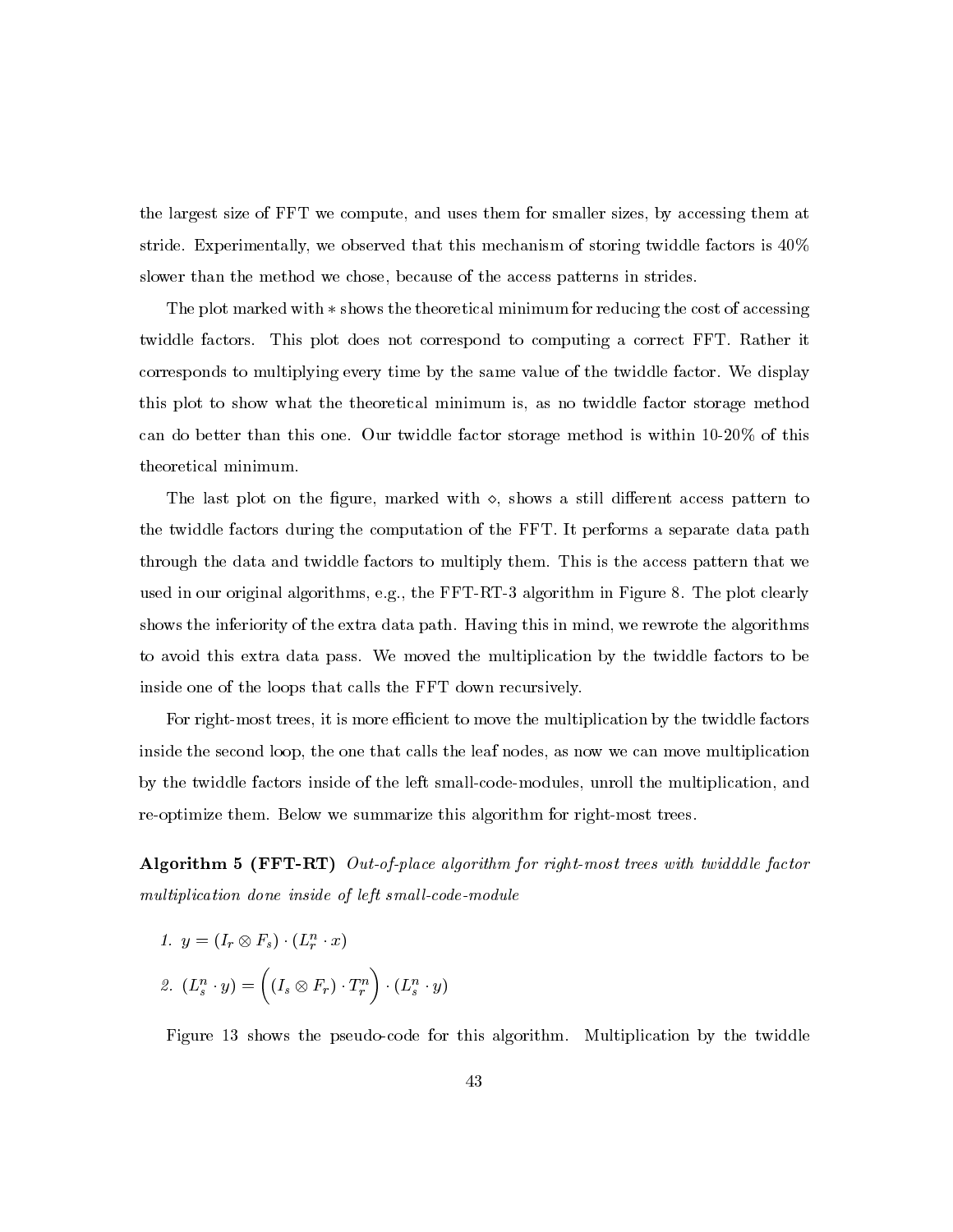the largest size of FFT we compute, and uses them for smaller sizes, by accessing them at stride. Experimentally, we observed that this mechanism of storing twiddle factors is  $40\%$ slower than the method we chose, because of the access patterns in strides.

The plot marked with  $*$  shows the theoretical minimum for reducing the cost of accessing twiddle factors. This plot does not correspond to computing a correct FFT. Rather it corresponds to multiplying every time by the same value of the twiddle factor. We display this plot to show what the theoretical minimum is, as no twiddle factor storage method can do better than this one. Our twiddle factor storage method is within 10-20% of this theoretical minimum.

The last plot on the figure, marked with  $\diamond$ , shows a still different access pattern to the twiddle factors during the computation of the FFT. It performs a separate data path through the data and twiddle factors to multiply them. This is the access pattern that we used in our original algorithms, e.g., the FFT-RT-3 algorithm in Figure 8. The plot clearly shows the inferiority of the extra data path. Having this in mind, we rewrote the algorithms to avoid this extra data pass. We moved the multiplication by the twiddle factors to be inside one of the loops that calls the FFT down recursively.

For right-most trees, it is more efficient to move the multiplication by the twiddle factors inside the second loop, the one that calls the leaf nodes, as now we can move multiplication by the twiddle factors inside of the left small-code-modules, unroll the multiplication, and re-optimize them. Below we summarize this algorithm for right-most trees.

Algorithm 5 (FFT-RT) Out-of-place algorithm for right-most trees with twidddle factor multiplication done inside of left small-code-module

1. 
$$
y = (I_r \otimes F_s) \cdot (L_r^n \cdot x)
$$
  
2.  $(L_s^n \cdot y) = ((I_s \otimes F_r) \cdot T_r^n) \cdot (L_s^n \cdot y)$ 

Figure 13 shows the pseudo-code for this algorithm. Multiplication by the twiddle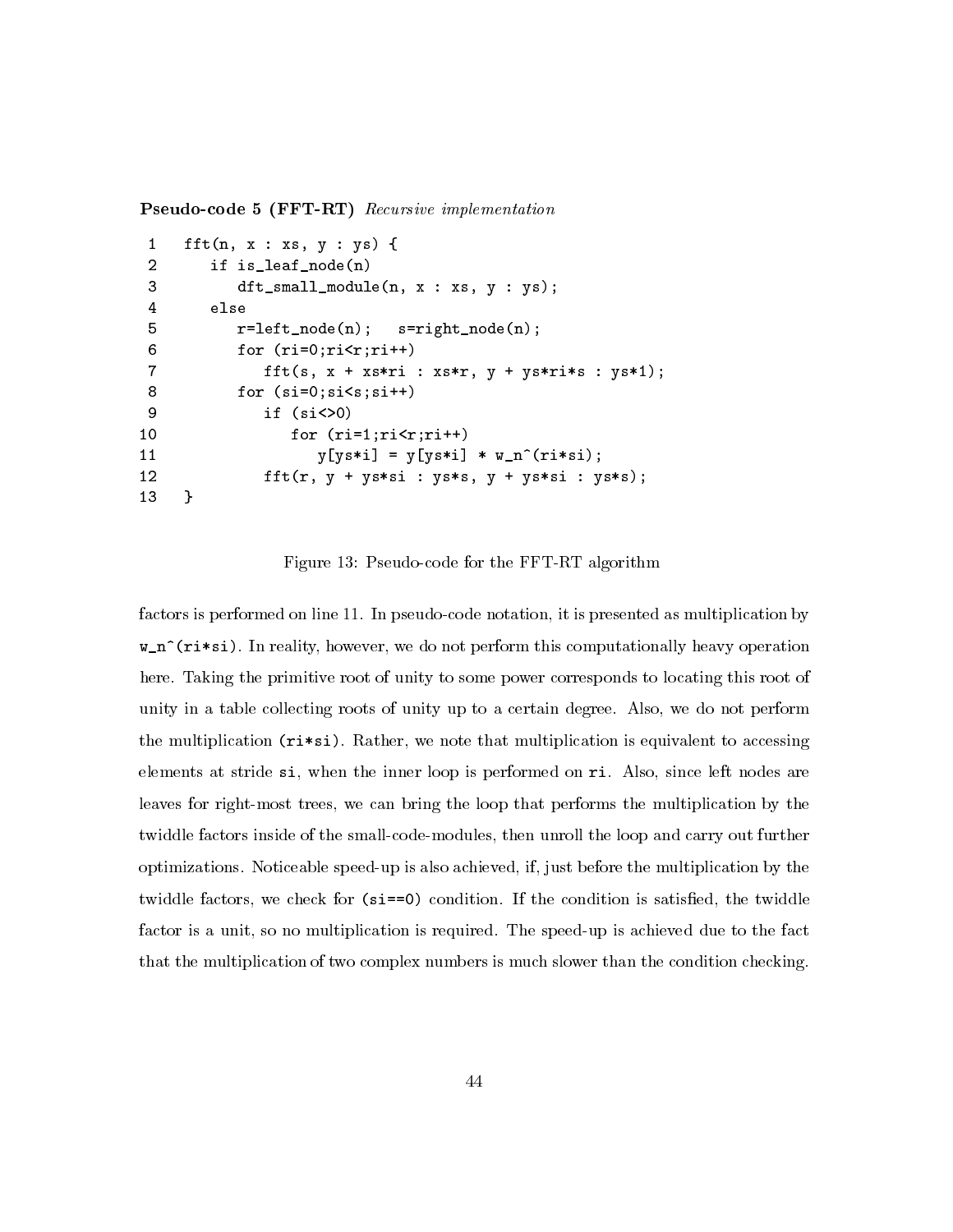**Pseudo-code 5 (FFT-RT)** Recursive implementation

```
fft(n, x : xs, y : ys) {
\mathbf{1}\overline{2}if is_leaf_node(n)
 3
             dt_small_module(n, x : xs, y : ys);
\overline{4}else
5
             r = left \mod (n);s = rightnode(n);6
             for (ri=0;ri\le r;ri++)\overline{7}fft(s, x + xs*ri : xs*r, y + ys*ri*s : ys*1);8
             for (si=0;si<s;si++)9
                 if (si \lt 0)for (ri=1;ri\langle r;ri++)10
                        y[ys*i] = y[ys*i] * w_n^(r i*sin);1112fft(r, y + ys*sin : ys*s, y + ys*sin : ys*s);13
     \mathcal{F}
```
Figure 13: Pseudo-code for the FFT-RT algorithm

factors is performed on line 11. In pseudo-code notation, it is presented as multiplication by  $w_n^{\text{th}}$  (ri\*si). In reality, however, we do not perform this computationally heavy operation here. Taking the primitive root of unity to some power corresponds to locating this root of unity in a table collecting roots of unity up to a certain degree. Also, we do not perform the multiplication  $(r^{*} \cdot s)$ . Rather, we note that multiplication is equivalent to accessing elements at stride si, when the inner loop is performed on ri. Also, since left nodes are leaves for right-most trees, we can bring the loop that performs the multiplication by the twiddle factors inside of the small-code-modules, then unroll the loop and carry out further optimizations. Noticeable speed-up is also achieved, if, just before the multiplication by the twiddle factors, we check for  $(s_i = 0)$  condition. If the condition is satisfied, the twiddle factor is a unit, so no multiplication is required. The speed-up is achieved due to the fact that the multiplication of two complex numbers is much slower than the condition checking.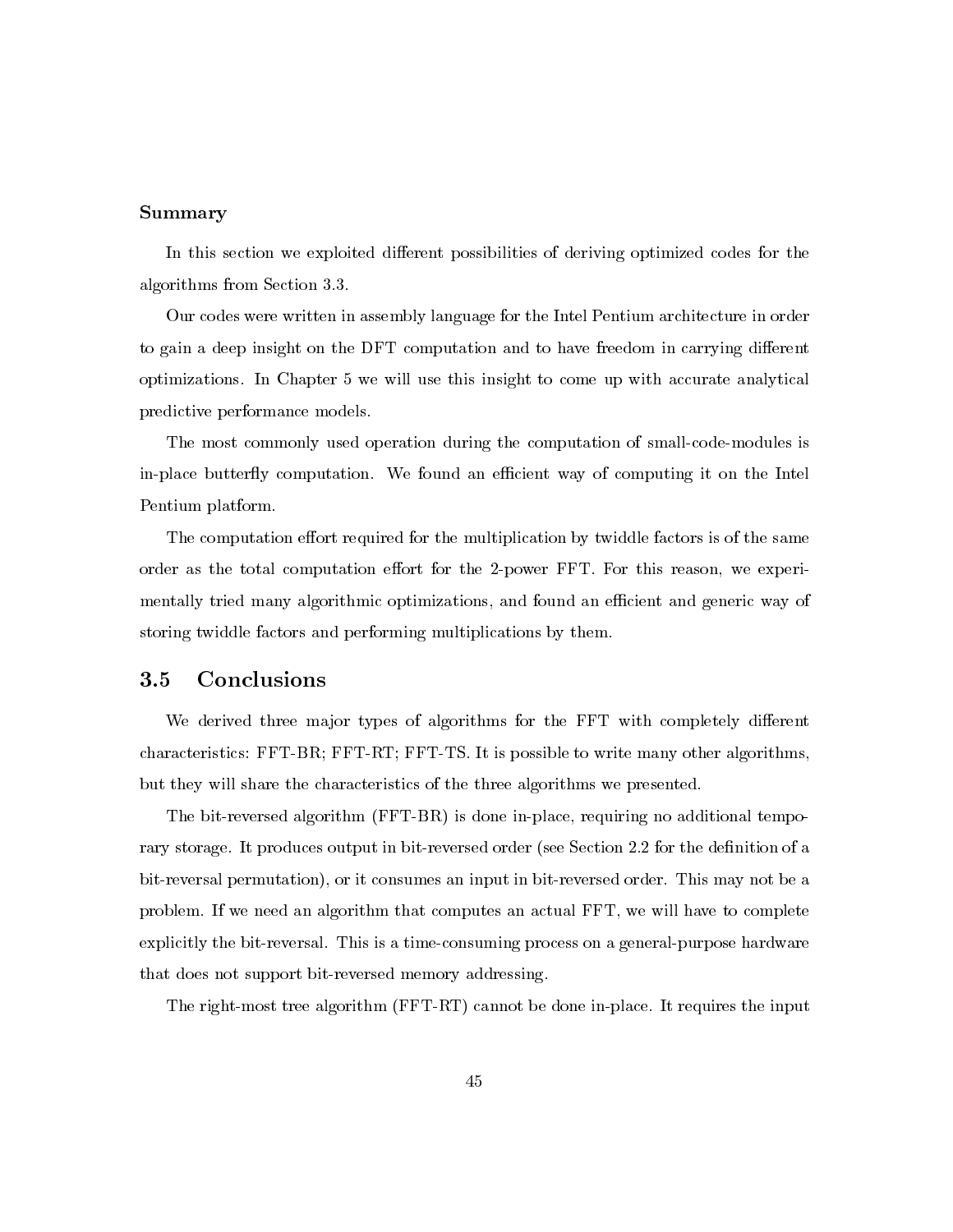# Summary

In this section we exploited different possibilities of deriving optimized codes for the algorithms from Section 3.3.

Our codes were written in assembly language for the Intel Pentium architecture in order to gain a deep insight on the DFT computation and to have freedom in carrying different optimizations. In Chapter 5 we will use this insight to come up with accurate analytical predictive performance models.

The most commonly used operation during the computation of small-code-modules is in-place butterfly computation. We found an efficient way of computing it on the Intel Pentium platform.

The computation effort required for the multiplication by twiddle factors is of the same order as the total computation effort for the 2-power FFT. For this reason, we experimentally tried many algorithmic optimizations, and found an efficient and generic way of storing twiddle factors and performing multiplications by them.

#### Conclusions  $3.5\,$

We derived three major types of algorithms for the FFT with completely different characteristics: FFT-BR; FFT-RT; FFT-TS. It is possible to write many other algorithms, but they will share the characteristics of the three algorithms we presented.

The bit-reversed algorithm (FFT-BR) is done in-place, requiring no additional temporary storage. It produces output in bit-reversed order (see Section 2.2 for the definition of a bit-reversal permutation), or it consumes an input in bit-reversed order. This may not be a problem. If we need an algorithm that computes an actual FFT, we will have to complete explicitly the bit-reversal. This is a time-consuming process on a general-purpose hardware that does not support bit-reversed memory addressing.

The right-most tree algorithm (FFT-RT) cannot be done in-place. It requires the input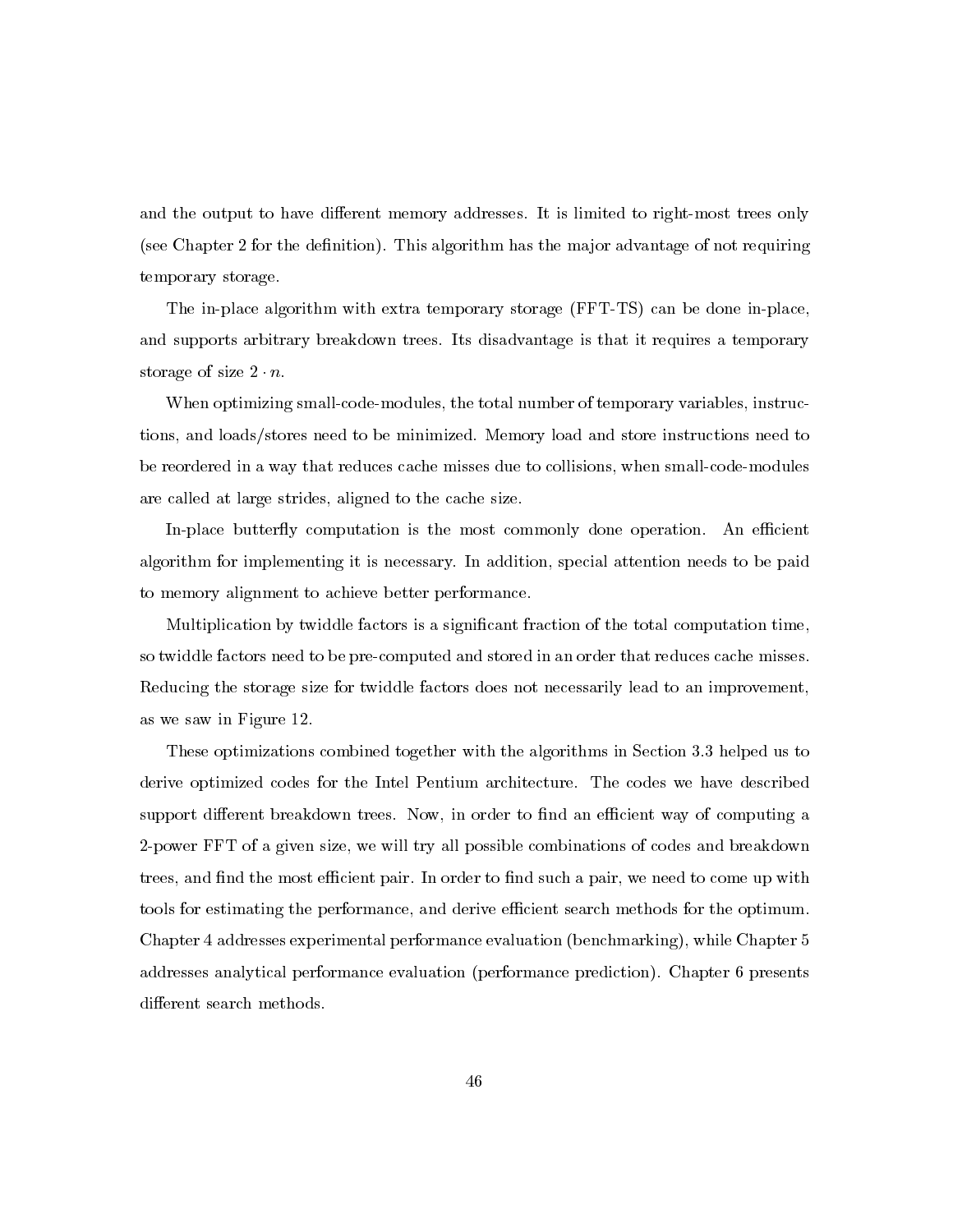and the output to have different memory addresses. It is limited to right-most trees only (see Chapter 2 for the definition). This algorithm has the major advantage of not requiring temporary storage.

The in-place algorithm with extra temporary storage (FFT-TS) can be done in-place, and supports arbitrary breakdown trees. Its disadvantage is that it requires a temporary storage of size  $2 \cdot n$ .

When optimizing small-code-modules, the total number of temporary variables, instructions, and loads/stores need to be minimized. Memory load and store instructions need to be reordered in a way that reduces cache misses due to collisions, when small-code-modules are called at large strides, aligned to the cache size.

In-place butterfly computation is the most commonly done operation. An efficient algorithm for implementing it is necessary. In addition, special attention needs to be paid to memory alignment to achieve better performance.

Multiplication by twiddle factors is a significant fraction of the total computation time, so twiddle factors need to be pre-computed and stored in an order that reduces cache misses. Reducing the storage size for twiddle factors does not necessarily lead to an improvement, as we saw in Figure 12.

These optimizations combined together with the algorithms in Section 3.3 helped us to derive optimized codes for the Intel Pentium architecture. The codes we have described support different breakdown trees. Now, in order to find an efficient way of computing a 2-power FFT of a given size, we will try all possible combinations of codes and breakdown trees, and find the most efficient pair. In order to find such a pair, we need to come up with tools for estimating the performance, and derive efficient search methods for the optimum. Chapter 4 addresses experimental performance evaluation (benchmarking), while Chapter 5 addresses analytical performance evaluation (performance prediction). Chapter 6 presents different search methods.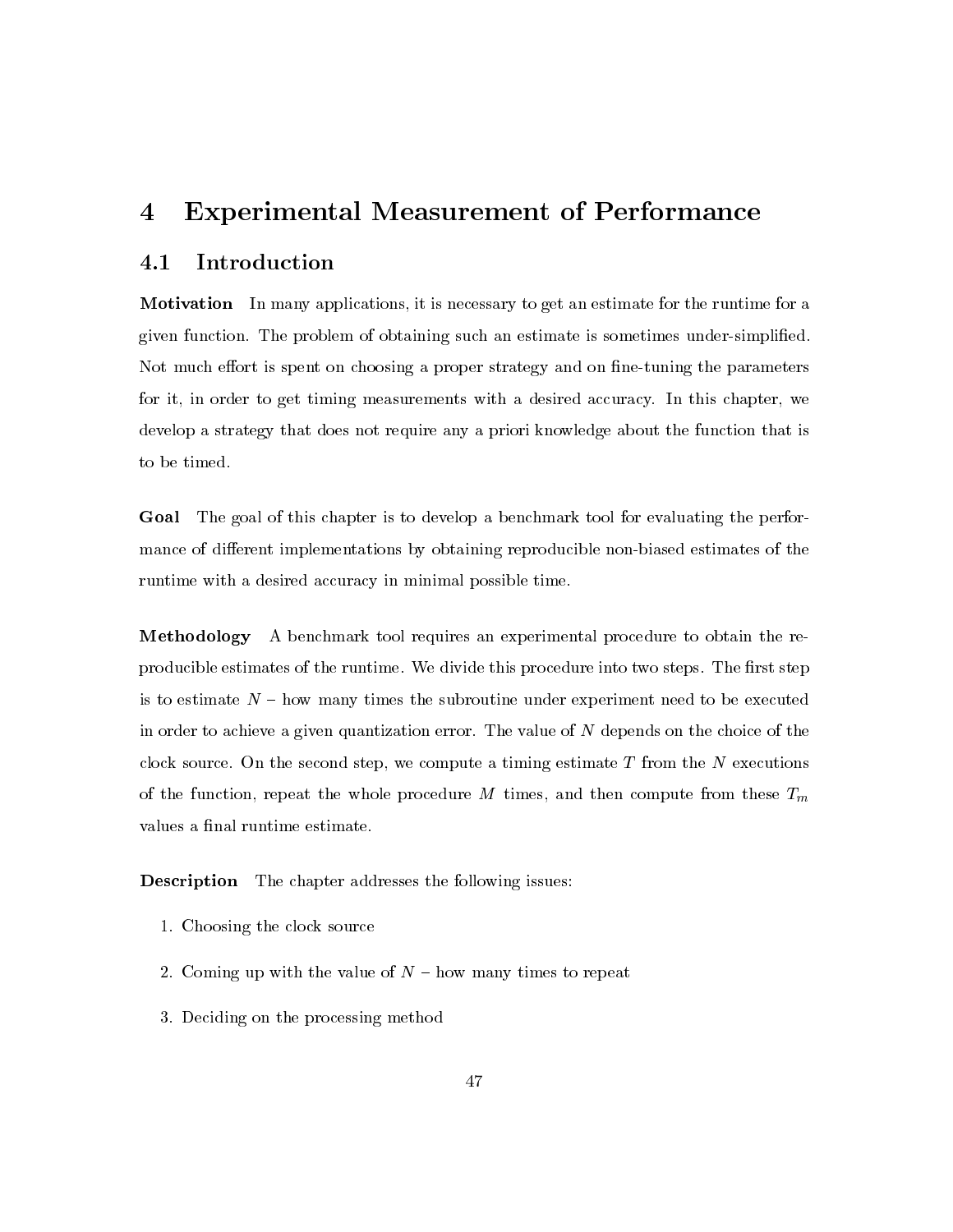### **Experimental Measurement of Performance**  $\overline{4}$

#### $4.1\,$ Introduction

**Motivation** In many applications, it is necessary to get an estimate for the runtime for a given function. The problem of obtaining such an estimate is sometimes under-simplified. Not much effort is spent on choosing a proper strategy and on fine-tuning the parameters for it, in order to get timing measurements with a desired accuracy. In this chapter, we develop a strategy that does not require any a priori knowledge about the function that is to be timed.

**Goal** The goal of this chapter is to develop a benchmark tool for evaluating the performance of different implementations by obtaining reproducible non-biased estimates of the runtime with a desired accuracy in minimal possible time.

**Methodology** A benchmark tool requires an experimental procedure to obtain the reproducible estimates of the runtime. We divide this procedure into two steps. The first step is to estimate  $N -$  how many times the subroutine under experiment need to be executed in order to achieve a given quantization error. The value of N depends on the choice of the clock source. On the second step, we compute a timing estimate  $T$  from the  $N$  executions of the function, repeat the whole procedure M times, and then compute from these  $T_m$ values a final runtime estimate.

**Description** The chapter addresses the following issues:

- 1. Choosing the clock source
- 2. Coming up with the value of  $N$  how many times to repeat
- 3. Deciding on the processing method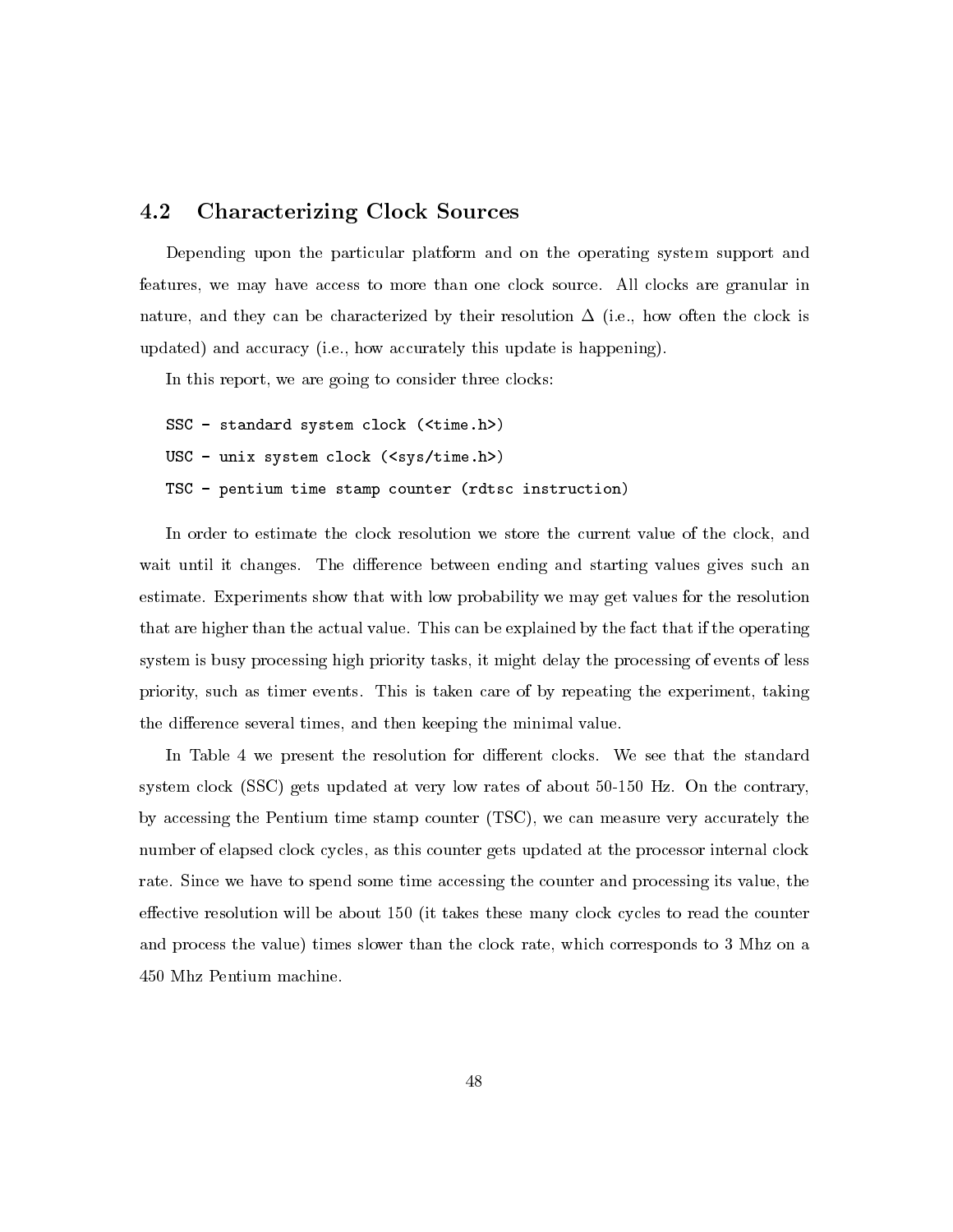#### 4.2 **Characterizing Clock Sources**

Depending upon the particular platform and on the operating system support and features, we may have access to more than one clock source. All clocks are granular in nature, and they can be characterized by their resolution  $\Delta$  (i.e., how often the clock is updated) and accuracy (i.e., how accurately this update is happening).

In this report, we are going to consider three clocks:

SSC - standard system clock (<time.h>) USC - unix system clock  $(ssys/time.h>$ ) TSC - pentium time stamp counter (rdtsc instruction)

In order to estimate the clock resolution we store the current value of the clock, and wait until it changes. The difference between ending and starting values gives such an estimate. Experiments show that with low probability we may get values for the resolution that are higher than the actual value. This can be explained by the fact that if the operating system is busy processing high priority tasks, it might delay the processing of events of less priority, such as timer events. This is taken care of by repeating the experiment, taking the difference several times, and then keeping the minimal value.

In Table 4 we present the resolution for different clocks. We see that the standard system clock (SSC) gets updated at very low rates of about 50-150 Hz. On the contrary, by accessing the Pentium time stamp counter (TSC), we can measure very accurately the number of elapsed clock cycles, as this counter gets updated at the processor internal clock rate. Since we have to spend some time accessing the counter and processing its value, the effective resolution will be about 150 (it takes these many clock cycles to read the counter and process the value) times slower than the clock rate, which corresponds to 3 Mhz on a 450 Mhz Pentium machine.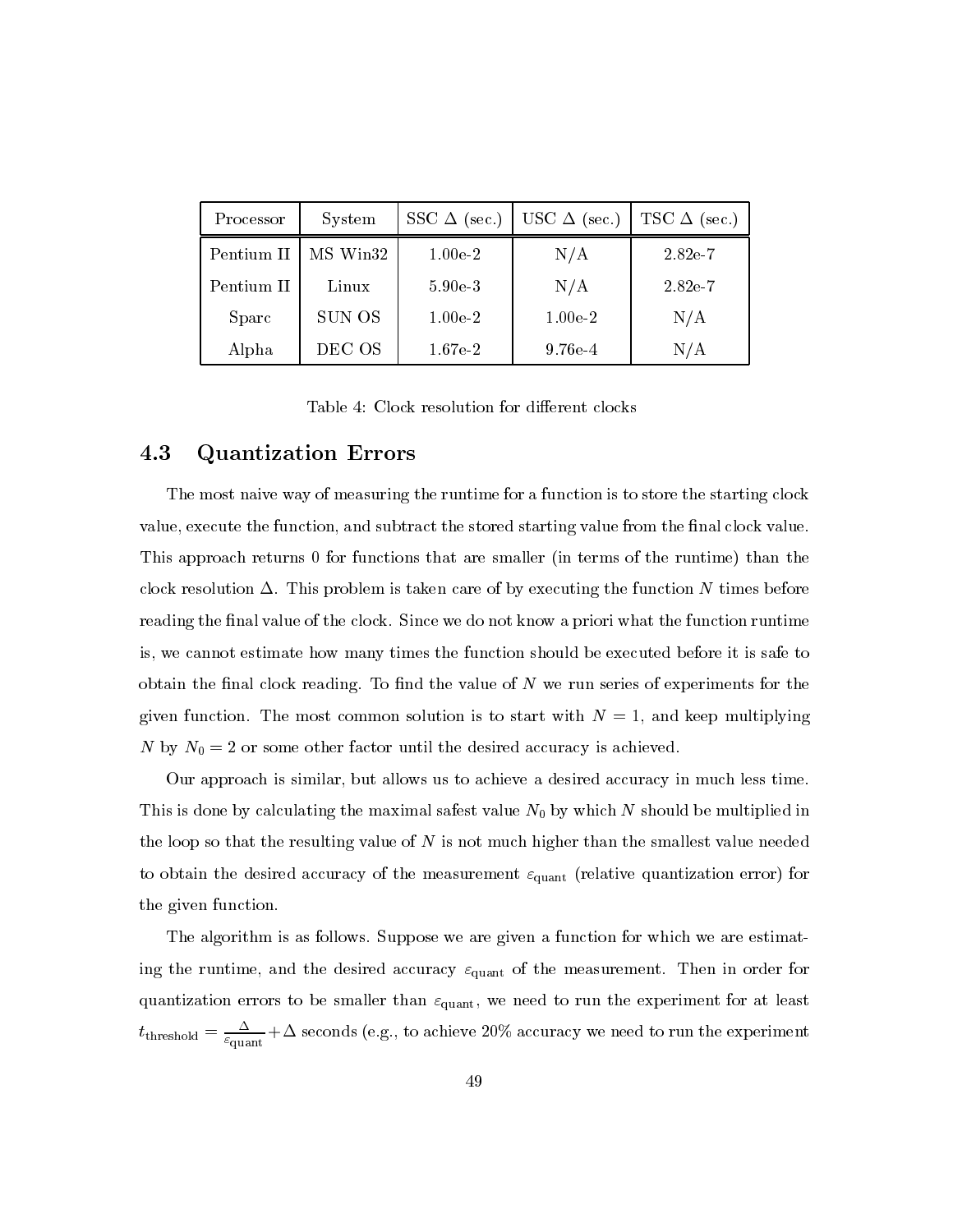| Processor  | System   | SSC $\Delta$ (sec.) | USC $\Delta$ (sec.) | TSC $\Delta$ (sec.) |
|------------|----------|---------------------|---------------------|---------------------|
| Pentium II | MS Win32 | $1.00e-2$           | N/A                 | 2.82e-7             |
| Pentium II | Linux    | $5.90e-3$           | N/A                 | $2.82e-7$           |
| Sparc      | SUN OS   | $1.00e-2$           | $1.00e-2$           | N/A                 |
| Alpha      | DEC OS   | $1.67e-2$           | $9.76e-4$           | N/A                 |

Table 4: Clock resolution for different clocks

#### $\bf 4.3$ **Quantization Errors**

The most naive way of measuring the runtime for a function is to store the starting clock value, execute the function, and subtract the stored starting value from the final clock value. This approach returns 0 for functions that are smaller (in terms of the runtime) than the clock resolution  $\Delta$ . This problem is taken care of by executing the function N times before reading the final value of the clock. Since we do not know a priori what the function runtime is, we cannot estimate how many times the function should be executed before it is safe to obtain the final clock reading. To find the value of  $N$  we run series of experiments for the given function. The most common solution is to start with  $N=1$ , and keep multiplying N by  $N_0 = 2$  or some other factor until the desired accuracy is achieved.

Our approach is similar, but allows us to achieve a desired accuracy in much less time. This is done by calculating the maximal safest value  $N_0$  by which N should be multiplied in the loop so that the resulting value of  $N$  is not much higher than the smallest value needed to obtain the desired accuracy of the measurement  $\varepsilon_{\text{quant}}$  (relative quantization error) for the given function.

The algorithm is as follows. Suppose we are given a function for which we are estimating the runtime, and the desired accuracy  $\varepsilon_{\text{quant}}$  of the measurement. Then in order for quantization errors to be smaller than  $\varepsilon_{\text{quant}}$ , we need to run the experiment for at least  $t_{\text{threshold}} = \frac{\Delta}{\varepsilon_{\text{quant}}} + \Delta$  seconds (e.g., to achieve 20% accuracy we need to run the experiment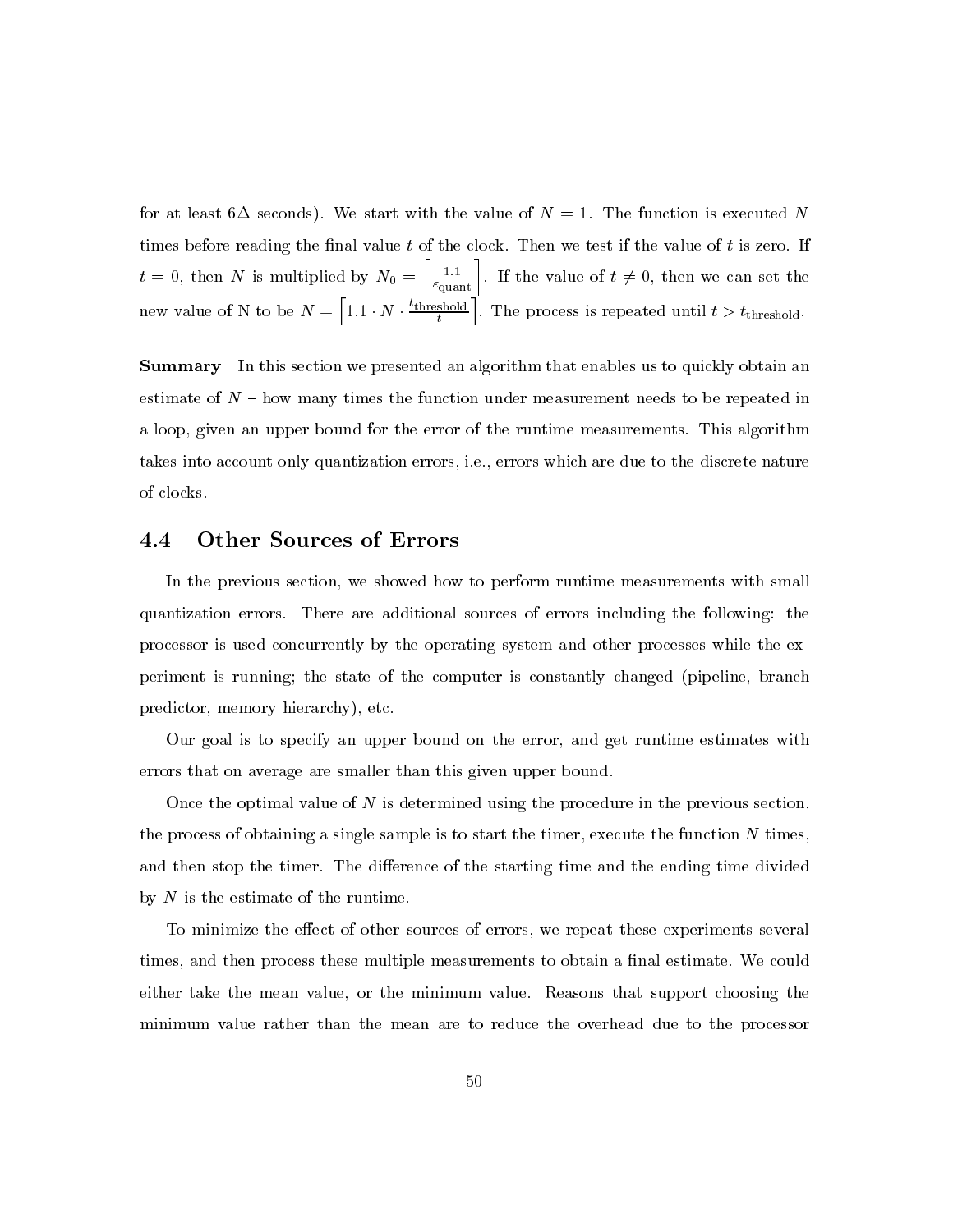for at least 6 $\Delta$  seconds). We start with the value of  $N=1$ . The function is executed N times before reading the final value t of the clock. Then we test if the value of t is zero. If  $t = 0$ , then N is multiplied by  $N_0 = \left[\frac{1.1}{\varepsilon_{\text{quant}}}\right]$ . If the value of  $t \neq 0$ , then we can set the new value of N to be  $N = \left[1.1 \cdot N \cdot \frac{t_{\text{threshold}}}{t}\right]$ . The process is repeated until  $t > t_{\text{threshold}}$ .

**Summary** In this section we presented an algorithm that enables us to quickly obtain an estimate of  $N$  – how many times the function under measurement needs to be repeated in a loop, given an upper bound for the error of the runtime measurements. This algorithm takes into account only quantization errors, i.e., errors which are due to the discrete nature of clocks.

#### $4.4\,$ **Other Sources of Errors**

In the previous section, we showed how to perform runtime measurements with small quantization errors. There are additional sources of errors including the following: the processor is used concurrently by the operating system and other processes while the experiment is running; the state of the computer is constantly changed (pipeline, branch predictor, memory hierarchy), etc.

Our goal is to specify an upper bound on the error, and get runtime estimates with errors that on average are smaller than this given upper bound.

Once the optimal value of  $N$  is determined using the procedure in the previous section, the process of obtaining a single sample is to start the timer, execute the function N times, and then stop the timer. The difference of the starting time and the ending time divided by  $N$  is the estimate of the runtime.

To minimize the effect of other sources of errors, we repeat these experiments several times, and then process these multiple measurements to obtain a final estimate. We could either take the mean value, or the minimum value. Reasons that support choosing the minimum value rather than the mean are to reduce the overhead due to the processor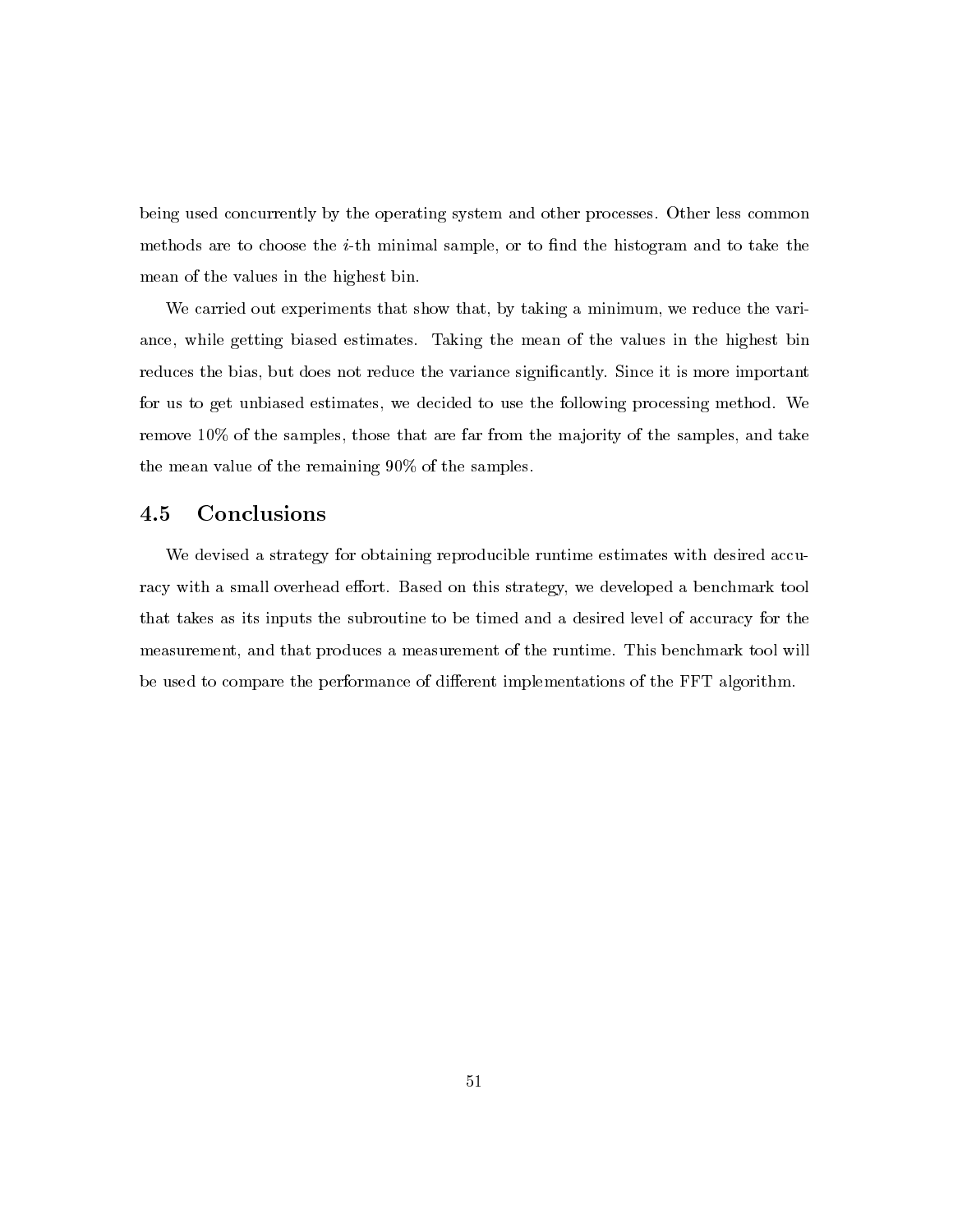being used concurrently by the operating system and other processes. Other less common methods are to choose the *i*-th minimal sample, or to find the histogram and to take the mean of the values in the highest bin.

We carried out experiments that show that, by taking a minimum, we reduce the variance, while getting biased estimates. Taking the mean of the values in the highest bin reduces the bias, but does not reduce the variance significantly. Since it is more important for us to get unbiased estimates, we decided to use the following processing method. We remove 10% of the samples, those that are far from the majority of the samples, and take the mean value of the remaining  $90\%$  of the samples.

#### $4.5$ Conclusions

We devised a strategy for obtaining reproducible runtime estimates with desired accuracy with a small overhead effort. Based on this strategy, we developed a benchmark tool that takes as its inputs the subroutine to be timed and a desired level of accuracy for the measurement, and that produces a measurement of the runtime. This benchmark tool will be used to compare the performance of different implementations of the FFT algorithm.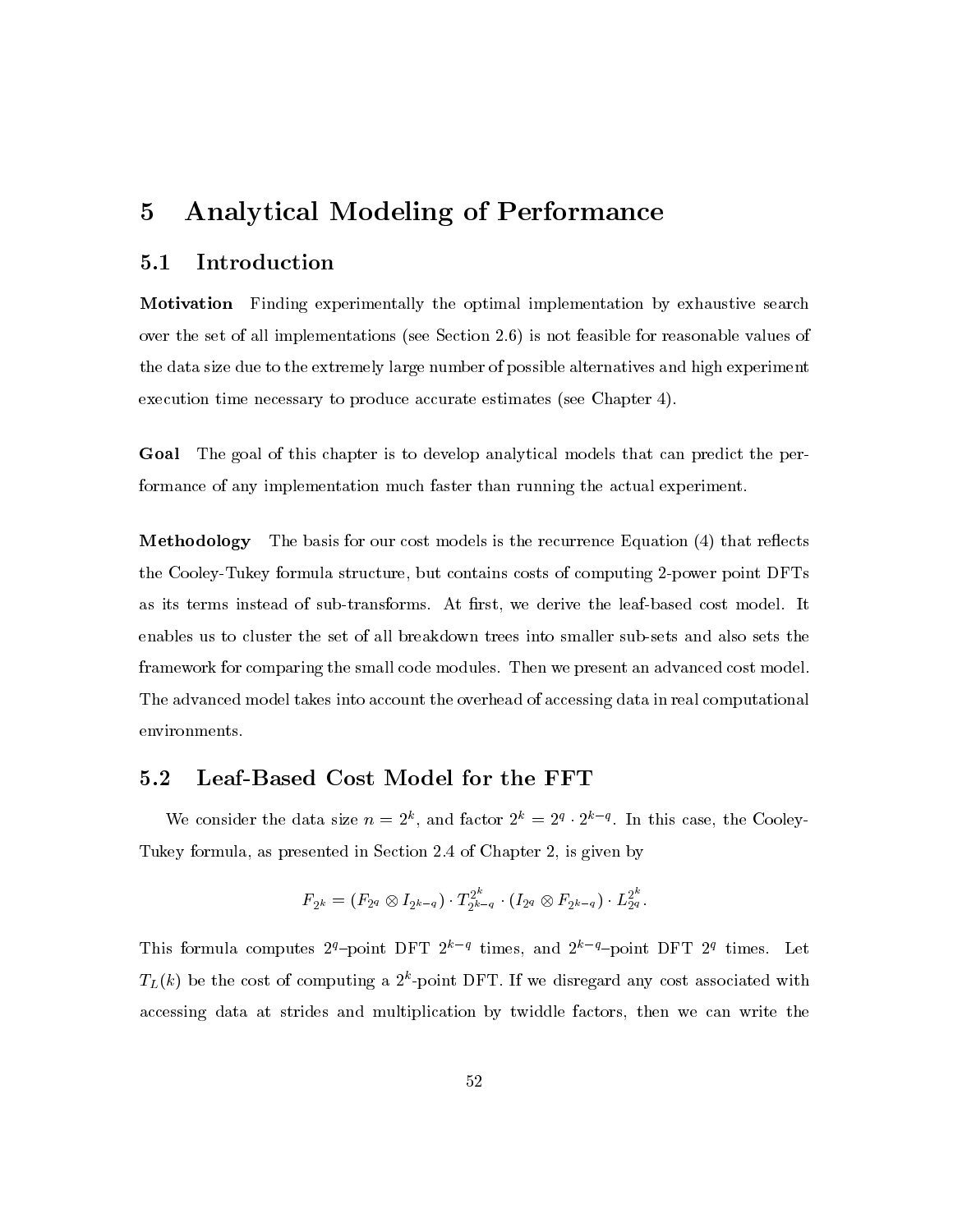### $\overline{5}$ **Analytical Modeling of Performance**

#### Introduction  $5.1$

**Motivation** Finding experimentally the optimal implementation by exhaustive search over the set of all implementations (see Section 2.6) is not feasible for reasonable values of the data size due to the extremely large number of possible alternatives and high experiment execution time necessary to produce accurate estimates (see Chapter 4).

Goal The goal of this chapter is to develop analytical models that can predict the performance of any implementation much faster than running the actual experiment.

**Methodology** The basis for our cost models is the recurrence Equation (4) that reflects the Cooley-Tukey formula structure, but contains costs of computing 2-power point DFTs as its terms instead of sub-transforms. At first, we derive the leaf-based cost model. It enables us to cluster the set of all breakdown trees into smaller sub-sets and also sets the framework for comparing the small code modules. Then we present an advanced cost model. The advanced model takes into account the overhead of accessing data in real computational environments.

#### Leaf-Based Cost Model for the FFT  $\bf 5.2$

We consider the data size  $n = 2^k$ , and factor  $2^k = 2^q \cdot 2^{k-q}$ . In this case, the Cooley-Tukey formula, as presented in Section 2.4 of Chapter 2, is given by

$$
F_{2^k} = (F_{2^q} \otimes I_{2^{k-q}}) \cdot T_{2^{k-q}}^{2^k} \cdot (I_{2^q} \otimes F_{2^{k-q}}) \cdot L_{2^q}^{2^k}.
$$

This formula computes  $2^q$ -point DFT  $2^{k-q}$  times, and  $2^{k-q}$ -point DFT  $2^q$  times. Let  $T_L(k)$  be the cost of computing a  $2^k$ -point DFT. If we disregard any cost associated with accessing data at strides and multiplication by twiddle factors, then we can write the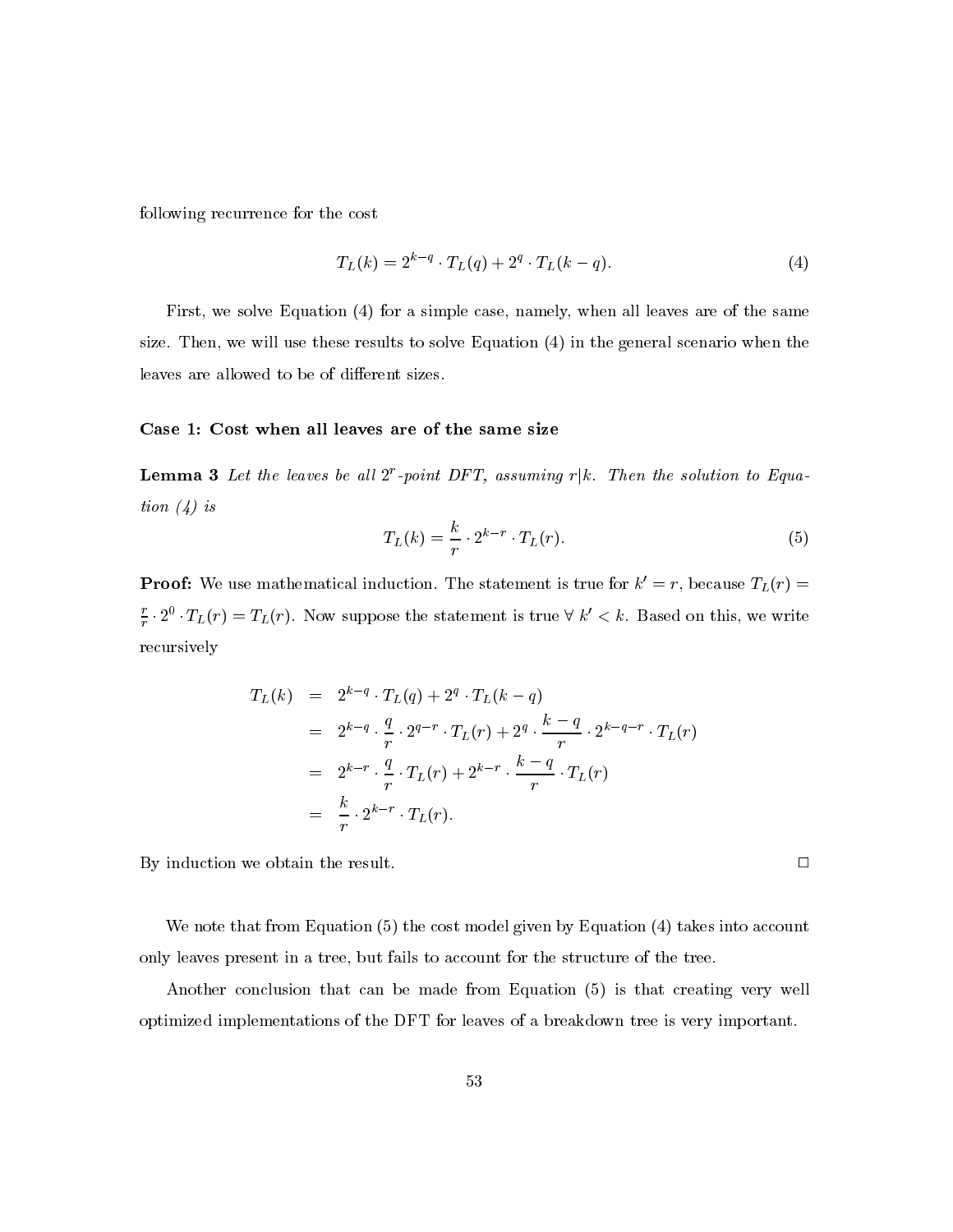following recurrence for the cost

$$
T_L(k) = 2^{k-q} \cdot T_L(q) + 2^q \cdot T_L(k-q).
$$
\n(4)

First, we solve Equation (4) for a simple case, namely, when all leaves are of the same size. Then, we will use these results to solve Equation  $(4)$  in the general scenario when the leaves are allowed to be of different sizes.

### Case 1: Cost when all leaves are of the same size

**Lemma 3** Let the leaves be all  $2^r$ -point DFT, assuming  $r|k$ . Then the solution to Equation  $(4)$  is

$$
T_L(k) = \frac{k}{r} \cdot 2^{k-r} \cdot T_L(r). \tag{5}
$$

 $\Box$ 

**Proof:** We use mathematical induction. The statement is true for  $k' = r$ , because  $T_L(r) =$  $\frac{r}{r} \cdot 2^0 \cdot T_L(r) = T_L(r)$ . Now suppose the statement is true  $\forall k' < k$ . Based on this, we write recursively

$$
T_L(k) = 2^{k-q} \cdot T_L(q) + 2^q \cdot T_L(k-q)
$$
  
=  $2^{k-q} \cdot \frac{q}{r} \cdot 2^{q-r} \cdot T_L(r) + 2^q \cdot \frac{k-q}{r} \cdot 2^{k-q-r} \cdot T_L(r)$   
=  $2^{k-r} \cdot \frac{q}{r} \cdot T_L(r) + 2^{k-r} \cdot \frac{k-q}{r} \cdot T_L(r)$   
=  $\frac{k}{r} \cdot 2^{k-r} \cdot T_L(r).$ 

By induction we obtain the result.

We note that from Equation (5) the cost model given by Equation (4) takes into account only leaves present in a tree, but fails to account for the structure of the tree.

Another conclusion that can be made from Equation (5) is that creating very well optimized implementations of the DFT for leaves of a breakdown tree is very important.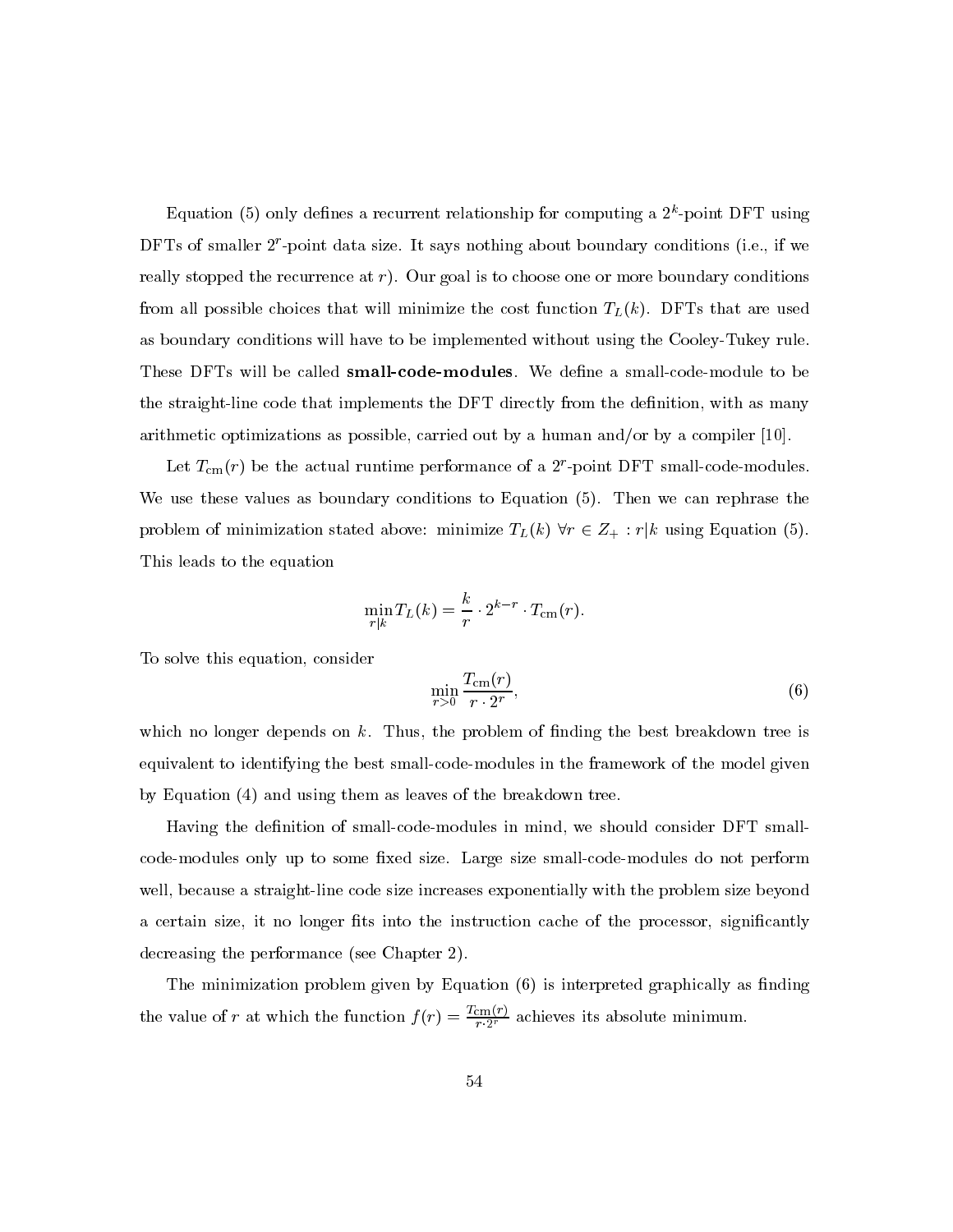Equation (5) only defines a recurrent relationship for computing a  $2^k$ -point DFT using DFTs of smaller  $2^r$ -point data size. It says nothing about boundary conditions (i.e., if we really stopped the recurrence at  $r$ ). Our goal is to choose one or more boundary conditions from all possible choices that will minimize the cost function  $T_L(k)$ . DFTs that are used as boundary conditions will have to be implemented without using the Cooley-Tukey rule. These DFTs will be called **small-code-modules**. We define a small-code-module to be the straight-line code that implements the DFT directly from the definition, with as many arithmetic optimizations as possible, carried out by a human and/or by a compiler  $[10]$ .

Let  $T_{\rm cm}(r)$  be the actual runtime performance of a  $2^r$ -point DFT small-code-modules. We use these values as boundary conditions to Equation (5). Then we can rephrase the problem of minimization stated above: minimize  $T_L(k)$   $\forall r \in Z_+ : r|k$  using Equation (5). This leads to the equation

$$
\min_{r|k} T_L(k) = \frac{k}{r} \cdot 2^{k-r} \cdot T_{\text{cm}}(r).
$$

To solve this equation, consider

$$
\min_{r>0} \frac{T_{\text{cm}}(r)}{r \cdot 2^r},\tag{6}
$$

which no longer depends on  $k$ . Thus, the problem of finding the best breakdown tree is equivalent to identifying the best small-code-modules in the framework of the model given by Equation (4) and using them as leaves of the breakdown tree.

Having the definition of small-code-modules in mind, we should consider DFT smallcode-modules only up to some fixed size. Large size small-code-modules do not perform well, because a straight-line code size increases exponentially with the problem size beyond a certain size, it no longer fits into the instruction cache of the processor, significantly decreasing the performance (see Chapter 2).

The minimization problem given by Equation  $(6)$  is interpreted graphically as finding the value of r at which the function  $f(r) = \frac{T_{\text{cm}}(r)}{r \cdot 2^r}$  achieves its absolute minimum.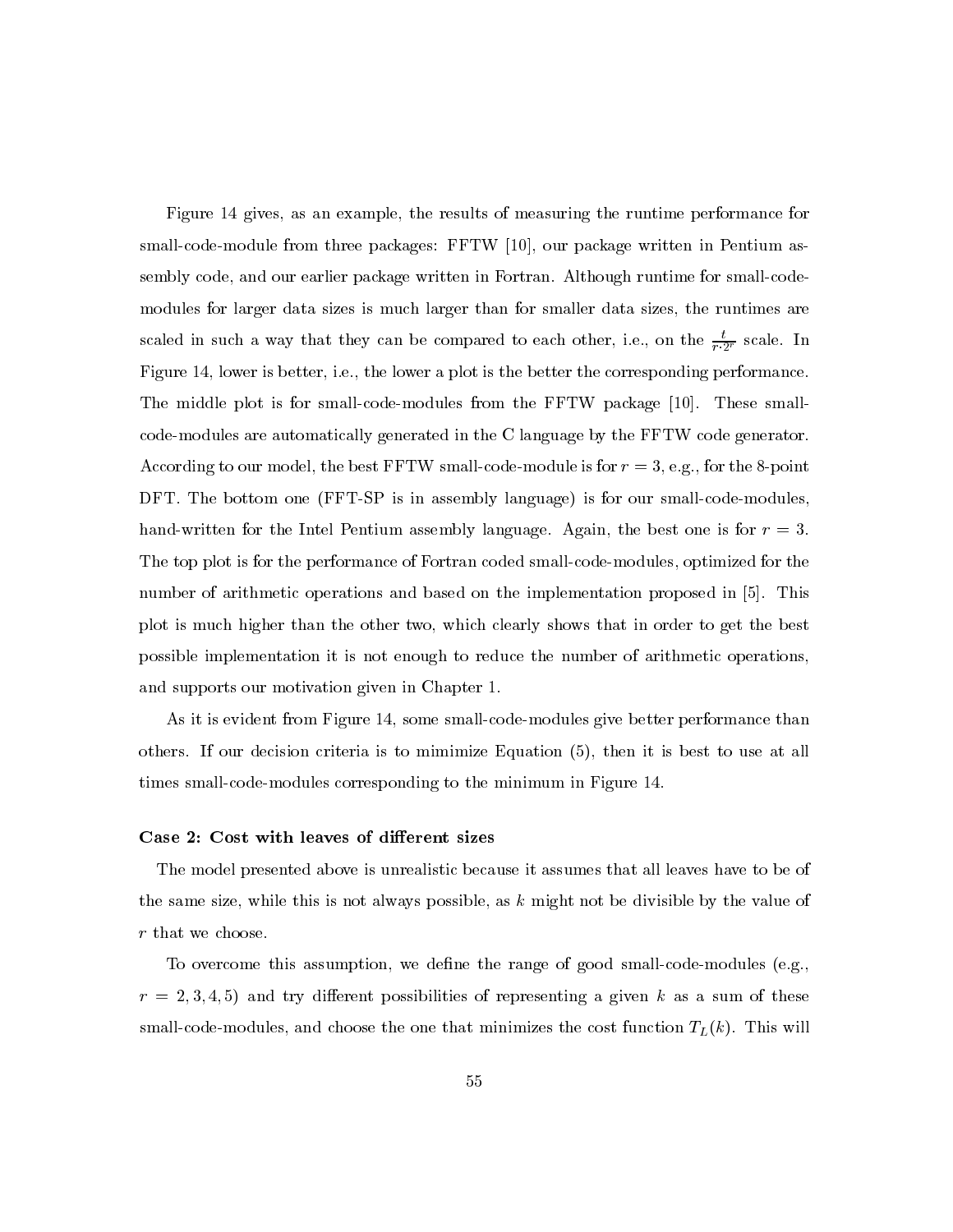Figure 14 gives, as an example, the results of measuring the runtime performance for small-code-module from three packages: FFTW [10], our package written in Pentium assembly code, and our earlier package written in Fortran. Although runtime for small-code modules for larger data sizes is much larger than for smaller data sizes, the runtimes are scaled in such a way that they can be compared to each other, i.e., on the  $\frac{t}{r \cdot 2^r}$  scale. In Figure 14, lower is better, i.e., the lower a plot is the better the corresponding performance. The middle plot is for small-code-modules from the FFTW package [10]. These smallcode-modules are automatically generated in the C language by the FFTW code generator. According to our model, the best FFTW small-code-module is for  $r=3$ , e.g., for the 8-point DFT. The bottom one (FFT-SP is in assembly language) is for our small-code-modules. hand-written for the Intel Pentium assembly language. Again, the best one is for  $r = 3$ . The top plot is for the performance of Fortran coded small-code-modules, optimized for the number of arithmetic operations and based on the implementation proposed in [5]. This plot is much higher than the other two, which clearly shows that in order to get the best possible implementation it is not enough to reduce the number of arithmetic operations. and supports our motivation given in Chapter 1.

As it is evident from Figure 14, some small-code-modules give better performance than others. If our decision criteria is to mimimize Equation (5), then it is best to use at all times small-code-modules corresponding to the minimum in Figure 14.

## Case 2: Cost with leaves of different sizes

The model presented above is unrealistic because it assumes that all leaves have to be of the same size, while this is not always possible, as  $k$  might not be divisible by the value of  $\boldsymbol{r}$  that we choose.

To overcome this assumption, we define the range of good small-code-modules (e.g.,  $r = 2, 3, 4, 5$  and try different possibilities of representing a given k as a sum of these small-code-modules, and choose the one that minimizes the cost function  $T_L(k)$ . This will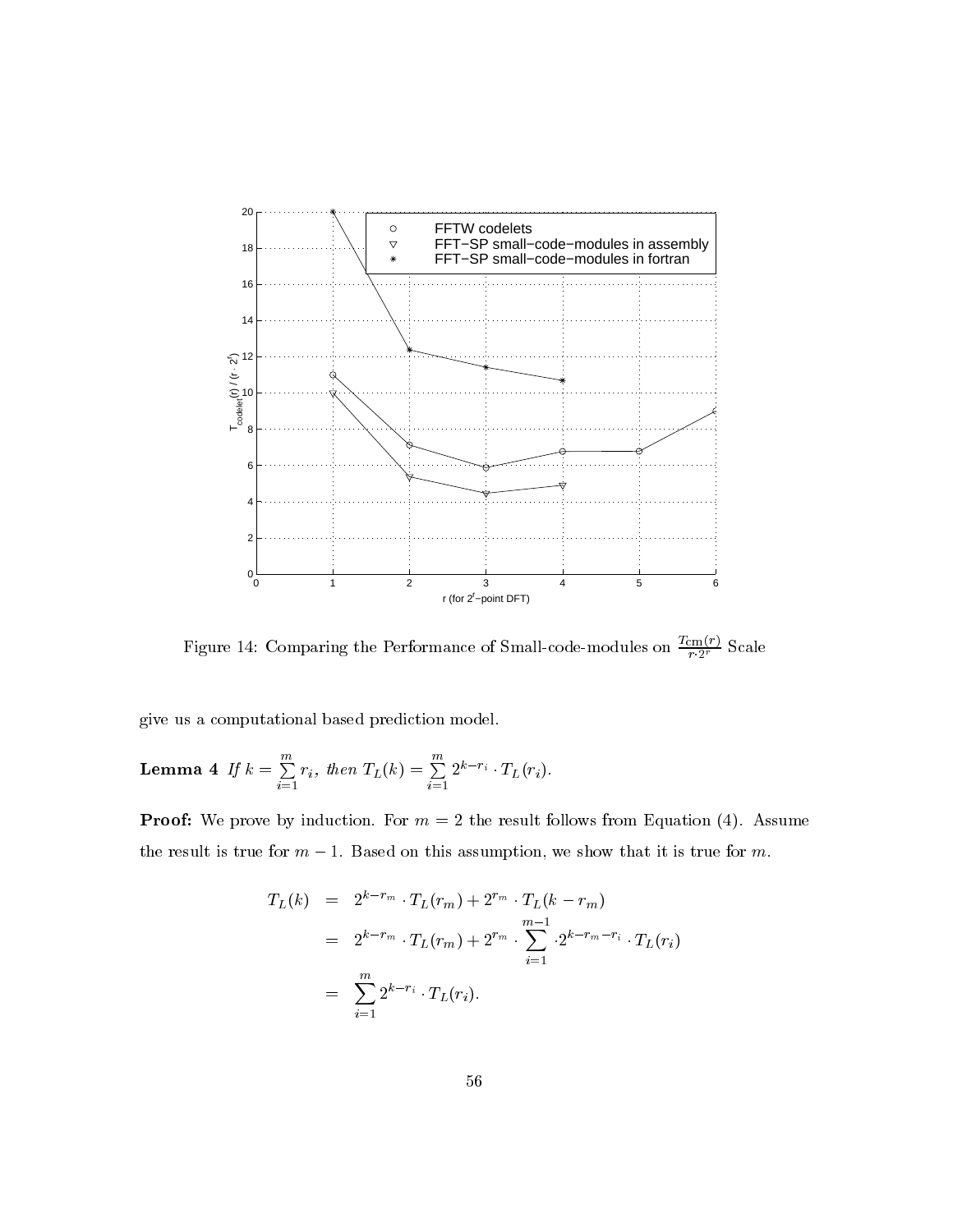

Figure 14: Comparing the Performance of Small-code-modules on  $\frac{T_{\text{cm}}(r)}{r \cdot 2^r}$  Scale

give us a computational based prediction model.

**Lemma 4** If 
$$
k = \sum_{i=1}^{m} r_i
$$
, then  $T_L(k) = \sum_{i=1}^{m} 2^{k-r_i} \cdot T_L(r_i)$ 

**Proof:** We prove by induction. For  $m = 2$  the result follows from Equation (4). Assume the result is true for  $m-1$ . Based on this assumption, we show that it is true for m.

$$
T_L(k) = 2^{k-r_m} \cdot T_L(r_m) + 2^{r_m} \cdot T_L(k-r_m)
$$
  
=  $2^{k-r_m} \cdot T_L(r_m) + 2^{r_m} \cdot \sum_{i=1}^{m-1} \cdot 2^{k-r_m-r_i} \cdot T_L(r_i)$   
=  $\sum_{i=1}^{m} 2^{k-r_i} \cdot T_L(r_i).$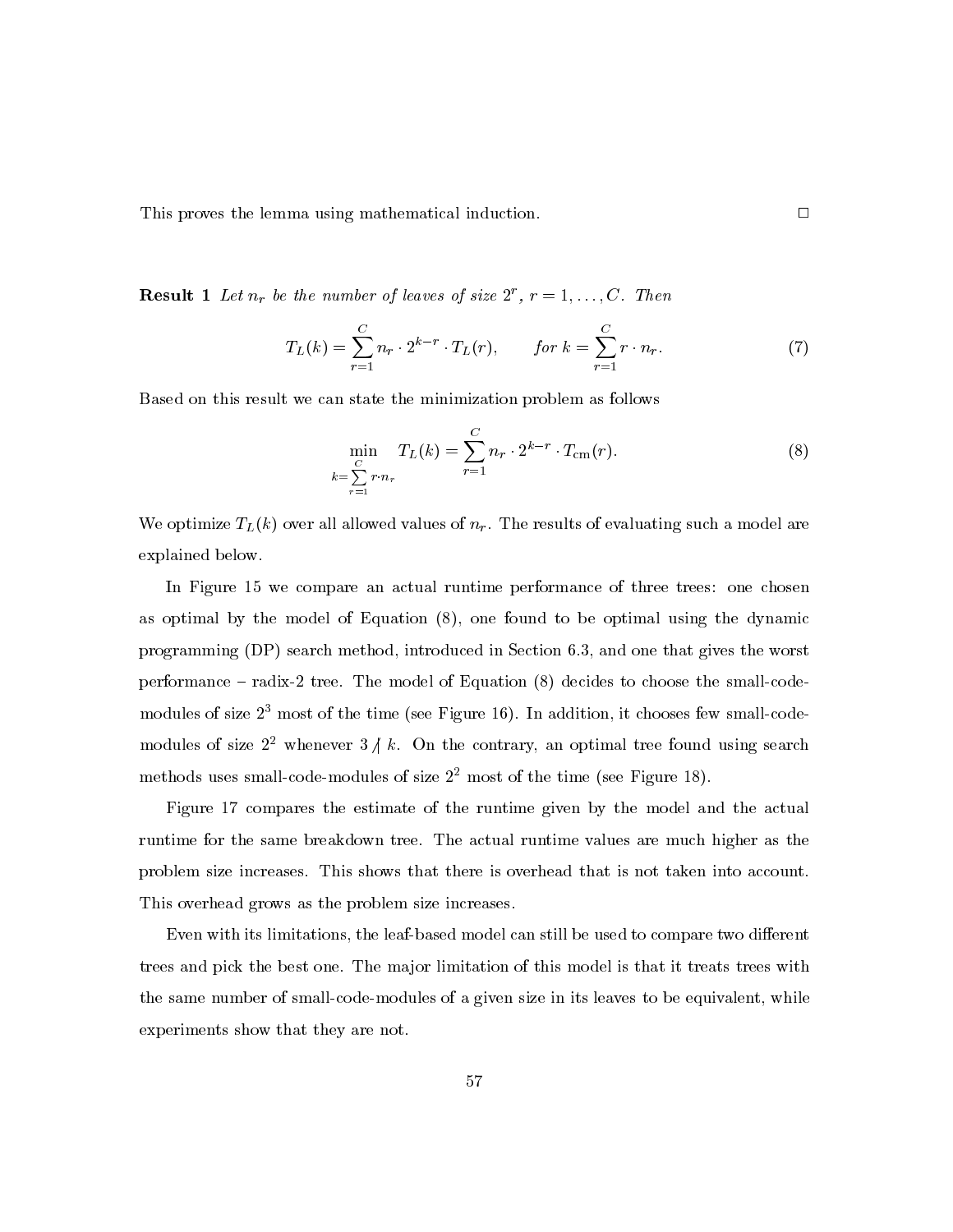This proves the lemma using mathematical induction.

**Result 1** Let  $n_r$  be the number of leaves of size  $2^r$ ,  $r = 1, \ldots, C$ . Then

$$
T_L(k) = \sum_{r=1}^{C} n_r \cdot 2^{k-r} \cdot T_L(r), \qquad \text{for } k = \sum_{r=1}^{C} r \cdot n_r. \tag{7}
$$

Based on this result we can state the minimization problem as follows

$$
\min_{\substack{C\\k=\sum_{r=1}^{C}r\cdot n_r}}T_L(k) = \sum_{r=1}^{C} n_r \cdot 2^{k-r} \cdot T_{\text{cm}}(r).
$$
\n(8)

We optimize  $T_L(k)$  over all allowed values of  $n_r$ . The results of evaluating such a model are explained below.

In Figure 15 we compare an actual runtime performance of three trees: one chosen as optimal by the model of Equation (8), one found to be optimal using the dynamic programming (DP) search method, introduced in Section 6.3, and one that gives the worst performance – radix-2 tree. The model of Equation (8) decides to choose the small-codemodules of size  $2<sup>3</sup>$  most of the time (see Figure 16). In addition, it chooses few small-codemodules of size  $2^2$  whenever  $3/k$ . On the contrary, an optimal tree found using search methods uses small-code-modules of size  $2<sup>2</sup>$  most of the time (see Figure 18).

Figure 17 compares the estimate of the runtime given by the model and the actual runtime for the same breakdown tree. The actual runtime values are much higher as the problem size increases. This shows that there is overhead that is not taken into account. This overhead grows as the problem size increases.

Even with its limitations, the leaf-based model can still be used to compare two different trees and pick the best one. The major limitation of this model is that it treats trees with the same number of small-code-modules of a given size in its leaves to be equivalent, while experiments show that they are not.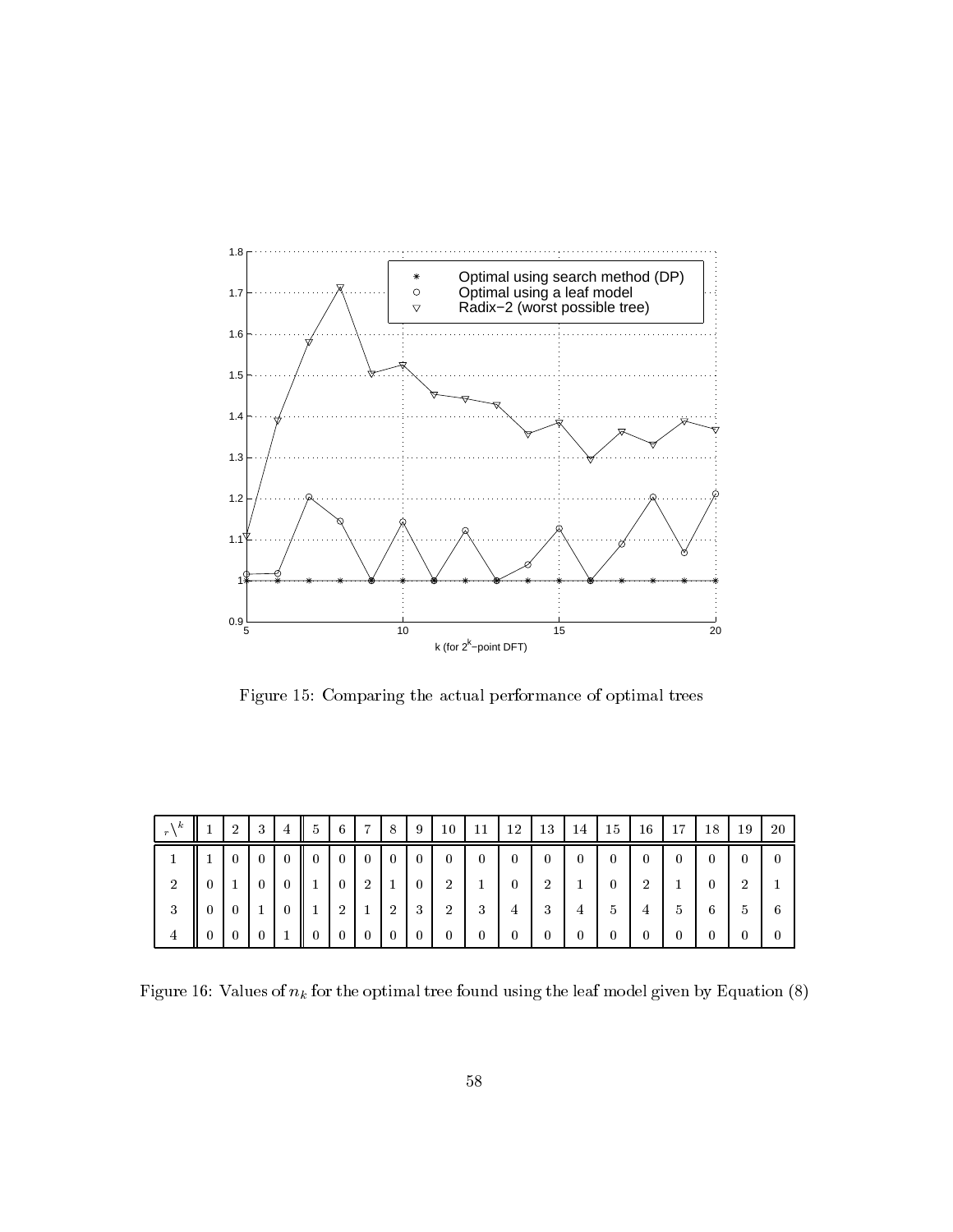

Figure 15: Comparing the actual performance of optimal trees

| k<br>$r\lambda$ | $\overline{2}$ | 3              | $\overline{4}$ | -5             | 6                                | $7\phantom{.0}$          | 8              | 9              | 10             | 11           | 12             | 13             | 14           | 15           | 16             | 17 | 18                     | 19             | -20            |
|-----------------|----------------|----------------|----------------|----------------|----------------------------------|--------------------------|----------------|----------------|----------------|--------------|----------------|----------------|--------------|--------------|----------------|----|------------------------|----------------|----------------|
|                 | $\overline{0}$ | $\overline{0}$ | $\theta$       | $\parallel$ 0  | $\begin{array}{c} 0 \end{array}$ | $\overline{\mathbf{0}}$  | $\overline{0}$ | $\bf{0}$       | $\overline{0}$ | $\mathbf{0}$ | $\overline{0}$ | $\overline{0}$ | $\mathbf{0}$ | $\bf{0}$     | $\bf{0}$       |    | $\left 0\right\rangle$ | $\theta$       | $\overline{0}$ |
| 2               |                | $\theta$       |                |                | $\bf{0}$                         | $\overline{2}$           | 1              | $\overline{0}$ | -2             |              | $\overline{0}$ | $\overline{2}$ |              | $\theta$     | $\overline{2}$ |    | $\mathbf{0}$           | $\overline{2}$ |                |
| 3               | $\overline{0}$ |                |                |                | $\overline{2}$                   |                          | $\overline{2}$ | -3             | -2             | 3            | 4              | 3              | 4            | 5            | 4              |    | 6                      | $\mathfrak{b}$ | 6              |
| 4               | $\theta$       | $\theta$       |                | $\overline{0}$ | $\mathbf{0}$                     | $\overline{\phantom{0}}$ | $\bf{0}$       | $\bf{0}$       | $\bf{0}$       | $\bf{0}$     | $\bf{0}$       | $\bf{0}$       | $\theta$     | $\mathbf{0}$ | $\bf{0}$       |    | $\theta$               | $\theta$       | $\overline{0}$ |

Figure 16: Values of  $n_k$  for the optimal tree found using the leaf model given by Equation (8)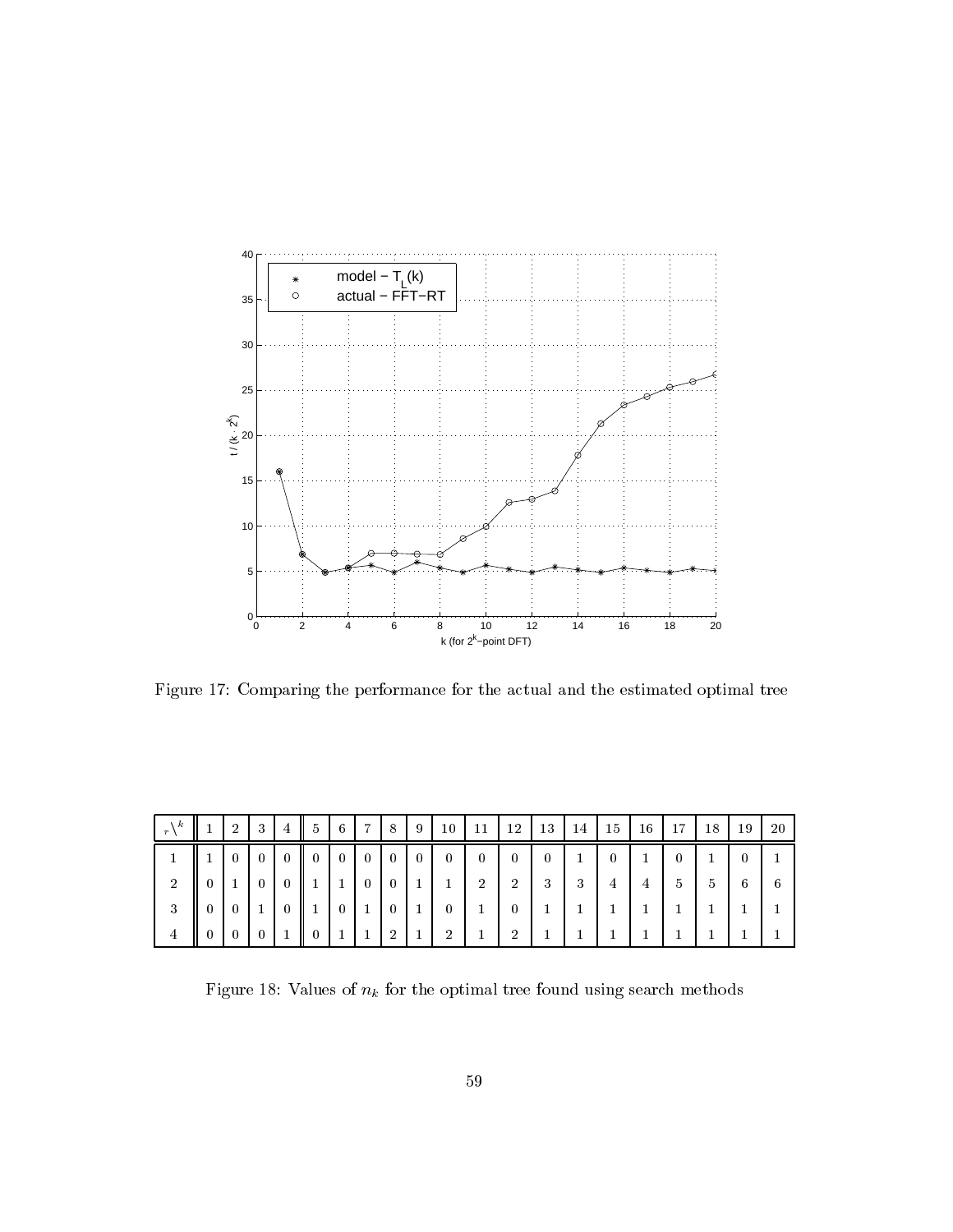

Figure 17: Comparing the performance for the actual and the estimated optimal tree

| k              | $\overline{2}$ | 3               | $\overline{4}$ | $5^{\circ}$  | 6              | $\overline{ }$ | 8              | 9              | 10             | 11     | 12             | 13       | <sup>14</sup> | 15             | 16 | 17            | 18            | 19 | 20 |
|----------------|----------------|-----------------|----------------|--------------|----------------|----------------|----------------|----------------|----------------|--------|----------------|----------|---------------|----------------|----|---------------|---------------|----|----|
|                | $\theta$       | $\vert 0 \vert$ | $\overline{0}$ | $\mathbf{0}$ | $\overline{0}$ | $\overline{0}$ | $\bf{0}$       | $\overline{0}$ | 0              | 0      | $\overline{0}$ | $\theta$ |               | $\overline{0}$ |    |               |               |    |    |
| 2              |                | $\theta$        | -0             |              | - 1            | $\overline{0}$ | $\bf{0}$       | 1              |                | ച<br>∠ | $\overline{2}$ | 3        | 3             | 4              | 4  | $\mathcal{D}$ | $\mathcal{D}$ | 6  | -6 |
| 3              | $\theta$       |                 | -0             |              | $\overline{0}$ | л.             | $\overline{0}$ | 1              | 0              |        | $\bf{0}$       |          |               |                |    |               |               |    |    |
| $\overline{4}$ | 0              |                 |                |              |                |                | $\overline{2}$ |                | $\overline{2}$ |        | ച              |          |               |                |    |               |               |    |    |

Figure 18: Values of  $n_k$  for the optimal tree found using search methods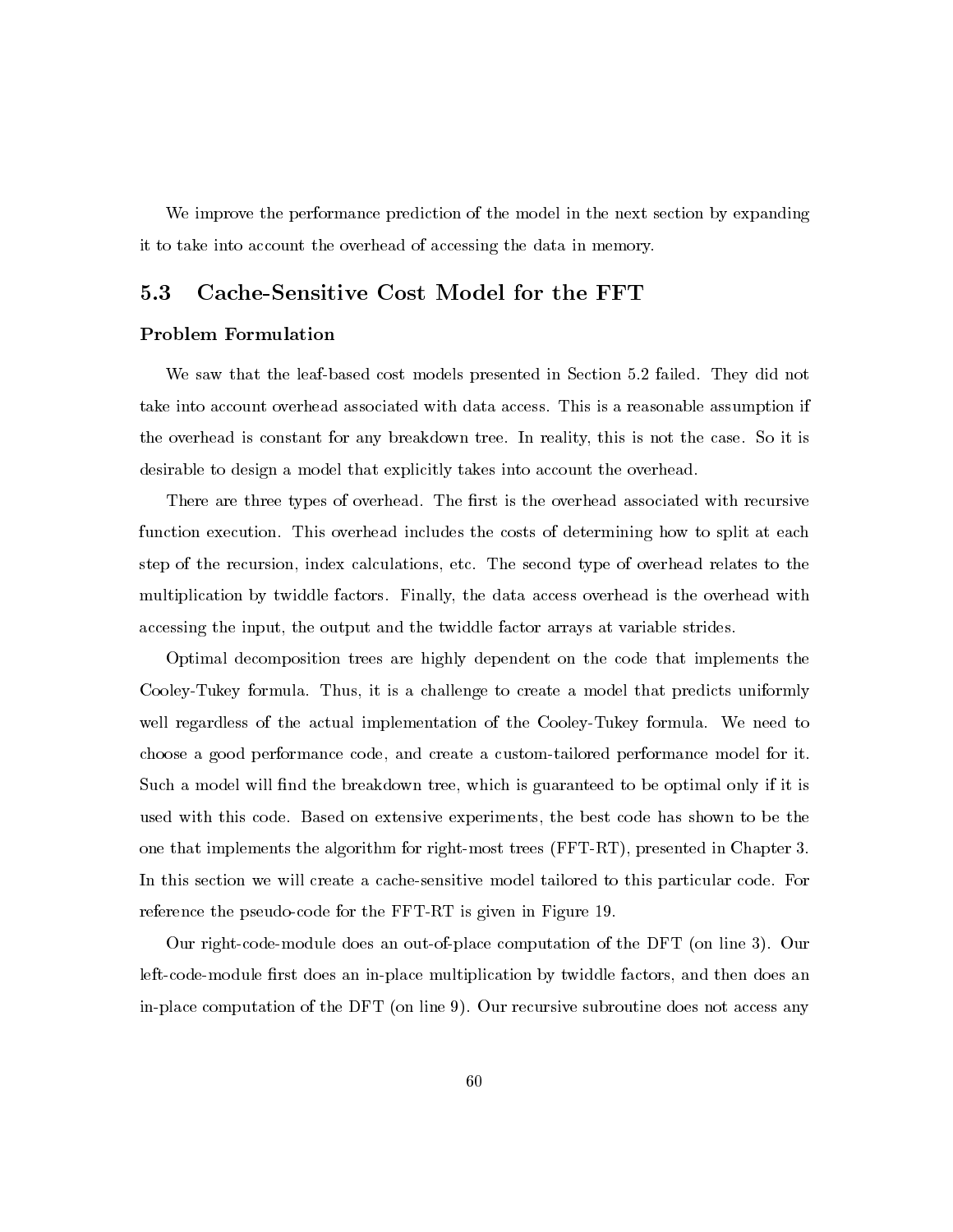We improve the performance prediction of the model in the next section by expanding it to take into account the overhead of accessing the data in memory.

#### $5.3$ Cache-Sensitive Cost Model for the FFT

## **Problem Formulation**

We saw that the leaf-based cost models presented in Section 5.2 failed. They did not take into account overhead associated with data access. This is a reasonable assumption if the overhead is constant for any breakdown tree. In reality, this is not the case. So it is desirable to design a model that explicitly takes into account the overhead.

There are three types of overhead. The first is the overhead associated with recursive function execution. This overhead includes the costs of determining how to split at each step of the recursion, index calculations, etc. The second type of overhead relates to the multiplication by twiddle factors. Finally, the data access overhead is the overhead with accessing the input, the output and the twiddle factor arrays at variable strides.

Optimal decomposition trees are highly dependent on the code that implements the Cooley-Tukey formula. Thus, it is a challenge to create a model that predicts uniformly well regardless of the actual implementation of the Cooley-Tukey formula. We need to choose a good performance code, and create a custom-tailored performance model for it. Such a model will find the breakdown tree, which is guaranteed to be optimal only if it is used with this code. Based on extensive experiments, the best code has shown to be the one that implements the algorithm for right-most trees (FFT-RT), presented in Chapter 3. In this section we will create a cache-sensitive model tailored to this particular code. For reference the pseudo-code for the FFT-RT is given in Figure 19.

Our right-code-module does an out-of-place computation of the DFT (on line 3). Our left-code-module first does an in-place multiplication by twiddle factors, and then does an in-place computation of the DFT (on line 9). Our recursive subroutine does not access any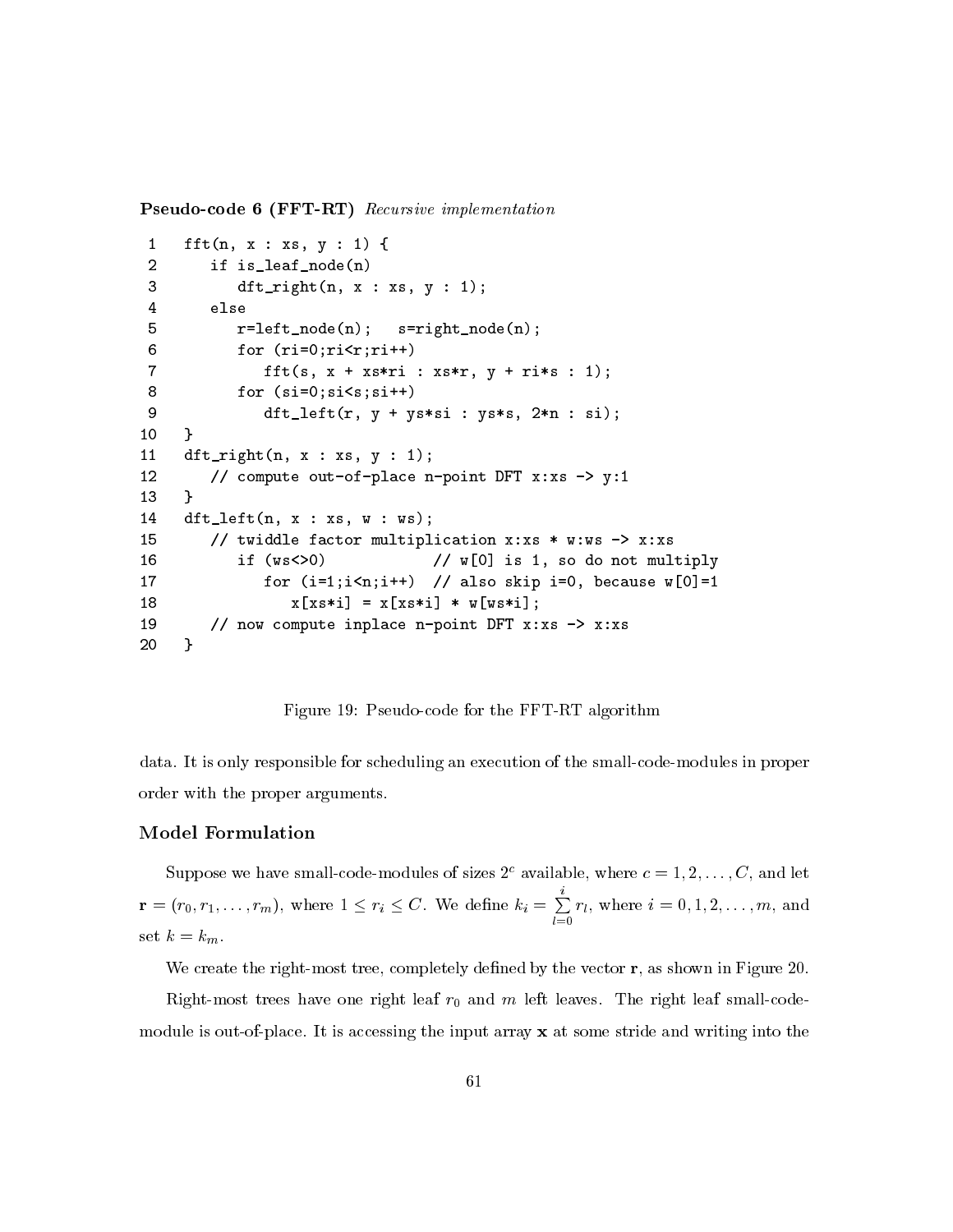**Pseudo-code 6 (FFT-RT)** Recursive implementation

```
fft(n, x : xs, y : 1) {
 \mathbf{1}\overline{2}if is_leaf_node(n)
 3
            dft\_right(n, x : xs, y : 1);\overline{4}else
 5
            r = left \mod (n);s = rightnode(n);6
            for (ri=0;ri\le r;ri++)\overline{7}fft(s, x + xs*ri : xs*r, y + ri*s : 1);8
            for (size)=0;size;si++)9
                dt_left(r, y + ys*si : ys*s, 2*n : si);
10
     }
11dft\_right(n, x : xs, y : 1);12// compute out-of-place n-point DFT x:xs -> y:1
13
     \mathcal{L}14
     dt_left(n, x : xs, w : ws);
         // twiddle factor multiplication x:xs * w:ws -> x:xs
15
                                      // w[0] is 1, so do not multiply
16
            if (ws < 0)for (i=1; i \le n; i++) // also skip i=0, because w[0]=1
17
                   x [xs * i] = x [xs * i] * w [ws * i];18
19
         // now compute inplace n-point DFT x:xs -> x:xs
     \mathcal{L}20
```
Figure 19: Pseudo-code for the FFT-RT algorithm

data. It is only responsible for scheduling an execution of the small-code-modules in proper order with the proper arguments.

# **Model Formulation**

Suppose we have small-code-modules of sizes  $2^c$  available, where  $c = 1, 2, ..., C$ , and let  $\mathbf{r} = (r_0, r_1, \dots, r_m)$ , where  $1 \le r_i \le C$ . We define  $k_i = \sum_{l=0}^{i} r_l$ , where  $i = 0, 1, 2, \dots, m$ , and set  $k = k_m$ .

We create the right-most tree, completely defined by the vector  $\mathbf{r}$ , as shown in Figure 20.

Right-most trees have one right leaf  $r_0$  and m left leaves. The right leaf small-codemodule is out-of-place. It is accessing the input array  $x$  at some stride and writing into the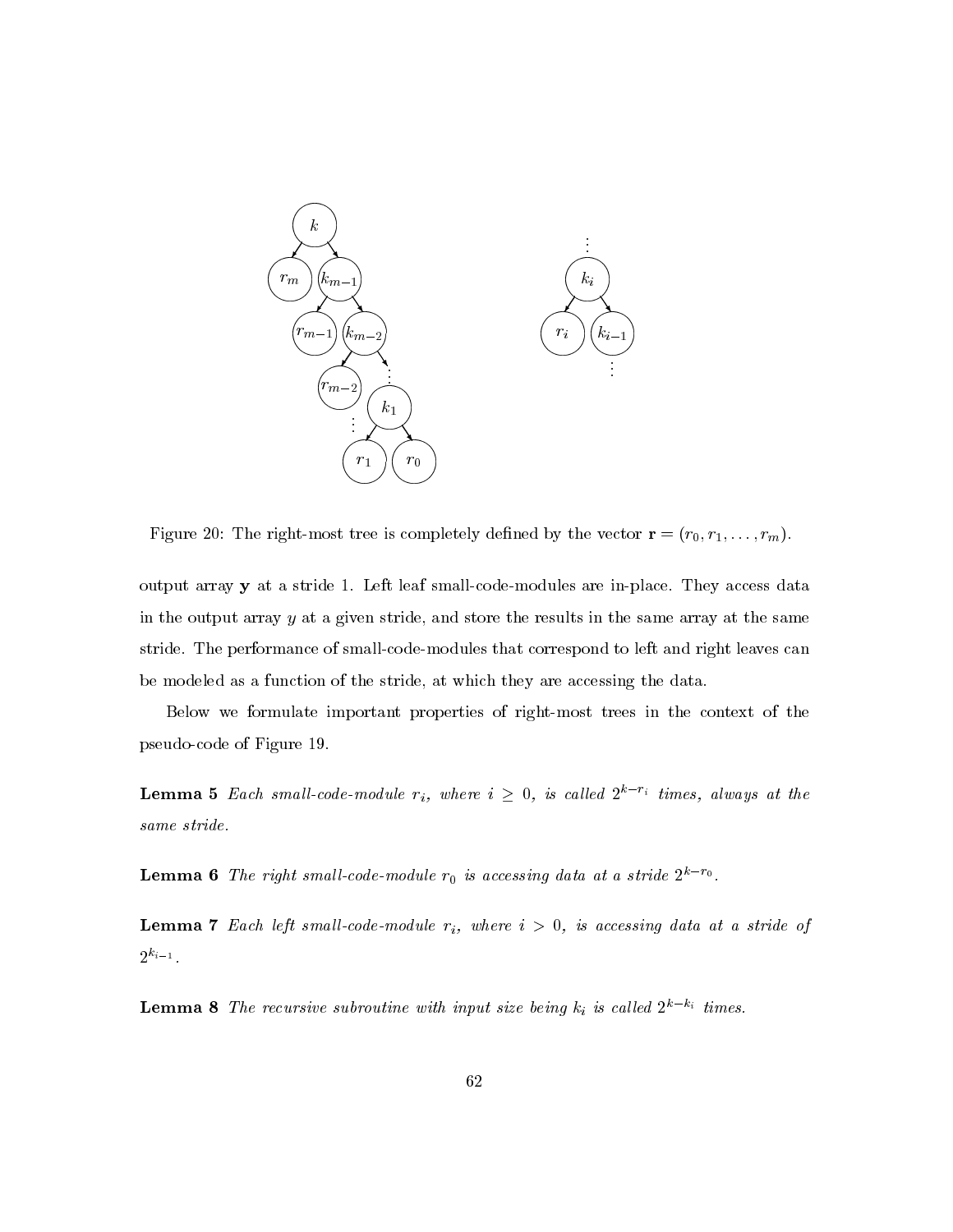

Figure 20: The right-most tree is completely defined by the vector  $\mathbf{r} = (r_0, r_1, \dots, r_m)$ .

output array  $y$  at a stride 1. Left leaf small-code-modules are in-place. They access data in the output array  $y$  at a given stride, and store the results in the same array at the same stride. The performance of small-code-modules that correspond to left and right leaves can be modeled as a function of the stride, at which they are accessing the data.

Below we formulate important properties of right-most trees in the context of the pseudo-code of Figure 19.

**Lemma 5** Each small-code-module  $r_i$ , where  $i \geq 0$ , is called  $2^{k-r_i}$  times, always at the same stride.

**Lemma 6** The right small-code-module  $r_0$  is accessing data at a stride  $2^{k-r_0}$ .

**Lemma 7** Each left small-code-module  $r_i$ , where  $i > 0$ , is accessing data at a stride of  $2^{k_{i-1}}.$ 

**Lemma 8** The recursive subroutine with input size being  $k_i$  is called  $2^{k-k_i}$  times.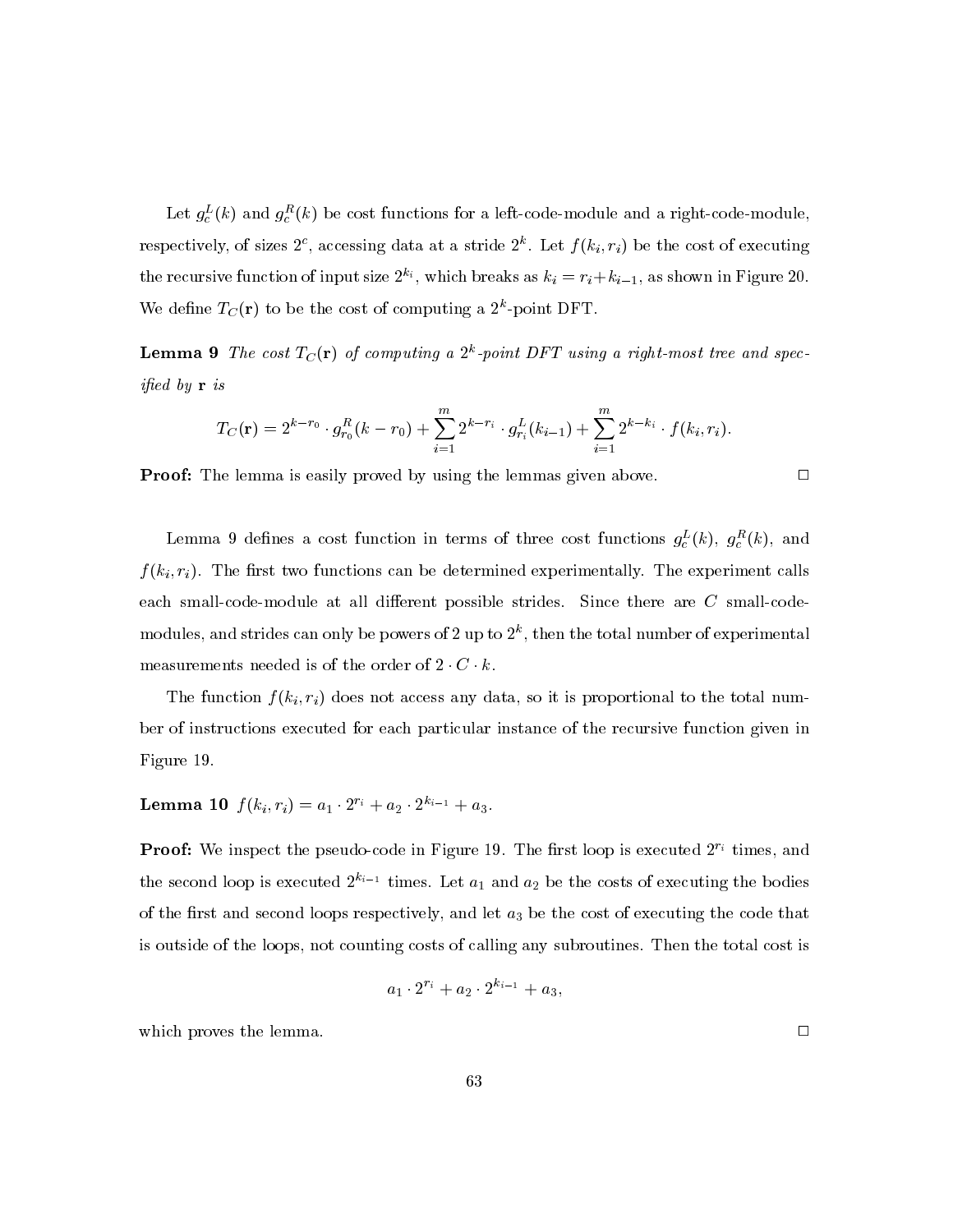Let  $g_c^L(k)$  and  $g_c^R(k)$  be cost functions for a left-code-module and a right-code-module, respectively, of sizes  $2^c$ , accessing data at a stride  $2^k$ . Let  $f(k_i, r_i)$  be the cost of executing the recursive function of input size  $2^{k_i}$ , which breaks as  $k_i = r_i + k_{i-1}$ , as shown in Figure 20. We define  $T_C(\mathbf{r})$  to be the cost of computing a  $2^k$ -point DFT.

**Lemma 9** The cost  $T_C(\mathbf{r})$  of computing a  $2^k$ -point DFT using a right-most tree and spec*ified* by  $\mathbf{r}$  is

$$
T_C(\mathbf{r}) = 2^{k-r_0} \cdot g_{r_0}^R(k-r_0) + \sum_{i=1}^m 2^{k-r_i} \cdot g_{r_i}^L(k_{i-1}) + \sum_{i=1}^m 2^{k-k_i} \cdot f(k_i, r_i).
$$

**Proof:** The lemma is easily proved by using the lemmas given above.

Lemma 9 defines a cost function in terms of three cost functions  $g_c^L(k)$ ,  $g_c^R(k)$ , and  $f(k_i, r_i)$ . The first two functions can be determined experimentally. The experiment calls each small-code-module at all different possible strides. Since there are  $C$  small-codemodules, and strides can only be powers of 2 up to  $2^k$ , then the total number of experimental measurements needed is of the order of  $2 \cdot C \cdot k$ .

The function  $f(k_i, r_i)$  does not access any data, so it is proportional to the total number of instructions executed for each particular instance of the recursive function given in Figure 19.

**Lemma 10**  $f(k_i, r_i) = a_1 \cdot 2^{r_i} + a_2 \cdot 2^{k_{i-1}} + a_3$ .

**Proof:** We inspect the pseudo-code in Figure 19. The first loop is executed  $2^{r_i}$  times, and the second loop is executed  $2^{k_{i-1}}$  times. Let  $a_1$  and  $a_2$  be the costs of executing the bodies of the first and second loops respectively, and let  $a_3$  be the cost of executing the code that is outside of the loops, not counting costs of calling any subroutines. Then the total cost is

$$
a_1 \cdot 2^{r_i} + a_2 \cdot 2^{k_{i-1}} + a_3,
$$

which proves the lemma.

 $\Box$ 

 $\Box$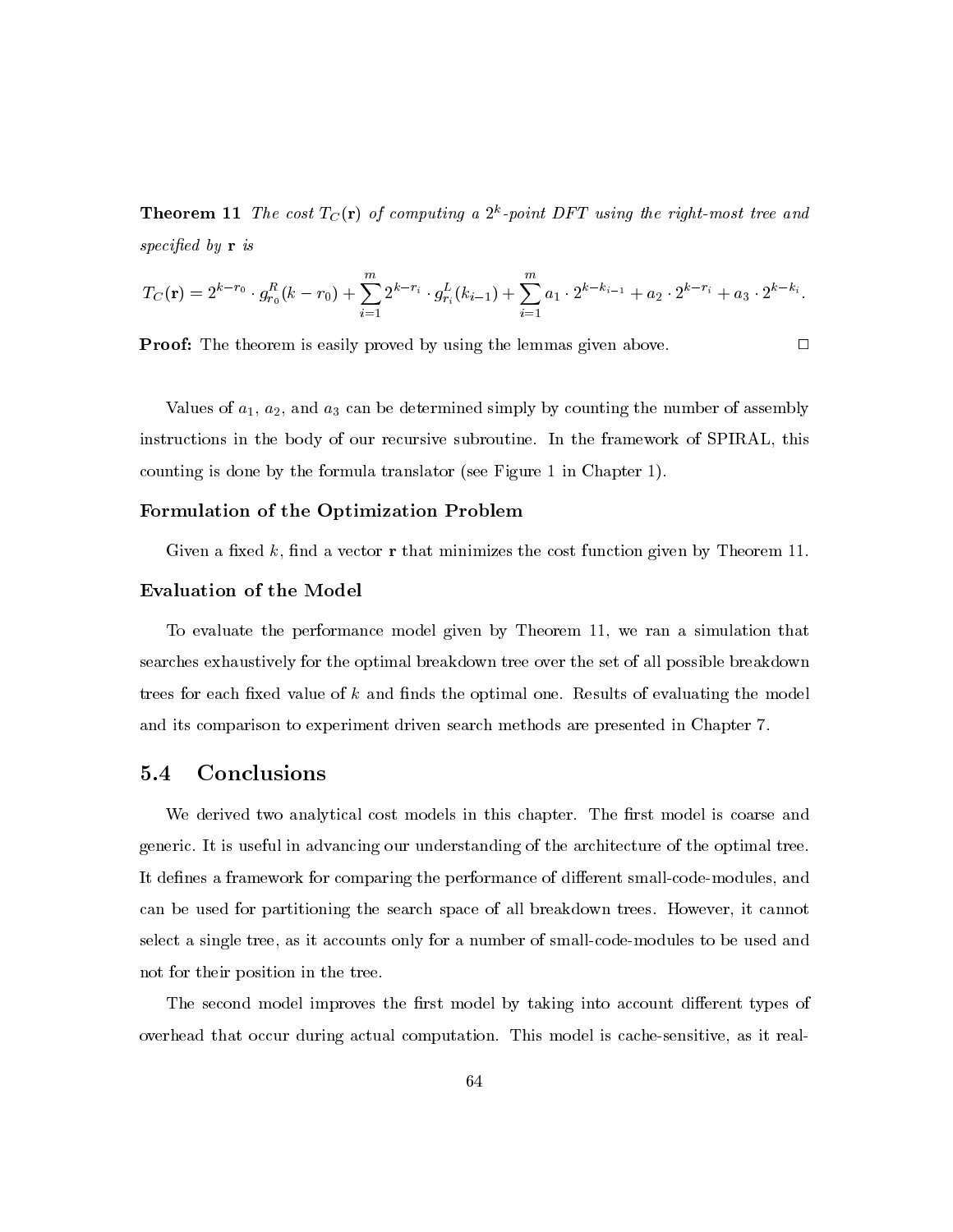**Theorem 11** The cost  $T_C(\mathbf{r})$  of computing a  $2^k$ -point DFT using the right-most tree and specified by  $\mathbf r$  is

$$
T_C(\mathbf{r}) = 2^{k-r_0} \cdot g_{r_0}^R(k-r_0) + \sum_{i=1}^m 2^{k-r_i} \cdot g_{r_i}^L(k_{i-1}) + \sum_{i=1}^m a_i \cdot 2^{k-k_{i-1}} + a_2 \cdot 2^{k-r_i} + a_3 \cdot 2^{k-k_i}.
$$

**Proof:** The theorem is easily proved by using the lemmas given above.

 $\Box$ 

Values of  $a_1$ ,  $a_2$ , and  $a_3$  can be determined simply by counting the number of assembly instructions in the body of our recursive subroutine. In the framework of SPIRAL, this counting is done by the formula translator (see Figure 1 in Chapter 1).

# Formulation of the Optimization Problem

Given a fixed  $k$ , find a vector **r** that minimizes the cost function given by Theorem 11.

## **Evaluation of the Model**

To evaluate the performance model given by Theorem 11, we ran a simulation that searches exhaustively for the optimal breakdown tree over the set of all possible breakdown trees for each fixed value of  $k$  and finds the optimal one. Results of evaluating the model and its comparison to experiment driven search methods are presented in Chapter 7.

#### Conclusions  $5.4$

We derived two analytical cost models in this chapter. The first model is coarse and generic. It is useful in advancing our understanding of the architecture of the optimal tree. It defines a framework for comparing the performance of different small-code-modules, and can be used for partitioning the search space of all breakdown trees. However, it cannot select a single tree, as it accounts only for a number of small-code-modules to be used and not for their position in the tree.

The second model improves the first model by taking into account different types of overhead that occur during actual computation. This model is cache-sensitive, as it real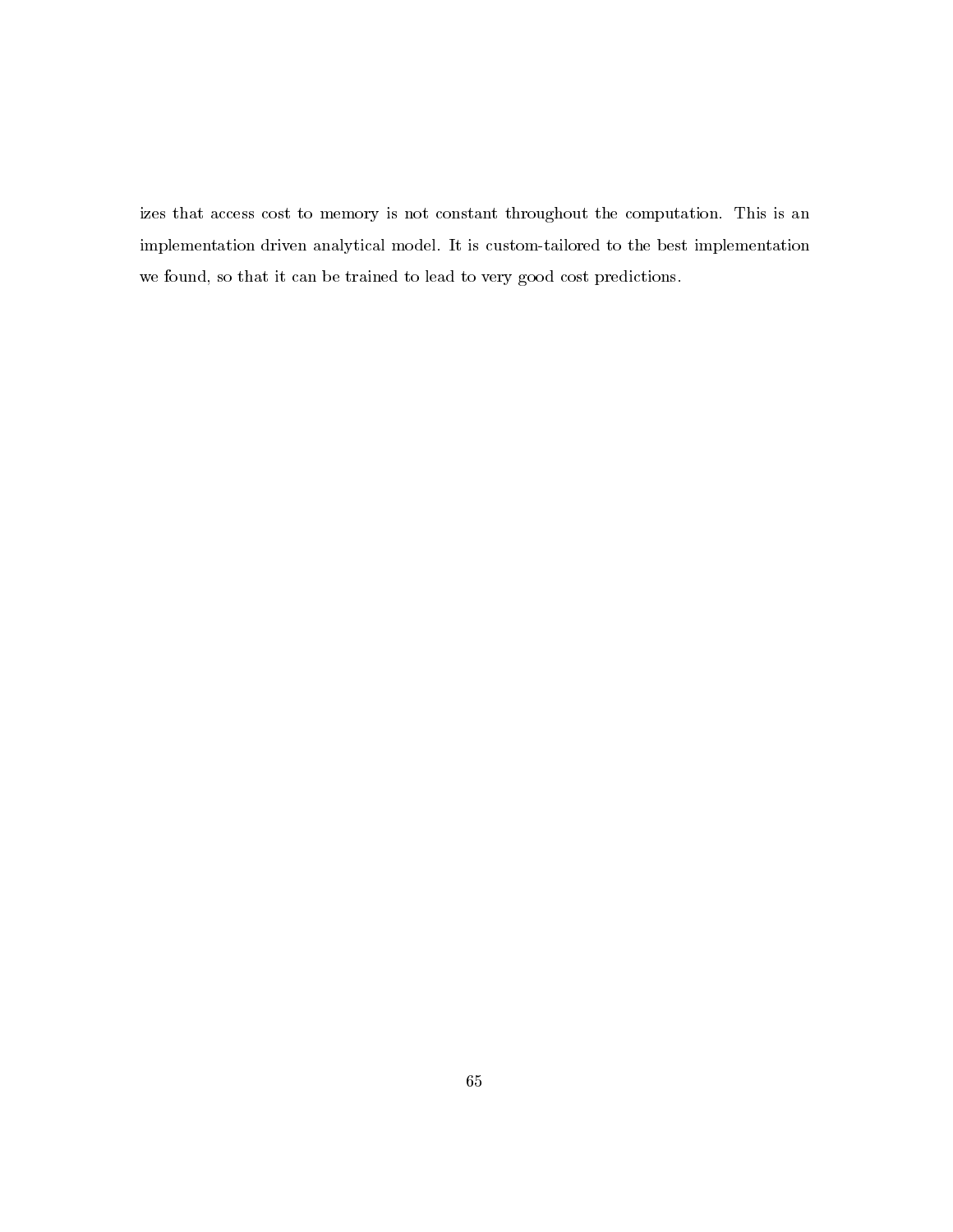izes that access cost to memory is not constant throughout the computation. This is an implementation driven analytical model. It is custom-tailored to the best implementation we found, so that it can be trained to lead to very good cost predictions.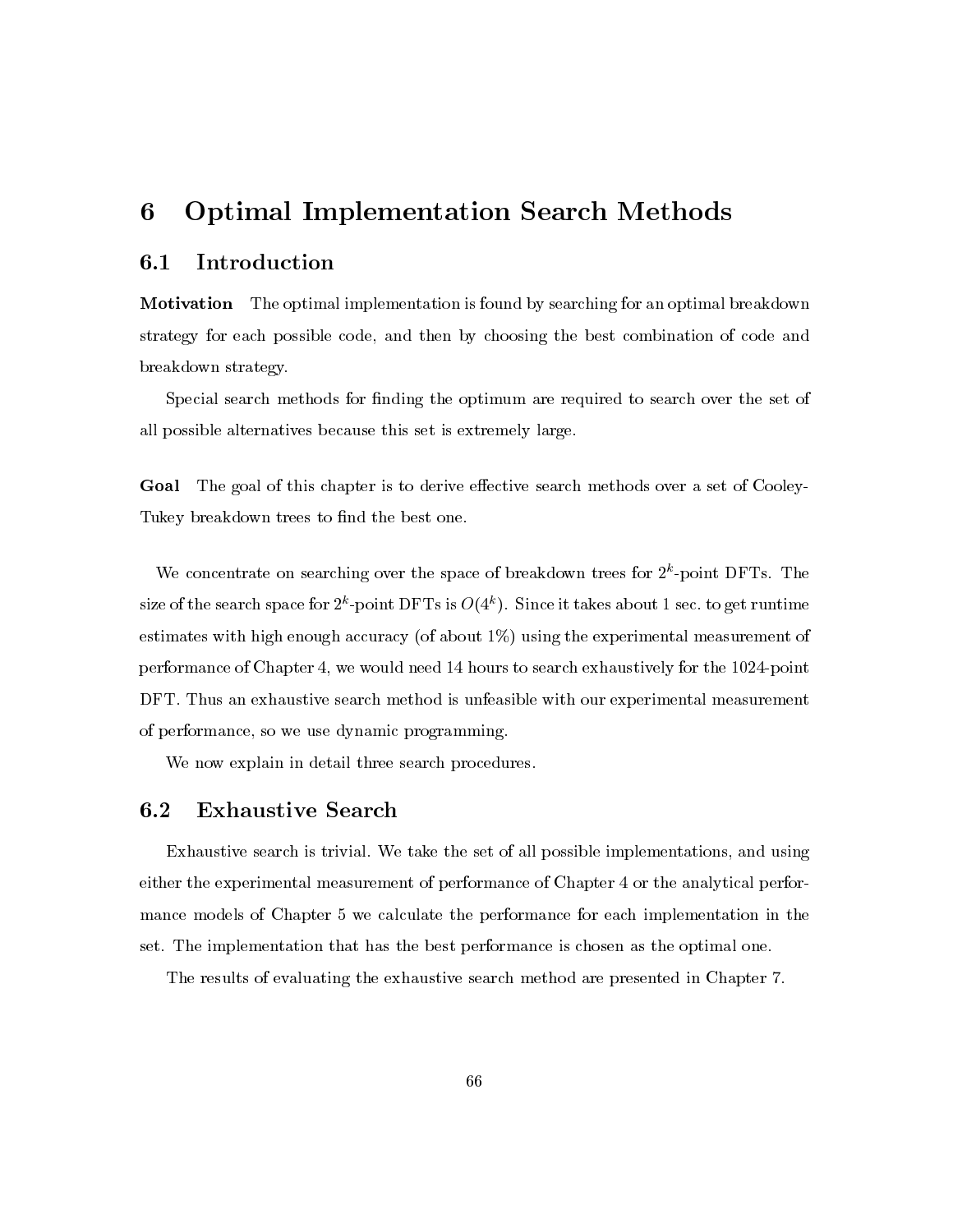### $\bf{6}$ **Optimal Implementation Search Methods**

#### Introduction  $6.1\,$

**Motivation** The optimal implementation is found by searching for an optimal breakdown strategy for each possible code, and then by choosing the best combination of code and breakdown strategy.

Special search methods for finding the optimum are required to search over the set of all possible alternatives because this set is extremely large.

Goal The goal of this chapter is to derive effective search methods over a set of Cooley-Tukey breakdown trees to find the best one.

We concentrate on searching over the space of breakdown trees for  $2<sup>k</sup>$ -point DFTs. The size of the search space for  $2^k$ -point DFTs is  $O(4^k)$ . Since it takes about 1 sec. to get runtime estimates with high enough accuracy (of about  $1\%$ ) using the experimental measurement of performance of Chapter 4, we would need 14 hours to search exhaustively for the 1024-point DFT. Thus an exhaustive search method is unfeasible with our experimental measurement of performance, so we use dynamic programming.

We now explain in detail three search procedures.

#### $\boldsymbol{6.2}$ **Exhaustive Search**

Exhaustive search is trivial. We take the set of all possible implementations, and using either the experimental measurement of performance of Chapter 4 or the analytical performance models of Chapter 5 we calculate the performance for each implementation in the set. The implementation that has the best performance is chosen as the optimal one.

The results of evaluating the exhaustive search method are presented in Chapter 7.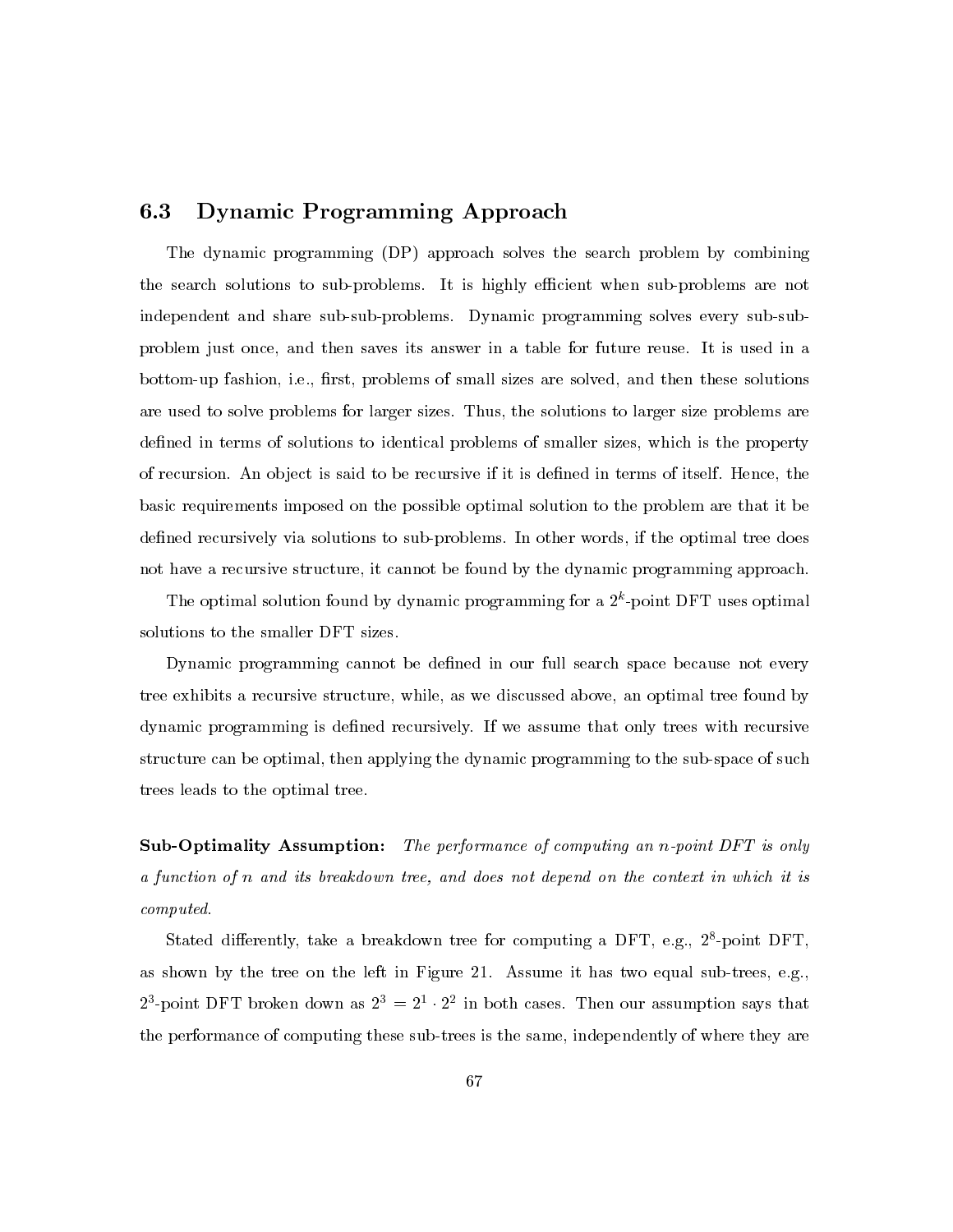#### $6.3\,$ Dynamic Programming Approach

The dynamic programming (DP) approach solves the search problem by combining the search solutions to sub-problems. It is highly efficient when sub-problems are not independent and share sub-sub-problems. Dynamic programming solves every sub-subproblem just once, and then saves its answer in a table for future reuse. It is used in a bottom-up fashion, i.e., first, problems of small sizes are solved, and then these solutions are used to solve problems for larger sizes. Thus, the solutions to larger size problems are defined in terms of solutions to identical problems of smaller sizes, which is the property of recursion. An object is said to be recursive if it is defined in terms of itself. Hence, the basic requirements imposed on the possible optimal solution to the problem are that it be defined recursively via solutions to sub-problems. In other words, if the optimal tree does not have a recursive structure, it cannot be found by the dynamic programming approach.

The optimal solution found by dynamic programming for a  $2<sup>k</sup>$ -point DFT uses optimal solutions to the smaller DFT sizes.

Dynamic programming cannot be defined in our full search space because not every tree exhibits a recursive structure, while, as we discussed above, an optimal tree found by dynamic programming is defined recursively. If we assume that only trees with recursive structure can be optimal, then applying the dynamic programming to the sub-space of such trees leads to the optimal tree.

**Sub-Optimality Assumption:** The performance of computing an n-point DFT is only a function of n and its breakdown tree, and does not depend on the context in which it is  $computed.$ 

Stated differently, take a breakdown tree for computing a DFT, e.g.,  $2^8$ -point DFT, as shown by the tree on the left in Figure 21. Assume it has two equal sub-trees, e.g.,  $2^3$ -point DFT broken down as  $2^3 = 2^1 \cdot 2^2$  in both cases. Then our assumption says that the performance of computing these sub-trees is the same, independently of where they are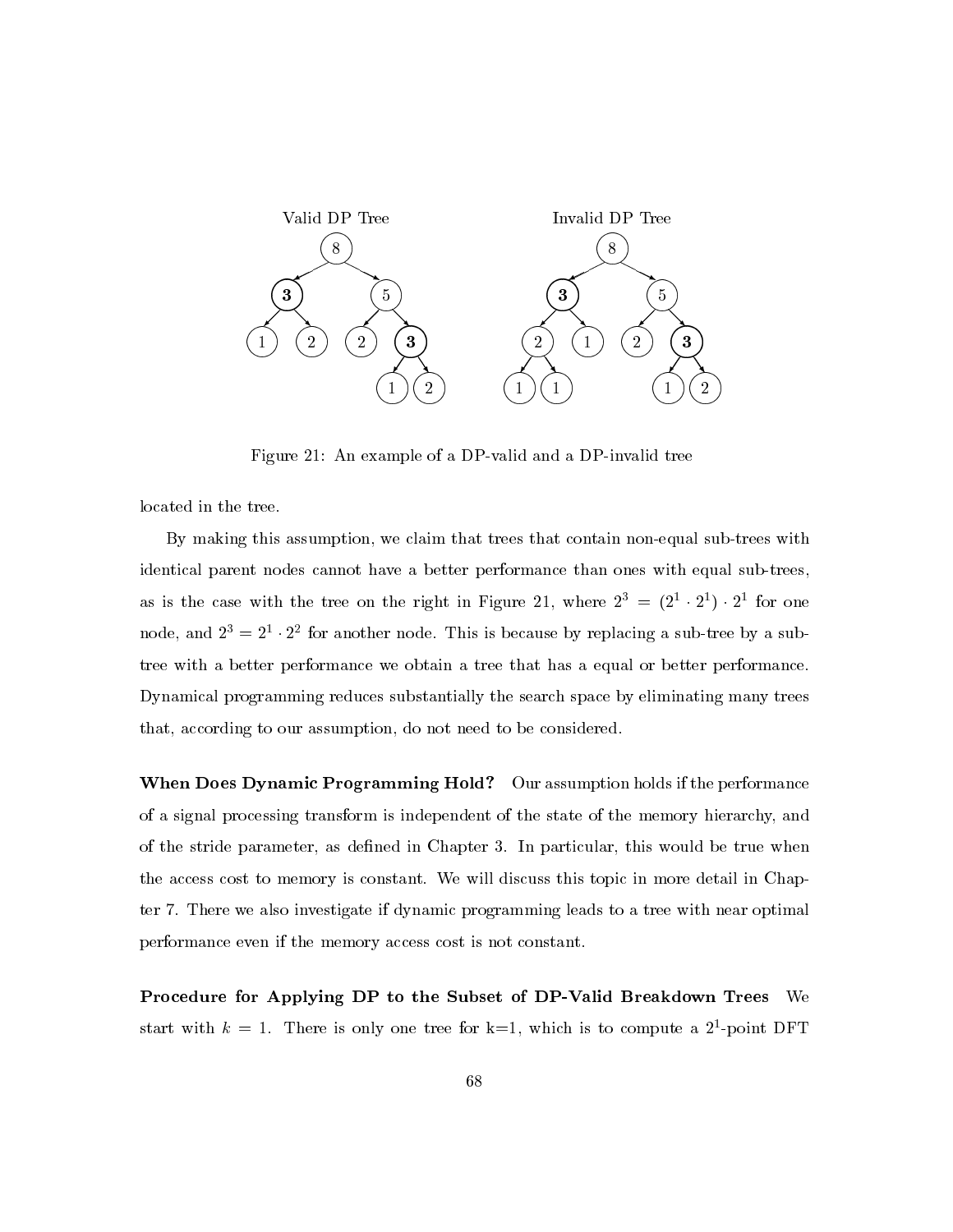

Figure 21: An example of a DP-valid and a DP-invalid tree

located in the tree.

By making this assumption, we claim that trees that contain non-equal sub-trees with identical parent nodes cannot have a better performance than ones with equal sub-trees, as is the case with the tree on the right in Figure 21, where  $2^3 = (2^1 \cdot 2^1) \cdot 2^1$  for one node, and  $2^3 = 2^1 \cdot 2^2$  for another node. This is because by replacing a sub-tree by a subtree with a better performance we obtain a tree that has a equal or better performance. Dynamical programming reduces substantially the search space by eliminating many trees that, according to our assumption, do not need to be considered.

**When Does Dynamic Programming Hold?** Our assumption holds if the performance of a signal processing transform is independent of the state of the memory hierarchy, and of the stride parameter, as defined in Chapter 3. In particular, this would be true when the access cost to memory is constant. We will discuss this topic in more detail in Chapter 7. There we also investigate if dynamic programming leads to a tree with near optimal performance even if the memory access cost is not constant.

Procedure for Applying DP to the Subset of DP-Valid Breakdown Trees We start with  $k = 1$ . There is only one tree for k=1, which is to compute a 2<sup>1</sup>-point DFT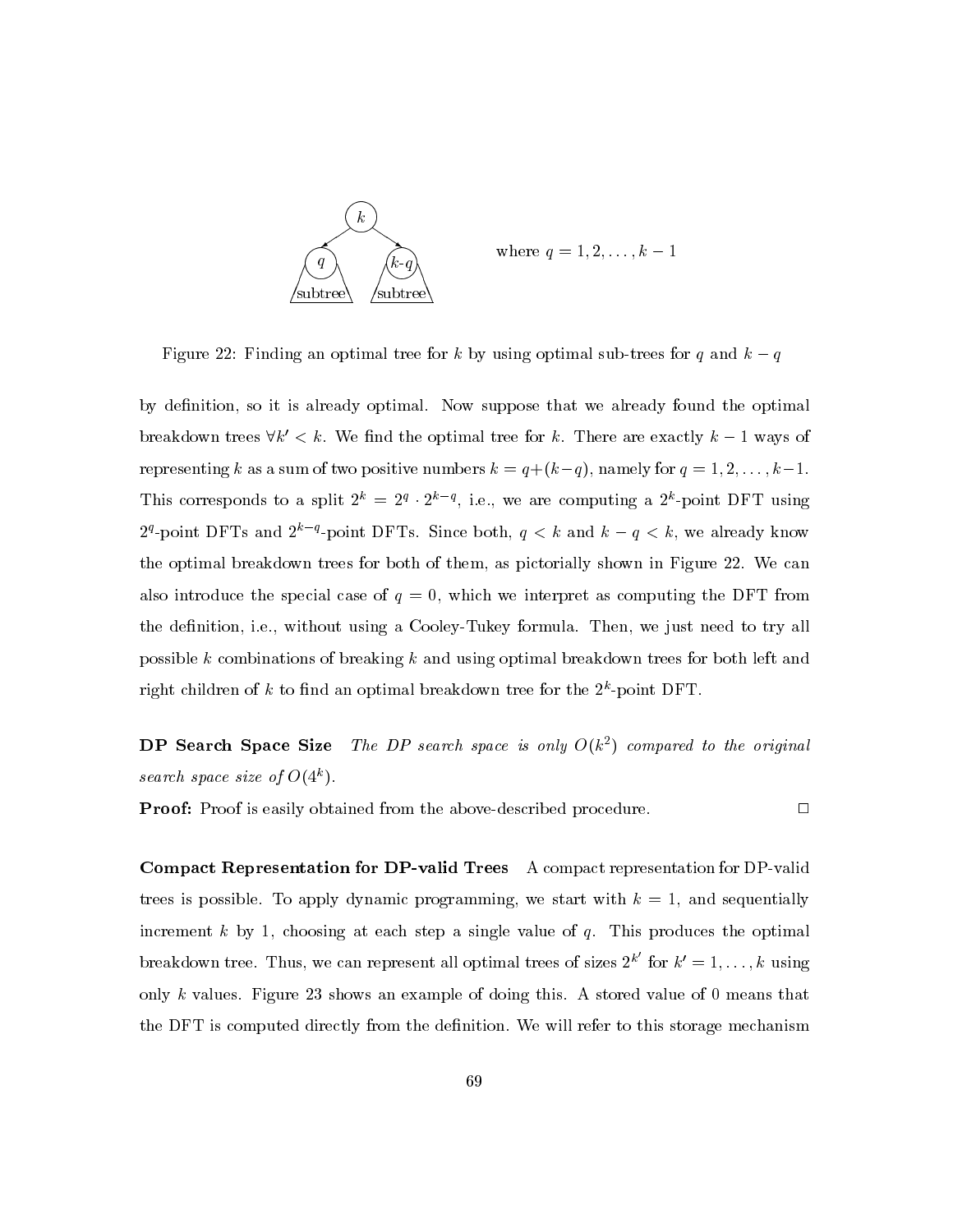

where  $q = 1, 2, ..., k - 1$ 

 $\Box$ 

Figure 22: Finding an optimal tree for k by using optimal sub-trees for q and  $k - q$ 

by definition, so it is already optimal. Now suppose that we already found the optimal breakdown trees  $\forall k' < k$ . We find the optimal tree for k. There are exactly  $k-1$  ways of representing k as a sum of two positive numbers  $k = q + (k-q)$ , namely for  $q = 1, 2, ..., k-1$ . This corresponds to a split  $2^k = 2^q \cdot 2^{k-q}$ , i.e., we are computing a  $2^k$ -point DFT using 2<sup>q</sup>-point DFTs and 2<sup>k-q</sup>-point DFTs. Since both,  $q < k$  and  $k - q < k$ , we already know the optimal breakdown trees for both of them, as pictorially shown in Figure 22. We can also introduce the special case of  $q = 0$ , which we interpret as computing the DFT from the definition, i.e., without using a Cooley-Tukey formula. Then, we just need to try all possible k combinations of breaking k and using optimal breakdown trees for both left and right children of k to find an optimal breakdown tree for the  $2^k$ -point DFT.

The DP search space is only  $O(k^2)$  compared to the original DP Search Space Size search space size of  $O(4^k)$ .

**Proof:** Proof is easily obtained from the above-described procedure.

**Compact Representation for DP-valid Trees** A compact representation for DP-valid trees is possible. To apply dynamic programming, we start with  $k = 1$ , and sequentially increment  $k$  by 1, choosing at each step a single value of  $q$ . This produces the optimal breakdown tree. Thus, we can represent all optimal trees of sizes  $2^{k'}$  for  $k' = 1, ..., k$  using only k values. Figure 23 shows an example of doing this. A stored value of 0 means that the DFT is computed directly from the definition. We will refer to this storage mechanism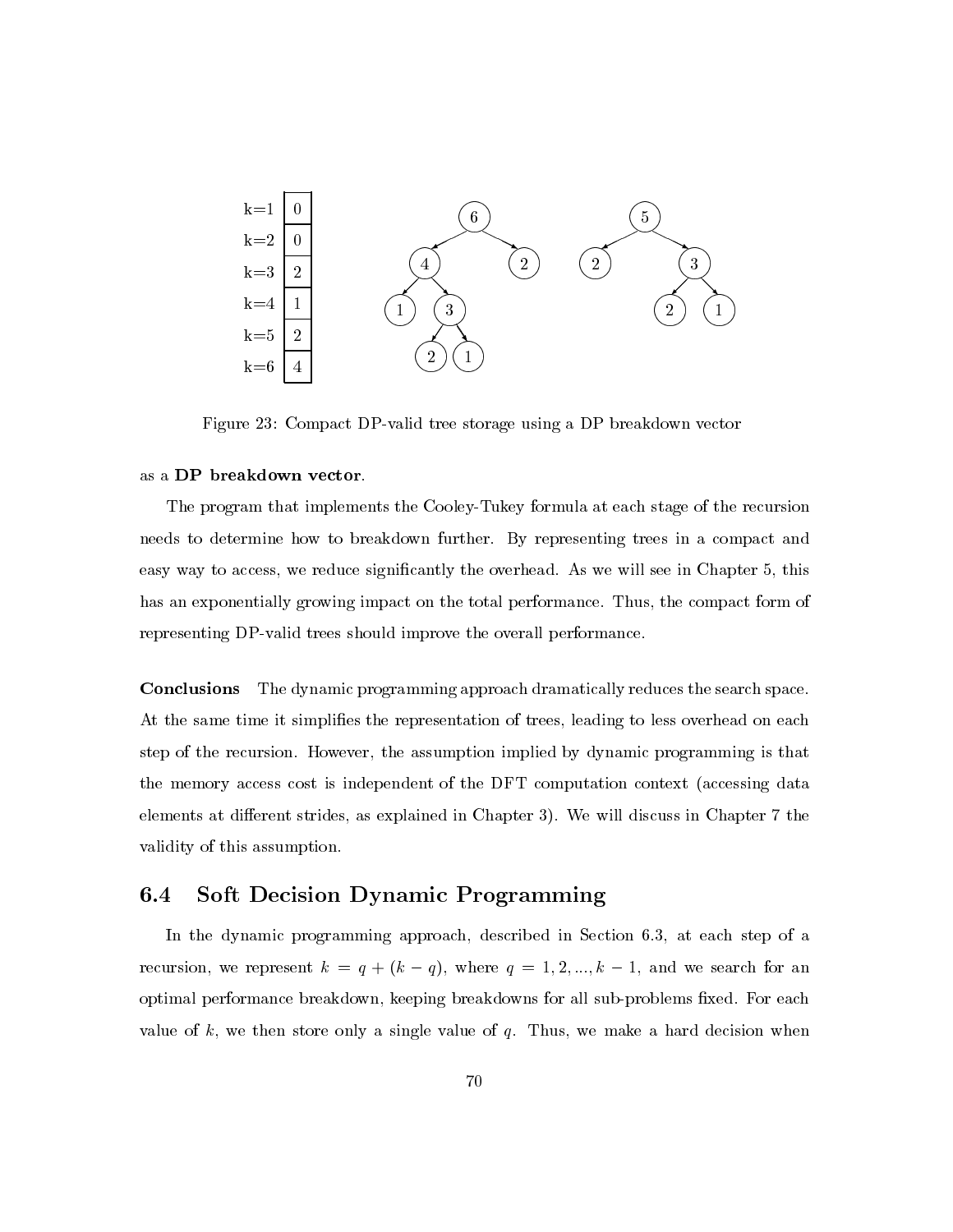

Figure 23: Compact DP-valid tree storage using a DP breakdown vector

### as a DP breakdown vector.

The program that implements the Cooley-Tukey formula at each stage of the recursion needs to determine how to breakdown further. By representing trees in a compact and easy way to access, we reduce significantly the overhead. As we will see in Chapter 5, this has an exponentially growing impact on the total performance. Thus, the compact form of representing DP-valid trees should improve the overall performance.

The dynamic programming approach dramatically reduces the search space. Conclusions At the same time it simplifies the representation of trees, leading to less overhead on each step of the recursion. However, the assumption implied by dynamic programming is that the memory access cost is independent of the DFT computation context (accessing data elements at different strides, as explained in Chapter 3). We will discuss in Chapter 7 the validity of this assumption.

#### $\bf{6.4}$ Soft Decision Dynamic Programming

In the dynamic programming approach, described in Section 6.3, at each step of a recursion, we represent  $k = q + (k - q)$ , where  $q = 1, 2, ..., k - 1$ , and we search for an optimal performance breakdown, keeping breakdowns for all sub-problems fixed. For each value of  $k$ , we then store only a single value of  $q$ . Thus, we make a hard decision when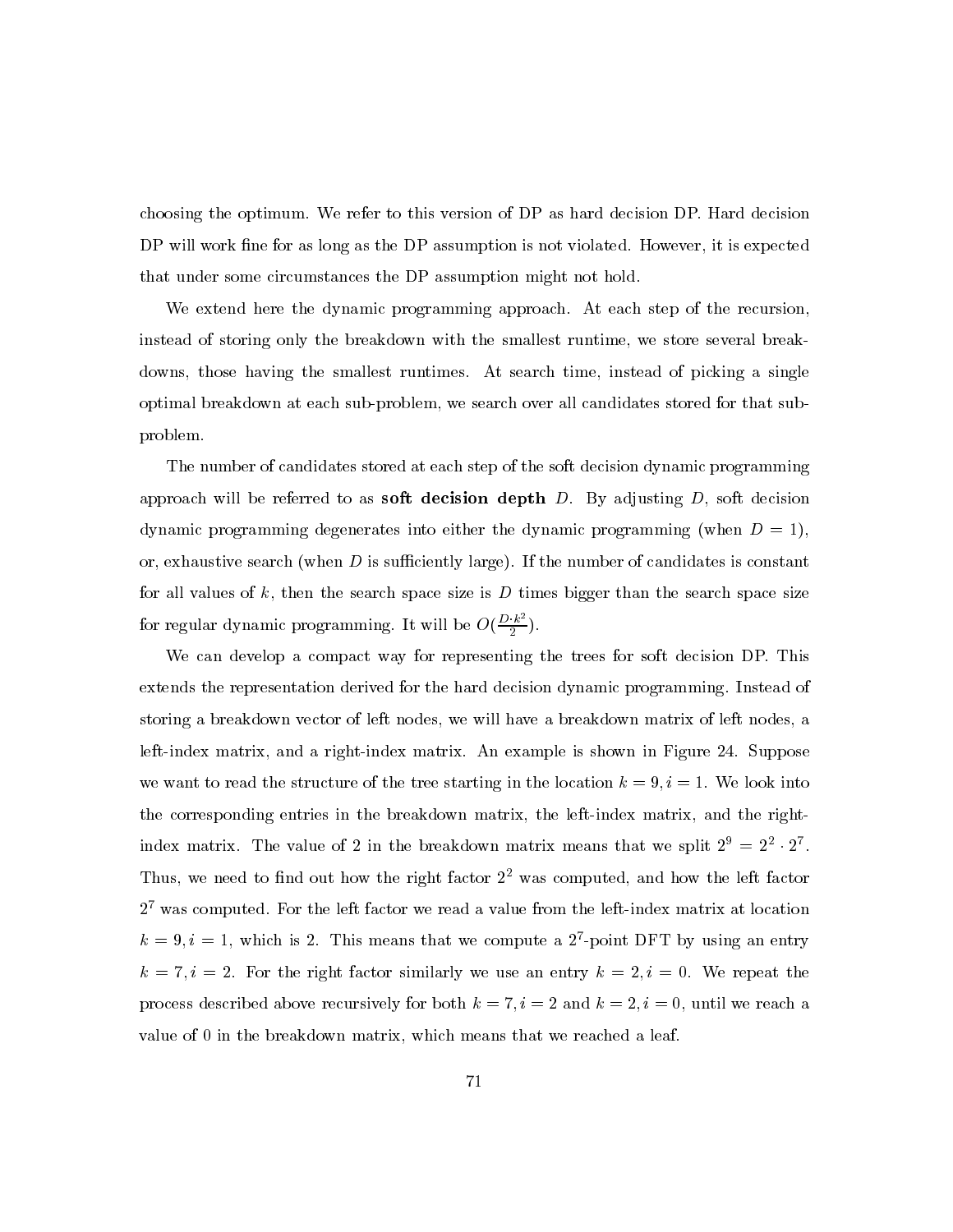choosing the optimum. We refer to this version of DP as hard decision DP. Hard decision DP will work fine for as long as the DP assumption is not violated. However, it is expected that under some circumstances the DP assumption might not hold.

We extend here the dynamic programming approach. At each step of the recursion, instead of storing only the breakdown with the smallest runtime, we store several breakdowns, those having the smallest runtimes. At search time, instead of picking a single optimal breakdown at each sub-problem, we search over all candidates stored for that subproblem.

The number of candidates stored at each step of the soft decision dynamic programming approach will be referred to as **soft decision depth** D. By adjusting  $D$ , soft decision dynamic programming degenerates into either the dynamic programming (when  $D = 1$ ), or, exhaustive search (when D is sufficiently large). If the number of candidates is constant for all values of k, then the search space size is D times bigger than the search space size for regular dynamic programming. It will be  $O(\frac{D \cdot k^2}{2})$ .

We can develop a compact way for representing the trees for soft decision DP. This extends the representation derived for the hard decision dynamic programming. Instead of storing a breakdown vector of left nodes, we will have a breakdown matrix of left nodes, a left-index matrix, and a right-index matrix. An example is shown in Figure 24. Suppose we want to read the structure of the tree starting in the location  $k = 9, i = 1$ . We look into the corresponding entries in the breakdown matrix, the left-index matrix, and the rightindex matrix. The value of 2 in the breakdown matrix means that we split  $2^9 = 2^2 \cdot 2^7$ . Thus, we need to find out how the right factor  $2<sup>2</sup>$  was computed, and how the left factor  $2^7$  was computed. For the left factor we read a value from the left-index matrix at location  $k = 9, i = 1$ , which is 2. This means that we compute a 2<sup>7</sup>-point DFT by using an entry  $k = 7, i = 2$ . For the right factor similarly we use an entry  $k = 2, i = 0$ . We repeat the process described above recursively for both  $k = 7$ ,  $i = 2$  and  $k = 2$ ,  $i = 0$ , until we reach a value of 0 in the breakdown matrix, which means that we reached a leaf.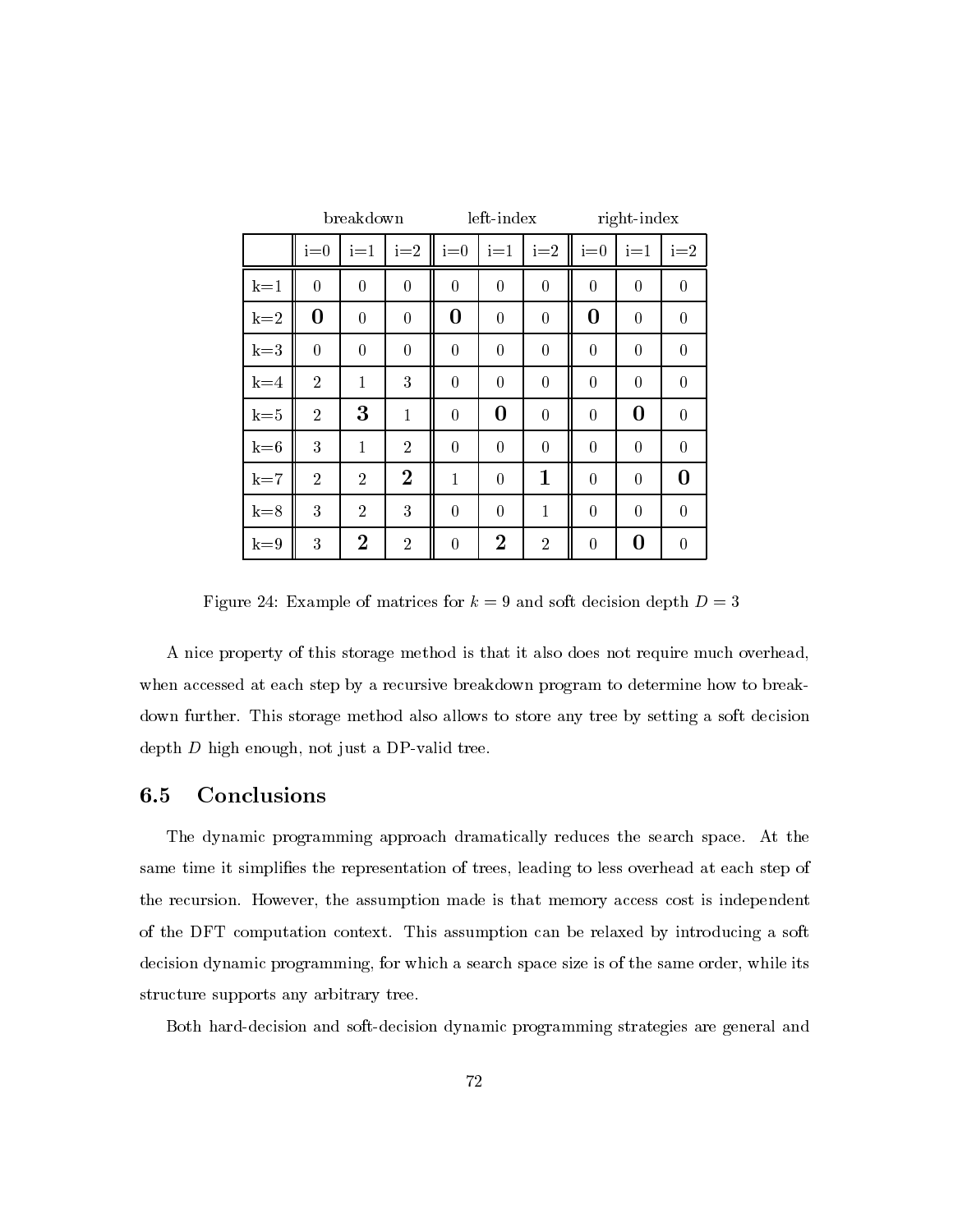|         |                  | breakdown        |                | left-index     |                  |                  | right-index    |                  |                  |
|---------|------------------|------------------|----------------|----------------|------------------|------------------|----------------|------------------|------------------|
|         | $i=0$            | $i=1$            | $i=2$          | $i=0$          | $i=1$            | $i=2$            | $i=0$          | $i=1$            | $i=2$            |
| $k=1$   | $\overline{0}$   | $\boldsymbol{0}$ | $\overline{0}$ | $\overline{0}$ | $\boldsymbol{0}$ | $\overline{0}$   | $\theta$       | $\boldsymbol{0}$ | $\theta$         |
| $k=2$   | $\boldsymbol{0}$ | $\boldsymbol{0}$ | $\overline{0}$ | $\bf{0}$       | $\overline{0}$   | $\overline{0}$   | $\bf{0}$       | $\overline{0}$   | $\boldsymbol{0}$ |
| $k=3$   | $\overline{0}$   | $\overline{0}$   | $\overline{0}$ | $\overline{0}$ | $\overline{0}$   | $\overline{0}$   | $\overline{0}$ | $\overline{0}$   | $\overline{0}$   |
| $k=4$   | $\overline{2}$   | $\mathbf{1}$     | 3              | $\overline{0}$ | $\overline{0}$   | $\overline{0}$   | $\overline{0}$ | $\overline{0}$   | $\overline{0}$   |
| $k = 5$ | $\overline{2}$   | 3                | $\mathbf 1$    | $\overline{0}$ | $\bf{0}$         | $\overline{0}$   | $\overline{0}$ | $\bf{0}$         | $\overline{0}$   |
| $k = 6$ | 3                | $\mathbf{1}$     | $\overline{2}$ | $\overline{0}$ | $\boldsymbol{0}$ | $\boldsymbol{0}$ | $\overline{0}$ | $\boldsymbol{0}$ | $\overline{0}$   |
| $k=7$   | $\overline{2}$   | $\overline{2}$   | $\overline{2}$ | $\mathbf{1}$   | $\overline{0}$   | $\mathbf 1$      | $\overline{0}$ | $\overline{0}$   | $\bf{0}$         |
| $k=8$   | 3                | $\overline{2}$   | 3              | $\overline{0}$ | $\boldsymbol{0}$ | 1                | $\overline{0}$ | $\boldsymbol{0}$ | $\overline{0}$   |
| $k=9$   | 3                | $\overline{2}$   | $\overline{2}$ | $\overline{0}$ | $\overline{2}$   | $\overline{2}$   | $\overline{0}$ | 0                | $\overline{0}$   |

Figure 24: Example of matrices for  $k = 9$  and soft decision depth  $D = 3$ 

A nice property of this storage method is that it also does not require much overhead, when accessed at each step by a recursive breakdown program to determine how to breakdown further. This storage method also allows to store any tree by setting a soft decision depth  $D$  high enough, not just a DP-valid tree.

#### Conclusions  $6.5$

The dynamic programming approach dramatically reduces the search space. At the same time it simplifies the representation of trees, leading to less overhead at each step of the recursion. However, the assumption made is that memory access cost is independent of the DFT computation context. This assumption can be relaxed by introducing a soft decision dynamic programming, for which a search space size is of the same order, while its structure supports any arbitrary tree.

Both hard-decision and soft-decision dynamic programming strategies are general and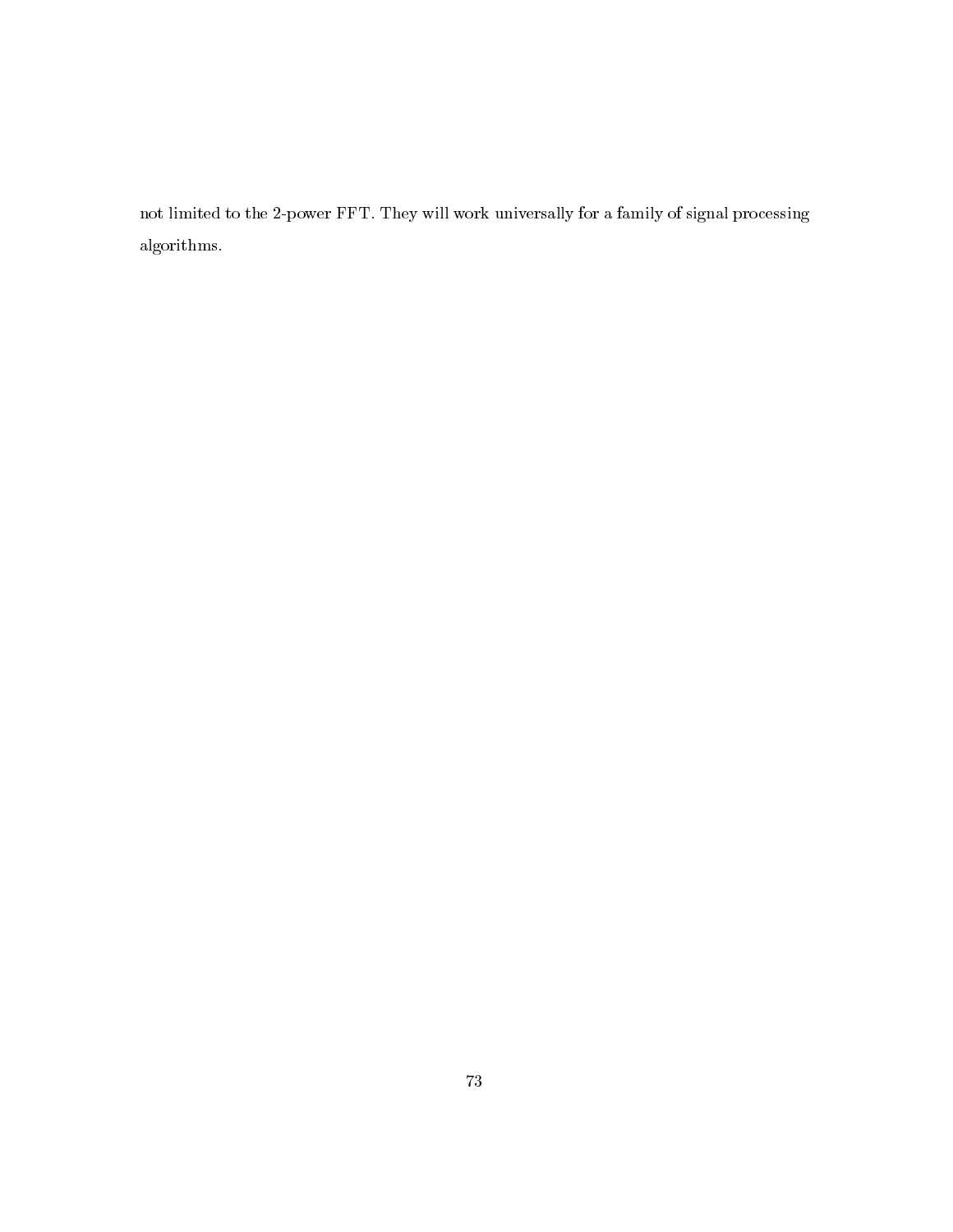not limited to the 2-power FFT. They will work universally for a family of signal processing  ${\bf algorithms.}$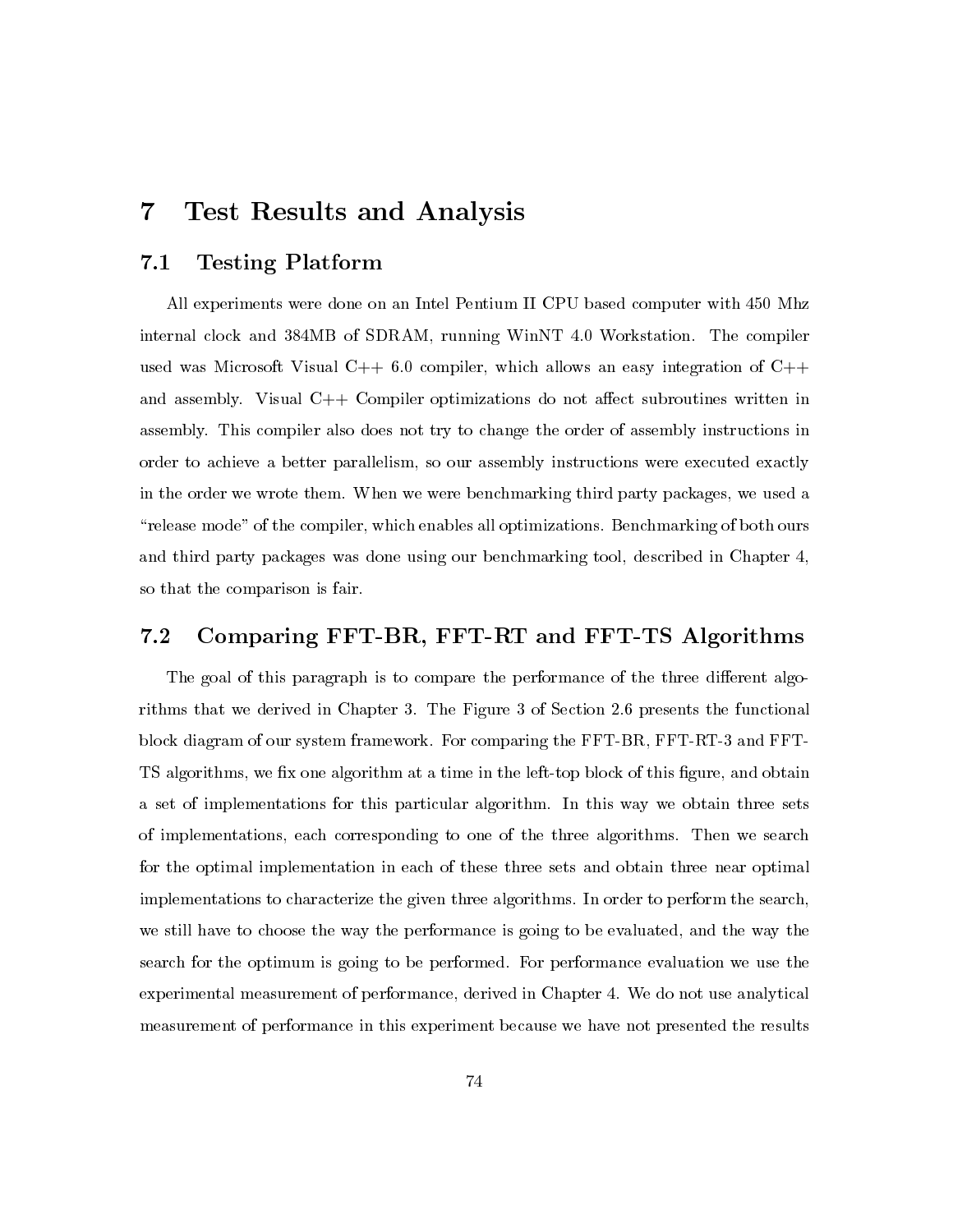## $\overline{7}$ **Test Results and Analysis**

#### $\bf 7.1$ **Testing Platform**

All experiments were done on an Intel Pentium II CPU based computer with 450 Mhz internal clock and 384MB of SDRAM, running WinNT 4.0 Workstation. The compiler used was Microsoft Visual  $C++6.0$  compiler, which allows an easy integration of  $C++$ and assembly. Visual  $C++$  Compiler optimizations do not affect subroutines written in assembly. This compiler also does not try to change the order of assembly instructions in order to achieve a better parallelism, so our assembly instructions were executed exactly in the order we wrote them. When we were benchmarking third party packages, we used a "release mode" of the compiler, which enables all optimizations. Benchmarking of both ours and third party packages was done using our benchmarking tool, described in Chapter 4, so that the comparison is fair.

### Comparing FFT-BR, FFT-RT and FFT-TS Algorithms  $7.2$

The goal of this paragraph is to compare the performance of the three different algorithms that we derived in Chapter 3. The Figure 3 of Section 2.6 presents the functional block diagram of our system framework. For comparing the FFT-BR, FFT-RT-3 and FFT-TS algorithms, we fix one algorithm at a time in the left-top block of this figure, and obtain a set of implementations for this particular algorithm. In this way we obtain three sets of implementations, each corresponding to one of the three algorithms. Then we search for the optimal implementation in each of these three sets and obtain three near optimal implementations to characterize the given three algorithms. In order to perform the search, we still have to choose the way the performance is going to be evaluated, and the way the search for the optimum is going to be performed. For performance evaluation we use the experimental measurement of performance, derived in Chapter 4. We do not use analytical measurement of performance in this experiment because we have not presented the results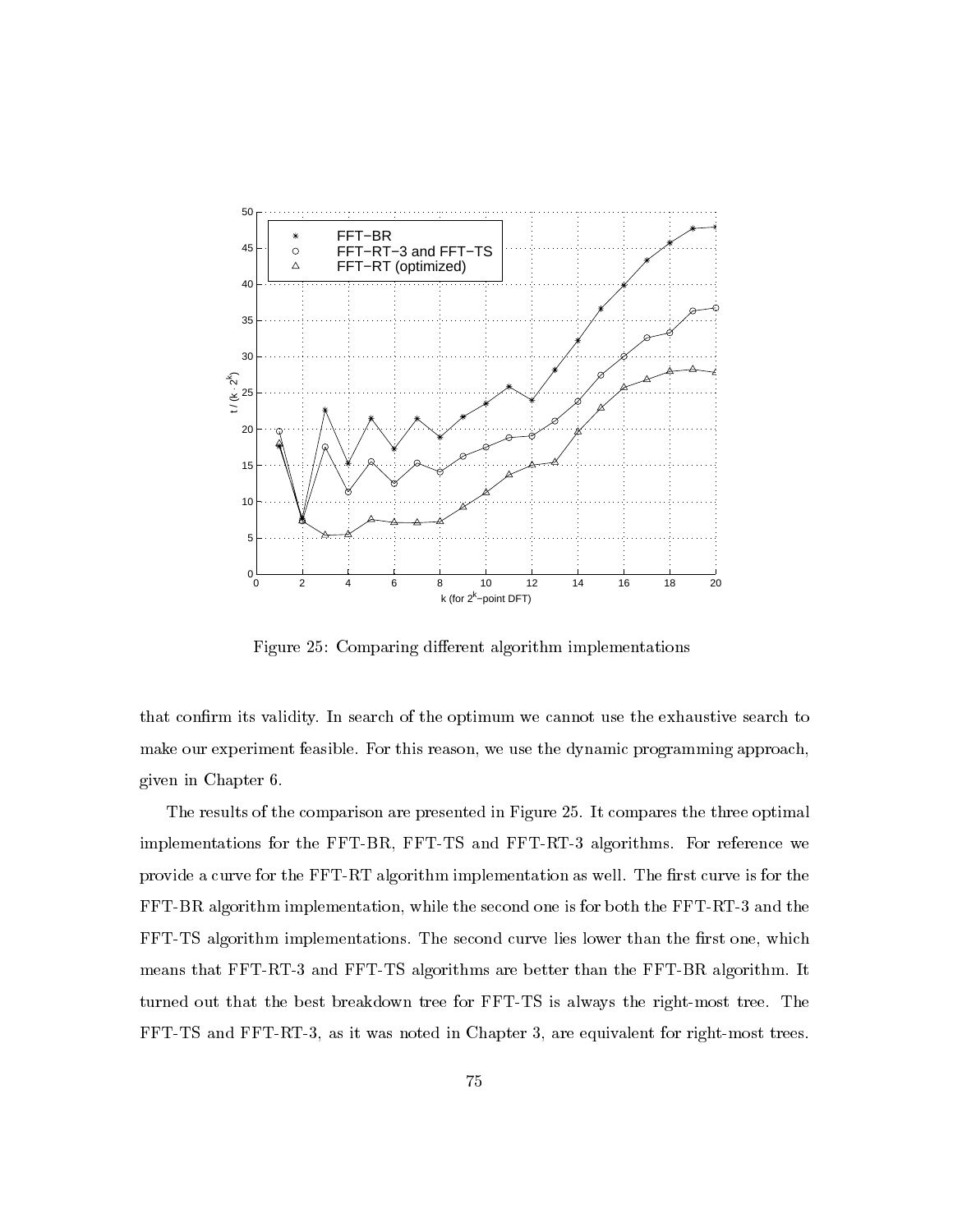

Figure 25: Comparing different algorithm implementations

that confirm its validity. In search of the optimum we cannot use the exhaustive search to make our experiment feasible. For this reason, we use the dynamic programming approach, given in Chapter 6.

The results of the comparison are presented in Figure 25. It compares the three optimal implementations for the FFT-BR, FFT-TS and FFT-RT-3 algorithms. For reference we provide a curve for the FFT-RT algorithm implementation as well. The first curve is for the FFT-BR algorithm implementation, while the second one is for both the FFT-RT-3 and the FFT-TS algorithm implementations. The second curve lies lower than the first one, which means that FFT-RT-3 and FFT-TS algorithms are better than the FFT-BR algorithm. It turned out that the best breakdown tree for FFT-TS is always the right-most tree. The FFT-TS and FFT-RT-3, as it was noted in Chapter 3, are equivalent for right-most trees.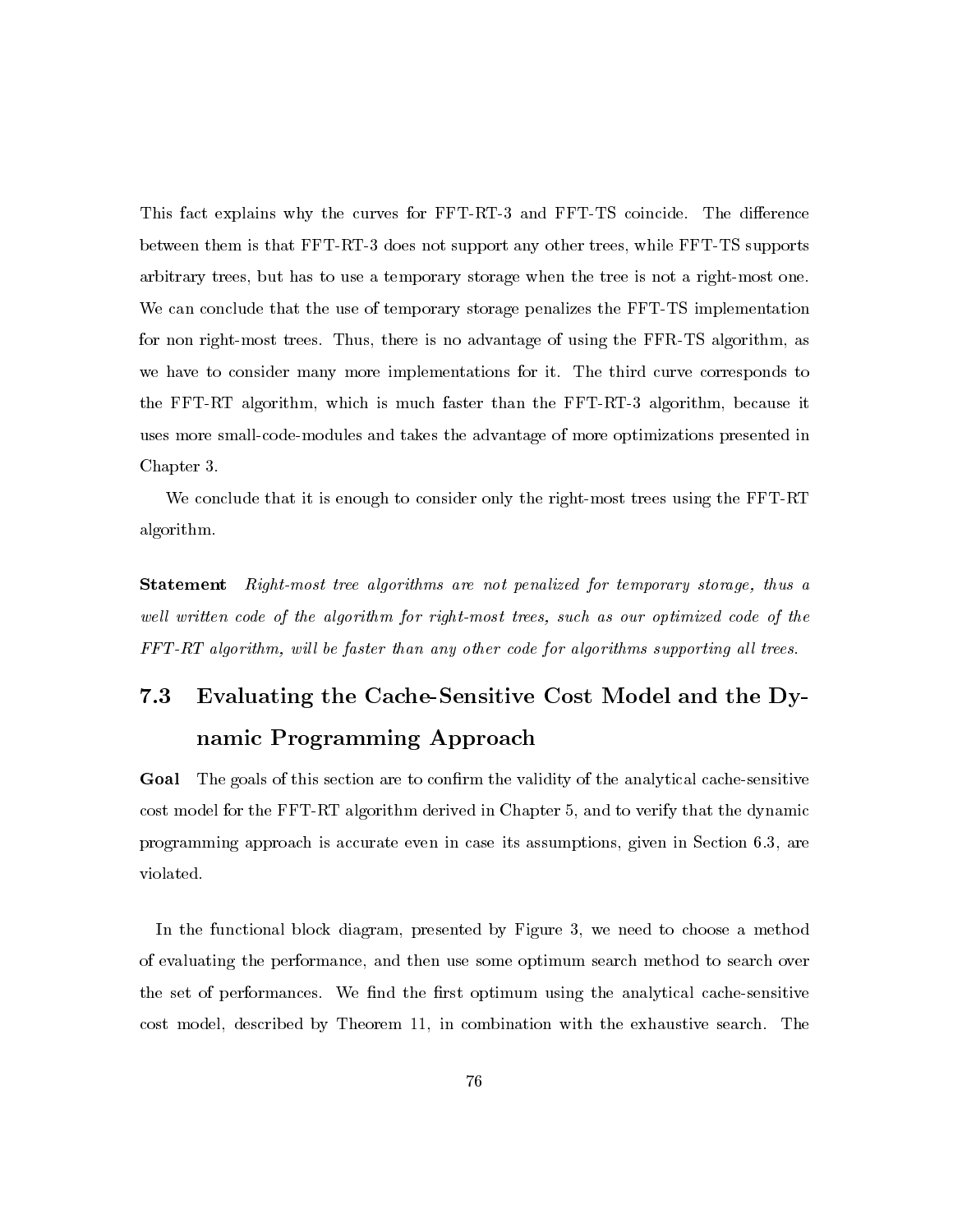This fact explains why the curves for FFT-RT-3 and FFT-TS coincide. The difference between them is that FFT-RT-3 does not support any other trees, while FFT-TS supports arbitrary trees, but has to use a temporary storage when the tree is not a right-most one. We can conclude that the use of temporary storage penalizes the FFT-TS implementation for non right-most trees. Thus, there is no advantage of using the FFR-TS algorithm, as we have to consider many more implementations for it. The third curve corresponds to the FFT-RT algorithm, which is much faster than the FFT-RT-3 algorithm, because it uses more small-code-modules and takes the advantage of more optimizations presented in Chapter 3.

We conclude that it is enough to consider only the right-most trees using the FFT-RT algorithm.

Right-most tree algorithms are not penalized for temporary storage, thus a Statement well written code of the algorithm for right-most trees, such as our optimized code of the FFT-RT algorithm, will be faster than any other code for algorithms supporting all trees.

# $7.3$ Evaluating the Cache-Sensitive Cost Model and the Dynamic Programming Approach

The goals of this section are to confirm the validity of the analytical cache-sensitive Goal cost model for the FFT-RT algorithm derived in Chapter 5, and to verify that the dynamic programming approach is accurate even in case its assumptions, given in Section 6.3, are violated.

In the functional block diagram, presented by Figure 3, we need to choose a method of evaluating the performance, and then use some optimum search method to search over the set of performances. We find the first optimum using the analytical cache-sensitive cost model, described by Theorem 11, in combination with the exhaustive search. The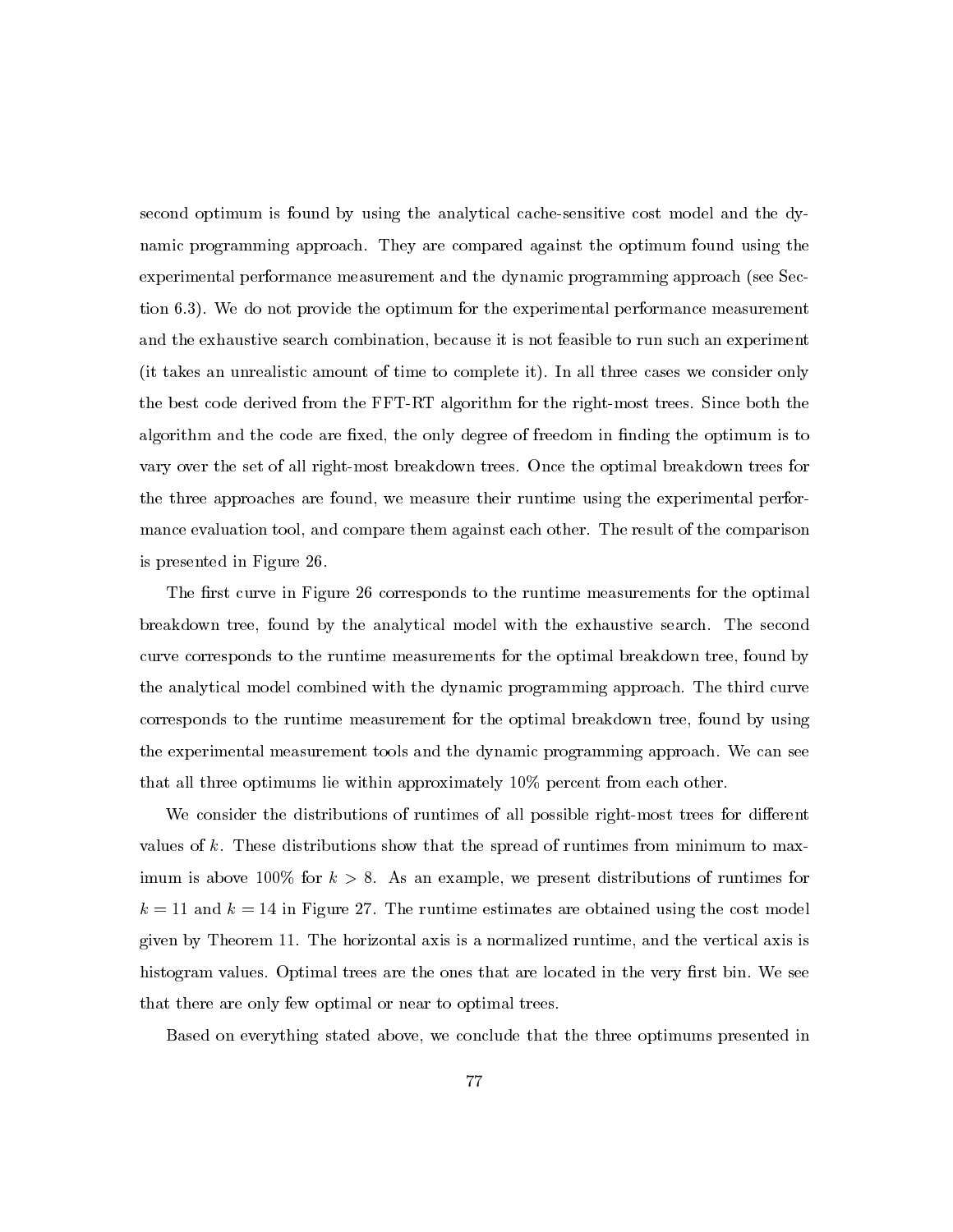second optimum is found by using the analytical cache-sensitive cost model and the dynamic programming approach. They are compared against the optimum found using the experimental performance measurement and the dynamic programming approach (see Section 6.3). We do not provide the optimum for the experimental performance measurement and the exhaustive search combination, because it is not feasible to run such an experiment (it takes an unrealistic amount of time to complete it). In all three cases we consider only the best code derived from the FFT-RT algorithm for the right-most trees. Since both the algorithm and the code are fixed, the only degree of freedom in finding the optimum is to vary over the set of all right-most breakdown trees. Once the optimal breakdown trees for the three approaches are found, we measure their runtime using the experimental performance evaluation tool, and compare them against each other. The result of the comparison is presented in Figure 26.

The first curve in Figure 26 corresponds to the runtime measurements for the optimal breakdown tree, found by the analytical model with the exhaustive search. The second curve corresponds to the runtime measurements for the optimal breakdown tree, found by the analytical model combined with the dynamic programming approach. The third curve corresponds to the runtime measurement for the optimal breakdown tree, found by using the experimental measurement tools and the dynamic programming approach. We can see that all three optimums lie within approximately 10% percent from each other.

We consider the distributions of runtimes of all possible right-most trees for different values of  $k$ . These distributions show that the spread of runtimes from minimum to maximum is above 100% for  $k > 8$ . As an example, we present distributions of runtimes for  $k = 11$  and  $k = 14$  in Figure 27. The runtime estimates are obtained using the cost model given by Theorem 11. The horizontal axis is a normalized runtime, and the vertical axis is histogram values. Optimal trees are the ones that are located in the very first bin. We see that there are only few optimal or near to optimal trees.

Based on everything stated above, we conclude that the three optimums presented in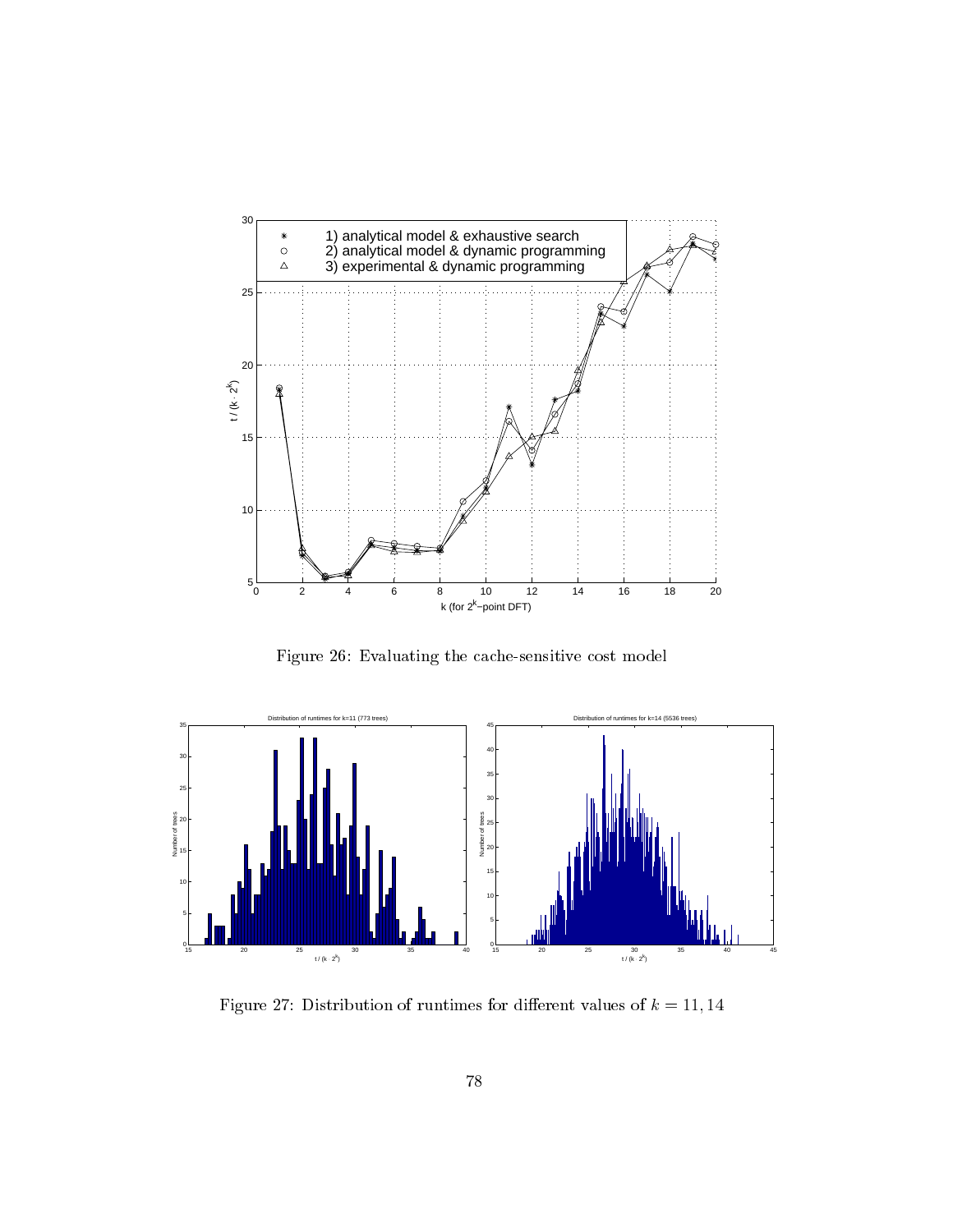

Figure 26: Evaluating the cache-sensitive cost model



Figure 27: Distribution of runtimes for different values of  $\kappa = 11, 14$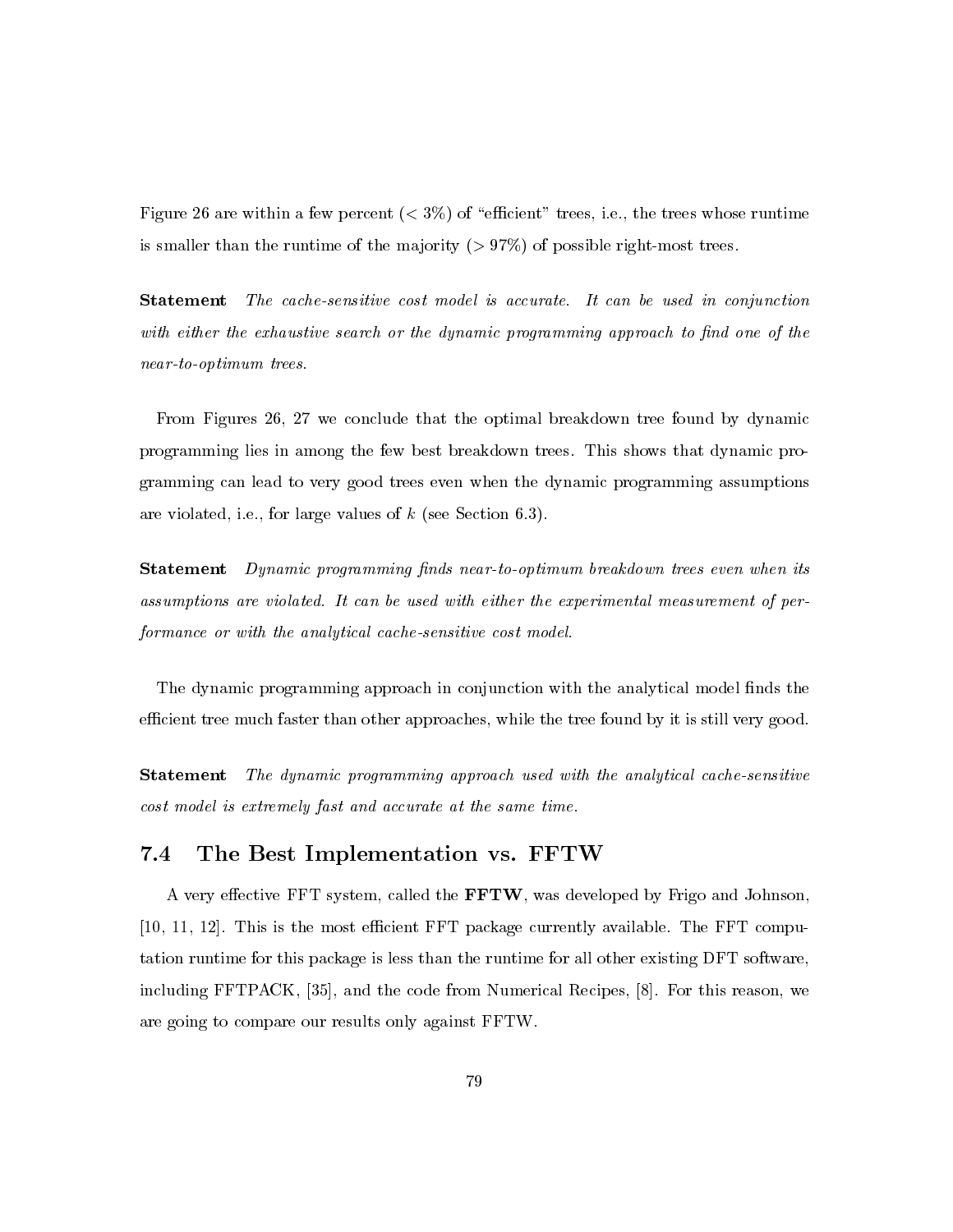Figure 26 are within a few percent  $(< 3\%)$  of "efficient" trees, i.e., the trees whose runtime is smaller than the runtime of the majority  $(> 97\%)$  of possible right-most trees.

The cache-sensitive cost model is accurate. It can be used in conjunction **Statement** with either the exhaustive search or the dynamic programming approach to find one of the near-to-optimum trees.

From Figures 26, 27 we conclude that the optimal breakdown tree found by dynamic programming lies in among the few best breakdown trees. This shows that dynamic programming can lead to very good trees even when the dynamic programming assumptions are violated, i.e., for large values of  $k$  (see Section 6.3).

**Statement** Dynamic programming finds near-to-optimum breakdown trees even when its assumptions are violated. It can be used with either the experimental measurement of performance or with the analytical cache-sensitive cost model.

The dynamic programming approach in conjunction with the analytical model finds the efficient tree much faster than other approaches, while the tree found by it is still very good.

The dynamic programming approach used with the analytical cache-sensitive  ${\bf Statement}$ cost model is extremely fast and accurate at the same time.

#### 7.4 The Best Implementation vs. FFTW

A very effective FFT system, called the **FFTW**, was developed by Frigo and Johnson, [10, 11, 12]. This is the most efficient FFT package currently available. The FFT computation runtime for this package is less than the runtime for all other existing DFT software, including FFTPACK, [35], and the code from Numerical Recipes, [8]. For this reason, we are going to compare our results only against FFTW.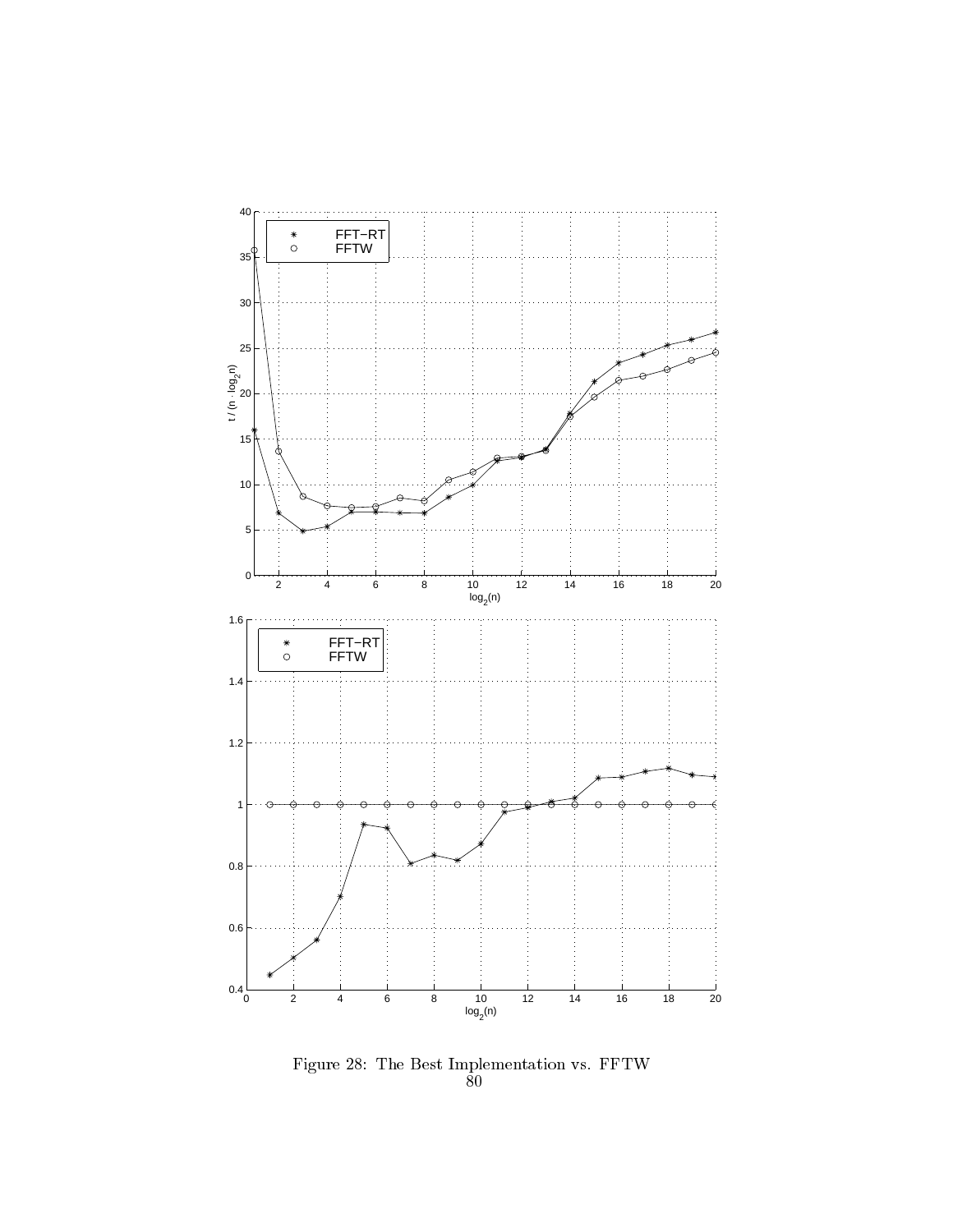

rigure 28: The Best Implementation vs. FFIW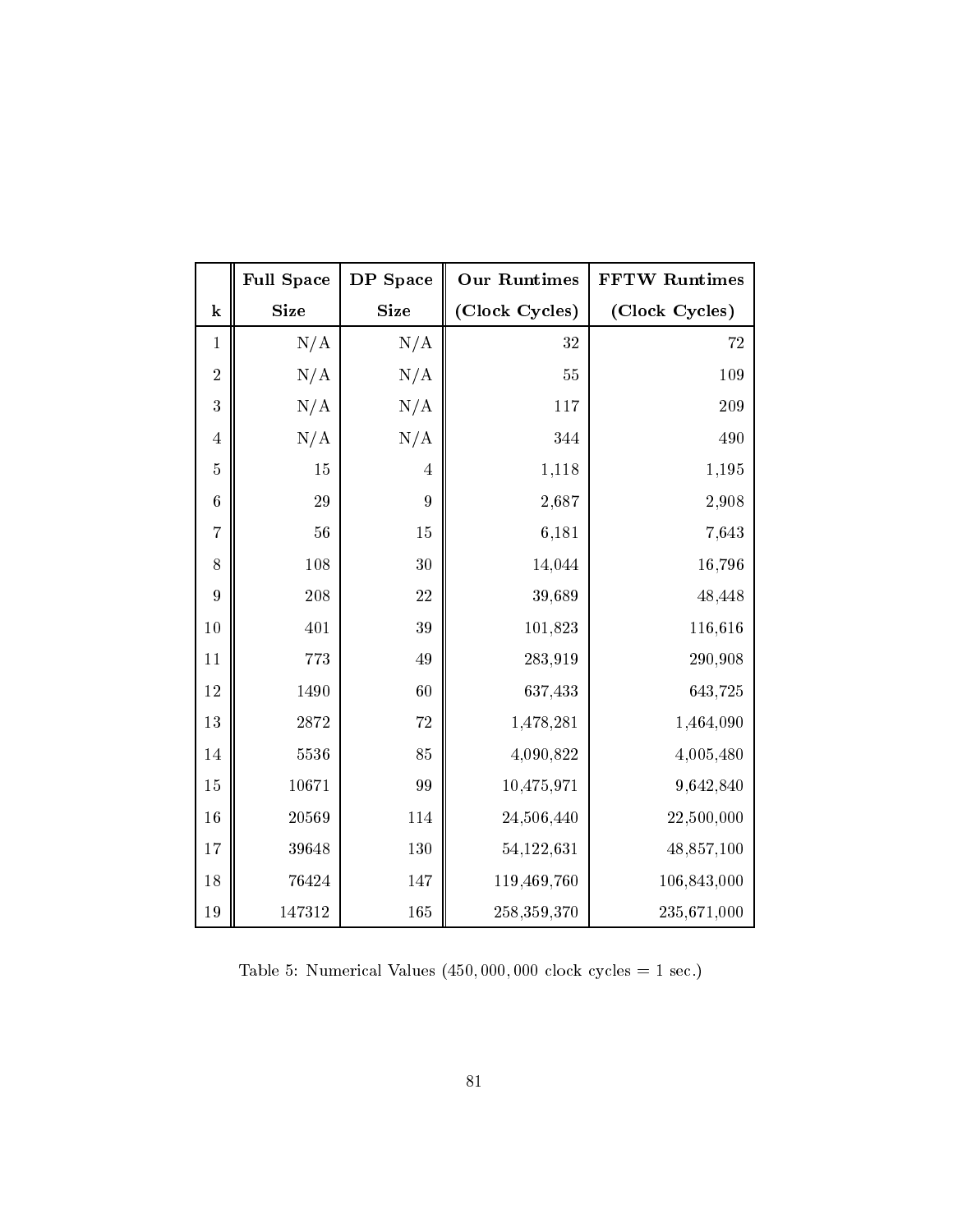|                 | <b>Full Space</b> | DP Space       | <b>Our Runtimes</b> | <b>FFTW Runtimes</b> |
|-----------------|-------------------|----------------|---------------------|----------------------|
| ${\bf k}$       | <b>Size</b>       | <b>Size</b>    | (Clock Cycles)      | (Clock Cycles)       |
| $\mathbf{1}$    | N/A               | N/A            | 32                  | 72                   |
| $\sqrt{2}$      | N/A               | N/A            | 55                  | 109                  |
| 3               | N/A               | N/A            | 117                 | 209                  |
| $\overline{4}$  | N/A               | N/A            | 344                 | 490                  |
| $\bf 5$         | 15                | $\overline{4}$ | 1,118               | 1,195                |
| $\,6$           | 29                | $\overline{9}$ | 2,687               | 2,908                |
| $\overline{7}$  | 56                | 15             | 6,181               | 7,643                |
| 8               | 108               | 30             | 14,044              | 16,796               |
| $9\phantom{.0}$ | 208               | 22             | 39,689              | 48,448               |
| $10\,$          | 401               | 39             | 101,823             | 116,616              |
| $11\,$          | 773               | 49             | 283,919             | 290,908              |
| 12              | 1490              | 60             | 637,433             | 643,725              |
| $13\,$          | $28\,72$          | 72             | 1,478,281           | 1,464,090            |
| 14              | 5536              | 85             | 4,090,822           | 4,005,480            |
| 15              | 10671             | 99             | 10,475,971          | 9,642,840            |
| 16              | 20569             | 114            | 24,506,440          | 22,500,000           |
| 17              | 39648             | 130            | 54,122,631          | 48,857,100           |
| 18              | 76424             | 147            | 119,469,760         | 106,843,000          |
| 19              | 147312            | 165            | 258,359,370         | 235,671,000          |

Table 5: Numerical Values  $(450,000,000 \text{ clock cycles} = 1 \text{ sec.})$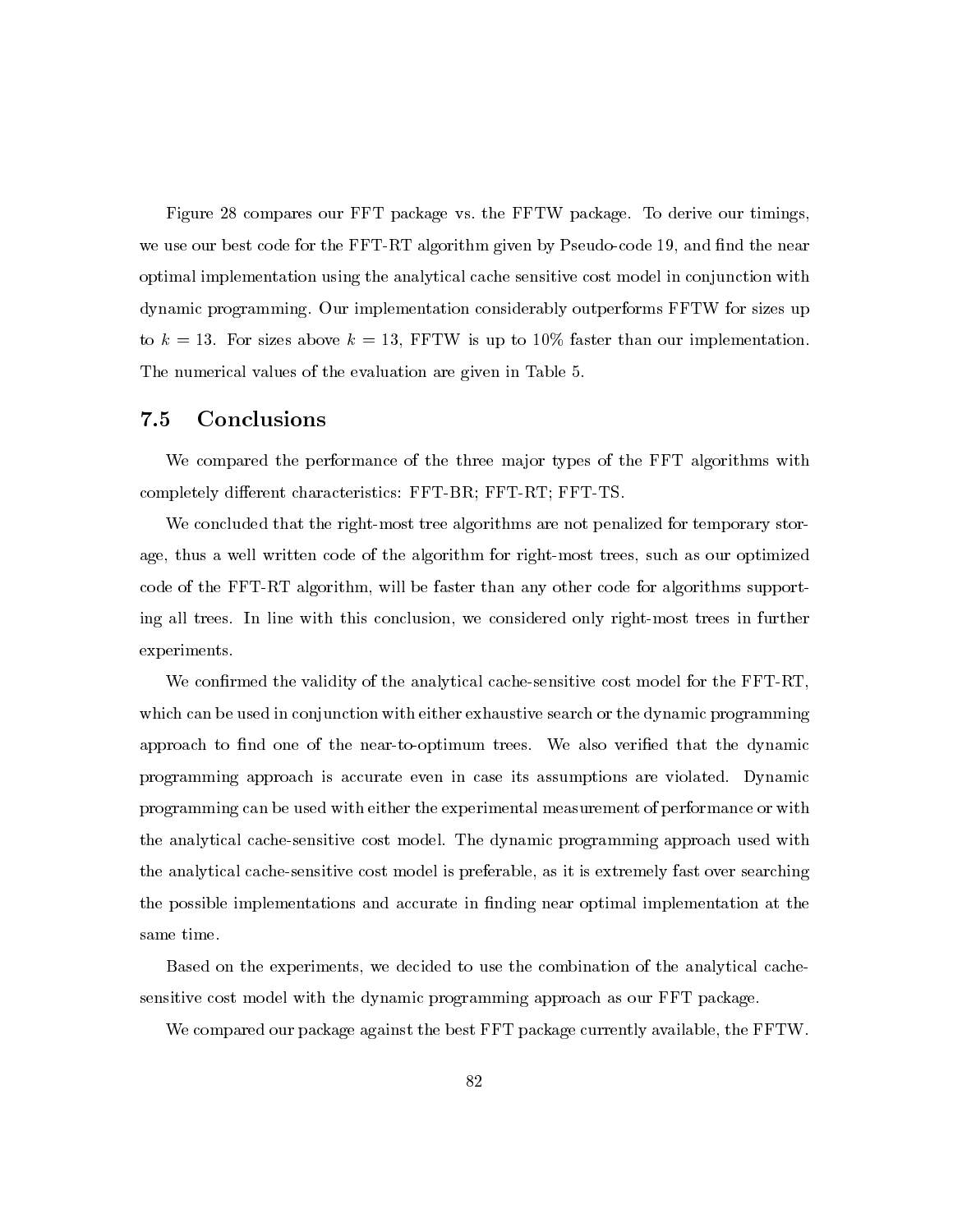Figure 28 compares our FFT package vs. the FFTW package. To derive our timings, we use our best code for the FFT-RT algorithm given by Pseudo-code 19, and find the near optimal implementation using the analytical cache sensitive cost model in conjunction with dynamic programming. Our implementation considerably outperforms FFTW for sizes up to  $k = 13$ . For sizes above  $k = 13$ , FFTW is up to 10% faster than our implementation. The numerical values of the evaluation are given in Table 5.

#### $7.5$ Conclusions

We compared the performance of the three major types of the FFT algorithms with completely different characteristics: FFT-BR; FFT-RT; FFT-TS.

We concluded that the right-most tree algorithms are not penalized for temporary storage, thus a well written code of the algorithm for right-most trees, such as our optimized code of the FFT-RT algorithm, will be faster than any other code for algorithms supporting all trees. In line with this conclusion, we considered only right-most trees in further experiments.

We confirmed the validity of the analytical cache-sensitive cost model for the FFT-RT, which can be used in conjunction with either exhaustive search or the dynamic programming approach to find one of the near-to-optimum trees. We also verified that the dynamic programming approach is accurate even in case its assumptions are violated. Dynamic programming can be used with either the experimental measurement of performance or with the analytical cache-sensitive cost model. The dynamic programming approach used with the analytical cache-sensitive cost model is preferable, as it is extremely fast over searching the possible implementations and accurate in finding near optimal implementation at the  ${\rm same\ time}.$ 

Based on the experiments, we decided to use the combination of the analytical cachesensitive cost model with the dynamic programming approach as our FFT package.

We compared our package against the best FFT package currently available, the FFTW.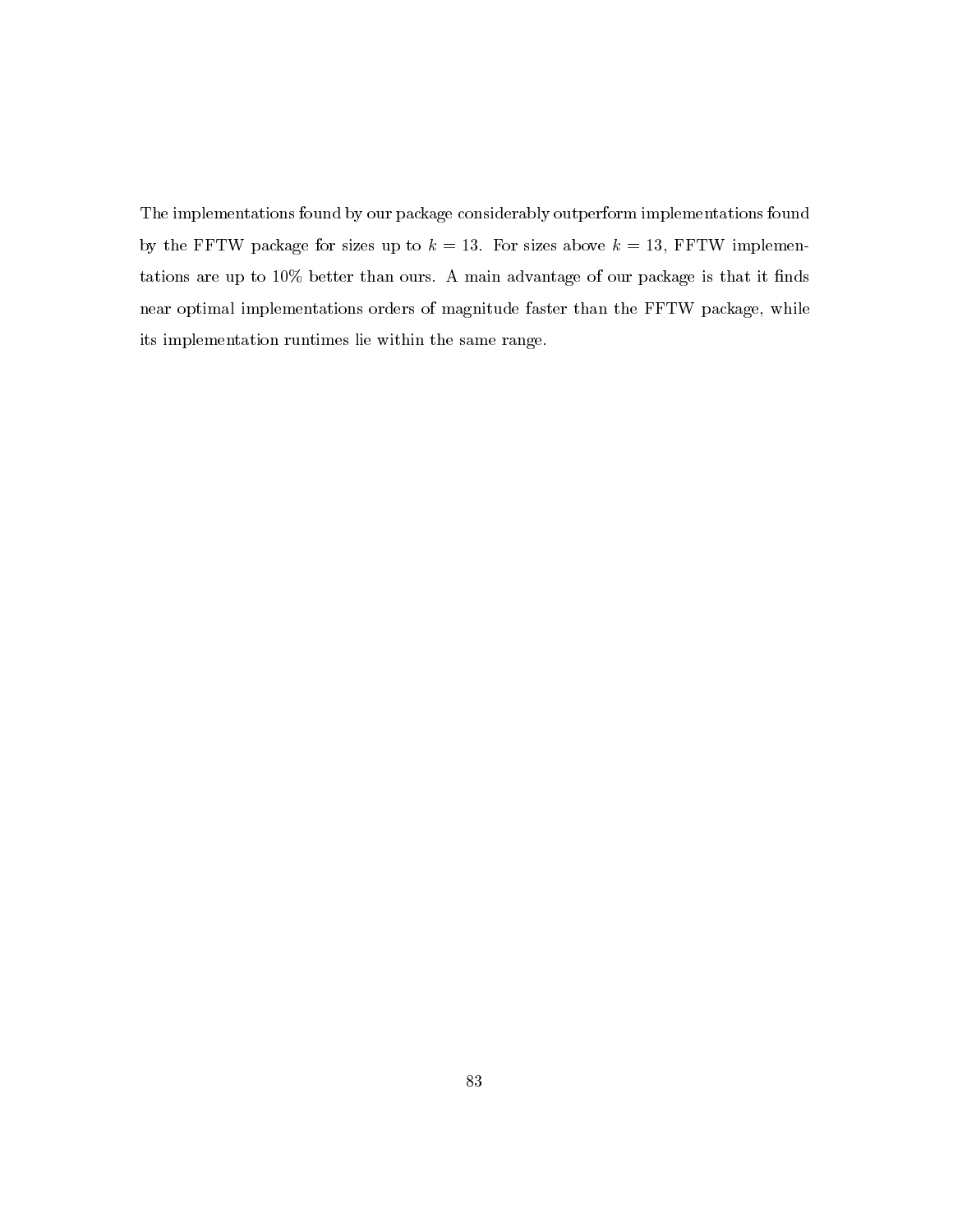The implementations found by our package considerably outperform implementations found by the FFTW package for sizes up to  $k = 13$ . For sizes above  $k = 13$ , FFTW implementations are up to 10% better than ours. A main advantage of our package is that it finds near optimal implementations orders of magnitude faster than the FFTW package, while its implementation runtimes lie within the same range.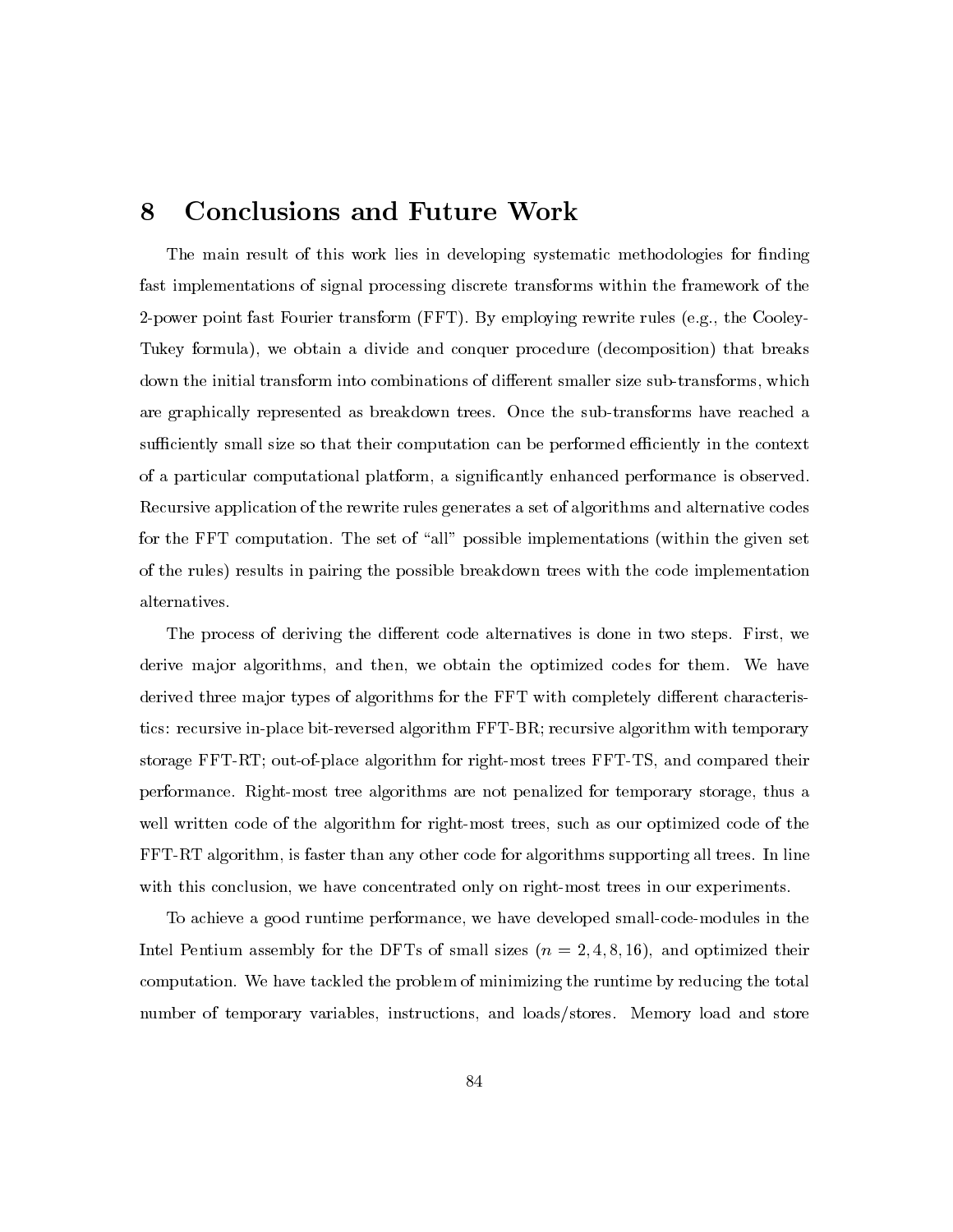## 8 **Conclusions and Future Work**

The main result of this work lies in developing systematic methodologies for finding fast implementations of signal processing discrete transforms within the framework of the 2-power point fast Fourier transform (FFT). By employing rewrite rules (e.g., the Cooley-Tukey formula), we obtain a divide and conquer procedure (decomposition) that breaks down the initial transform into combinations of different smaller size sub-transforms, which are graphically represented as breakdown trees. Once the sub-transforms have reached a sufficiently small size so that their computation can be performed efficiently in the context of a particular computational platform, a significantly enhanced performance is observed. Recursive application of the rewrite rules generates a set of algorithms and alternative codes for the FFT computation. The set of "all" possible implementations (within the given set of the rules) results in pairing the possible breakdown trees with the code implementation alternatives.

The process of deriving the different code alternatives is done in two steps. First, we derive major algorithms, and then, we obtain the optimized codes for them. We have derived three major types of algorithms for the FFT with completely different characteristics: recursive in-place bit-reversed algorithm FFT-BR; recursive algorithm with temporary storage FFT-RT; out-of-place algorithm for right-most trees FFT-TS, and compared their performance. Right-most tree algorithms are not penalized for temporary storage, thus a well written code of the algorithm for right-most trees, such as our optimized code of the FFT-RT algorithm, is faster than any other code for algorithms supporting all trees. In line with this conclusion, we have concentrated only on right-most trees in our experiments.

To achieve a good runtime performance, we have developed small-code-modules in the Intel Pentium assembly for the DFTs of small sizes  $(n = 2, 4, 8, 16)$ , and optimized their computation. We have tackled the problem of minimizing the runtime by reducing the total number of temporary variables, instructions, and loads/stores. Memory load and store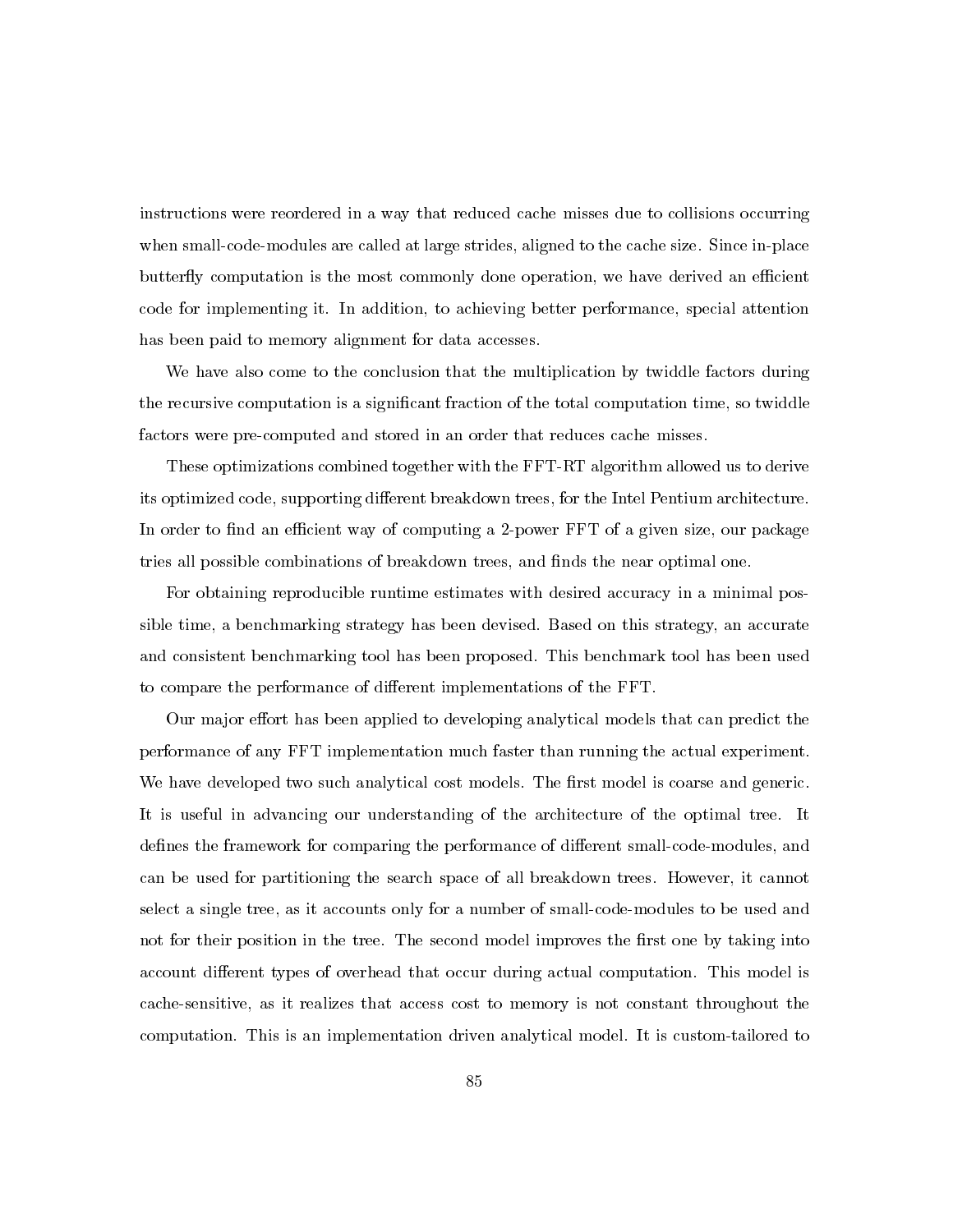instructions were reordered in a way that reduced cache misses due to collisions occurring when small-code-modules are called at large strides, aligned to the cache size. Since in-place butterfly computation is the most commonly done operation, we have derived an efficient code for implementing it. In addition, to achieving better performance, special attention has been paid to memory alignment for data accesses.

We have also come to the conclusion that the multiplication by twiddle factors during the recursive computation is a significant fraction of the total computation time, so twiddle factors were pre-computed and stored in an order that reduces cache misses.

These optimizations combined together with the FFT-RT algorithm allowed us to derive its optimized code, supporting different breakdown trees, for the Intel Pentium architecture. In order to find an efficient way of computing a 2-power FFT of a given size, our package tries all possible combinations of breakdown trees, and finds the near optimal one.

For obtaining reproducible runtime estimates with desired accuracy in a minimal possible time, a benchmarking strategy has been devised. Based on this strategy, an accurate and consistent benchmarking tool has been proposed. This benchmark tool has been used to compare the performance of different implementations of the FFT.

Our major effort has been applied to developing analytical models that can predict the performance of any FFT implementation much faster than running the actual experiment. We have developed two such analytical cost models. The first model is coarse and generic. It is useful in advancing our understanding of the architecture of the optimal tree. It defines the framework for comparing the performance of different small-code-modules, and can be used for partitioning the search space of all breakdown trees. However, it cannot select a single tree, as it accounts only for a number of small-code-modules to be used and not for their position in the tree. The second model improves the first one by taking into account different types of overhead that occur during actual computation. This model is cache-sensitive, as it realizes that access cost to memory is not constant throughout the computation. This is an implementation driven analytical model. It is custom-tailored to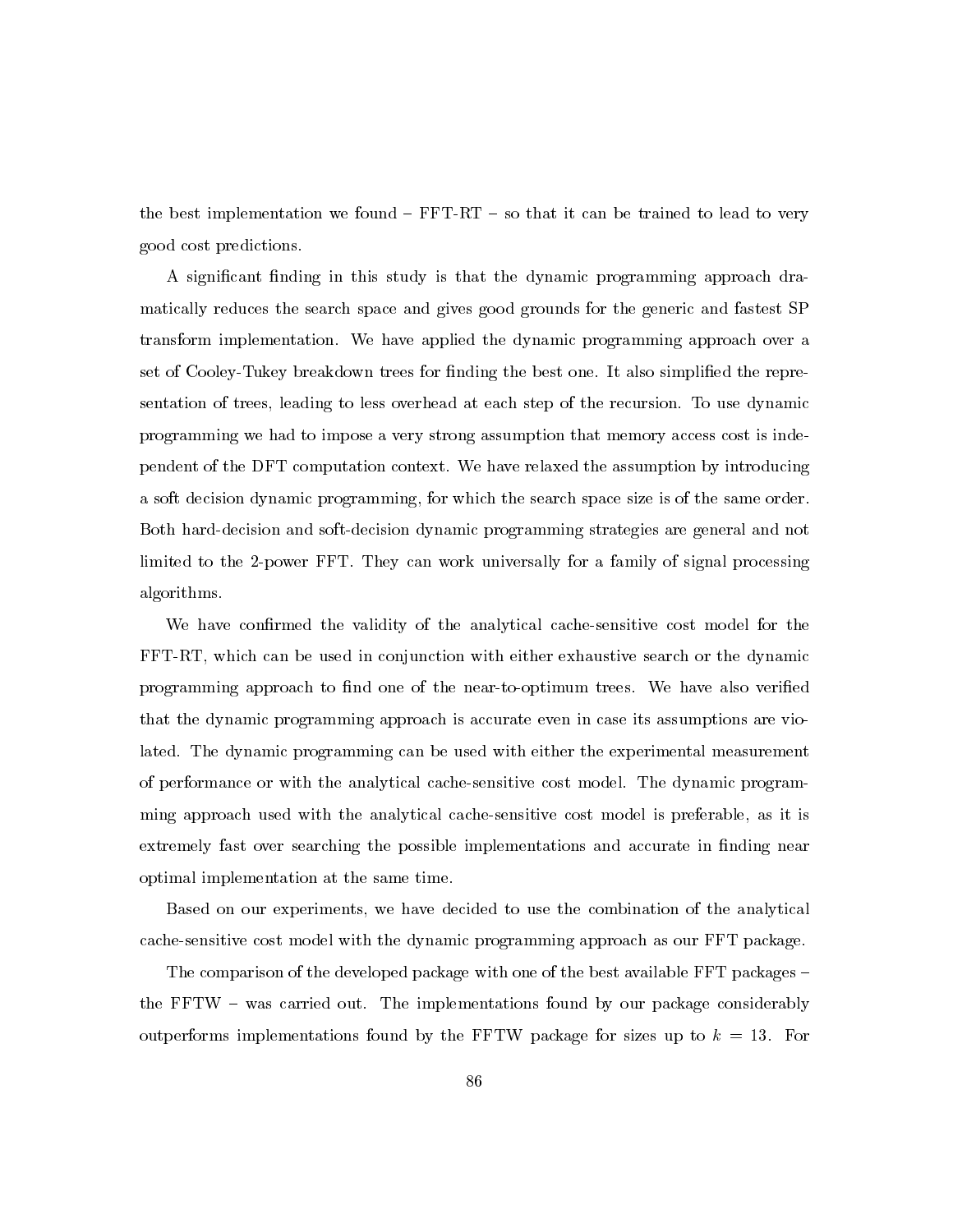the best implementation we found  $-$  FFT-RT  $-$  so that it can be trained to lead to very good cost predictions.

A significant finding in this study is that the dynamic programming approach dramatically reduces the search space and gives good grounds for the generic and fastest SP transform implementation. We have applied the dynamic programming approach over a set of Cooley-Tukey breakdown trees for finding the best one. It also simplified the representation of trees, leading to less overhead at each step of the recursion. To use dynamic programming we had to impose a very strong assumption that memory access cost is independent of the DFT computation context. We have relaxed the assumption by introducing a soft decision dynamic programming, for which the search space size is of the same order. Both hard-decision and soft-decision dynamic programming strategies are general and not limited to the 2-power FFT. They can work universally for a family of signal processing algorithms.

We have confirmed the validity of the analytical cache-sensitive cost model for the FFT-RT, which can be used in conjunction with either exhaustive search or the dynamic programming approach to find one of the near-to-optimum trees. We have also verified that the dynamic programming approach is accurate even in case its assumptions are violated. The dynamic programming can be used with either the experimental measurement of performance or with the analytical cache-sensitive cost model. The dynamic programming approach used with the analytical cache-sensitive cost model is preferable, as it is extremely fast over searching the possible implementations and accurate in finding near optimal implementation at the same time.

Based on our experiments, we have decided to use the combination of the analytical cache-sensitive cost model with the dynamic programming approach as our FFT package.

The comparison of the developed package with one of the best available FFT packages – the FFTW – was carried out. The implementations found by our package considerably outperforms implementations found by the FFTW package for sizes up to  $k = 13$ . For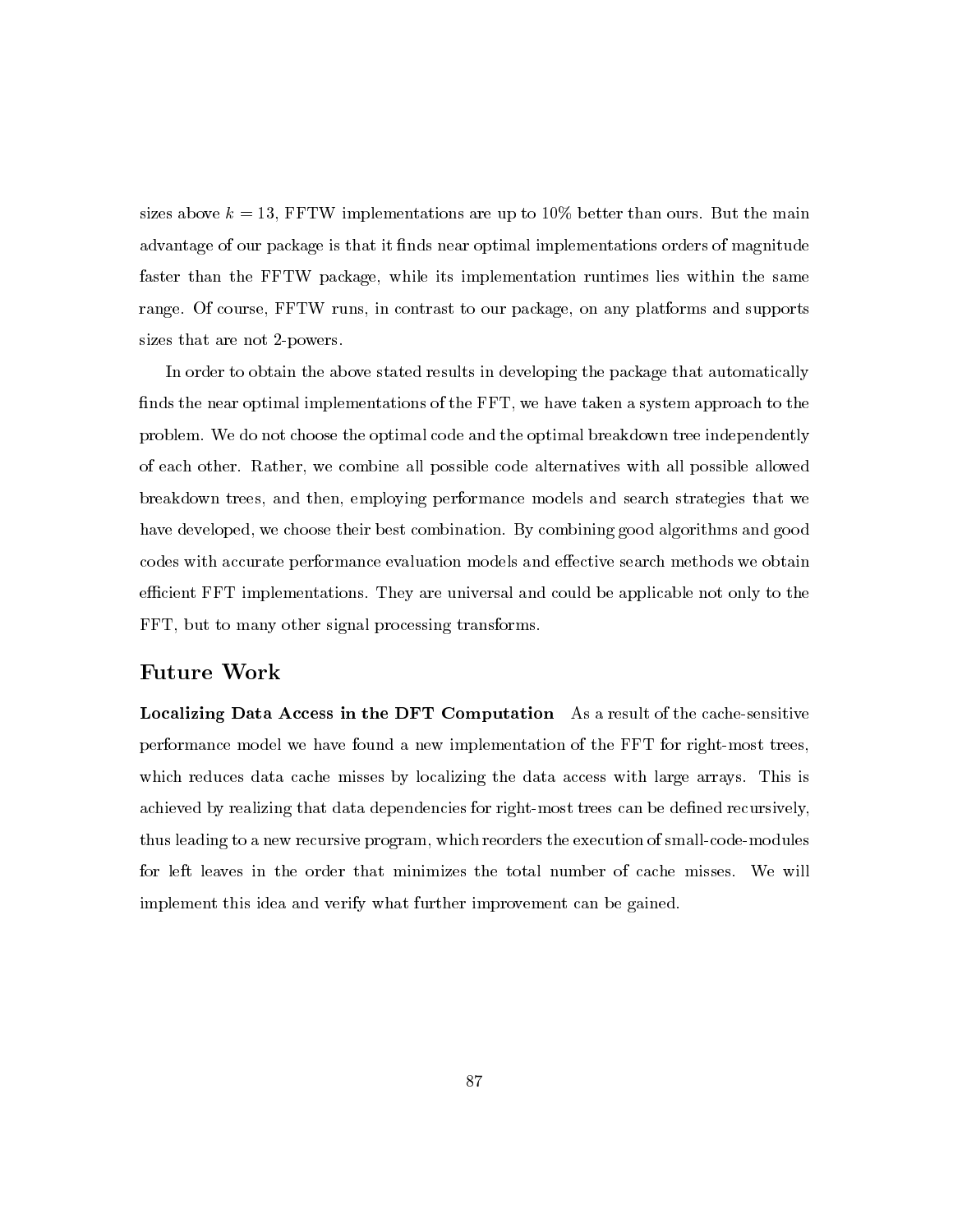sizes above  $k = 13$ , FFTW implementations are up to 10% better than ours. But the main advantage of our package is that it finds near optimal implementations orders of magnitude faster than the FFTW package, while its implementation runtimes lies within the same range. Of course, FFTW runs, in contrast to our package, on any platforms and supports sizes that are not 2-powers.

In order to obtain the above stated results in developing the package that automatically finds the near optimal implementations of the FFT, we have taken a system approach to the problem. We do not choose the optimal code and the optimal breakdown tree independently of each other. Rather, we combine all possible code alternatives with all possible allowed breakdown trees, and then, employing performance models and search strategies that we have developed, we choose their best combination. By combining good algorithms and good codes with accurate performance evaluation models and effective search methods we obtain efficient FFT implementations. They are universal and could be applicable not only to the FFT, but to many other signal processing transforms.

# **Future Work**

**Localizing Data Access in the DFT Computation** As a result of the cache-sensitive performance model we have found a new implementation of the FFT for right-most trees, which reduces data cache misses by localizing the data access with large arrays. This is achieved by realizing that data dependencies for right-most trees can be defined recursively, thus leading to a new recursive program, which reorders the execution of small-code-modules for left leaves in the order that minimizes the total number of cache misses. We will implement this idea and verify what further improvement can be gained.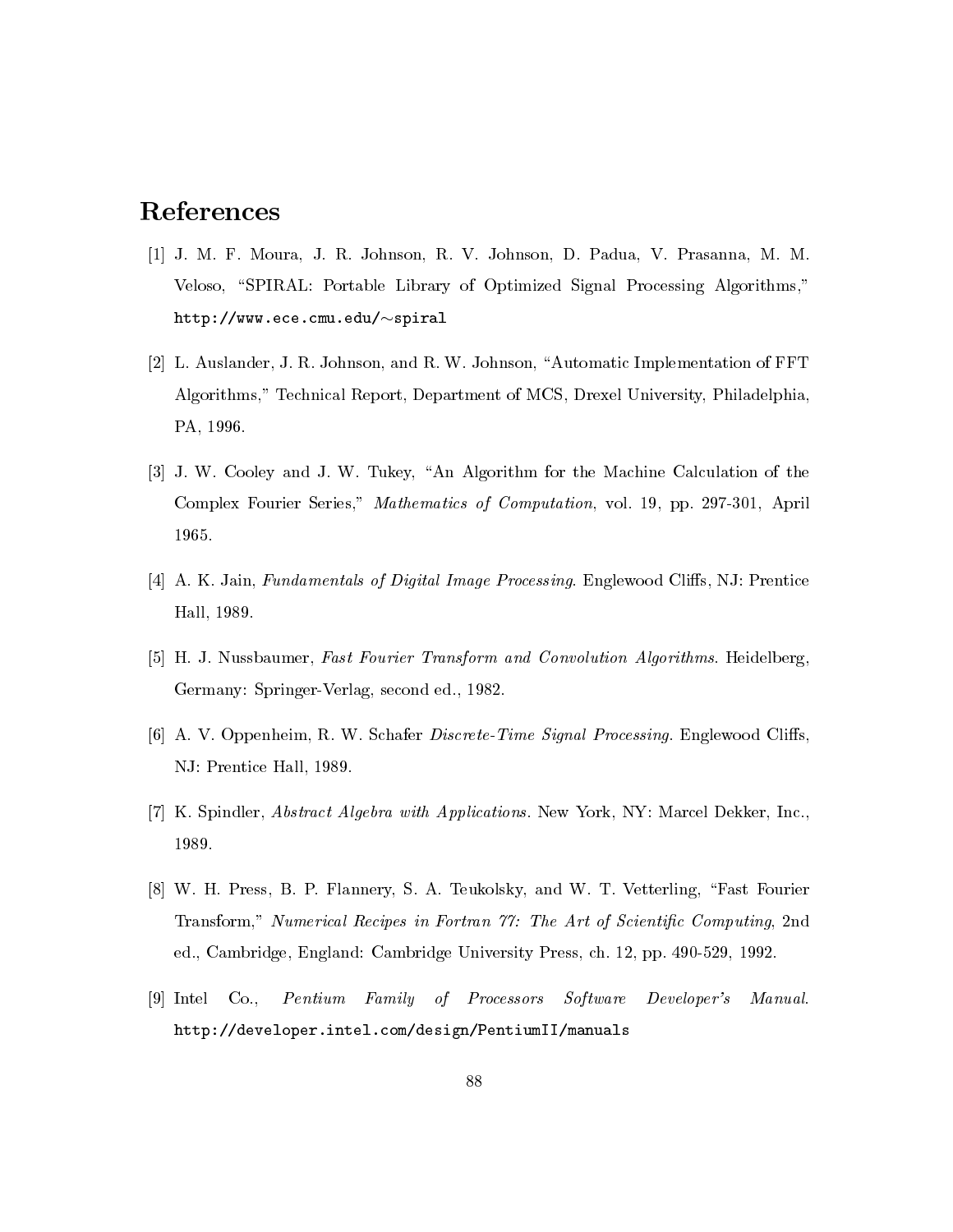# References

- [1] J. M. F. Moura, J. R. Johnson, R. V. Johnson, D. Padua, V. Prasanna, M. M. Veloso, "SPIRAL: Portable Library of Optimized Signal Processing Algorithms,"  $http://www.ece.cmu.edu/~spiral$
- [2] L. Auslander, J. R. Johnson, and R. W. Johnson, "Automatic Implementation of FFT Algorithms," Technical Report, Department of MCS, Drexel University, Philadelphia, PA, 1996.
- [3] J. W. Cooley and J. W. Tukey, "An Algorithm for the Machine Calculation of the Complex Fourier Series," Mathematics of Computation, vol. 19, pp. 297-301, April 1965.
- [4] A. K. Jain, Fundamentals of Digital Image Processing. Englewood Cliffs, NJ: Prentice Hall, 1989.
- [5] H. J. Nussbaumer, Fast Fourier Transform and Convolution Algorithms. Heidelberg, Germany: Springer-Verlag, second ed., 1982.
- [6] A. V. Oppenheim, R. W. Schafer Discrete-Time Signal Processing. Englewood Cliffs, NJ: Prentice Hall, 1989.
- [7] K. Spindler, *Abstract Algebra with Applications*. New York, NY: Marcel Dekker, Inc., 1989.
- [8] W. H. Press, B. P. Flannery, S. A. Teukolsky, and W. T. Vetterling, "Fast Fourier Transform," Numerical Recipes in Fortran 77: The Art of Scientific Computing, 2nd ed., Cambridge, England: Cambridge University Press, ch. 12, pp. 490-529, 1992.
- [9] Intel  $Co.$ Pentium Family of Processors Software Developer's Manual. http://developer.intel.com/design/PentiumII/manuals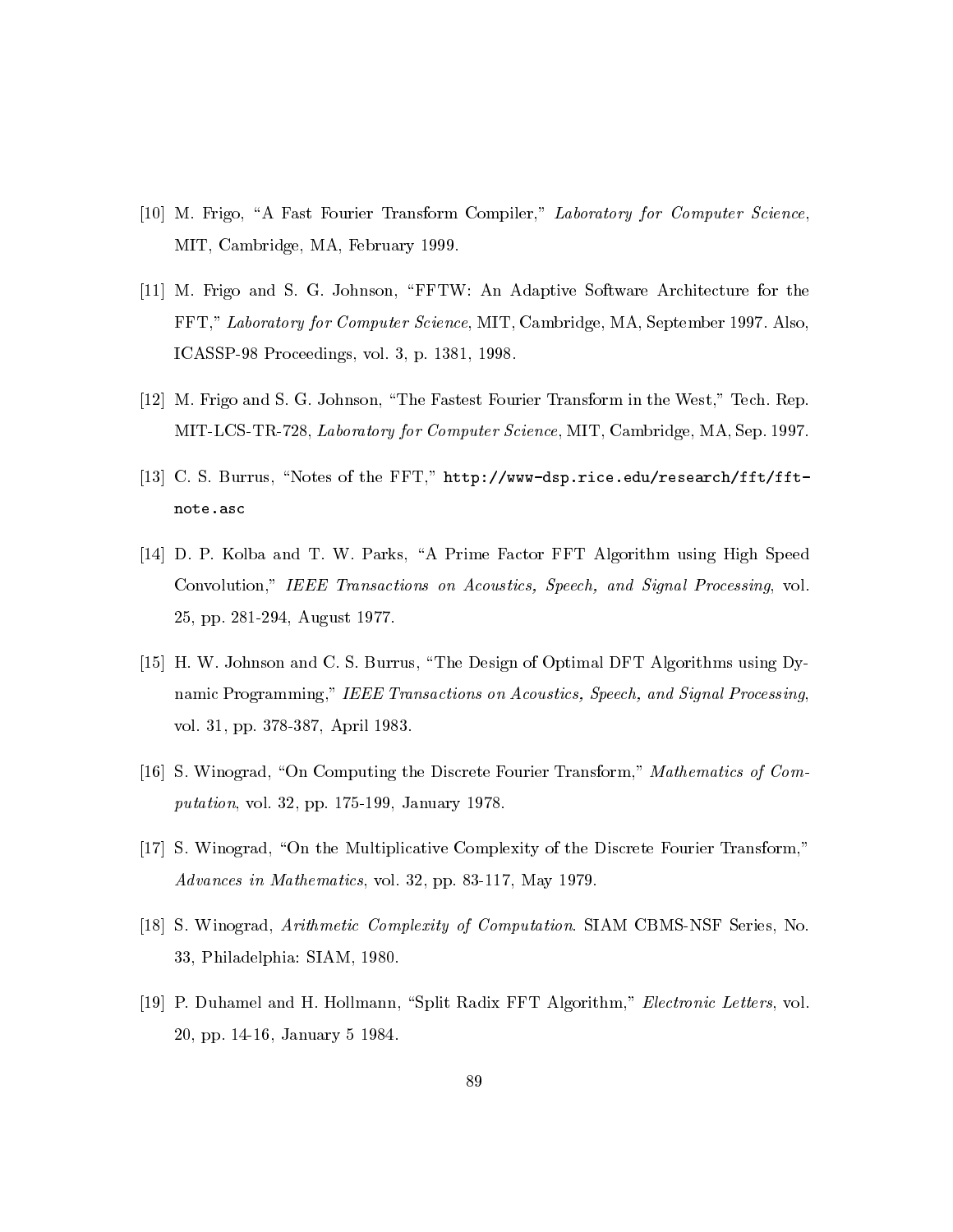- [10] M. Frigo, "A Fast Fourier Transform Compiler," Laboratory for Computer Science, MIT, Cambridge, MA, February 1999.
- [11] M. Frigo and S. G. Johnson, "FFTW: An Adaptive Software Architecture for the FFT," Laboratory for Computer Science, MIT, Cambridge, MA, September 1997. Also, ICASSP-98 Proceedings, vol. 3, p. 1381, 1998.
- [12] M. Frigo and S. G. Johnson, "The Fastest Fourier Transform in the West," Tech. Rep. MIT-LCS-TR-728, Laboratory for Computer Science, MIT, Cambridge, MA, Sep. 1997.
- [13] C. S. Burrus, "Notes of the FFT," http://www-dsp.rice.edu/research/fft/fftnote.asc
- [14] D. P. Kolba and T. W. Parks, "A Prime Factor FFT Algorithm using High Speed Convolution," IEEE Transactions on Acoustics, Speech, and Signal Processing, vol. 25, pp. 281-294, August 1977.
- [15] H. W. Johnson and C. S. Burrus, "The Design of Optimal DFT Algorithms using Dynamic Programming," IEEE Transactions on Acoustics, Speech, and Signal Processing, vol. 31, pp. 378-387, April 1983.
- [16] S. Winograd, "On Computing the Discrete Fourier Transform," Mathematics of Com*putation*, vol. 32, pp. 175-199, January 1978.
- [17] S. Winograd, "On the Multiplicative Complexity of the Discrete Fourier Transform," Advances in Mathematics, vol. 32, pp. 83-117, May 1979.
- [18] S. Winograd, Arithmetic Complexity of Computation. SIAM CBMS-NSF Series, No. 33, Philadelphia: SIAM, 1980.
- [19] P. Duhamel and H. Hollmann, "Split Radix FFT Algorithm," Electronic Letters, vol. 20, pp. 14-16, January 5 1984.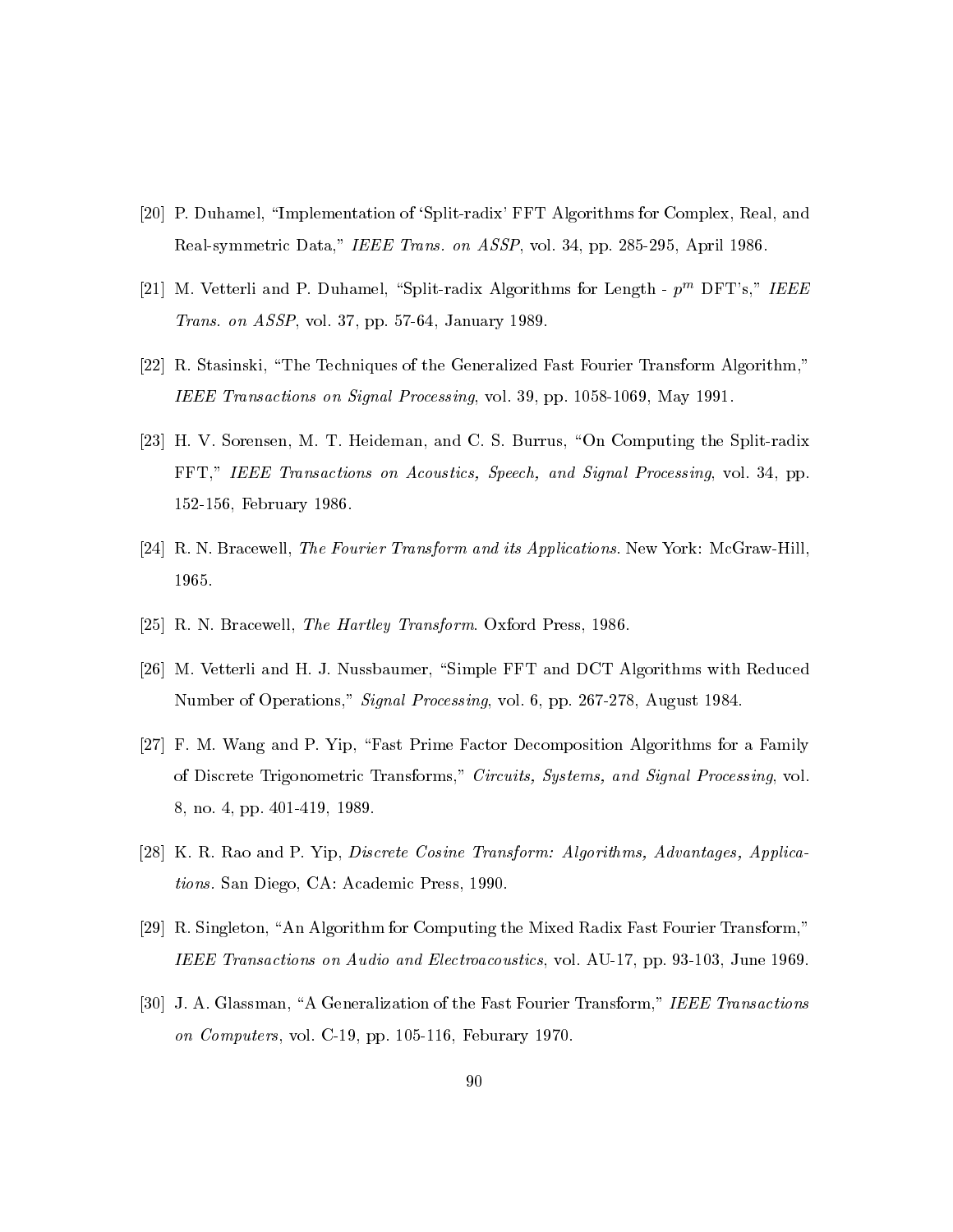- [20] P. Duhamel, "Implementation of 'Split-radix' FFT Algorithms for Complex, Real, and Real-symmetric Data," IEEE Trans. on ASSP, vol. 34, pp. 285-295, April 1986.
- [21] M. Vetterli and P. Duhamel, "Split-radix Algorithms for Length  $p^m$  DFT's," IEEE *Trans. on ASSP*, vol. 37, pp. 57-64, January 1989.
- [22] R. Stasinski, "The Techniques of the Generalized Fast Fourier Transform Algorithm," IEEE Transactions on Signal Processing, vol. 39, pp. 1058-1069, May 1991.
- [23] H. V. Sorensen, M. T. Heideman, and C. S. Burrus, "On Computing the Split-radix FFT," IEEE Transactions on Acoustics, Speech, and Signal Processing, vol. 34, pp. 152-156, February 1986.
- [24] R. N. Bracewell, The Fourier Transform and its Applications. New York: McGraw-Hill, 1965.
- [25] R. N. Bracewell, The Hartley Transform. Oxford Press, 1986.
- [26] M. Vetterli and H. J. Nussbaumer, "Simple FFT and DCT Algorithms with Reduced Number of Operations," Signal Processing, vol. 6, pp. 267-278, August 1984.
- [27] F. M. Wang and P. Yip, "Fast Prime Factor Decomposition Algorithms for a Family of Discrete Trigonometric Transforms," Circuits, Systems, and Signal Processing, vol. 8, no. 4, pp. 401-419, 1989.
- [28] K. R. Rao and P. Yip, *Discrete Cosine Transform: Algorithms, Advantages, Applica*tions. San Diego, CA: Academic Press, 1990.
- [29] R. Singleton, "An Algorithm for Computing the Mixed Radix Fast Fourier Transform," IEEE Transactions on Audio and Electroacoustics, vol. AU-17, pp. 93-103, June 1969.
- [30] J. A. Glassman, "A Generalization of the Fast Fourier Transform," IEEE Transactions on Computers, vol. C-19, pp. 105-116, Feburary 1970.